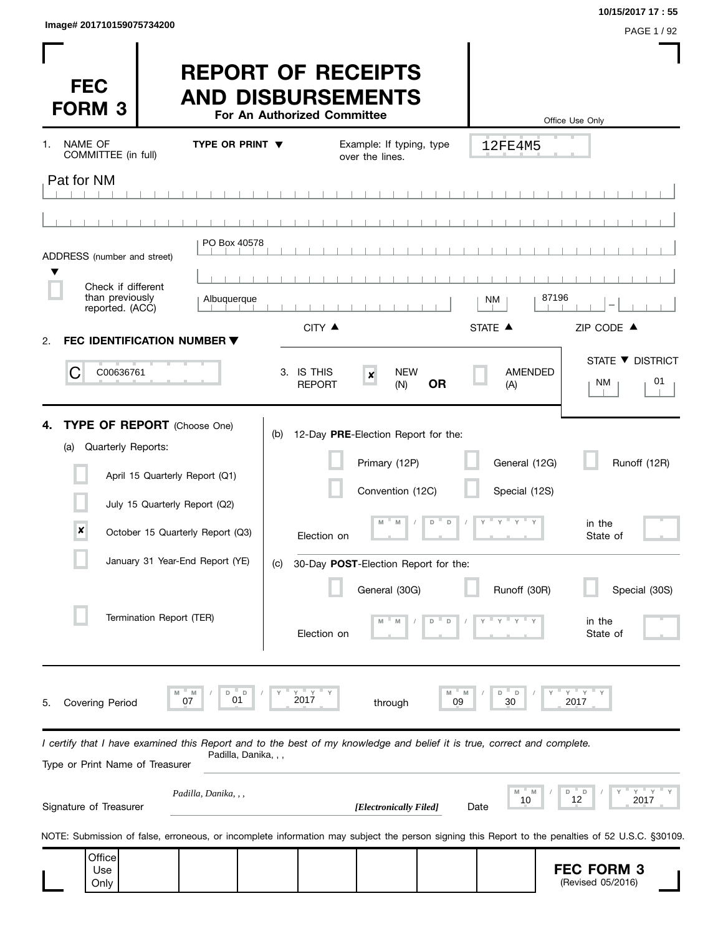| Image# 201710159075734200 | PAGE 1/92 |
|---------------------------|-----------|
|                           |           |

**10/15/2017 17 : 55**

| <b>FEC</b><br><b>FORM 3</b>                                                                                                                                |                                | <b>REPORT OF RECEIPTS</b><br><b>AND DISBURSEMENTS</b> | For An Authorized Committee |                                                                          |              |                                | Office Use Only                                                                                                                                  |
|------------------------------------------------------------------------------------------------------------------------------------------------------------|--------------------------------|-------------------------------------------------------|-----------------------------|--------------------------------------------------------------------------|--------------|--------------------------------|--------------------------------------------------------------------------------------------------------------------------------------------------|
| NAME OF<br>1.<br>COMMITTEE (in full)                                                                                                                       |                                | <b>TYPE OR PRINT ▼</b>                                |                             | Example: If typing, type<br>over the lines.                              |              | 12FE4M5                        |                                                                                                                                                  |
| Pat for NM                                                                                                                                                 |                                |                                                       |                             |                                                                          |              |                                |                                                                                                                                                  |
|                                                                                                                                                            |                                |                                                       |                             |                                                                          |              |                                |                                                                                                                                                  |
| ADDRESS (number and street)                                                                                                                                |                                | PO Box 40578                                          |                             |                                                                          |              |                                |                                                                                                                                                  |
| Check if different                                                                                                                                         |                                |                                                       |                             |                                                                          |              |                                |                                                                                                                                                  |
| than previously<br>reported. (ACC)                                                                                                                         |                                | Albuquerque                                           |                             |                                                                          |              | NM                             | 87196                                                                                                                                            |
| FEC IDENTIFICATION NUMBER ▼<br>2.                                                                                                                          |                                |                                                       | CITY ▲                      |                                                                          |              | STATE A                        | ZIP CODE ▲                                                                                                                                       |
| С<br>C00636761                                                                                                                                             |                                |                                                       | 3. IS THIS<br><b>REPORT</b> | <b>NEW</b><br>$\pmb{\times}$<br>(N)                                      | <b>OR</b>    | AMENDED<br>(A)                 | STATE ▼ DISTRICT<br>01<br>NM                                                                                                                     |
| <b>TYPE OF REPORT</b> (Choose One)<br>4.<br>Quarterly Reports:<br>(a)                                                                                      | April 15 Quarterly Report (Q1) |                                                       | (b)                         | 12-Day PRE-Election Report for the:<br>Primary (12P)<br>Convention (12C) |              | General (12G)<br>Special (12S) | Runoff (12R)                                                                                                                                     |
| $\boldsymbol{x}$                                                                                                                                           | July 15 Quarterly Report (Q2)  | October 15 Quarterly Report (Q3)                      | Election on                 | M<br>M                                                                   | $D$ D        | $Y$ $Y$ $Y$ $Y$ $Y$            | in the<br>State of                                                                                                                               |
|                                                                                                                                                            |                                | January 31 Year-End Report (YE)                       | (c)                         | 30-Day POST-Election Report for the:                                     |              |                                |                                                                                                                                                  |
|                                                                                                                                                            | Termination Report (TER)       |                                                       | Election on                 | General (30G)                                                            | D            | Runoff (30R)                   | Special (30S)<br>in the<br>State of                                                                                                              |
| <b>Covering Period</b><br>5.                                                                                                                               | 07                             | M<br>D<br>D<br>01                                     | ΞY<br>2017                  | through                                                                  | M<br>M<br>09 | - D<br>D<br>30                 | ΞY.<br>Y<br>2017                                                                                                                                 |
| I certify that I have examined this Report and to the best of my knowledge and belief it is true, correct and complete.<br>Type or Print Name of Treasurer |                                | Padilla, Danika, , ,                                  |                             |                                                                          |              |                                |                                                                                                                                                  |
| Signature of Treasurer                                                                                                                                     |                                | Padilla, Danika, , ,                                  |                             | [Electronically Filed]                                                   |              | " M<br>M<br>10<br>Date         | $Y$ $Y$<br>D<br>- D<br>12<br>2017                                                                                                                |
|                                                                                                                                                            |                                |                                                       |                             |                                                                          |              |                                | NOTE: Submission of false, erroneous, or incomplete information may subject the person signing this Report to the penalties of 52 U.S.C. §30109. |
| Office<br>Use<br>Only                                                                                                                                      |                                |                                                       |                             |                                                                          |              |                                | <b>FEC FORM 3</b><br>(Revised 05/2016)                                                                                                           |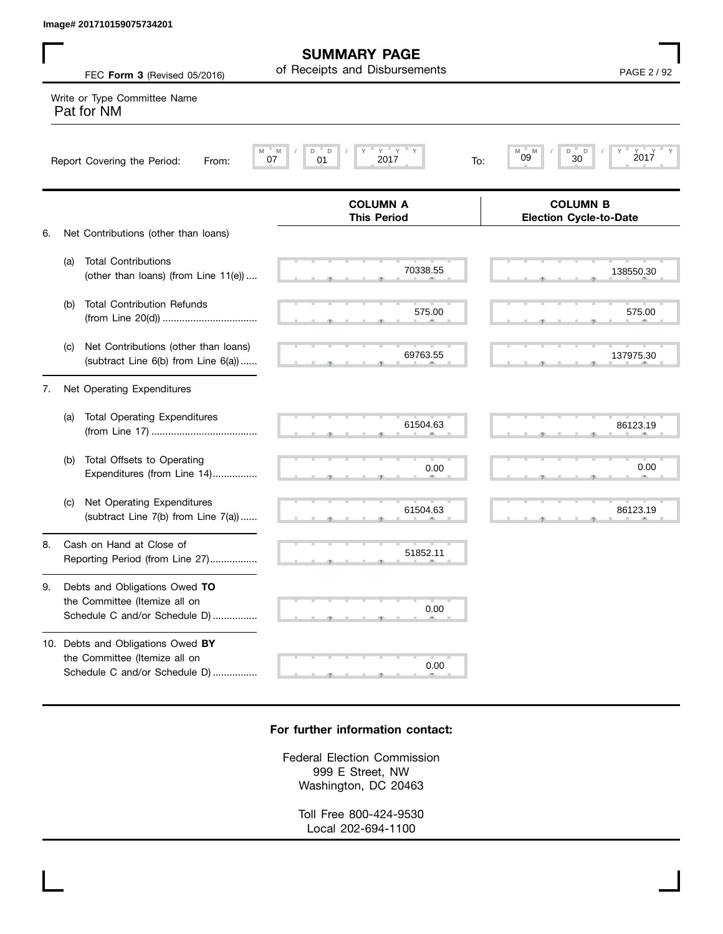|    |     | Image# 201710159075734201                                                                                  |                                                      |                                                  |
|----|-----|------------------------------------------------------------------------------------------------------------|------------------------------------------------------|--------------------------------------------------|
|    |     | FEC Form 3 (Revised 05/2016)                                                                               | <b>SUMMARY PAGE</b><br>of Receipts and Disbursements | PAGE 2 / 92                                      |
|    |     | Write or Type Committee Name<br>Pat for NM                                                                 |                                                      |                                                  |
|    |     | Report Covering the Period:<br>From:                                                                       | $Y = Y$<br>M<br>D<br>2017<br>07<br>01<br>To:         | D<br>M<br>D<br>2017<br>09<br>30                  |
|    |     |                                                                                                            | <b>COLUMN A</b><br><b>This Period</b>                | <b>COLUMN B</b><br><b>Election Cycle-to-Date</b> |
| 6. | (a) | Net Contributions (other than loans)<br><b>Total Contributions</b><br>(other than loans) (from Line 11(e)) | 70338.55                                             | 138550.30                                        |
|    | (b) | <b>Total Contribution Refunds</b>                                                                          | 575.00                                               | 575.00                                           |
|    | (C) | Net Contributions (other than loans)<br>(subtract Line 6(b) from Line 6(a))                                | 69763.55                                             | 137975.30                                        |
| 7. |     | Net Operating Expenditures                                                                                 |                                                      |                                                  |
|    | (a) | <b>Total Operating Expenditures</b>                                                                        | 61504.63                                             | 86123.19                                         |
|    | (b) | Total Offsets to Operating<br>Expenditures (from Line 14)                                                  | 0.00                                                 | 0.00                                             |
|    | (C) | Net Operating Expenditures<br>(subtract Line 7(b) from Line 7(a))                                          | 61504.63                                             | 86123.19                                         |
| 8. |     | Cash on Hand at Close of<br>Reporting Period (from Line 27)                                                | 51852.11                                             |                                                  |
| 9. |     | Debts and Obligations Owed TO<br>the Committee (Itemize all on<br>Schedule C and/or Schedule D)            | 0.00                                                 |                                                  |
|    |     | 10. Debts and Obligations Owed BY<br>the Committee (Itemize all on<br>Schedule C and/or Schedule D)        | 0.00                                                 |                                                  |

## **For further information contact:**

Federal Election Commission 999 E Street, NW Washington, DC 20463

> Toll Free 800-424-9530 Local 202-694-1100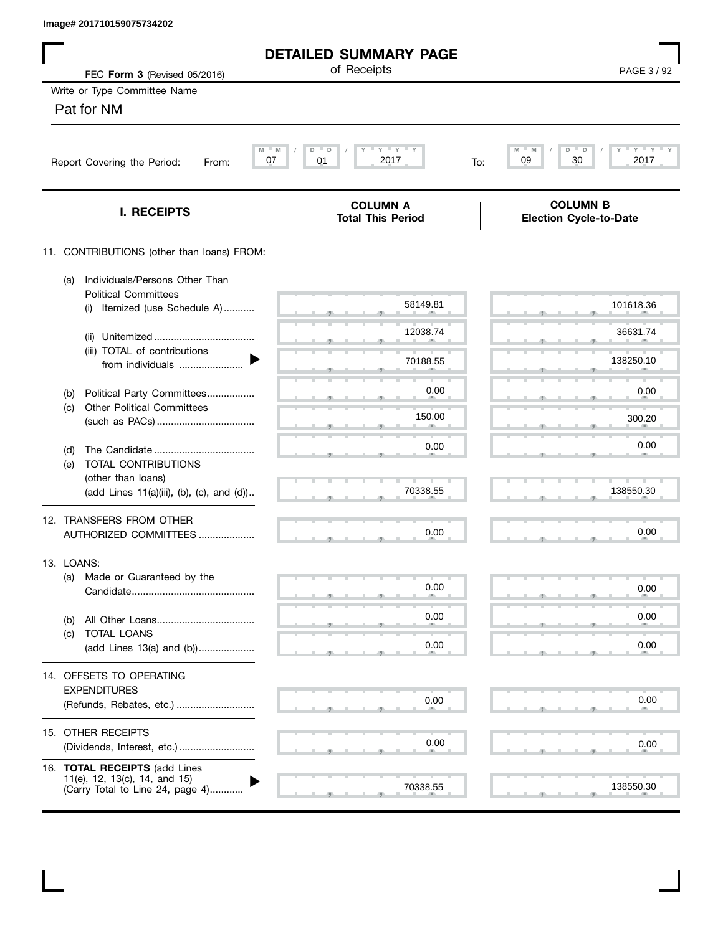| Image# 201710159075734202                                                                          |                                             |                                                  |
|----------------------------------------------------------------------------------------------------|---------------------------------------------|--------------------------------------------------|
|                                                                                                    | <b>DETAILED SUMMARY PAGE</b>                |                                                  |
| FEC Form 3 (Revised 05/2016)                                                                       | of Receipts                                 | PAGE 3/92                                        |
| Write or Type Committee Name                                                                       |                                             |                                                  |
| Pat for NM                                                                                         |                                             |                                                  |
| Report Covering the Period:<br>From:                                                               | $Y'$ $Y'$ $Y$ $Y$<br>D<br>07<br>2017<br>01  | Y<br>M<br>D<br>Y =<br>30<br>2017<br>09<br>To:    |
| <b>I. RECEIPTS</b>                                                                                 | <b>COLUMN A</b><br><b>Total This Period</b> | <b>COLUMN B</b><br><b>Election Cycle-to-Date</b> |
| 11. CONTRIBUTIONS (other than loans) FROM:                                                         |                                             |                                                  |
| Individuals/Persons Other Than<br>(a)<br><b>Political Committees</b>                               |                                             |                                                  |
| Itemized (use Schedule A)<br>(i)                                                                   | 58149.81                                    | 101618.36                                        |
| (ii)<br>(iii) TOTAL of contributions                                                               | 12038.74                                    | 36631.74                                         |
| from individuals                                                                                   | 70188.55                                    | 138250.10                                        |
| Political Party Committees<br>(b)                                                                  | 0.00                                        | 0.00                                             |
| <b>Other Political Committees</b><br>(C)                                                           | 150.00                                      | 300.20                                           |
|                                                                                                    | 0.00                                        | 0.00                                             |
| (d)<br>TOTAL CONTRIBUTIONS<br>(e)                                                                  |                                             |                                                  |
| (other than loans)<br>(add Lines 11(a)(iii), (b), (c), and (d))                                    | 70338.55                                    | 138550.30                                        |
| 12. TRANSFERS FROM OTHER                                                                           |                                             |                                                  |
| AUTHORIZED COMMITTEES                                                                              | 0.00                                        | 0.00                                             |
| 13. LOANS:                                                                                         |                                             |                                                  |
| Made or Guaranteed by the<br>(a)                                                                   | 0.00                                        | 0.00                                             |
|                                                                                                    | 0.00                                        | 0.00                                             |
| (b)<br>TOTAL LOANS<br>(C)                                                                          |                                             |                                                  |
| (add Lines 13(a) and (b))                                                                          | 0.00                                        | 0.00                                             |
| 14. OFFSETS TO OPERATING<br><b>EXPENDITURES</b>                                                    |                                             |                                                  |
| (Refunds, Rebates, etc.)                                                                           | 0.00                                        | 0.00                                             |
| 15. OTHER RECEIPTS                                                                                 |                                             |                                                  |
| (Dividends, Interest, etc.)                                                                        | 0.00                                        | 0.00                                             |
| 16. TOTAL RECEIPTS (add Lines<br>11(e), 12, 13(c), 14, and 15)<br>(Carry Total to Line 24, page 4) | 70338.55                                    | 138550.30                                        |
|                                                                                                    |                                             |                                                  |

 $\mathbf I$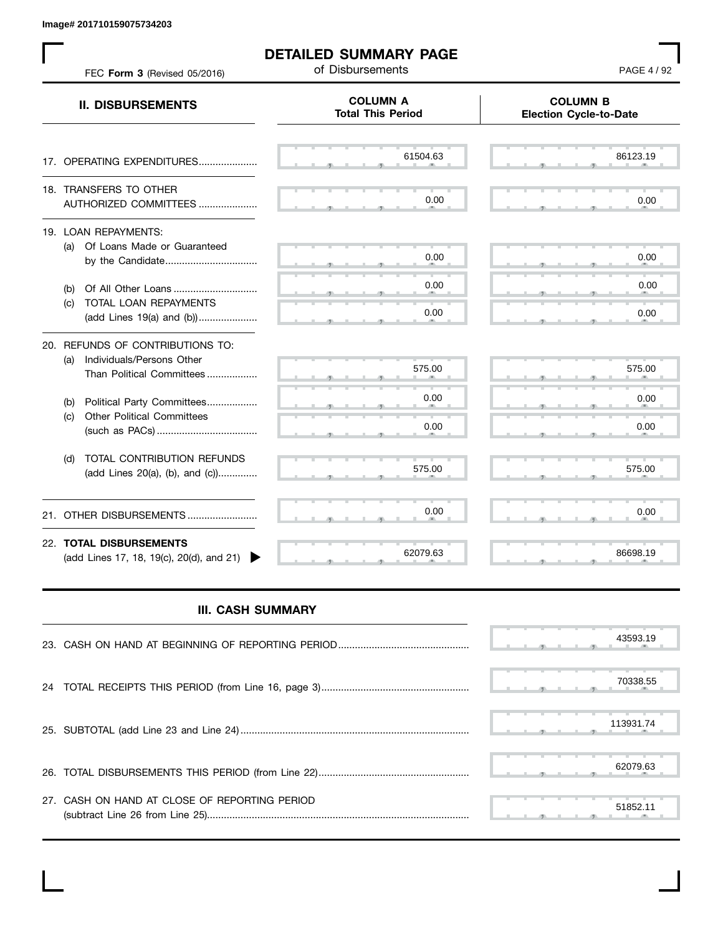**Image# 201710159075734203**

 $\mathbf{L}$ 

| FEC Form 3 (Revised 05/2016)                                                                      | of Disbursements                            | PAGE 4 / 92                                      |
|---------------------------------------------------------------------------------------------------|---------------------------------------------|--------------------------------------------------|
| <b>II. DISBURSEMENTS</b>                                                                          | <b>COLUMN A</b><br><b>Total This Period</b> | <b>COLUMN B</b><br><b>Election Cycle-to-Date</b> |
| 17. OPERATING EXPENDITURES                                                                        | 61504.63                                    | 86123.19                                         |
| 18. TRANSFERS TO OTHER<br>AUTHORIZED COMMITTEES                                                   | 0.00                                        | 0.00                                             |
| 19. LOAN REPAYMENTS:<br>(a) Of Loans Made or Guaranteed<br>by the Candidate                       | 0.00                                        | 0.00                                             |
| (b)<br>TOTAL LOAN REPAYMENTS<br>(c)<br>(add Lines 19(a) and (b))                                  | 0.00<br>0.00                                | 0.00<br>0.00                                     |
| 20. REFUNDS OF CONTRIBUTIONS TO:<br>Individuals/Persons Other<br>(a)<br>Than Political Committees | 575.00                                      | 575.00                                           |
| Political Party Committees<br>(b)<br><b>Other Political Committees</b><br>(c)                     | 0.00<br>0.00                                | 0.00<br>0.00                                     |
| TOTAL CONTRIBUTION REFUNDS<br>(d)<br>(add Lines 20(a), (b), and (c))                              | 575.00                                      | 575.00                                           |
| OTHER DISBURSEMENTS<br>21.                                                                        | 0.00                                        | 0.00                                             |
| 22. TOTAL DISBURSEMENTS<br>(add Lines 17, 18, 19(c), 20(d), and 21)                               | 62079.63                                    | 86698.19                                         |

## **III. CASH SUMMARY**

|                                               |  |  |  | 43593.19  |
|-----------------------------------------------|--|--|--|-----------|
|                                               |  |  |  | 70338.55  |
|                                               |  |  |  | 113931.74 |
|                                               |  |  |  | 62079.63  |
| 27. CASH ON HAND AT CLOSE OF REPORTING PERIOD |  |  |  | 51852.11  |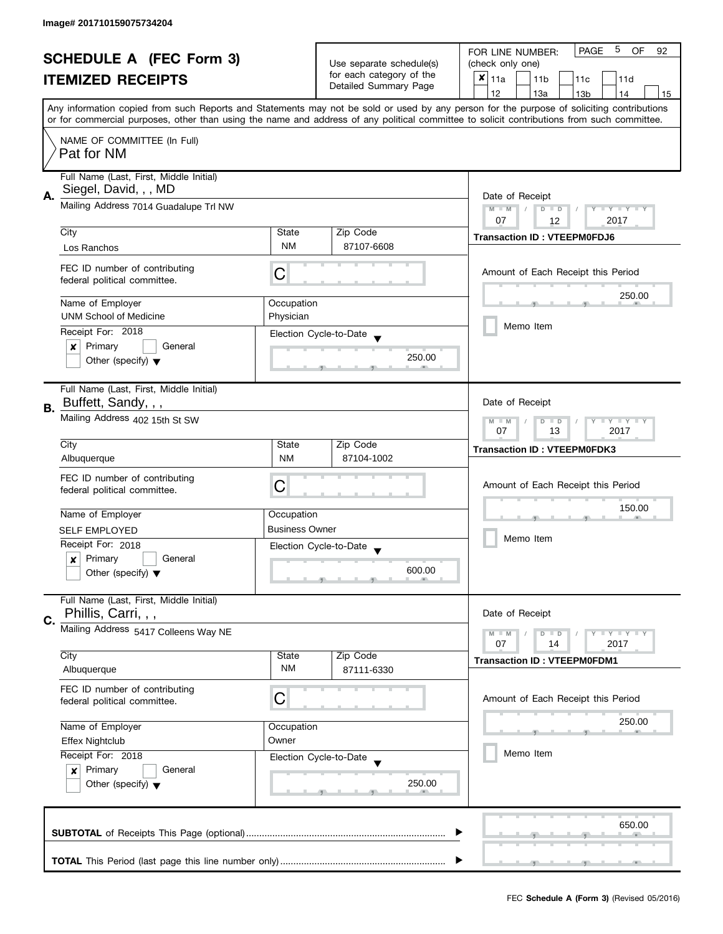| <b>SCHEDULE A (FEC Form 3)</b> |                                                                  | Use separate schedule(s)                                           | 5<br><b>PAGE</b><br>OF<br>FOR LINE NUMBER:<br>92<br>(check only one) |                                                                                                                                                                                                                                                                                         |  |  |  |  |
|--------------------------------|------------------------------------------------------------------|--------------------------------------------------------------------|----------------------------------------------------------------------|-----------------------------------------------------------------------------------------------------------------------------------------------------------------------------------------------------------------------------------------------------------------------------------------|--|--|--|--|
|                                |                                                                  |                                                                    | for each category of the                                             |                                                                                                                                                                                                                                                                                         |  |  |  |  |
|                                | <b>ITEMIZED RECEIPTS</b>                                         |                                                                    | Detailed Summary Page                                                | $x _{11a}$<br>11 <sub>b</sub><br>11c<br>11d                                                                                                                                                                                                                                             |  |  |  |  |
|                                |                                                                  |                                                                    |                                                                      | 12<br>13a<br>13 <sub>b</sub><br>14<br>15                                                                                                                                                                                                                                                |  |  |  |  |
|                                |                                                                  |                                                                    |                                                                      | Any information copied from such Reports and Statements may not be sold or used by any person for the purpose of soliciting contributions<br>or for commercial purposes, other than using the name and address of any political committee to solicit contributions from such committee. |  |  |  |  |
|                                |                                                                  |                                                                    |                                                                      |                                                                                                                                                                                                                                                                                         |  |  |  |  |
|                                | NAME OF COMMITTEE (In Full)<br>Pat for NM                        |                                                                    |                                                                      |                                                                                                                                                                                                                                                                                         |  |  |  |  |
|                                | Full Name (Last, First, Middle Initial)<br>Siegel, David, , , MD |                                                                    |                                                                      |                                                                                                                                                                                                                                                                                         |  |  |  |  |
| А.                             | Mailing Address 7014 Guadalupe Trl NW                            |                                                                    |                                                                      | Date of Receipt<br>$M - M$<br>$D$ $D$<br>Y I Y I Y I Y                                                                                                                                                                                                                                  |  |  |  |  |
|                                |                                                                  |                                                                    |                                                                      | 07<br>2017<br>12                                                                                                                                                                                                                                                                        |  |  |  |  |
|                                | City                                                             | State                                                              | Zip Code                                                             | <b>Transaction ID: VTEEPM0FDJ6</b>                                                                                                                                                                                                                                                      |  |  |  |  |
|                                | Los Ranchos                                                      | <b>NM</b>                                                          | 87107-6608                                                           |                                                                                                                                                                                                                                                                                         |  |  |  |  |
|                                | FEC ID number of contributing<br>federal political committee.    | С                                                                  |                                                                      | Amount of Each Receipt this Period                                                                                                                                                                                                                                                      |  |  |  |  |
|                                | Name of Employer                                                 | Occupation                                                         |                                                                      | 250.00                                                                                                                                                                                                                                                                                  |  |  |  |  |
|                                | <b>UNM School of Medicine</b>                                    | Physician                                                          |                                                                      |                                                                                                                                                                                                                                                                                         |  |  |  |  |
|                                | Receipt For: 2018                                                |                                                                    |                                                                      | Memo Item                                                                                                                                                                                                                                                                               |  |  |  |  |
|                                | Primary<br>General<br>×                                          |                                                                    | Election Cycle-to-Date                                               |                                                                                                                                                                                                                                                                                         |  |  |  |  |
|                                | Other (specify) $\blacktriangledown$                             |                                                                    | 250.00                                                               |                                                                                                                                                                                                                                                                                         |  |  |  |  |
|                                | Full Name (Last, First, Middle Initial)                          |                                                                    |                                                                      |                                                                                                                                                                                                                                                                                         |  |  |  |  |
| В.                             | Buffett, Sandy, , ,                                              | Date of Receipt                                                    |                                                                      |                                                                                                                                                                                                                                                                                         |  |  |  |  |
|                                | Mailing Address 402 15th St SW                                   | Y LY LY<br>$M - M$<br>$\overline{D}$<br>$\Box$<br>07<br>13<br>2017 |                                                                      |                                                                                                                                                                                                                                                                                         |  |  |  |  |
|                                | City                                                             | State                                                              | Zip Code                                                             | <b>Transaction ID: VTEEPM0FDK3</b>                                                                                                                                                                                                                                                      |  |  |  |  |
|                                | Albuquerque                                                      | <b>NM</b>                                                          | 87104-1002                                                           |                                                                                                                                                                                                                                                                                         |  |  |  |  |
|                                | FEC ID number of contributing                                    |                                                                    |                                                                      |                                                                                                                                                                                                                                                                                         |  |  |  |  |
|                                | federal political committee.                                     | С                                                                  |                                                                      | Amount of Each Receipt this Period<br>150.00                                                                                                                                                                                                                                            |  |  |  |  |
|                                |                                                                  |                                                                    |                                                                      |                                                                                                                                                                                                                                                                                         |  |  |  |  |
|                                | Name of Employer                                                 | Occupation                                                         |                                                                      |                                                                                                                                                                                                                                                                                         |  |  |  |  |
|                                | <b>SELF EMPLOYED</b>                                             | <b>Business Owner</b>                                              |                                                                      | Memo Item                                                                                                                                                                                                                                                                               |  |  |  |  |
|                                | Receipt For: 2018                                                |                                                                    | Election Cycle-to-Date                                               |                                                                                                                                                                                                                                                                                         |  |  |  |  |
|                                | Primary<br>General<br>x                                          |                                                                    | 600.00                                                               |                                                                                                                                                                                                                                                                                         |  |  |  |  |
|                                | Other (specify) $\blacktriangledown$                             |                                                                    |                                                                      |                                                                                                                                                                                                                                                                                         |  |  |  |  |
|                                | Full Name (Last, First, Middle Initial)<br>Phillis, Carri, , ,   |                                                                    |                                                                      | Date of Receipt                                                                                                                                                                                                                                                                         |  |  |  |  |
| C.                             | Mailing Address 5417 Colleens Way NE                             |                                                                    |                                                                      | $M - M$<br>$Y \perp Y \perp Y$<br>$D$ $D$                                                                                                                                                                                                                                               |  |  |  |  |
|                                |                                                                  |                                                                    |                                                                      | 07<br>2017<br>14                                                                                                                                                                                                                                                                        |  |  |  |  |
|                                | City                                                             | State                                                              | Zip Code                                                             | <b>Transaction ID: VTEEPM0FDM1</b>                                                                                                                                                                                                                                                      |  |  |  |  |
|                                | Albuquerque                                                      | NM                                                                 | 87111-6330                                                           |                                                                                                                                                                                                                                                                                         |  |  |  |  |
|                                | FEC ID number of contributing<br>federal political committee.    | С                                                                  |                                                                      | Amount of Each Receipt this Period                                                                                                                                                                                                                                                      |  |  |  |  |
|                                |                                                                  |                                                                    |                                                                      |                                                                                                                                                                                                                                                                                         |  |  |  |  |
|                                | Name of Employer                                                 | Occupation                                                         |                                                                      | 250.00                                                                                                                                                                                                                                                                                  |  |  |  |  |
|                                | <b>Effex Nightclub</b>                                           | Owner                                                              |                                                                      |                                                                                                                                                                                                                                                                                         |  |  |  |  |
|                                | Receipt For: 2018                                                |                                                                    | Election Cycle-to-Date                                               | Memo Item                                                                                                                                                                                                                                                                               |  |  |  |  |
|                                | Primary<br>General<br>$\boldsymbol{x}$                           |                                                                    |                                                                      |                                                                                                                                                                                                                                                                                         |  |  |  |  |
|                                | Other (specify) $\blacktriangledown$                             |                                                                    | 250.00                                                               |                                                                                                                                                                                                                                                                                         |  |  |  |  |
|                                |                                                                  |                                                                    |                                                                      |                                                                                                                                                                                                                                                                                         |  |  |  |  |
|                                |                                                                  |                                                                    |                                                                      | 650.00                                                                                                                                                                                                                                                                                  |  |  |  |  |
|                                |                                                                  |                                                                    |                                                                      |                                                                                                                                                                                                                                                                                         |  |  |  |  |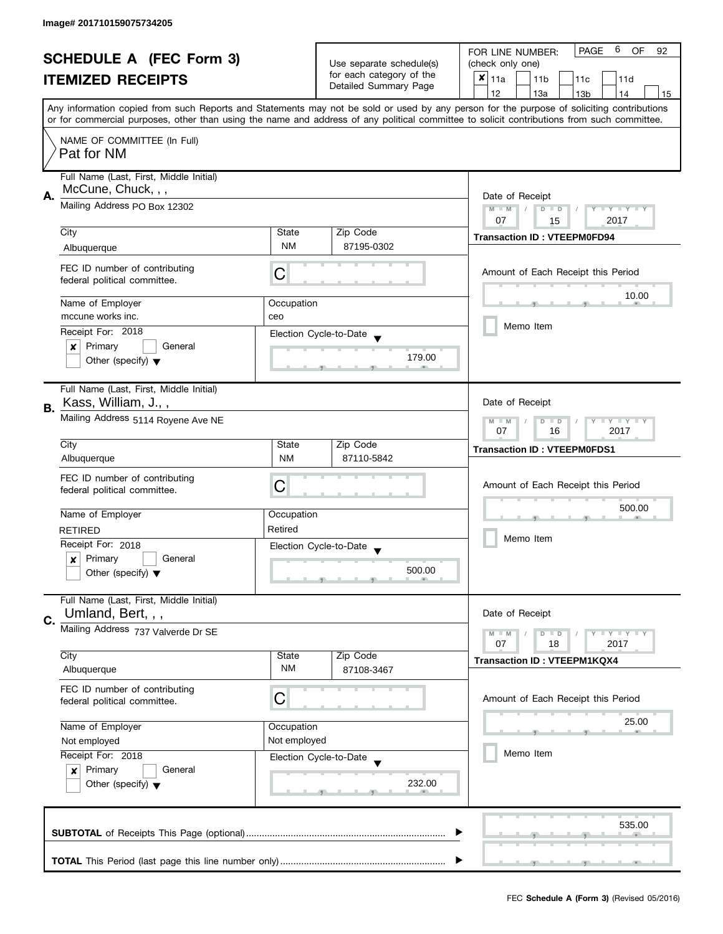| <b>SCHEDULE A (FEC Form 3)</b> |                                         |                                                | 6<br><b>PAGE</b><br><b>OF</b><br>FOR LINE NUMBER:<br>92 |                                                                                                                                            |  |  |  |  |  |
|--------------------------------|-----------------------------------------|------------------------------------------------|---------------------------------------------------------|--------------------------------------------------------------------------------------------------------------------------------------------|--|--|--|--|--|
|                                |                                         |                                                | Use separate schedule(s)                                | (check only one)                                                                                                                           |  |  |  |  |  |
|                                | <b>ITEMIZED RECEIPTS</b>                |                                                | for each category of the<br>Detailed Summary Page       | $x _{11a}$<br>11 <sub>b</sub><br>11c<br>11d                                                                                                |  |  |  |  |  |
|                                |                                         |                                                |                                                         | 12<br>13a<br>13 <sub>b</sub><br>14<br>15                                                                                                   |  |  |  |  |  |
|                                |                                         |                                                |                                                         | Any information copied from such Reports and Statements may not be sold or used by any person for the purpose of soliciting contributions  |  |  |  |  |  |
|                                |                                         |                                                |                                                         | or for commercial purposes, other than using the name and address of any political committee to solicit contributions from such committee. |  |  |  |  |  |
|                                | NAME OF COMMITTEE (In Full)             |                                                |                                                         |                                                                                                                                            |  |  |  |  |  |
|                                | Pat for NM                              |                                                |                                                         |                                                                                                                                            |  |  |  |  |  |
|                                |                                         |                                                |                                                         |                                                                                                                                            |  |  |  |  |  |
|                                | Full Name (Last, First, Middle Initial) |                                                |                                                         |                                                                                                                                            |  |  |  |  |  |
| А.                             | McCune, Chuck, , ,                      | Date of Receipt                                |                                                         |                                                                                                                                            |  |  |  |  |  |
|                                | Mailing Address PO Box 12302            | $M - M$<br>$\sqrt{ }$<br>$D$ $D$<br>Y FY FY FY |                                                         |                                                                                                                                            |  |  |  |  |  |
|                                |                                         |                                                |                                                         | 07<br>2017<br>15                                                                                                                           |  |  |  |  |  |
|                                | City                                    | State                                          | Zip Code                                                | <b>Transaction ID: VTEEPM0FD94</b>                                                                                                         |  |  |  |  |  |
|                                | Albuquerque                             | <b>NM</b>                                      | 87195-0302                                              |                                                                                                                                            |  |  |  |  |  |
|                                | FEC ID number of contributing           |                                                |                                                         |                                                                                                                                            |  |  |  |  |  |
|                                | federal political committee.            | С                                              |                                                         | Amount of Each Receipt this Period                                                                                                         |  |  |  |  |  |
|                                |                                         |                                                |                                                         | 10.00                                                                                                                                      |  |  |  |  |  |
|                                | Name of Employer                        | Occupation                                     |                                                         |                                                                                                                                            |  |  |  |  |  |
|                                | mccune works inc.                       | ceo                                            |                                                         |                                                                                                                                            |  |  |  |  |  |
|                                | Receipt For: 2018                       |                                                | Election Cycle-to-Date                                  | Memo Item                                                                                                                                  |  |  |  |  |  |
|                                | Primary<br>General<br>×                 |                                                |                                                         |                                                                                                                                            |  |  |  |  |  |
|                                | Other (specify) $\blacktriangledown$    |                                                | 179.00                                                  |                                                                                                                                            |  |  |  |  |  |
|                                |                                         |                                                |                                                         |                                                                                                                                            |  |  |  |  |  |
|                                | Full Name (Last, First, Middle Initial) |                                                |                                                         |                                                                                                                                            |  |  |  |  |  |
| В.                             | Kass, William, J.,,                     | Date of Receipt                                |                                                         |                                                                                                                                            |  |  |  |  |  |
|                                | Mailing Address 5114 Royene Ave NE      | $Y = Y + Y$<br>$M - M$<br>D<br>$\Box$          |                                                         |                                                                                                                                            |  |  |  |  |  |
|                                |                                         | 2017<br>07<br>16                               |                                                         |                                                                                                                                            |  |  |  |  |  |
|                                | City                                    | State                                          | Zip Code                                                | <b>Transaction ID: VTEEPM0FDS1</b>                                                                                                         |  |  |  |  |  |
|                                | Albuquerque                             | <b>NM</b>                                      | 87110-5842                                              |                                                                                                                                            |  |  |  |  |  |
|                                | FEC ID number of contributing           |                                                |                                                         |                                                                                                                                            |  |  |  |  |  |
|                                | federal political committee.            | С                                              |                                                         | Amount of Each Receipt this Period                                                                                                         |  |  |  |  |  |
|                                |                                         |                                                |                                                         | 500.00                                                                                                                                     |  |  |  |  |  |
|                                | Name of Employer                        | Occupation                                     |                                                         |                                                                                                                                            |  |  |  |  |  |
|                                | <b>RETIRED</b>                          | Retired                                        |                                                         | Memo Item                                                                                                                                  |  |  |  |  |  |
|                                | Receipt For: 2018                       |                                                | Election Cycle-to-Date                                  |                                                                                                                                            |  |  |  |  |  |
|                                | Primary<br>General<br>x                 |                                                |                                                         |                                                                                                                                            |  |  |  |  |  |
|                                | Other (specify) $\blacktriangledown$    |                                                | 500.00                                                  |                                                                                                                                            |  |  |  |  |  |
|                                |                                         |                                                |                                                         |                                                                                                                                            |  |  |  |  |  |
|                                | Full Name (Last, First, Middle Initial) |                                                |                                                         |                                                                                                                                            |  |  |  |  |  |
| C.                             | Umland, Bert, , ,                       |                                                |                                                         | Date of Receipt                                                                                                                            |  |  |  |  |  |
|                                | Mailing Address 737 Valverde Dr SE      |                                                |                                                         | $M - M$<br>$\bot$ $\gamma$ $\bot$ $\gamma$ $\bot$ $\gamma$<br>D<br>$\blacksquare$                                                          |  |  |  |  |  |
|                                |                                         |                                                |                                                         | 07<br>2017<br>18                                                                                                                           |  |  |  |  |  |
|                                | City                                    | State<br>NM                                    | Zip Code                                                | <b>Transaction ID: VTEEPM1KQX4</b>                                                                                                         |  |  |  |  |  |
|                                | Albuquerque                             |                                                | 87108-3467                                              |                                                                                                                                            |  |  |  |  |  |
|                                | FEC ID number of contributing           |                                                |                                                         |                                                                                                                                            |  |  |  |  |  |
|                                | federal political committee.            | C                                              |                                                         | Amount of Each Receipt this Period                                                                                                         |  |  |  |  |  |
|                                | Name of Employer                        |                                                |                                                         | 25.00                                                                                                                                      |  |  |  |  |  |
|                                | Not employed                            | Occupation<br>Not employed                     |                                                         |                                                                                                                                            |  |  |  |  |  |
|                                | Receipt For: 2018                       |                                                |                                                         | Memo Item                                                                                                                                  |  |  |  |  |  |
|                                | Primary                                 |                                                | Election Cycle-to-Date                                  |                                                                                                                                            |  |  |  |  |  |
|                                | $\boldsymbol{x}$<br>General             |                                                | 232.00                                                  |                                                                                                                                            |  |  |  |  |  |
|                                | Other (specify) $\blacktriangledown$    |                                                |                                                         |                                                                                                                                            |  |  |  |  |  |
|                                |                                         |                                                |                                                         |                                                                                                                                            |  |  |  |  |  |
|                                |                                         |                                                |                                                         | 535.00                                                                                                                                     |  |  |  |  |  |
|                                |                                         |                                                |                                                         |                                                                                                                                            |  |  |  |  |  |
|                                |                                         |                                                |                                                         |                                                                                                                                            |  |  |  |  |  |
|                                |                                         |                                                |                                                         |                                                                                                                                            |  |  |  |  |  |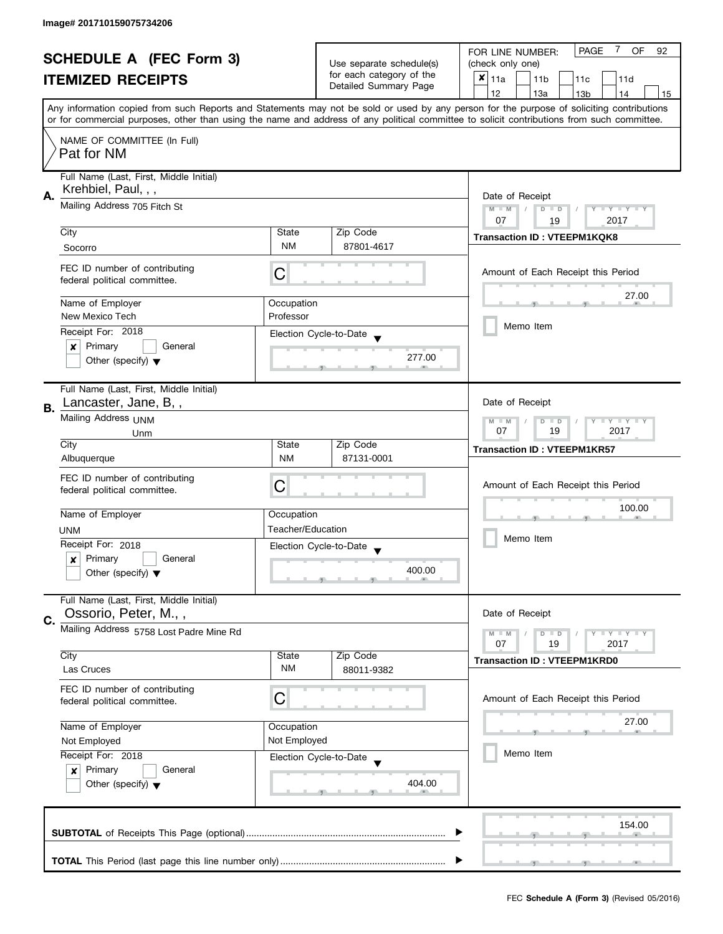| <b>SCHEDULE A (FEC Form 3)</b> |                                                                | Use separate schedule(s)              | <b>PAGE</b><br>7<br><b>OF</b><br>92<br>FOR LINE NUMBER:<br>(check only one)           |                                                                                                                                                                                                                                                                                         |  |  |  |  |  |
|--------------------------------|----------------------------------------------------------------|---------------------------------------|---------------------------------------------------------------------------------------|-----------------------------------------------------------------------------------------------------------------------------------------------------------------------------------------------------------------------------------------------------------------------------------------|--|--|--|--|--|
|                                |                                                                |                                       | for each category of the                                                              |                                                                                                                                                                                                                                                                                         |  |  |  |  |  |
|                                | <b>ITEMIZED RECEIPTS</b>                                       |                                       | Detailed Summary Page                                                                 | $x _{11a}$<br>11 <sub>b</sub><br>11c<br>11d                                                                                                                                                                                                                                             |  |  |  |  |  |
|                                |                                                                |                                       |                                                                                       | 12<br>13a<br>13 <sub>b</sub><br>14<br>15                                                                                                                                                                                                                                                |  |  |  |  |  |
|                                |                                                                |                                       |                                                                                       | Any information copied from such Reports and Statements may not be sold or used by any person for the purpose of soliciting contributions<br>or for commercial purposes, other than using the name and address of any political committee to solicit contributions from such committee. |  |  |  |  |  |
|                                |                                                                |                                       |                                                                                       |                                                                                                                                                                                                                                                                                         |  |  |  |  |  |
|                                | NAME OF COMMITTEE (In Full)<br>Pat for NM                      |                                       |                                                                                       |                                                                                                                                                                                                                                                                                         |  |  |  |  |  |
|                                | Full Name (Last, First, Middle Initial)<br>Krehbiel, Paul, , , |                                       |                                                                                       |                                                                                                                                                                                                                                                                                         |  |  |  |  |  |
| А.                             | Mailing Address 705 Fitch St                                   |                                       | Date of Receipt<br>$M - M$<br>$\sqrt{ }$<br>$D$ $D$<br>Y FY FY FY<br>07<br>2017<br>19 |                                                                                                                                                                                                                                                                                         |  |  |  |  |  |
|                                | City                                                           | State                                 | Zip Code                                                                              |                                                                                                                                                                                                                                                                                         |  |  |  |  |  |
|                                | Socorro                                                        | <b>NM</b>                             | 87801-4617                                                                            | <b>Transaction ID: VTEEPM1KQK8</b>                                                                                                                                                                                                                                                      |  |  |  |  |  |
|                                |                                                                |                                       |                                                                                       |                                                                                                                                                                                                                                                                                         |  |  |  |  |  |
|                                | FEC ID number of contributing<br>federal political committee.  | С                                     |                                                                                       | Amount of Each Receipt this Period                                                                                                                                                                                                                                                      |  |  |  |  |  |
|                                | Name of Employer                                               | Occupation                            |                                                                                       | 27.00                                                                                                                                                                                                                                                                                   |  |  |  |  |  |
|                                | New Mexico Tech                                                | Professor                             |                                                                                       |                                                                                                                                                                                                                                                                                         |  |  |  |  |  |
|                                | Receipt For: 2018                                              |                                       |                                                                                       | Memo Item                                                                                                                                                                                                                                                                               |  |  |  |  |  |
|                                | Primary<br>General<br>×                                        |                                       | Election Cycle-to-Date                                                                |                                                                                                                                                                                                                                                                                         |  |  |  |  |  |
|                                | Other (specify) $\blacktriangledown$                           |                                       | 277.00                                                                                |                                                                                                                                                                                                                                                                                         |  |  |  |  |  |
|                                | Full Name (Last, First, Middle Initial)                        |                                       |                                                                                       |                                                                                                                                                                                                                                                                                         |  |  |  |  |  |
| В.                             | Lancaster, Jane, B,,                                           |                                       |                                                                                       | Date of Receipt                                                                                                                                                                                                                                                                         |  |  |  |  |  |
|                                | Mailing Address UNM                                            | $Y = Y + Y$<br>$M - M$<br>D<br>$\Box$ |                                                                                       |                                                                                                                                                                                                                                                                                         |  |  |  |  |  |
|                                | Unm                                                            | 19<br>2017<br>07                      |                                                                                       |                                                                                                                                                                                                                                                                                         |  |  |  |  |  |
|                                | City                                                           | State                                 | Zip Code                                                                              | <b>Transaction ID: VTEEPM1KR57</b>                                                                                                                                                                                                                                                      |  |  |  |  |  |
|                                | Albuquerque                                                    | <b>NM</b>                             | 87131-0001                                                                            |                                                                                                                                                                                                                                                                                         |  |  |  |  |  |
|                                | FEC ID number of contributing                                  |                                       |                                                                                       |                                                                                                                                                                                                                                                                                         |  |  |  |  |  |
|                                | federal political committee.                                   | С                                     |                                                                                       | Amount of Each Receipt this Period                                                                                                                                                                                                                                                      |  |  |  |  |  |
|                                |                                                                |                                       |                                                                                       |                                                                                                                                                                                                                                                                                         |  |  |  |  |  |
|                                | Name of Employer                                               | Occupation                            |                                                                                       | 100.00                                                                                                                                                                                                                                                                                  |  |  |  |  |  |
|                                | <b>UNM</b>                                                     | Teacher/Education                     |                                                                                       |                                                                                                                                                                                                                                                                                         |  |  |  |  |  |
|                                | Receipt For: 2018                                              |                                       | Election Cycle-to-Date                                                                | Memo Item                                                                                                                                                                                                                                                                               |  |  |  |  |  |
|                                | Primary<br>General<br>x                                        |                                       |                                                                                       |                                                                                                                                                                                                                                                                                         |  |  |  |  |  |
|                                | Other (specify) $\blacktriangledown$                           |                                       | 400.00                                                                                |                                                                                                                                                                                                                                                                                         |  |  |  |  |  |
|                                |                                                                |                                       |                                                                                       |                                                                                                                                                                                                                                                                                         |  |  |  |  |  |
|                                | Full Name (Last, First, Middle Initial)                        |                                       |                                                                                       |                                                                                                                                                                                                                                                                                         |  |  |  |  |  |
| C.                             | Ossorio, Peter, M.,,                                           |                                       |                                                                                       | Date of Receipt                                                                                                                                                                                                                                                                         |  |  |  |  |  |
|                                | Mailing Address 5758 Lost Padre Mine Rd                        |                                       |                                                                                       | $M - M$<br>$\Box$ $\Upsilon$ $\Box$ $\Upsilon$ $\Box$ $\Upsilon$<br>D<br>$\blacksquare$                                                                                                                                                                                                 |  |  |  |  |  |
|                                | City                                                           | State                                 | Zip Code                                                                              | 07<br>19<br>2017                                                                                                                                                                                                                                                                        |  |  |  |  |  |
|                                | Las Cruces                                                     | NM                                    | 88011-9382                                                                            | <b>Transaction ID: VTEEPM1KRD0</b>                                                                                                                                                                                                                                                      |  |  |  |  |  |
|                                |                                                                |                                       |                                                                                       |                                                                                                                                                                                                                                                                                         |  |  |  |  |  |
|                                | FEC ID number of contributing<br>federal political committee.  | C                                     |                                                                                       | Amount of Each Receipt this Period                                                                                                                                                                                                                                                      |  |  |  |  |  |
|                                |                                                                |                                       |                                                                                       |                                                                                                                                                                                                                                                                                         |  |  |  |  |  |
|                                | Name of Employer                                               | Occupation                            |                                                                                       | 27.00                                                                                                                                                                                                                                                                                   |  |  |  |  |  |
|                                | Not Employed                                                   | Not Employed                          |                                                                                       |                                                                                                                                                                                                                                                                                         |  |  |  |  |  |
|                                | Receipt For: 2018                                              |                                       |                                                                                       | Memo Item                                                                                                                                                                                                                                                                               |  |  |  |  |  |
|                                | Primary<br>General                                             |                                       | Election Cycle-to-Date                                                                |                                                                                                                                                                                                                                                                                         |  |  |  |  |  |
|                                | $\boldsymbol{x}$                                               |                                       |                                                                                       |                                                                                                                                                                                                                                                                                         |  |  |  |  |  |
|                                | Other (specify) $\blacktriangledown$                           |                                       | 404.00                                                                                |                                                                                                                                                                                                                                                                                         |  |  |  |  |  |
|                                |                                                                |                                       |                                                                                       |                                                                                                                                                                                                                                                                                         |  |  |  |  |  |
|                                |                                                                |                                       |                                                                                       | 154.00                                                                                                                                                                                                                                                                                  |  |  |  |  |  |
|                                |                                                                |                                       |                                                                                       |                                                                                                                                                                                                                                                                                         |  |  |  |  |  |
|                                |                                                                |                                       |                                                                                       |                                                                                                                                                                                                                                                                                         |  |  |  |  |  |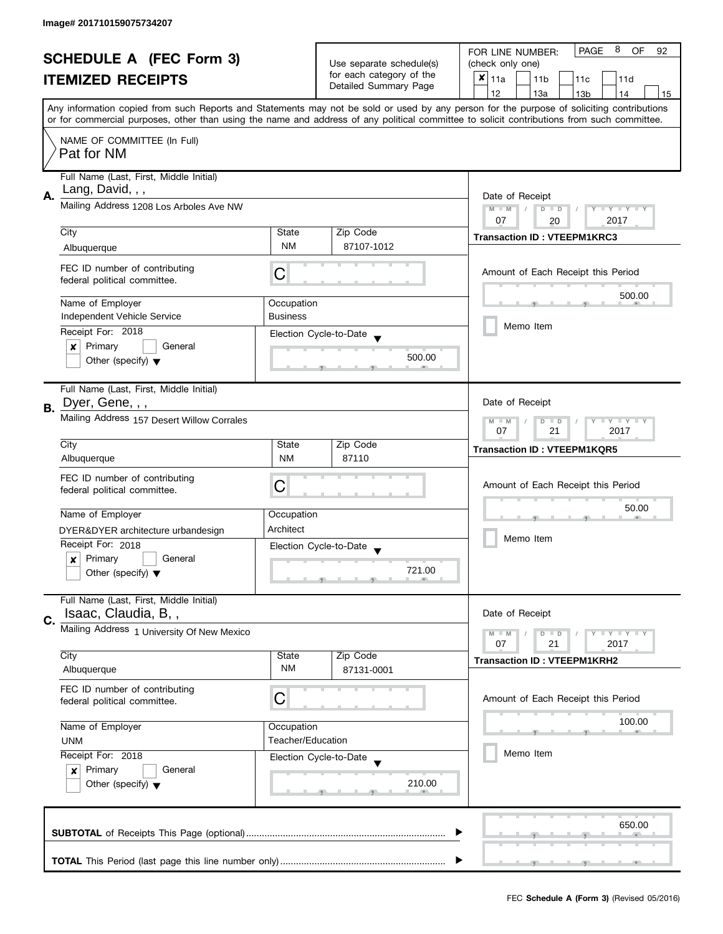| <b>SCHEDULE A (FEC Form 3)</b> |                                                               |                                                                                          | Use separate schedule(s) | 8<br><b>PAGE</b><br>OF<br>FOR LINE NUMBER:<br>92<br>(check only one)                                                                                                                                                                                                                    |  |  |  |  |  |
|--------------------------------|---------------------------------------------------------------|------------------------------------------------------------------------------------------|--------------------------|-----------------------------------------------------------------------------------------------------------------------------------------------------------------------------------------------------------------------------------------------------------------------------------------|--|--|--|--|--|
|                                |                                                               |                                                                                          | for each category of the |                                                                                                                                                                                                                                                                                         |  |  |  |  |  |
|                                | <b>ITEMIZED RECEIPTS</b>                                      |                                                                                          | Detailed Summary Page    | $x _{11a}$<br>11 <sub>b</sub><br>11c<br>11d                                                                                                                                                                                                                                             |  |  |  |  |  |
|                                |                                                               |                                                                                          |                          | 12<br>13a<br>13 <sub>b</sub><br>14<br>15                                                                                                                                                                                                                                                |  |  |  |  |  |
|                                |                                                               |                                                                                          |                          | Any information copied from such Reports and Statements may not be sold or used by any person for the purpose of soliciting contributions<br>or for commercial purposes, other than using the name and address of any political committee to solicit contributions from such committee. |  |  |  |  |  |
|                                | NAME OF COMMITTEE (In Full)                                   |                                                                                          |                          |                                                                                                                                                                                                                                                                                         |  |  |  |  |  |
|                                | Pat for NM                                                    |                                                                                          |                          |                                                                                                                                                                                                                                                                                         |  |  |  |  |  |
|                                | Full Name (Last, First, Middle Initial)<br>Lang, David, , ,   |                                                                                          |                          |                                                                                                                                                                                                                                                                                         |  |  |  |  |  |
| А.                             | Mailing Address 1208 Los Arboles Ave NW                       | Date of Receipt<br>$M - M$<br>$D$ $D$<br>Y I Y I Y I Y<br>$\sqrt{2}$<br>07<br>2017<br>20 |                          |                                                                                                                                                                                                                                                                                         |  |  |  |  |  |
|                                | City                                                          | State                                                                                    | Zip Code                 |                                                                                                                                                                                                                                                                                         |  |  |  |  |  |
|                                | Albuquerque                                                   | <b>NM</b>                                                                                | 87107-1012               | <b>Transaction ID: VTEEPM1KRC3</b>                                                                                                                                                                                                                                                      |  |  |  |  |  |
|                                |                                                               |                                                                                          |                          |                                                                                                                                                                                                                                                                                         |  |  |  |  |  |
|                                | FEC ID number of contributing<br>federal political committee. | С                                                                                        |                          | Amount of Each Receipt this Period                                                                                                                                                                                                                                                      |  |  |  |  |  |
|                                | Name of Employer                                              | Occupation                                                                               |                          | 500.00                                                                                                                                                                                                                                                                                  |  |  |  |  |  |
|                                | Independent Vehicle Service                                   | <b>Business</b>                                                                          |                          | Memo Item                                                                                                                                                                                                                                                                               |  |  |  |  |  |
|                                | Receipt For: 2018<br>Primary<br>General<br>×                  |                                                                                          | Election Cycle-to-Date   |                                                                                                                                                                                                                                                                                         |  |  |  |  |  |
|                                | Other (specify) $\blacktriangledown$                          |                                                                                          | 500.00                   |                                                                                                                                                                                                                                                                                         |  |  |  |  |  |
|                                | Full Name (Last, First, Middle Initial)                       |                                                                                          |                          |                                                                                                                                                                                                                                                                                         |  |  |  |  |  |
| В.                             | Dyer, Gene, , ,                                               | Date of Receipt                                                                          |                          |                                                                                                                                                                                                                                                                                         |  |  |  |  |  |
|                                | Mailing Address 157 Desert Willow Corrales                    | Y LY LY<br>$M - M$<br>$D$ $D$<br>07<br>21<br>2017                                        |                          |                                                                                                                                                                                                                                                                                         |  |  |  |  |  |
|                                | City                                                          | State                                                                                    | Zip Code                 | <b>Transaction ID: VTEEPM1KQR5</b>                                                                                                                                                                                                                                                      |  |  |  |  |  |
|                                | Albuquerque                                                   | <b>NM</b>                                                                                | 87110                    |                                                                                                                                                                                                                                                                                         |  |  |  |  |  |
|                                | FEC ID number of contributing                                 |                                                                                          |                          |                                                                                                                                                                                                                                                                                         |  |  |  |  |  |
|                                | federal political committee.                                  | С                                                                                        |                          | Amount of Each Receipt this Period                                                                                                                                                                                                                                                      |  |  |  |  |  |
|                                |                                                               |                                                                                          |                          | 50.00                                                                                                                                                                                                                                                                                   |  |  |  |  |  |
|                                | Name of Employer                                              | Occupation                                                                               |                          |                                                                                                                                                                                                                                                                                         |  |  |  |  |  |
|                                | DYER&DYER architecture urbandesign                            | Architect                                                                                |                          | Memo Item                                                                                                                                                                                                                                                                               |  |  |  |  |  |
|                                | Receipt For: 2018                                             |                                                                                          | Election Cycle-to-Date   |                                                                                                                                                                                                                                                                                         |  |  |  |  |  |
|                                | Primary<br>General<br>x                                       |                                                                                          |                          |                                                                                                                                                                                                                                                                                         |  |  |  |  |  |
|                                | Other (specify) $\blacktriangledown$                          |                                                                                          | 721.00                   |                                                                                                                                                                                                                                                                                         |  |  |  |  |  |
|                                | Full Name (Last, First, Middle Initial)                       |                                                                                          |                          |                                                                                                                                                                                                                                                                                         |  |  |  |  |  |
| C.                             | Isaac, Claudia, B,,                                           |                                                                                          |                          | Date of Receipt                                                                                                                                                                                                                                                                         |  |  |  |  |  |
|                                | Mailing Address 1 University Of New Mexico                    |                                                                                          |                          | $M - M$<br>$Y \perp Y \perp Y$<br>$D$ $D$<br>07<br>21<br>2017                                                                                                                                                                                                                           |  |  |  |  |  |
|                                | City                                                          | State                                                                                    | Zip Code                 |                                                                                                                                                                                                                                                                                         |  |  |  |  |  |
|                                | Albuquerque                                                   | NM                                                                                       | 87131-0001               | <b>Transaction ID: VTEEPM1KRH2</b>                                                                                                                                                                                                                                                      |  |  |  |  |  |
|                                | FEC ID number of contributing                                 |                                                                                          |                          |                                                                                                                                                                                                                                                                                         |  |  |  |  |  |
|                                | federal political committee.                                  | С                                                                                        |                          | Amount of Each Receipt this Period                                                                                                                                                                                                                                                      |  |  |  |  |  |
|                                | Name of Employer                                              | Occupation                                                                               |                          | 100.00                                                                                                                                                                                                                                                                                  |  |  |  |  |  |
|                                | <b>UNM</b>                                                    | Teacher/Education                                                                        |                          |                                                                                                                                                                                                                                                                                         |  |  |  |  |  |
|                                | Receipt For: 2018                                             |                                                                                          | Election Cycle-to-Date   | Memo Item                                                                                                                                                                                                                                                                               |  |  |  |  |  |
|                                | Primary<br>General<br>$\boldsymbol{x}$                        |                                                                                          |                          |                                                                                                                                                                                                                                                                                         |  |  |  |  |  |
|                                | Other (specify) $\blacktriangledown$                          |                                                                                          | 210.00                   |                                                                                                                                                                                                                                                                                         |  |  |  |  |  |
|                                |                                                               |                                                                                          |                          |                                                                                                                                                                                                                                                                                         |  |  |  |  |  |
|                                |                                                               |                                                                                          |                          | 650.00                                                                                                                                                                                                                                                                                  |  |  |  |  |  |
|                                |                                                               |                                                                                          |                          |                                                                                                                                                                                                                                                                                         |  |  |  |  |  |
|                                |                                                               |                                                                                          |                          |                                                                                                                                                                                                                                                                                         |  |  |  |  |  |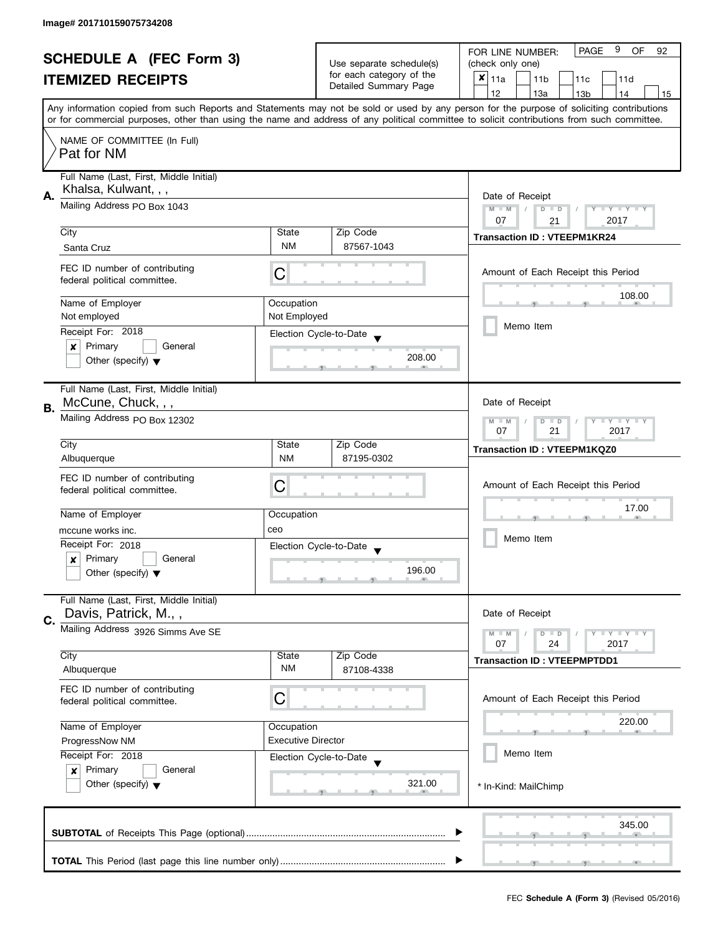| <b>SCHEDULE A (FEC Form 3)</b> |                                                                 |                                                             | 9<br><b>PAGE</b><br>OF<br>FOR LINE NUMBER:<br>92  |                                                                                                                                                                                                                                                                                         |  |  |  |  |  |
|--------------------------------|-----------------------------------------------------------------|-------------------------------------------------------------|---------------------------------------------------|-----------------------------------------------------------------------------------------------------------------------------------------------------------------------------------------------------------------------------------------------------------------------------------------|--|--|--|--|--|
|                                |                                                                 |                                                             | Use separate schedule(s)                          | (check only one)                                                                                                                                                                                                                                                                        |  |  |  |  |  |
|                                | <b>ITEMIZED RECEIPTS</b>                                        |                                                             | for each category of the<br>Detailed Summary Page | $x _{11a}$<br>11 <sub>b</sub><br>11c<br>11d                                                                                                                                                                                                                                             |  |  |  |  |  |
|                                |                                                                 |                                                             |                                                   | 12<br>13a<br>13 <sub>b</sub><br>14<br>15                                                                                                                                                                                                                                                |  |  |  |  |  |
|                                |                                                                 |                                                             |                                                   | Any information copied from such Reports and Statements may not be sold or used by any person for the purpose of soliciting contributions<br>or for commercial purposes, other than using the name and address of any political committee to solicit contributions from such committee. |  |  |  |  |  |
|                                |                                                                 |                                                             |                                                   |                                                                                                                                                                                                                                                                                         |  |  |  |  |  |
|                                | NAME OF COMMITTEE (In Full)<br>Pat for NM                       |                                                             |                                                   |                                                                                                                                                                                                                                                                                         |  |  |  |  |  |
|                                | Full Name (Last, First, Middle Initial)<br>Khalsa, Kulwant, , , |                                                             |                                                   |                                                                                                                                                                                                                                                                                         |  |  |  |  |  |
| А.                             | Mailing Address PO Box 1043                                     | Date of Receipt<br>$M - M$<br>$D$ $D$<br>Y I Y I Y I Y      |                                                   |                                                                                                                                                                                                                                                                                         |  |  |  |  |  |
|                                | City                                                            | State                                                       | Zip Code                                          | 07<br>2017<br>21                                                                                                                                                                                                                                                                        |  |  |  |  |  |
|                                | Santa Cruz                                                      | <b>NM</b>                                                   | 87567-1043                                        | <b>Transaction ID: VTEEPM1KR24</b>                                                                                                                                                                                                                                                      |  |  |  |  |  |
|                                |                                                                 |                                                             |                                                   |                                                                                                                                                                                                                                                                                         |  |  |  |  |  |
|                                | FEC ID number of contributing<br>federal political committee.   | С                                                           |                                                   | Amount of Each Receipt this Period                                                                                                                                                                                                                                                      |  |  |  |  |  |
|                                | Name of Employer                                                | Occupation                                                  |                                                   | 108.00                                                                                                                                                                                                                                                                                  |  |  |  |  |  |
|                                | Not employed                                                    | Not Employed                                                |                                                   |                                                                                                                                                                                                                                                                                         |  |  |  |  |  |
|                                | Receipt For: 2018                                               |                                                             | Election Cycle-to-Date                            | Memo Item                                                                                                                                                                                                                                                                               |  |  |  |  |  |
|                                | Primary<br>General<br>×                                         |                                                             |                                                   |                                                                                                                                                                                                                                                                                         |  |  |  |  |  |
|                                | Other (specify) $\blacktriangledown$                            |                                                             | 208.00                                            |                                                                                                                                                                                                                                                                                         |  |  |  |  |  |
|                                | Full Name (Last, First, Middle Initial)<br>McCune, Chuck, , ,   | Date of Receipt                                             |                                                   |                                                                                                                                                                                                                                                                                         |  |  |  |  |  |
| <b>B.</b>                      | Mailing Address PO Box 12302                                    | $\mathbf{y}$ $\mathbf{y}$<br>$M - M$<br>$\overline{D}$<br>Y |                                                   |                                                                                                                                                                                                                                                                                         |  |  |  |  |  |
|                                |                                                                 | $\Box$<br>07<br>21<br>2017                                  |                                                   |                                                                                                                                                                                                                                                                                         |  |  |  |  |  |
|                                | City                                                            | State                                                       | Zip Code                                          | <b>Transaction ID: VTEEPM1KQZ0</b>                                                                                                                                                                                                                                                      |  |  |  |  |  |
|                                | Albuquerque                                                     | <b>NM</b>                                                   | 87195-0302                                        |                                                                                                                                                                                                                                                                                         |  |  |  |  |  |
|                                | FEC ID number of contributing                                   |                                                             |                                                   |                                                                                                                                                                                                                                                                                         |  |  |  |  |  |
|                                | federal political committee.                                    | С                                                           |                                                   | Amount of Each Receipt this Period                                                                                                                                                                                                                                                      |  |  |  |  |  |
|                                |                                                                 |                                                             |                                                   | 17.00                                                                                                                                                                                                                                                                                   |  |  |  |  |  |
|                                | Name of Employer                                                | Occupation                                                  |                                                   |                                                                                                                                                                                                                                                                                         |  |  |  |  |  |
|                                | mccune works inc.                                               | ceo                                                         |                                                   |                                                                                                                                                                                                                                                                                         |  |  |  |  |  |
|                                | Receipt For: 2018                                               |                                                             | Election Cycle-to-Date                            | Memo Item                                                                                                                                                                                                                                                                               |  |  |  |  |  |
|                                | Primary<br>General<br>x                                         |                                                             |                                                   |                                                                                                                                                                                                                                                                                         |  |  |  |  |  |
|                                | Other (specify) $\blacktriangledown$                            |                                                             | 196.00                                            |                                                                                                                                                                                                                                                                                         |  |  |  |  |  |
|                                | Full Name (Last, First, Middle Initial)<br>Davis, Patrick, M.,, |                                                             |                                                   | Date of Receipt                                                                                                                                                                                                                                                                         |  |  |  |  |  |
| C.                             |                                                                 |                                                             |                                                   |                                                                                                                                                                                                                                                                                         |  |  |  |  |  |
|                                | Mailing Address 3926 Simms Ave SE                               |                                                             |                                                   | $M - M$<br>$Y \perp Y \perp Y$<br>$D$ $D$<br>07<br>24<br>2017                                                                                                                                                                                                                           |  |  |  |  |  |
|                                | City                                                            | State                                                       | Zip Code                                          |                                                                                                                                                                                                                                                                                         |  |  |  |  |  |
|                                | Albuquerque                                                     | NM                                                          | 87108-4338                                        | <b>Transaction ID: VTEEPMPTDD1</b>                                                                                                                                                                                                                                                      |  |  |  |  |  |
|                                | FEC ID number of contributing                                   |                                                             |                                                   |                                                                                                                                                                                                                                                                                         |  |  |  |  |  |
|                                | federal political committee.                                    | С                                                           |                                                   | Amount of Each Receipt this Period                                                                                                                                                                                                                                                      |  |  |  |  |  |
|                                |                                                                 |                                                             |                                                   | 220.00                                                                                                                                                                                                                                                                                  |  |  |  |  |  |
|                                | Name of Employer<br>Occupation                                  |                                                             |                                                   |                                                                                                                                                                                                                                                                                         |  |  |  |  |  |
|                                | ProgressNow NM                                                  | <b>Executive Director</b>                                   |                                                   |                                                                                                                                                                                                                                                                                         |  |  |  |  |  |
|                                | Receipt For: 2018                                               |                                                             | Election Cycle-to-Date                            | Memo Item                                                                                                                                                                                                                                                                               |  |  |  |  |  |
|                                | Primary<br>General<br>$\boldsymbol{x}$                          |                                                             |                                                   |                                                                                                                                                                                                                                                                                         |  |  |  |  |  |
|                                | Other (specify) $\blacktriangledown$                            |                                                             | 321.00                                            | * In-Kind: MailChimp                                                                                                                                                                                                                                                                    |  |  |  |  |  |
|                                |                                                                 |                                                             |                                                   |                                                                                                                                                                                                                                                                                         |  |  |  |  |  |
|                                |                                                                 |                                                             |                                                   | 345.00                                                                                                                                                                                                                                                                                  |  |  |  |  |  |
|                                |                                                                 |                                                             |                                                   |                                                                                                                                                                                                                                                                                         |  |  |  |  |  |
|                                |                                                                 |                                                             |                                                   |                                                                                                                                                                                                                                                                                         |  |  |  |  |  |
|                                |                                                                 |                                                             |                                                   |                                                                                                                                                                                                                                                                                         |  |  |  |  |  |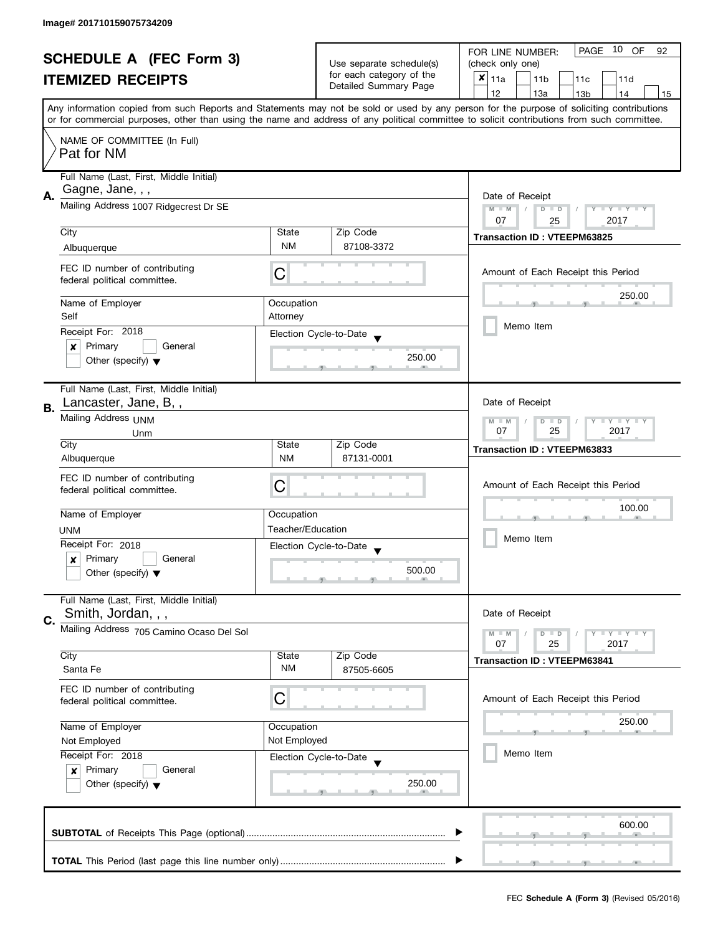| <b>SCHEDULE A (FEC Form 3)</b> |                                                                 | Use separate schedule(s)                                          | PAGE 10 OF<br>FOR LINE NUMBER:<br>92<br>(check only one) |                                                                                                                                                                                                                                                                                         |  |  |  |  |  |
|--------------------------------|-----------------------------------------------------------------|-------------------------------------------------------------------|----------------------------------------------------------|-----------------------------------------------------------------------------------------------------------------------------------------------------------------------------------------------------------------------------------------------------------------------------------------|--|--|--|--|--|
|                                |                                                                 |                                                                   | for each category of the                                 |                                                                                                                                                                                                                                                                                         |  |  |  |  |  |
|                                | <b>ITEMIZED RECEIPTS</b>                                        |                                                                   | Detailed Summary Page                                    | $x _{11a}$<br>11 <sub>b</sub><br>11c<br>11d                                                                                                                                                                                                                                             |  |  |  |  |  |
|                                |                                                                 |                                                                   |                                                          | 12<br>13a<br>13 <sub>b</sub><br>14<br>15                                                                                                                                                                                                                                                |  |  |  |  |  |
|                                |                                                                 |                                                                   |                                                          | Any information copied from such Reports and Statements may not be sold or used by any person for the purpose of soliciting contributions<br>or for commercial purposes, other than using the name and address of any political committee to solicit contributions from such committee. |  |  |  |  |  |
|                                |                                                                 |                                                                   |                                                          |                                                                                                                                                                                                                                                                                         |  |  |  |  |  |
|                                | NAME OF COMMITTEE (In Full)<br>Pat for NM                       |                                                                   |                                                          |                                                                                                                                                                                                                                                                                         |  |  |  |  |  |
|                                | Full Name (Last, First, Middle Initial)<br>Gagne, Jane, , ,     |                                                                   |                                                          |                                                                                                                                                                                                                                                                                         |  |  |  |  |  |
| А.                             | Mailing Address 1007 Ridgecrest Dr SE                           | Date of Receipt<br>$M - M$<br>$\sqrt{2}$<br>$D$ $D$<br>Y FY FY FY |                                                          |                                                                                                                                                                                                                                                                                         |  |  |  |  |  |
|                                |                                                                 |                                                                   |                                                          | 07<br>2017<br>25                                                                                                                                                                                                                                                                        |  |  |  |  |  |
|                                | City                                                            | State                                                             | Zip Code                                                 | <b>Transaction ID: VTEEPM63825</b>                                                                                                                                                                                                                                                      |  |  |  |  |  |
|                                | Albuquerque                                                     | <b>NM</b>                                                         | 87108-3372                                               |                                                                                                                                                                                                                                                                                         |  |  |  |  |  |
|                                | FEC ID number of contributing<br>federal political committee.   | С                                                                 |                                                          | Amount of Each Receipt this Period                                                                                                                                                                                                                                                      |  |  |  |  |  |
|                                | Name of Employer                                                | Occupation                                                        |                                                          | 250.00                                                                                                                                                                                                                                                                                  |  |  |  |  |  |
|                                | Self<br>Receipt For: 2018                                       | Attorney                                                          | Election Cycle-to-Date                                   | Memo Item                                                                                                                                                                                                                                                                               |  |  |  |  |  |
|                                | Primary<br>General<br>×                                         |                                                                   |                                                          |                                                                                                                                                                                                                                                                                         |  |  |  |  |  |
|                                | Other (specify) $\blacktriangledown$                            |                                                                   | 250.00                                                   |                                                                                                                                                                                                                                                                                         |  |  |  |  |  |
| В.                             | Full Name (Last, First, Middle Initial)<br>Lancaster, Jane, B,, | Date of Receipt                                                   |                                                          |                                                                                                                                                                                                                                                                                         |  |  |  |  |  |
|                                | Mailing Address UNM<br>Unm                                      | $Y = Y + Y$<br>$M - M$<br>D<br>$\Box$<br>25<br>2017<br>07         |                                                          |                                                                                                                                                                                                                                                                                         |  |  |  |  |  |
|                                | City                                                            | State                                                             | Zip Code                                                 | <b>Transaction ID: VTEEPM63833</b>                                                                                                                                                                                                                                                      |  |  |  |  |  |
|                                | Albuquerque                                                     | <b>NM</b>                                                         | 87131-0001                                               |                                                                                                                                                                                                                                                                                         |  |  |  |  |  |
|                                | FEC ID number of contributing                                   |                                                                   |                                                          |                                                                                                                                                                                                                                                                                         |  |  |  |  |  |
|                                | federal political committee.                                    | С                                                                 |                                                          | Amount of Each Receipt this Period                                                                                                                                                                                                                                                      |  |  |  |  |  |
|                                |                                                                 |                                                                   |                                                          |                                                                                                                                                                                                                                                                                         |  |  |  |  |  |
|                                | Name of Employer                                                | Occupation                                                        |                                                          | 100.00                                                                                                                                                                                                                                                                                  |  |  |  |  |  |
|                                | <b>UNM</b>                                                      | Teacher/Education                                                 |                                                          |                                                                                                                                                                                                                                                                                         |  |  |  |  |  |
|                                | Receipt For: 2018                                               |                                                                   | Election Cycle-to-Date                                   | Memo Item                                                                                                                                                                                                                                                                               |  |  |  |  |  |
|                                | Primary<br>General<br>x                                         |                                                                   |                                                          |                                                                                                                                                                                                                                                                                         |  |  |  |  |  |
|                                | Other (specify) $\blacktriangledown$                            |                                                                   | 500.00                                                   |                                                                                                                                                                                                                                                                                         |  |  |  |  |  |
|                                |                                                                 |                                                                   |                                                          |                                                                                                                                                                                                                                                                                         |  |  |  |  |  |
|                                | Full Name (Last, First, Middle Initial)                         |                                                                   |                                                          |                                                                                                                                                                                                                                                                                         |  |  |  |  |  |
| C.                             | Smith, Jordan, , ,                                              |                                                                   |                                                          | Date of Receipt                                                                                                                                                                                                                                                                         |  |  |  |  |  |
|                                | Mailing Address 705 Camino Ocaso Del Sol                        |                                                                   |                                                          | $M - M$<br>$\bot$ $\gamma$ $\bot$ $\gamma$ $\bot$ $\gamma$<br>$D$ $D$<br>07<br>25<br>2017                                                                                                                                                                                               |  |  |  |  |  |
|                                | City                                                            | State                                                             | Zip Code                                                 |                                                                                                                                                                                                                                                                                         |  |  |  |  |  |
|                                | Santa Fe                                                        | NM                                                                | 87505-6605                                               | <b>Transaction ID: VTEEPM63841</b>                                                                                                                                                                                                                                                      |  |  |  |  |  |
|                                | FEC ID number of contributing                                   |                                                                   |                                                          |                                                                                                                                                                                                                                                                                         |  |  |  |  |  |
|                                | federal political committee.                                    | C                                                                 |                                                          | Amount of Each Receipt this Period                                                                                                                                                                                                                                                      |  |  |  |  |  |
|                                |                                                                 |                                                                   |                                                          |                                                                                                                                                                                                                                                                                         |  |  |  |  |  |
|                                | Name of Employer                                                | Occupation                                                        |                                                          | 250.00                                                                                                                                                                                                                                                                                  |  |  |  |  |  |
|                                | Not Employed                                                    | Not Employed                                                      |                                                          |                                                                                                                                                                                                                                                                                         |  |  |  |  |  |
|                                | Receipt For: 2018                                               |                                                                   | Election Cycle-to-Date                                   | Memo Item                                                                                                                                                                                                                                                                               |  |  |  |  |  |
|                                | Primary<br>$\boldsymbol{x}$<br>General                          |                                                                   |                                                          |                                                                                                                                                                                                                                                                                         |  |  |  |  |  |
|                                | Other (specify) $\blacktriangledown$                            |                                                                   | 250.00                                                   |                                                                                                                                                                                                                                                                                         |  |  |  |  |  |
|                                |                                                                 |                                                                   |                                                          |                                                                                                                                                                                                                                                                                         |  |  |  |  |  |
|                                |                                                                 |                                                                   |                                                          |                                                                                                                                                                                                                                                                                         |  |  |  |  |  |
|                                |                                                                 |                                                                   |                                                          | 600.00                                                                                                                                                                                                                                                                                  |  |  |  |  |  |
|                                |                                                                 |                                                                   |                                                          |                                                                                                                                                                                                                                                                                         |  |  |  |  |  |
|                                |                                                                 |                                                                   |                                                          |                                                                                                                                                                                                                                                                                         |  |  |  |  |  |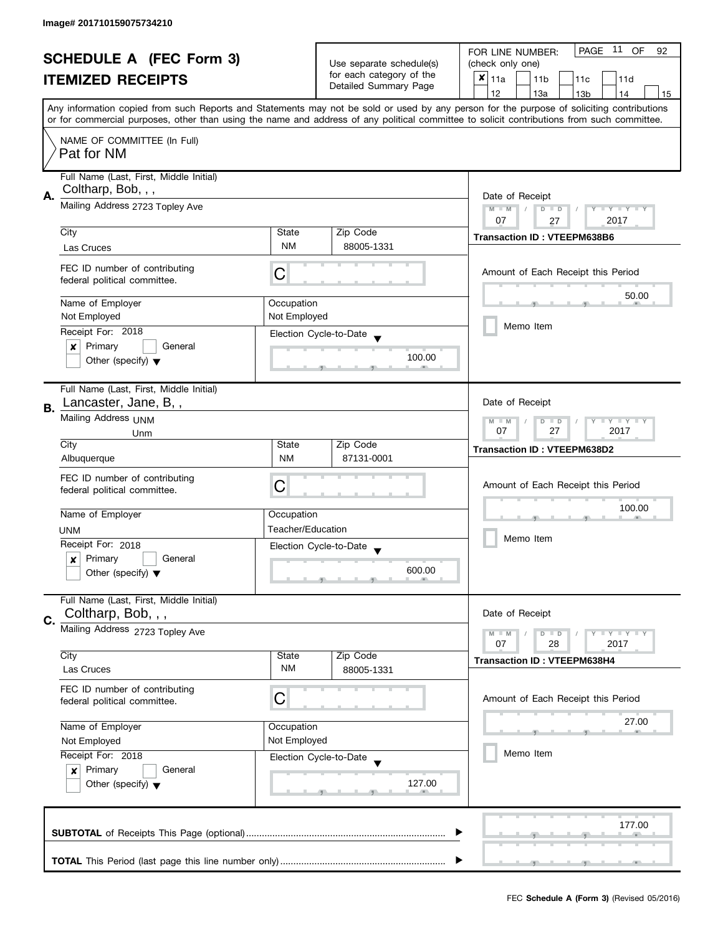| <b>SCHEDULE A (FEC Form 3)</b> |                                                                                                                                                                                                                                                                                         |                        |                                                                                       |                                                   |  | PAGE 11 OF<br>FOR LINE NUMBER:<br>92 |                 |                 |                                    |                                    |       |
|--------------------------------|-----------------------------------------------------------------------------------------------------------------------------------------------------------------------------------------------------------------------------------------------------------------------------------------|------------------------|---------------------------------------------------------------------------------------|---------------------------------------------------|--|--------------------------------------|-----------------|-----------------|------------------------------------|------------------------------------|-------|
| <b>ITEMIZED RECEIPTS</b>       |                                                                                                                                                                                                                                                                                         |                        | Use separate schedule(s)                                                              |                                                   |  | (check only one)                     |                 |                 |                                    |                                    |       |
|                                |                                                                                                                                                                                                                                                                                         |                        |                                                                                       | for each category of the<br>Detailed Summary Page |  | ×<br>11a                             |                 | 11 <sub>b</sub> | 11c                                | 11d                                |       |
|                                |                                                                                                                                                                                                                                                                                         |                        |                                                                                       |                                                   |  | 12                                   |                 | 13a             | 13 <sub>b</sub>                    | 14                                 | 15    |
|                                | Any information copied from such Reports and Statements may not be sold or used by any person for the purpose of soliciting contributions<br>or for commercial purposes, other than using the name and address of any political committee to solicit contributions from such committee. |                        |                                                                                       |                                                   |  |                                      |                 |                 |                                    |                                    |       |
|                                | NAME OF COMMITTEE (In Full)                                                                                                                                                                                                                                                             |                        |                                                                                       |                                                   |  |                                      |                 |                 |                                    |                                    |       |
|                                | Pat for NM                                                                                                                                                                                                                                                                              |                        |                                                                                       |                                                   |  |                                      |                 |                 |                                    |                                    |       |
|                                | Full Name (Last, First, Middle Initial)                                                                                                                                                                                                                                                 |                        |                                                                                       |                                                   |  |                                      |                 |                 |                                    |                                    |       |
| А.                             | Coltharp, Bob, , ,                                                                                                                                                                                                                                                                      |                        |                                                                                       |                                                   |  | Date of Receipt                      |                 |                 |                                    |                                    |       |
|                                | Mailing Address 2723 Topley Ave                                                                                                                                                                                                                                                         |                        |                                                                                       |                                                   |  |                                      | $M - M$         | $D$ $D$         |                                    | Y TY TY TY                         |       |
|                                |                                                                                                                                                                                                                                                                                         |                        |                                                                                       |                                                   |  | 07                                   |                 | 27              |                                    | 2017                               |       |
|                                | City                                                                                                                                                                                                                                                                                    | State                  |                                                                                       | Zip Code                                          |  |                                      |                 |                 | <b>Transaction ID: VTEEPM638B6</b> |                                    |       |
|                                | Las Cruces                                                                                                                                                                                                                                                                              | <b>NM</b>              |                                                                                       | 88005-1331                                        |  |                                      |                 |                 |                                    |                                    |       |
|                                | FEC ID number of contributing                                                                                                                                                                                                                                                           | C                      |                                                                                       |                                                   |  |                                      |                 |                 |                                    | Amount of Each Receipt this Period |       |
|                                | federal political committee.                                                                                                                                                                                                                                                            |                        |                                                                                       |                                                   |  |                                      |                 |                 |                                    |                                    |       |
|                                | Name of Employer                                                                                                                                                                                                                                                                        | Occupation             |                                                                                       |                                                   |  |                                      |                 |                 |                                    |                                    | 50.00 |
|                                | Not Employed                                                                                                                                                                                                                                                                            | Not Employed           |                                                                                       |                                                   |  |                                      |                 |                 |                                    |                                    |       |
|                                | Receipt For: 2018                                                                                                                                                                                                                                                                       | Election Cycle-to-Date |                                                                                       |                                                   |  |                                      | Memo Item       |                 |                                    |                                    |       |
|                                | Primary<br>General<br>×                                                                                                                                                                                                                                                                 |                        |                                                                                       |                                                   |  |                                      |                 |                 |                                    |                                    |       |
|                                | Other (specify) $\blacktriangledown$                                                                                                                                                                                                                                                    |                        |                                                                                       | 100.00                                            |  |                                      |                 |                 |                                    |                                    |       |
|                                | Full Name (Last, First, Middle Initial)                                                                                                                                                                                                                                                 |                        |                                                                                       |                                                   |  |                                      |                 |                 |                                    |                                    |       |
|                                | Lancaster, Jane, B,,                                                                                                                                                                                                                                                                    |                        |                                                                                       |                                                   |  |                                      | Date of Receipt |                 |                                    |                                    |       |
| В.                             | Mailing Address UNM                                                                                                                                                                                                                                                                     |                        |                                                                                       |                                                   |  |                                      | $M - M$         | $D$ $D$         |                                    | Y I Y I Y I Y                      |       |
|                                | Unm                                                                                                                                                                                                                                                                                     |                        |                                                                                       |                                                   |  |                                      | 07              | 27              |                                    | 2017                               |       |
|                                | City                                                                                                                                                                                                                                                                                    | State                  |                                                                                       | Zip Code                                          |  |                                      |                 |                 | <b>Transaction ID: VTEEPM638D2</b> |                                    |       |
|                                | Albuquerque                                                                                                                                                                                                                                                                             | <b>NM</b>              |                                                                                       | 87131-0001                                        |  |                                      |                 |                 |                                    |                                    |       |
|                                | FEC ID number of contributing                                                                                                                                                                                                                                                           |                        |                                                                                       |                                                   |  |                                      |                 |                 |                                    | Amount of Each Receipt this Period |       |
|                                | federal political committee.                                                                                                                                                                                                                                                            | С                      |                                                                                       |                                                   |  |                                      |                 |                 |                                    |                                    |       |
|                                | Name of Employer                                                                                                                                                                                                                                                                        |                        | Occupation<br>Teacher/Education<br>Election Cycle-to-Date<br>$\overline{\phantom{a}}$ |                                                   |  |                                      |                 |                 |                                    | 100.00                             |       |
|                                | <b>UNM</b>                                                                                                                                                                                                                                                                              |                        |                                                                                       |                                                   |  | Memo Item                            |                 |                 |                                    |                                    |       |
|                                | Receipt For: 2018                                                                                                                                                                                                                                                                       |                        |                                                                                       |                                                   |  |                                      |                 |                 |                                    |                                    |       |
|                                | Primary<br>General<br>$\pmb{\times}$                                                                                                                                                                                                                                                    |                        |                                                                                       |                                                   |  |                                      |                 |                 |                                    |                                    |       |
|                                | Other (specify) $\blacktriangledown$                                                                                                                                                                                                                                                    |                        |                                                                                       | 600.00                                            |  |                                      |                 |                 |                                    |                                    |       |
|                                | Full Name (Last, First, Middle Initial)                                                                                                                                                                                                                                                 |                        |                                                                                       |                                                   |  |                                      |                 |                 |                                    |                                    |       |
|                                | Coltharp, Bob, , ,                                                                                                                                                                                                                                                                      |                        |                                                                                       |                                                   |  |                                      | Date of Receipt |                 |                                    |                                    |       |
| C.                             | Mailing Address 2723 Topley Ave                                                                                                                                                                                                                                                         |                        |                                                                                       |                                                   |  |                                      |                 |                 |                                    |                                    |       |
|                                |                                                                                                                                                                                                                                                                                         |                        |                                                                                       |                                                   |  | $M - M$<br>07                        |                 | $D$ $D$<br>28   |                                    | Y I Y I Y I Y<br>2017              |       |
|                                | City                                                                                                                                                                                                                                                                                    | State                  |                                                                                       | Zip Code                                          |  |                                      |                 |                 | <b>Transaction ID: VTEEPM638H4</b> |                                    |       |
|                                | Las Cruces                                                                                                                                                                                                                                                                              | <b>NM</b>              |                                                                                       | 88005-1331                                        |  |                                      |                 |                 |                                    |                                    |       |
|                                | FEC ID number of contributing                                                                                                                                                                                                                                                           |                        |                                                                                       |                                                   |  |                                      |                 |                 |                                    |                                    |       |
|                                | federal political committee.                                                                                                                                                                                                                                                            | C                      |                                                                                       |                                                   |  |                                      |                 |                 |                                    | Amount of Each Receipt this Period |       |
|                                | Name of Employer                                                                                                                                                                                                                                                                        | Occupation             |                                                                                       |                                                   |  |                                      |                 |                 |                                    | 27.00                              |       |
|                                | Not Employed                                                                                                                                                                                                                                                                            | Not Employed           |                                                                                       |                                                   |  |                                      |                 |                 |                                    |                                    |       |
|                                | Receipt For: 2018                                                                                                                                                                                                                                                                       | Election Cycle-to-Date |                                                                                       |                                                   |  |                                      | Memo Item       |                 |                                    |                                    |       |
|                                | Primary<br>General<br>$\boldsymbol{x}$                                                                                                                                                                                                                                                  |                        |                                                                                       |                                                   |  |                                      |                 |                 |                                    |                                    |       |
|                                | Other (specify) $\blacktriangledown$                                                                                                                                                                                                                                                    |                        |                                                                                       | 127.00                                            |  |                                      |                 |                 |                                    |                                    |       |
|                                |                                                                                                                                                                                                                                                                                         |                        |                                                                                       |                                                   |  |                                      |                 |                 |                                    |                                    |       |
|                                |                                                                                                                                                                                                                                                                                         |                        |                                                                                       |                                                   |  |                                      |                 |                 |                                    | 177.00                             |       |
|                                |                                                                                                                                                                                                                                                                                         |                        |                                                                                       |                                                   |  |                                      |                 |                 |                                    |                                    |       |
|                                |                                                                                                                                                                                                                                                                                         |                        |                                                                                       |                                                   |  |                                      |                 |                 |                                    |                                    |       |
|                                |                                                                                                                                                                                                                                                                                         |                        |                                                                                       |                                                   |  |                                      |                 |                 |                                    |                                    |       |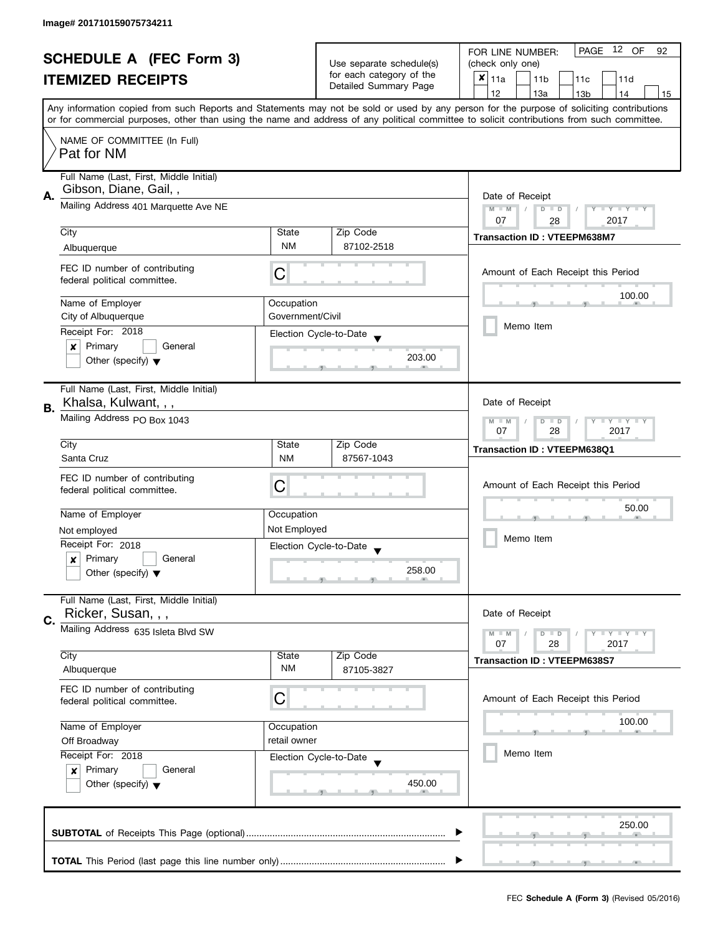| <b>SCHEDULE A (FEC Form 3)</b> |                                                                                                                                            |                  | Use separate schedule(s) | PAGE<br>12 OF<br>FOR LINE NUMBER:<br>92<br>(check only one)                                                                               |  |  |  |  |
|--------------------------------|--------------------------------------------------------------------------------------------------------------------------------------------|------------------|--------------------------|-------------------------------------------------------------------------------------------------------------------------------------------|--|--|--|--|
| <b>ITEMIZED RECEIPTS</b>       |                                                                                                                                            |                  | for each category of the | ×                                                                                                                                         |  |  |  |  |
|                                |                                                                                                                                            |                  | Detailed Summary Page    | 11a<br>11 <sub>b</sub><br>11c<br>11d<br>12                                                                                                |  |  |  |  |
|                                |                                                                                                                                            |                  |                          | 13a<br>14<br>13 <sub>b</sub><br>15                                                                                                        |  |  |  |  |
|                                | or for commercial purposes, other than using the name and address of any political committee to solicit contributions from such committee. |                  |                          | Any information copied from such Reports and Statements may not be sold or used by any person for the purpose of soliciting contributions |  |  |  |  |
|                                | NAME OF COMMITTEE (In Full)                                                                                                                |                  |                          |                                                                                                                                           |  |  |  |  |
|                                | Pat for NM                                                                                                                                 |                  |                          |                                                                                                                                           |  |  |  |  |
|                                | Full Name (Last, First, Middle Initial)                                                                                                    |                  |                          |                                                                                                                                           |  |  |  |  |
| А.                             | Gibson, Diane, Gail,,                                                                                                                      |                  |                          | Date of Receipt                                                                                                                           |  |  |  |  |
|                                | Mailing Address 401 Marquette Ave NE                                                                                                       |                  |                          | $M - M$<br>$D$ $D$<br>$T + Y = Y + Y$                                                                                                     |  |  |  |  |
|                                | City                                                                                                                                       | State            | Zip Code                 | 07<br>2017<br>28                                                                                                                          |  |  |  |  |
|                                |                                                                                                                                            | <b>NM</b>        | 87102-2518               | <b>Transaction ID: VTEEPM638M7</b>                                                                                                        |  |  |  |  |
|                                | Albuquerque                                                                                                                                |                  |                          |                                                                                                                                           |  |  |  |  |
|                                | FEC ID number of contributing                                                                                                              | C                |                          | Amount of Each Receipt this Period                                                                                                        |  |  |  |  |
|                                | federal political committee.                                                                                                               |                  |                          |                                                                                                                                           |  |  |  |  |
|                                | Name of Employer                                                                                                                           | Occupation       |                          | 100.00                                                                                                                                    |  |  |  |  |
|                                | City of Albuquerque                                                                                                                        | Government/Civil |                          |                                                                                                                                           |  |  |  |  |
|                                | Receipt For: 2018                                                                                                                          |                  | Election Cycle-to-Date   | Memo Item                                                                                                                                 |  |  |  |  |
|                                | $\pmb{\times}$<br>Primary<br>General                                                                                                       |                  |                          |                                                                                                                                           |  |  |  |  |
|                                | Other (specify) $\blacktriangledown$                                                                                                       |                  | 203.00                   |                                                                                                                                           |  |  |  |  |
|                                |                                                                                                                                            |                  |                          |                                                                                                                                           |  |  |  |  |
|                                | Full Name (Last, First, Middle Initial)<br>Khalsa, Kulwant, , ,                                                                            |                  |                          | Date of Receipt                                                                                                                           |  |  |  |  |
| В.                             | Mailing Address PO Box 1043                                                                                                                |                  |                          |                                                                                                                                           |  |  |  |  |
|                                |                                                                                                                                            |                  |                          | $Y$ $Y$<br>D<br>$\Box$<br>$-M$<br>07<br>28<br>2017                                                                                        |  |  |  |  |
|                                | City                                                                                                                                       | State            | Zip Code                 | Transaction ID: VTEEPM638Q1                                                                                                               |  |  |  |  |
|                                | Santa Cruz                                                                                                                                 | <b>NM</b>        | 87567-1043               |                                                                                                                                           |  |  |  |  |
|                                | FEC ID number of contributing                                                                                                              |                  |                          |                                                                                                                                           |  |  |  |  |
|                                | federal political committee.                                                                                                               | C                |                          | Amount of Each Receipt this Period                                                                                                        |  |  |  |  |
|                                |                                                                                                                                            |                  |                          | 50.00                                                                                                                                     |  |  |  |  |
|                                | Name of Employer                                                                                                                           | Occupation       |                          |                                                                                                                                           |  |  |  |  |
|                                | Not employed<br>Receipt For: 2018                                                                                                          | Not Employed     |                          | Memo Item                                                                                                                                 |  |  |  |  |
|                                | Primary<br>General<br>$\boldsymbol{x}$                                                                                                     |                  | Election Cycle-to-Date   |                                                                                                                                           |  |  |  |  |
|                                | Other (specify) $\blacktriangledown$                                                                                                       |                  | 258.00                   |                                                                                                                                           |  |  |  |  |
|                                |                                                                                                                                            |                  |                          |                                                                                                                                           |  |  |  |  |
|                                | Full Name (Last, First, Middle Initial)                                                                                                    |                  |                          |                                                                                                                                           |  |  |  |  |
| C.                             | Ricker, Susan, , ,                                                                                                                         |                  |                          | Date of Receipt                                                                                                                           |  |  |  |  |
|                                | Mailing Address 635 Isleta Blvd SW                                                                                                         |                  |                          | $M - M$<br>$D$ $D$<br>$\bot$ Y $\bot$ Y $\bot$ Y                                                                                          |  |  |  |  |
|                                | City                                                                                                                                       | State            | Zip Code                 | 07<br>28<br>2017                                                                                                                          |  |  |  |  |
|                                | Albuquerque                                                                                                                                | ΝM               | 87105-3827               | <b>Transaction ID: VTEEPM638S7</b>                                                                                                        |  |  |  |  |
|                                |                                                                                                                                            |                  |                          |                                                                                                                                           |  |  |  |  |
|                                | FEC ID number of contributing<br>federal political committee.                                                                              | C                |                          | Amount of Each Receipt this Period                                                                                                        |  |  |  |  |
|                                |                                                                                                                                            |                  |                          |                                                                                                                                           |  |  |  |  |
|                                | Name of Employer                                                                                                                           | Occupation       |                          | 100.00                                                                                                                                    |  |  |  |  |
|                                | retail owner<br>Off Broadway<br>Receipt For: 2018                                                                                          |                  |                          |                                                                                                                                           |  |  |  |  |
|                                |                                                                                                                                            |                  | Election Cycle-to-Date   | Memo Item                                                                                                                                 |  |  |  |  |
|                                | Primary<br>General<br>$\boldsymbol{x}$                                                                                                     |                  |                          |                                                                                                                                           |  |  |  |  |
|                                | Other (specify) $\blacktriangledown$                                                                                                       |                  | 450.00                   |                                                                                                                                           |  |  |  |  |
|                                |                                                                                                                                            |                  |                          |                                                                                                                                           |  |  |  |  |
|                                |                                                                                                                                            |                  |                          | 250.00                                                                                                                                    |  |  |  |  |
|                                |                                                                                                                                            |                  |                          |                                                                                                                                           |  |  |  |  |
|                                |                                                                                                                                            |                  |                          |                                                                                                                                           |  |  |  |  |
|                                |                                                                                                                                            |                  |                          |                                                                                                                                           |  |  |  |  |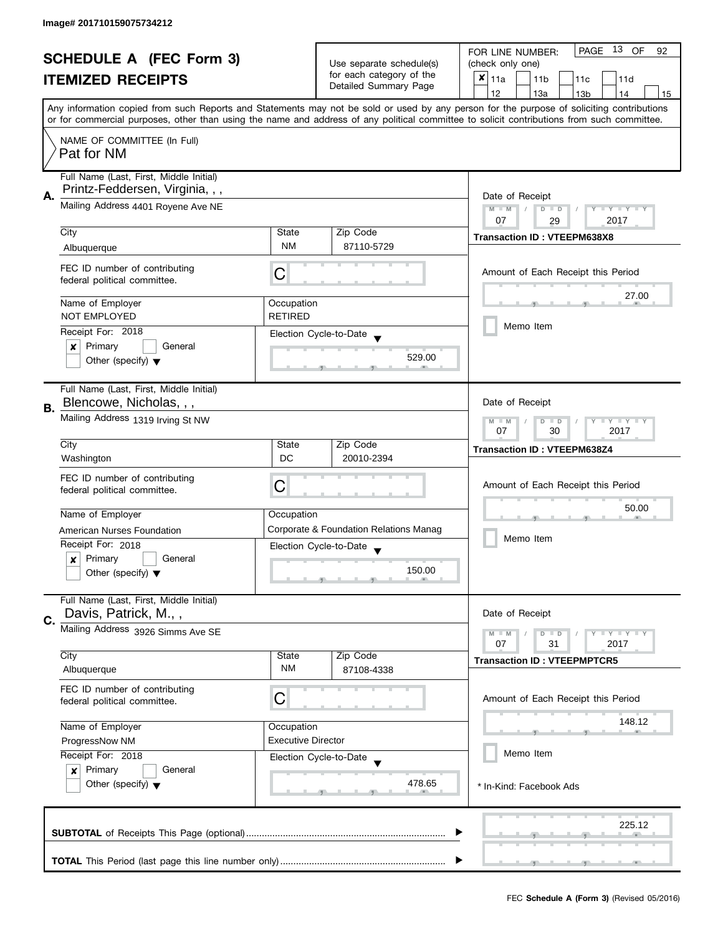| <b>SCHEDULE A (FEC Form 3)</b> |                                                                    |                           | PAGE<br>13 OF<br>FOR LINE NUMBER:<br>92     |                                                                                                                                            |  |  |  |
|--------------------------------|--------------------------------------------------------------------|---------------------------|---------------------------------------------|--------------------------------------------------------------------------------------------------------------------------------------------|--|--|--|
| <b>ITEMIZED RECEIPTS</b>       |                                                                    | Use separate schedule(s)  | (check only one)                            |                                                                                                                                            |  |  |  |
|                                |                                                                    | for each category of the  | $x _{11a}$<br>11 <sub>b</sub><br>11c<br>11d |                                                                                                                                            |  |  |  |
|                                |                                                                    | Detailed Summary Page     | 12<br>13a<br>14<br>13 <sub>b</sub><br>15    |                                                                                                                                            |  |  |  |
|                                |                                                                    |                           |                                             | Any information copied from such Reports and Statements may not be sold or used by any person for the purpose of soliciting contributions  |  |  |  |
|                                |                                                                    |                           |                                             | or for commercial purposes, other than using the name and address of any political committee to solicit contributions from such committee. |  |  |  |
|                                | NAME OF COMMITTEE (In Full)                                        |                           |                                             |                                                                                                                                            |  |  |  |
|                                | Pat for NM                                                         |                           |                                             |                                                                                                                                            |  |  |  |
|                                |                                                                    |                           |                                             |                                                                                                                                            |  |  |  |
|                                | Full Name (Last, First, Middle Initial)                            |                           |                                             |                                                                                                                                            |  |  |  |
| А.                             | Printz-Feddersen, Virginia, , ,                                    |                           |                                             | Date of Receipt                                                                                                                            |  |  |  |
|                                | Mailing Address 4401 Royene Ave NE                                 |                           |                                             | $M - M$<br>Y I Y I Y I Y<br>$D$ $D$                                                                                                        |  |  |  |
|                                |                                                                    |                           |                                             | 07<br>2017<br>29                                                                                                                           |  |  |  |
|                                | City                                                               | State                     | Zip Code                                    | <b>Transaction ID: VTEEPM638X8</b>                                                                                                         |  |  |  |
|                                | Albuquerque                                                        | <b>NM</b>                 | 87110-5729                                  |                                                                                                                                            |  |  |  |
|                                |                                                                    |                           |                                             |                                                                                                                                            |  |  |  |
|                                | FEC ID number of contributing                                      | С                         |                                             | Amount of Each Receipt this Period                                                                                                         |  |  |  |
|                                | federal political committee.                                       |                           |                                             |                                                                                                                                            |  |  |  |
|                                | Name of Employer                                                   | Occupation                |                                             | 27.00                                                                                                                                      |  |  |  |
|                                | <b>NOT EMPLOYED</b>                                                | <b>RETIRED</b>            |                                             |                                                                                                                                            |  |  |  |
|                                | Receipt For: 2018                                                  |                           |                                             | Memo Item                                                                                                                                  |  |  |  |
|                                | Primary<br>General                                                 |                           | Election Cycle-to-Date                      |                                                                                                                                            |  |  |  |
|                                | ×                                                                  |                           | 529.00                                      |                                                                                                                                            |  |  |  |
|                                | Other (specify) $\blacktriangledown$                               |                           |                                             |                                                                                                                                            |  |  |  |
|                                |                                                                    |                           |                                             |                                                                                                                                            |  |  |  |
|                                | Full Name (Last, First, Middle Initial)<br>Blencowe, Nicholas, , , |                           |                                             | Date of Receipt                                                                                                                            |  |  |  |
| В.                             |                                                                    |                           |                                             |                                                                                                                                            |  |  |  |
|                                | Mailing Address 1319 Irving St NW                                  |                           |                                             | Y LY LY<br>$M - M$<br>$D$ $D$                                                                                                              |  |  |  |
|                                |                                                                    |                           |                                             | 30<br>2017<br>07                                                                                                                           |  |  |  |
|                                | City                                                               | State                     | Zip Code                                    | <b>Transaction ID: VTEEPM638Z4</b>                                                                                                         |  |  |  |
|                                | Washington                                                         | DC                        | 20010-2394                                  |                                                                                                                                            |  |  |  |
|                                | FEC ID number of contributing                                      |                           |                                             |                                                                                                                                            |  |  |  |
|                                | federal political committee.                                       | C                         |                                             | Amount of Each Receipt this Period                                                                                                         |  |  |  |
|                                |                                                                    |                           |                                             | 50.00                                                                                                                                      |  |  |  |
|                                | Name of Employer                                                   | Occupation                |                                             |                                                                                                                                            |  |  |  |
|                                | American Nurses Foundation                                         |                           | Corporate & Foundation Relations Manag      | Memo Item                                                                                                                                  |  |  |  |
|                                | Receipt For: 2018                                                  |                           | Election Cycle-to-Date                      |                                                                                                                                            |  |  |  |
|                                | Primary<br>General<br>$\boldsymbol{x}$                             |                           |                                             |                                                                                                                                            |  |  |  |
|                                | Other (specify) $\blacktriangledown$                               |                           | 150.00                                      |                                                                                                                                            |  |  |  |
|                                |                                                                    |                           |                                             |                                                                                                                                            |  |  |  |
|                                | Full Name (Last, First, Middle Initial)                            |                           |                                             |                                                                                                                                            |  |  |  |
| C.                             | Davis, Patrick, M.,,                                               |                           |                                             | Date of Receipt                                                                                                                            |  |  |  |
|                                | Mailing Address 3926 Simms Ave SE                                  |                           |                                             | <b>LYLY LY</b><br>$M - M$<br>$D$ $D$                                                                                                       |  |  |  |
|                                |                                                                    |                           |                                             | 07<br>31<br>2017                                                                                                                           |  |  |  |
|                                | City                                                               | State                     | Zip Code                                    | <b>Transaction ID: VTEEPMPTCR5</b>                                                                                                         |  |  |  |
|                                | Albuquerque                                                        | ΝM                        | 87108-4338                                  |                                                                                                                                            |  |  |  |
|                                | FEC ID number of contributing                                      |                           |                                             |                                                                                                                                            |  |  |  |
|                                | federal political committee.                                       | С                         |                                             | Amount of Each Receipt this Period                                                                                                         |  |  |  |
|                                |                                                                    |                           |                                             | 148.12                                                                                                                                     |  |  |  |
|                                | Name of Employer                                                   | Occupation                |                                             |                                                                                                                                            |  |  |  |
|                                | ProgressNow NM                                                     | <b>Executive Director</b> |                                             |                                                                                                                                            |  |  |  |
|                                | Receipt For: 2018                                                  |                           | Election Cycle-to-Date                      | Memo Item                                                                                                                                  |  |  |  |
|                                | Primary<br>General<br>$\mathbf{x}$                                 |                           |                                             |                                                                                                                                            |  |  |  |
|                                | Other (specify) $\blacktriangledown$                               |                           | 478.65                                      | * In-Kind: Facebook Ads                                                                                                                    |  |  |  |
|                                |                                                                    |                           |                                             |                                                                                                                                            |  |  |  |
|                                |                                                                    |                           |                                             |                                                                                                                                            |  |  |  |
|                                |                                                                    | 225.12                    |                                             |                                                                                                                                            |  |  |  |
|                                |                                                                    |                           |                                             |                                                                                                                                            |  |  |  |
|                                |                                                                    |                           |                                             |                                                                                                                                            |  |  |  |
|                                |                                                                    |                           |                                             |                                                                                                                                            |  |  |  |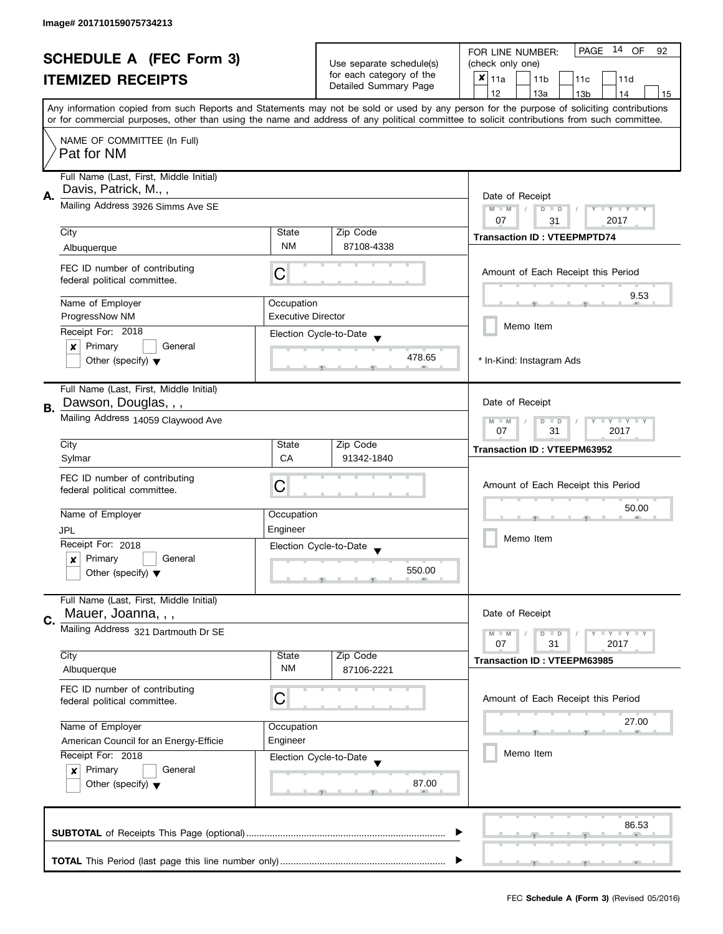|                                                            |                                                                                |                           |                                             | 14 OF<br>PAGE<br>FOR LINE NUMBER:<br>92                                                                                                    |  |  |
|------------------------------------------------------------|--------------------------------------------------------------------------------|---------------------------|---------------------------------------------|--------------------------------------------------------------------------------------------------------------------------------------------|--|--|
| <b>SCHEDULE A (FEC Form 3)</b><br><b>ITEMIZED RECEIPTS</b> |                                                                                | Use separate schedule(s)  | (check only one)                            |                                                                                                                                            |  |  |
|                                                            |                                                                                | for each category of the  | $x _{11a}$<br>11 <sub>b</sub><br>11c<br>11d |                                                                                                                                            |  |  |
|                                                            |                                                                                | Detailed Summary Page     | 12<br>13a<br>13 <sub>b</sub><br>14<br>15    |                                                                                                                                            |  |  |
|                                                            |                                                                                |                           |                                             | Any information copied from such Reports and Statements may not be sold or used by any person for the purpose of soliciting contributions  |  |  |
|                                                            |                                                                                |                           |                                             | or for commercial purposes, other than using the name and address of any political committee to solicit contributions from such committee. |  |  |
|                                                            | NAME OF COMMITTEE (In Full)                                                    |                           |                                             |                                                                                                                                            |  |  |
|                                                            | Pat for NM                                                                     |                           |                                             |                                                                                                                                            |  |  |
|                                                            | Full Name (Last, First, Middle Initial)                                        |                           |                                             |                                                                                                                                            |  |  |
|                                                            | Davis, Patrick, M.,,                                                           |                           |                                             |                                                                                                                                            |  |  |
| А.                                                         | Mailing Address 3926 Simms Ave SE                                              |                           |                                             | Date of Receipt<br>$M - M$<br>$\sqrt{2}$<br>Y I Y I Y I<br>$D$ $D$                                                                         |  |  |
|                                                            |                                                                                |                           |                                             | 07<br>2017<br>31                                                                                                                           |  |  |
|                                                            | City                                                                           | State                     | Zip Code                                    | <b>Transaction ID: VTEEPMPTD74</b>                                                                                                         |  |  |
|                                                            | Albuquerque                                                                    | <b>NM</b>                 | 87108-4338                                  |                                                                                                                                            |  |  |
|                                                            | FEC ID number of contributing                                                  |                           |                                             | Amount of Each Receipt this Period                                                                                                         |  |  |
|                                                            | federal political committee.                                                   | С                         |                                             |                                                                                                                                            |  |  |
|                                                            | Name of Employer                                                               | Occupation                |                                             | 9.53                                                                                                                                       |  |  |
|                                                            | ProgressNow NM                                                                 | <b>Executive Director</b> |                                             |                                                                                                                                            |  |  |
|                                                            | Receipt For: 2018                                                              |                           | Election Cycle-to-Date                      | Memo Item                                                                                                                                  |  |  |
|                                                            | $\pmb{\times}$<br>Primary<br>General                                           |                           |                                             |                                                                                                                                            |  |  |
|                                                            | Other (specify) $\blacktriangledown$                                           |                           | 478.65                                      | * In-Kind: Instagram Ads                                                                                                                   |  |  |
|                                                            |                                                                                |                           |                                             |                                                                                                                                            |  |  |
|                                                            | Full Name (Last, First, Middle Initial)                                        |                           |                                             |                                                                                                                                            |  |  |
| В.                                                         | Dawson, Douglas, , ,                                                           |                           |                                             | Date of Receipt                                                                                                                            |  |  |
|                                                            | Mailing Address 14059 Claywood Ave                                             |                           |                                             | $Y = Y = Y$<br>D<br>$\Box$<br>$-M$                                                                                                         |  |  |
|                                                            | City                                                                           | State                     | Zip Code                                    | 07<br>31<br>2017                                                                                                                           |  |  |
|                                                            | Sylmar                                                                         | <b>CA</b>                 | 91342-1840                                  | <b>Transaction ID: VTEEPM63952</b>                                                                                                         |  |  |
|                                                            | FEC ID number of contributing                                                  |                           |                                             |                                                                                                                                            |  |  |
|                                                            | federal political committee.                                                   | C                         |                                             | Amount of Each Receipt this Period                                                                                                         |  |  |
|                                                            |                                                                                |                           |                                             | 50.00                                                                                                                                      |  |  |
|                                                            | Name of Employer                                                               | Occupation                |                                             |                                                                                                                                            |  |  |
|                                                            | JPL                                                                            | Engineer                  |                                             | Memo Item                                                                                                                                  |  |  |
|                                                            | Receipt For: 2018                                                              |                           | Election Cycle-to-Date                      |                                                                                                                                            |  |  |
|                                                            | Primary<br>General<br>$\boldsymbol{x}$<br>Other (specify) $\blacktriangledown$ |                           | 550.00                                      |                                                                                                                                            |  |  |
|                                                            |                                                                                |                           |                                             |                                                                                                                                            |  |  |
|                                                            | Full Name (Last, First, Middle Initial)                                        |                           |                                             |                                                                                                                                            |  |  |
| C.                                                         | Mauer, Joanna, , ,                                                             |                           |                                             | Date of Receipt                                                                                                                            |  |  |
|                                                            | Mailing Address 321 Dartmouth Dr SE                                            |                           |                                             | $Y \perp Y \perp Y$<br>$M - M$<br>$D$ $D$                                                                                                  |  |  |
|                                                            | City                                                                           | State                     | Zip Code                                    | 07<br>31<br>2017                                                                                                                           |  |  |
|                                                            | Albuquerque                                                                    | ΝM                        | 87106-2221                                  | <b>Transaction ID: VTEEPM63985</b>                                                                                                         |  |  |
|                                                            |                                                                                |                           |                                             |                                                                                                                                            |  |  |
|                                                            | FEC ID number of contributing<br>federal political committee.                  | С                         |                                             | Amount of Each Receipt this Period                                                                                                         |  |  |
|                                                            |                                                                                |                           |                                             |                                                                                                                                            |  |  |
|                                                            | Name of Employer                                                               | Occupation                |                                             | 27.00                                                                                                                                      |  |  |
|                                                            | American Council for an Energy-Efficie                                         | Engineer                  |                                             |                                                                                                                                            |  |  |
|                                                            | Receipt For: 2018                                                              |                           | Election Cycle-to-Date                      | Memo Item                                                                                                                                  |  |  |
|                                                            | Primary<br>General<br>$\boldsymbol{x}$                                         |                           |                                             |                                                                                                                                            |  |  |
|                                                            | Other (specify) $\blacktriangledown$                                           |                           | 87.00                                       |                                                                                                                                            |  |  |
|                                                            |                                                                                |                           |                                             |                                                                                                                                            |  |  |
|                                                            |                                                                                |                           |                                             | 86.53                                                                                                                                      |  |  |
|                                                            |                                                                                |                           |                                             |                                                                                                                                            |  |  |
|                                                            |                                                                                |                           |                                             |                                                                                                                                            |  |  |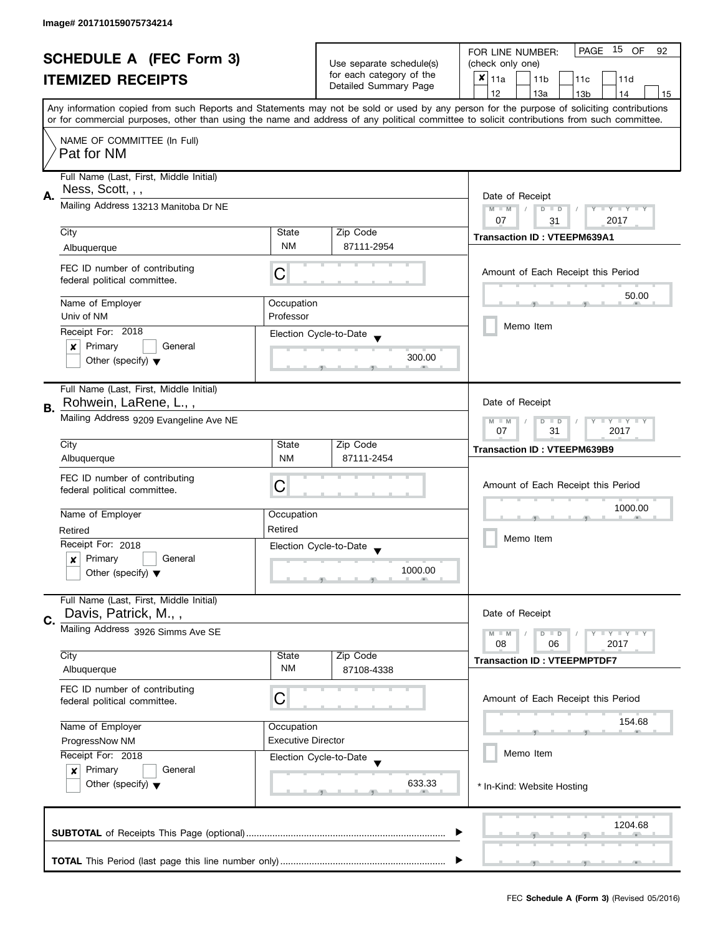| <b>SCHEDULE A (FEC Form 3)</b><br><b>ITEMIZED RECEIPTS</b> |                                                                  |                                                   | PAGE<br>15 OF<br>FOR LINE NUMBER:<br>92     |                                                                                                                                            |  |  |  |
|------------------------------------------------------------|------------------------------------------------------------------|---------------------------------------------------|---------------------------------------------|--------------------------------------------------------------------------------------------------------------------------------------------|--|--|--|
|                                                            |                                                                  | Use separate schedule(s)                          | (check only one)                            |                                                                                                                                            |  |  |  |
|                                                            |                                                                  | for each category of the<br>Detailed Summary Page | $x _{11a}$<br>11 <sub>b</sub><br>11c<br>11d |                                                                                                                                            |  |  |  |
|                                                            |                                                                  |                                                   |                                             | 12<br>13a<br>14<br>13 <sub>b</sub><br>15                                                                                                   |  |  |  |
|                                                            |                                                                  |                                                   |                                             | Any information copied from such Reports and Statements may not be sold or used by any person for the purpose of soliciting contributions  |  |  |  |
|                                                            |                                                                  |                                                   |                                             | or for commercial purposes, other than using the name and address of any political committee to solicit contributions from such committee. |  |  |  |
|                                                            | NAME OF COMMITTEE (In Full)                                      |                                                   |                                             |                                                                                                                                            |  |  |  |
|                                                            | Pat for NM                                                       |                                                   |                                             |                                                                                                                                            |  |  |  |
|                                                            |                                                                  |                                                   |                                             |                                                                                                                                            |  |  |  |
|                                                            | Full Name (Last, First, Middle Initial)                          |                                                   |                                             |                                                                                                                                            |  |  |  |
| Α.                                                         | Ness, Scott, , ,                                                 |                                                   |                                             | Date of Receipt                                                                                                                            |  |  |  |
|                                                            | Mailing Address 13213 Manitoba Dr NE                             |                                                   |                                             | $M - M$<br>$D$ $D$<br>Y I Y I Y I Y                                                                                                        |  |  |  |
|                                                            |                                                                  |                                                   |                                             | 07<br>2017<br>31                                                                                                                           |  |  |  |
|                                                            | City                                                             | State                                             | Zip Code                                    | <b>Transaction ID: VTEEPM639A1</b>                                                                                                         |  |  |  |
|                                                            | Albuquerque                                                      | <b>NM</b>                                         | 87111-2954                                  |                                                                                                                                            |  |  |  |
|                                                            |                                                                  |                                                   |                                             |                                                                                                                                            |  |  |  |
|                                                            | FEC ID number of contributing                                    | С                                                 |                                             | Amount of Each Receipt this Period                                                                                                         |  |  |  |
|                                                            | federal political committee.                                     |                                                   |                                             |                                                                                                                                            |  |  |  |
|                                                            | Name of Employer                                                 | Occupation                                        |                                             | 50.00                                                                                                                                      |  |  |  |
|                                                            | Univ of NM                                                       | Professor                                         |                                             |                                                                                                                                            |  |  |  |
|                                                            |                                                                  |                                                   |                                             | Memo Item                                                                                                                                  |  |  |  |
|                                                            | Receipt For: 2018                                                |                                                   | Election Cycle-to-Date                      |                                                                                                                                            |  |  |  |
|                                                            | Primary<br>General<br>×                                          |                                                   | 300.00                                      |                                                                                                                                            |  |  |  |
|                                                            | Other (specify) $\blacktriangledown$                             |                                                   |                                             |                                                                                                                                            |  |  |  |
|                                                            |                                                                  |                                                   |                                             |                                                                                                                                            |  |  |  |
|                                                            | Full Name (Last, First, Middle Initial)                          |                                                   |                                             |                                                                                                                                            |  |  |  |
| В.                                                         | Rohwein, LaRene, L.,,                                            |                                                   |                                             | Date of Receipt                                                                                                                            |  |  |  |
|                                                            | Mailing Address 9209 Evangeline Ave NE                           |                                                   |                                             | <b>LY LY LY</b><br>$M - M$<br>$D$ $D$                                                                                                      |  |  |  |
|                                                            |                                                                  |                                                   |                                             | 31<br>2017<br>07                                                                                                                           |  |  |  |
|                                                            | City                                                             | State                                             | Zip Code                                    | <b>Transaction ID: VTEEPM639B9</b>                                                                                                         |  |  |  |
|                                                            | Albuquerque                                                      | <b>NM</b>                                         | 87111-2454                                  |                                                                                                                                            |  |  |  |
|                                                            | FEC ID number of contributing                                    |                                                   |                                             |                                                                                                                                            |  |  |  |
|                                                            | federal political committee.                                     | C                                                 |                                             | Amount of Each Receipt this Period                                                                                                         |  |  |  |
|                                                            |                                                                  |                                                   |                                             | 1000.00                                                                                                                                    |  |  |  |
|                                                            | Name of Employer                                                 | Occupation                                        |                                             |                                                                                                                                            |  |  |  |
|                                                            | Retired                                                          | Retired                                           |                                             |                                                                                                                                            |  |  |  |
|                                                            | Receipt For: 2018                                                |                                                   | Election Cycle-to-Date                      | Memo Item                                                                                                                                  |  |  |  |
|                                                            | Primary<br>General<br>$\boldsymbol{x}$                           |                                                   |                                             |                                                                                                                                            |  |  |  |
|                                                            | Other (specify) $\blacktriangledown$                             |                                                   | 1000.00                                     |                                                                                                                                            |  |  |  |
|                                                            |                                                                  |                                                   |                                             |                                                                                                                                            |  |  |  |
|                                                            | Full Name (Last, First, Middle Initial)                          |                                                   |                                             |                                                                                                                                            |  |  |  |
| C.                                                         | Davis, Patrick, M.,,                                             |                                                   |                                             | Date of Receipt                                                                                                                            |  |  |  |
|                                                            | Mailing Address 3926 Simms Ave SE                                |                                                   |                                             | <b>LYLYLY</b><br>$M - M$<br>$D$ $D$                                                                                                        |  |  |  |
|                                                            |                                                                  |                                                   |                                             | 08<br>06<br>2017                                                                                                                           |  |  |  |
|                                                            | City                                                             | State                                             | Zip Code                                    | <b>Transaction ID: VTEEPMPTDF7</b>                                                                                                         |  |  |  |
|                                                            | Albuquerque                                                      | ΝM                                                | 87108-4338                                  |                                                                                                                                            |  |  |  |
|                                                            | FEC ID number of contributing                                    |                                                   |                                             |                                                                                                                                            |  |  |  |
|                                                            | federal political committee.                                     | С                                                 |                                             | Amount of Each Receipt this Period                                                                                                         |  |  |  |
|                                                            |                                                                  |                                                   |                                             |                                                                                                                                            |  |  |  |
|                                                            | Name of Employer                                                 | Occupation                                        |                                             | 154.68                                                                                                                                     |  |  |  |
|                                                            | <b>Executive Director</b><br>ProgressNow NM<br>Receipt For: 2018 |                                                   |                                             |                                                                                                                                            |  |  |  |
|                                                            |                                                                  |                                                   | Election Cycle-to-Date                      | Memo Item                                                                                                                                  |  |  |  |
|                                                            | Primary<br>General<br>$\mathbf{x}$                               |                                                   |                                             |                                                                                                                                            |  |  |  |
|                                                            | Other (specify) $\blacktriangledown$                             |                                                   | 633.33                                      | * In-Kind: Website Hosting                                                                                                                 |  |  |  |
|                                                            |                                                                  |                                                   |                                             |                                                                                                                                            |  |  |  |
|                                                            |                                                                  |                                                   |                                             |                                                                                                                                            |  |  |  |
|                                                            |                                                                  |                                                   |                                             | 1204.68                                                                                                                                    |  |  |  |
|                                                            |                                                                  |                                                   |                                             |                                                                                                                                            |  |  |  |
|                                                            |                                                                  |                                                   |                                             |                                                                                                                                            |  |  |  |
|                                                            |                                                                  |                                                   |                                             |                                                                                                                                            |  |  |  |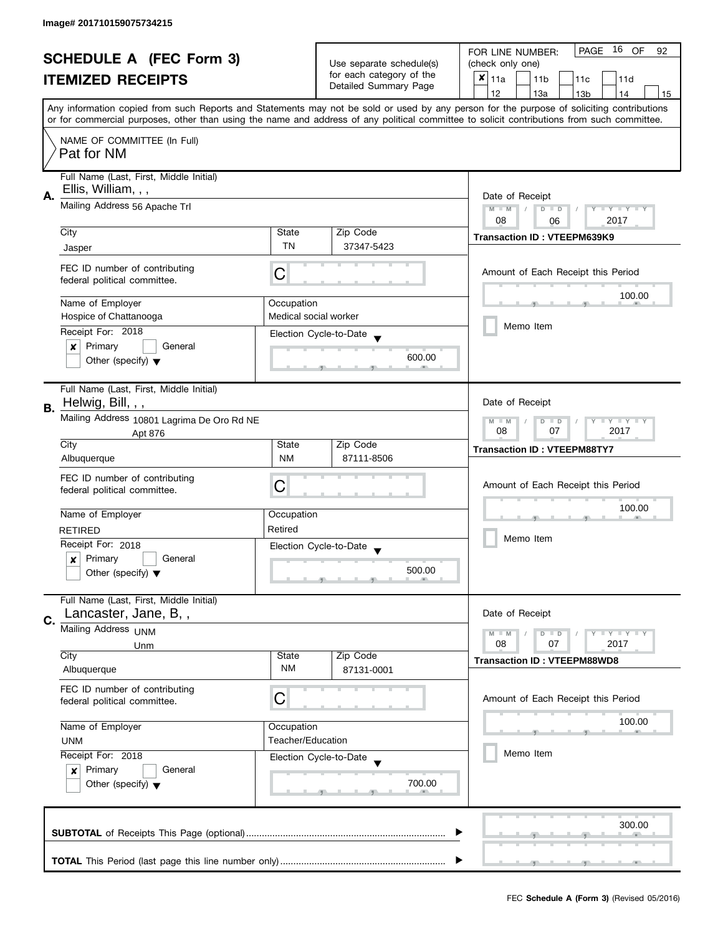| <b>SCHEDULE A (FEC Form 3)</b><br><b>ITEMIZED RECEIPTS</b> |                                                                                                                                                            |                                                      | PAGE 16 OF<br>FOR LINE NUMBER:<br>92<br>(check only one) |                                                                                                                                            |  |  |
|------------------------------------------------------------|------------------------------------------------------------------------------------------------------------------------------------------------------------|------------------------------------------------------|----------------------------------------------------------|--------------------------------------------------------------------------------------------------------------------------------------------|--|--|
|                                                            |                                                                                                                                                            | Use separate schedule(s)<br>for each category of the |                                                          |                                                                                                                                            |  |  |
|                                                            |                                                                                                                                                            | Detailed Summary Page                                | $x _{11a}$<br>11 <sub>b</sub><br>11c<br>11d              |                                                                                                                                            |  |  |
|                                                            |                                                                                                                                                            |                                                      | 12<br>13a<br>13 <sub>b</sub><br>14<br>15                 |                                                                                                                                            |  |  |
|                                                            |                                                                                                                                                            |                                                      |                                                          | Any information copied from such Reports and Statements may not be sold or used by any person for the purpose of soliciting contributions  |  |  |
|                                                            |                                                                                                                                                            |                                                      |                                                          | or for commercial purposes, other than using the name and address of any political committee to solicit contributions from such committee. |  |  |
|                                                            | NAME OF COMMITTEE (In Full)                                                                                                                                |                                                      |                                                          |                                                                                                                                            |  |  |
|                                                            | Pat for NM                                                                                                                                                 |                                                      |                                                          |                                                                                                                                            |  |  |
|                                                            | Full Name (Last, First, Middle Initial)                                                                                                                    |                                                      |                                                          |                                                                                                                                            |  |  |
| А.                                                         | Ellis, William, , ,                                                                                                                                        | Date of Receipt                                      |                                                          |                                                                                                                                            |  |  |
|                                                            | Mailing Address 56 Apache Trl                                                                                                                              |                                                      |                                                          | $M - M$<br>$\sqrt{ }$<br>$D$ $D$<br>Y FY FY FY                                                                                             |  |  |
|                                                            |                                                                                                                                                            |                                                      |                                                          | 08<br>2017<br>06                                                                                                                           |  |  |
|                                                            | City                                                                                                                                                       | State<br><b>TN</b>                                   | Zip Code                                                 | <b>Transaction ID: VTEEPM639K9</b>                                                                                                         |  |  |
|                                                            | Jasper                                                                                                                                                     |                                                      | 37347-5423                                               |                                                                                                                                            |  |  |
|                                                            | FEC ID number of contributing                                                                                                                              | С                                                    |                                                          | Amount of Each Receipt this Period                                                                                                         |  |  |
|                                                            | federal political committee.                                                                                                                               |                                                      |                                                          |                                                                                                                                            |  |  |
|                                                            | Name of Employer                                                                                                                                           | Occupation                                           |                                                          | 100.00                                                                                                                                     |  |  |
|                                                            | Hospice of Chattanooga                                                                                                                                     | Medical social worker                                |                                                          |                                                                                                                                            |  |  |
|                                                            | Receipt For: 2018                                                                                                                                          |                                                      | Election Cycle-to-Date                                   | Memo Item                                                                                                                                  |  |  |
|                                                            | Primary<br>$\pmb{\times}$<br>General                                                                                                                       |                                                      |                                                          |                                                                                                                                            |  |  |
|                                                            | Other (specify) $\blacktriangledown$                                                                                                                       |                                                      | 600.00                                                   |                                                                                                                                            |  |  |
|                                                            | Full Name (Last, First, Middle Initial)                                                                                                                    |                                                      |                                                          |                                                                                                                                            |  |  |
|                                                            | Helwig, Bill, , ,                                                                                                                                          |                                                      |                                                          | Date of Receipt                                                                                                                            |  |  |
| В.                                                         | Mailing Address 10801 Lagrima De Oro Rd NE                                                                                                                 |                                                      |                                                          | $Y = Y + Y$<br>$M - M$<br>D<br>$\Box$                                                                                                      |  |  |
|                                                            | Apt 876                                                                                                                                                    |                                                      |                                                          | 07<br>2017<br>08                                                                                                                           |  |  |
|                                                            | City                                                                                                                                                       | State                                                | Zip Code                                                 | <b>Transaction ID: VTEEPM88TY7</b>                                                                                                         |  |  |
|                                                            | Albuquerque                                                                                                                                                | <b>NM</b>                                            | 87111-8506                                               |                                                                                                                                            |  |  |
|                                                            | FEC ID number of contributing                                                                                                                              | С                                                    |                                                          | Amount of Each Receipt this Period                                                                                                         |  |  |
|                                                            | federal political committee.                                                                                                                               |                                                      |                                                          |                                                                                                                                            |  |  |
|                                                            | Name of Employer                                                                                                                                           | Occupation                                           |                                                          | 100.00                                                                                                                                     |  |  |
|                                                            | <b>RETIRED</b>                                                                                                                                             | Retired                                              |                                                          |                                                                                                                                            |  |  |
|                                                            | Receipt For: 2018                                                                                                                                          |                                                      | Election Cycle-to-Date                                   | Memo Item                                                                                                                                  |  |  |
|                                                            | Primary<br>General<br>x                                                                                                                                    |                                                      |                                                          |                                                                                                                                            |  |  |
|                                                            | Other (specify) $\blacktriangledown$                                                                                                                       |                                                      | 500.00                                                   |                                                                                                                                            |  |  |
|                                                            | Full Name (Last, First, Middle Initial)                                                                                                                    |                                                      |                                                          |                                                                                                                                            |  |  |
|                                                            | Lancaster, Jane, B,,                                                                                                                                       |                                                      |                                                          | Date of Receipt                                                                                                                            |  |  |
| C.                                                         | Mailing Address <sub>UNM</sub>                                                                                                                             |                                                      |                                                          | $M - M$<br>$\Box$ $\Upsilon$ $\Box$ $\Upsilon$ $\Box$                                                                                      |  |  |
|                                                            | Unm                                                                                                                                                        |                                                      |                                                          | D<br>$\blacksquare$<br>08<br>07<br>2017                                                                                                    |  |  |
|                                                            | City                                                                                                                                                       | State                                                | Zip Code                                                 | <b>Transaction ID: VTEEPM88WD8</b>                                                                                                         |  |  |
|                                                            | Albuquerque                                                                                                                                                | NM                                                   | 87131-0001                                               |                                                                                                                                            |  |  |
|                                                            | FEC ID number of contributing                                                                                                                              | C                                                    |                                                          | Amount of Each Receipt this Period                                                                                                         |  |  |
|                                                            | federal political committee.                                                                                                                               |                                                      |                                                          |                                                                                                                                            |  |  |
|                                                            | Name of Employer<br>Occupation<br>Teacher/Education<br><b>UNM</b><br>Receipt For: 2018<br>Election Cycle-to-Date<br>Primary<br>$\boldsymbol{x}$<br>General |                                                      |                                                          | 100.00                                                                                                                                     |  |  |
|                                                            |                                                                                                                                                            |                                                      |                                                          |                                                                                                                                            |  |  |
|                                                            |                                                                                                                                                            |                                                      |                                                          | Memo Item                                                                                                                                  |  |  |
|                                                            |                                                                                                                                                            |                                                      |                                                          |                                                                                                                                            |  |  |
|                                                            | Other (specify) $\blacktriangledown$                                                                                                                       |                                                      | 700.00                                                   |                                                                                                                                            |  |  |
|                                                            |                                                                                                                                                            |                                                      |                                                          |                                                                                                                                            |  |  |
|                                                            |                                                                                                                                                            |                                                      |                                                          | 300.00                                                                                                                                     |  |  |
|                                                            |                                                                                                                                                            |                                                      |                                                          |                                                                                                                                            |  |  |
|                                                            |                                                                                                                                                            |                                                      |                                                          |                                                                                                                                            |  |  |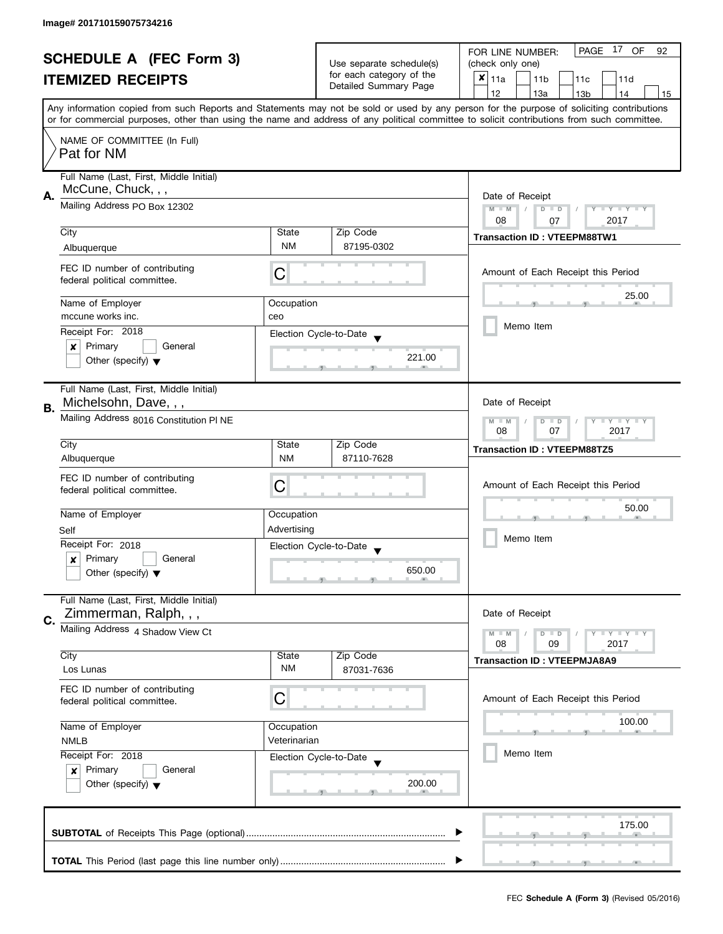| <b>SCHEDULE A (FEC Form 3)</b><br><b>ITEMIZED RECEIPTS</b> |                                                                                |                            | Use separate schedule(s)<br>for each category of the<br>Detailed Summary Page | PAGE 17 OF<br>FOR LINE NUMBER:<br>92<br>(check only one)<br>$\boldsymbol{x}$<br>11a<br>11 <sub>b</sub><br>11c<br>11d                                                                                                                                                                                                                |  |  |
|------------------------------------------------------------|--------------------------------------------------------------------------------|----------------------------|-------------------------------------------------------------------------------|-------------------------------------------------------------------------------------------------------------------------------------------------------------------------------------------------------------------------------------------------------------------------------------------------------------------------------------|--|--|
|                                                            |                                                                                |                            |                                                                               | 12<br>13a<br>13 <sub>b</sub><br>14<br>15<br>Any information copied from such Reports and Statements may not be sold or used by any person for the purpose of soliciting contributions<br>or for commercial purposes, other than using the name and address of any political committee to solicit contributions from such committee. |  |  |
|                                                            | NAME OF COMMITTEE (In Full)<br>Pat for NM                                      |                            |                                                                               |                                                                                                                                                                                                                                                                                                                                     |  |  |
| А.                                                         | Full Name (Last, First, Middle Initial)<br>McCune, Chuck, , ,                  |                            |                                                                               |                                                                                                                                                                                                                                                                                                                                     |  |  |
|                                                            | Mailing Address PO Box 12302                                                   |                            |                                                                               | $M - M$<br>Y FY FY FY<br>$D$ $D$                                                                                                                                                                                                                                                                                                    |  |  |
|                                                            | City                                                                           | State                      | Zip Code                                                                      | 08<br>2017<br>07<br><b>Transaction ID: VTEEPM88TW1</b>                                                                                                                                                                                                                                                                              |  |  |
|                                                            | Albuquerque                                                                    | <b>NM</b>                  | 87195-0302                                                                    |                                                                                                                                                                                                                                                                                                                                     |  |  |
|                                                            | FEC ID number of contributing<br>federal political committee.                  | С                          |                                                                               | Amount of Each Receipt this Period                                                                                                                                                                                                                                                                                                  |  |  |
|                                                            | Name of Employer                                                               | Occupation                 |                                                                               | 25.00                                                                                                                                                                                                                                                                                                                               |  |  |
|                                                            | mccune works inc.                                                              | ceo                        |                                                                               | Memo Item                                                                                                                                                                                                                                                                                                                           |  |  |
|                                                            | Receipt For: 2018                                                              |                            | Election Cycle-to-Date                                                        |                                                                                                                                                                                                                                                                                                                                     |  |  |
|                                                            | Primary<br>General<br>×<br>Other (specify) $\blacktriangledown$                |                            | 221.00                                                                        |                                                                                                                                                                                                                                                                                                                                     |  |  |
| <b>B.</b>                                                  | Full Name (Last, First, Middle Initial)<br>Michelsohn, Dave, , ,               |                            |                                                                               | Date of Receipt                                                                                                                                                                                                                                                                                                                     |  |  |
|                                                            | Mailing Address 8016 Constitution PI NE                                        |                            |                                                                               |                                                                                                                                                                                                                                                                                                                                     |  |  |
|                                                            | City                                                                           | State                      | Zip Code                                                                      | <b>Transaction ID: VTEEPM88TZ5</b>                                                                                                                                                                                                                                                                                                  |  |  |
|                                                            | Albuquerque                                                                    | <b>NM</b>                  | 87110-7628                                                                    |                                                                                                                                                                                                                                                                                                                                     |  |  |
|                                                            | FEC ID number of contributing<br>federal political committee.                  | C                          |                                                                               | Amount of Each Receipt this Period<br>50.00                                                                                                                                                                                                                                                                                         |  |  |
|                                                            | Name of Employer                                                               | Occupation                 |                                                                               |                                                                                                                                                                                                                                                                                                                                     |  |  |
|                                                            | Self                                                                           | Advertising                |                                                                               | Memo Item                                                                                                                                                                                                                                                                                                                           |  |  |
|                                                            | Receipt For: 2018<br>Primary<br>General                                        |                            | Election Cycle-to-Date<br>$\overline{\mathbf{v}}$                             |                                                                                                                                                                                                                                                                                                                                     |  |  |
|                                                            | x<br>Other (specify) $\blacktriangledown$                                      |                            | 650.00                                                                        |                                                                                                                                                                                                                                                                                                                                     |  |  |
| C.                                                         | Full Name (Last, First, Middle Initial)<br>Zimmerman, Ralph, , ,               |                            |                                                                               | Date of Receipt                                                                                                                                                                                                                                                                                                                     |  |  |
|                                                            | Mailing Address 4 Shadow View Ct                                               |                            |                                                                               | $M - M$<br>$D$ $D$<br><b>LY LY LY</b><br>08<br>09<br>2017                                                                                                                                                                                                                                                                           |  |  |
|                                                            | City<br>Los Lunas                                                              | State<br><b>NM</b>         | Zip Code<br>87031-7636                                                        | <b>Transaction ID: VTEEPMJA8A9</b>                                                                                                                                                                                                                                                                                                  |  |  |
|                                                            | FEC ID number of contributing<br>federal political committee.                  | C                          |                                                                               | Amount of Each Receipt this Period                                                                                                                                                                                                                                                                                                  |  |  |
|                                                            | Name of Employer<br><b>NMLB</b>                                                | Occupation<br>Veterinarian |                                                                               | 100.00                                                                                                                                                                                                                                                                                                                              |  |  |
|                                                            | Receipt For: 2018                                                              |                            | Election Cycle-to-Date                                                        | Memo Item                                                                                                                                                                                                                                                                                                                           |  |  |
|                                                            | Primary<br>General<br>$\boldsymbol{x}$<br>Other (specify) $\blacktriangledown$ |                            | 200.00                                                                        |                                                                                                                                                                                                                                                                                                                                     |  |  |
|                                                            |                                                                                |                            |                                                                               | 175.00                                                                                                                                                                                                                                                                                                                              |  |  |
|                                                            |                                                                                |                            |                                                                               |                                                                                                                                                                                                                                                                                                                                     |  |  |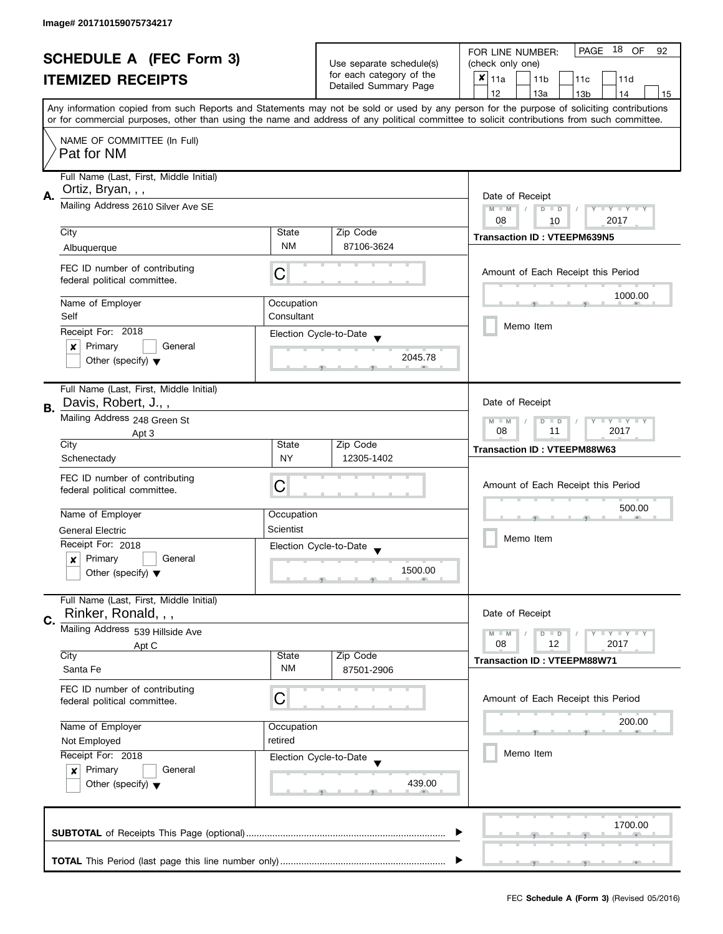| <b>SCHEDULE A (FEC Form 3)</b><br><b>ITEMIZED RECEIPTS</b> |                                                      |                                                   | 18 OF<br>PAGE<br>FOR LINE NUMBER:<br>92            |                                                                                                                                            |  |  |
|------------------------------------------------------------|------------------------------------------------------|---------------------------------------------------|----------------------------------------------------|--------------------------------------------------------------------------------------------------------------------------------------------|--|--|
|                                                            |                                                      | Use separate schedule(s)                          | (check only one)                                   |                                                                                                                                            |  |  |
|                                                            |                                                      | for each category of the<br>Detailed Summary Page | $x _{11a}$<br>11 <sub>b</sub><br>11c<br>11d        |                                                                                                                                            |  |  |
|                                                            |                                                      |                                                   |                                                    | 12<br>13a<br>13 <sub>b</sub><br>14<br>15                                                                                                   |  |  |
|                                                            |                                                      |                                                   |                                                    | Any information copied from such Reports and Statements may not be sold or used by any person for the purpose of soliciting contributions  |  |  |
|                                                            |                                                      |                                                   |                                                    | or for commercial purposes, other than using the name and address of any political committee to solicit contributions from such committee. |  |  |
|                                                            | NAME OF COMMITTEE (In Full)                          |                                                   |                                                    |                                                                                                                                            |  |  |
|                                                            | Pat for NM                                           |                                                   |                                                    |                                                                                                                                            |  |  |
|                                                            |                                                      |                                                   |                                                    |                                                                                                                                            |  |  |
|                                                            | Full Name (Last, First, Middle Initial)              |                                                   |                                                    |                                                                                                                                            |  |  |
| А.                                                         | Ortiz, Bryan, , ,                                    |                                                   |                                                    | Date of Receipt                                                                                                                            |  |  |
|                                                            | Mailing Address 2610 Silver Ave SE                   |                                                   |                                                    | $M - M$<br>Y I Y I Y I Y<br>$D$ $D$                                                                                                        |  |  |
|                                                            |                                                      |                                                   |                                                    | 08<br>2017<br>10                                                                                                                           |  |  |
|                                                            | City                                                 | State                                             | Zip Code                                           | <b>Transaction ID: VTEEPM639N5</b>                                                                                                         |  |  |
|                                                            | Albuquerque                                          | <b>NM</b>                                         | 87106-3624                                         |                                                                                                                                            |  |  |
|                                                            | FEC ID number of contributing                        |                                                   |                                                    |                                                                                                                                            |  |  |
|                                                            | federal political committee.                         | С                                                 |                                                    | Amount of Each Receipt this Period                                                                                                         |  |  |
|                                                            |                                                      |                                                   |                                                    | 1000.00                                                                                                                                    |  |  |
|                                                            | Name of Employer                                     | Occupation                                        |                                                    |                                                                                                                                            |  |  |
|                                                            | Self                                                 | Consultant                                        |                                                    |                                                                                                                                            |  |  |
|                                                            | Receipt For: 2018                                    |                                                   | Election Cycle-to-Date                             | Memo Item                                                                                                                                  |  |  |
|                                                            | Primary<br>General<br>×                              |                                                   |                                                    |                                                                                                                                            |  |  |
|                                                            | Other (specify) $\blacktriangledown$                 |                                                   | 2045.78                                            |                                                                                                                                            |  |  |
|                                                            |                                                      |                                                   |                                                    |                                                                                                                                            |  |  |
|                                                            | Full Name (Last, First, Middle Initial)              |                                                   |                                                    |                                                                                                                                            |  |  |
| В.                                                         | Davis, Robert, J.,,                                  |                                                   |                                                    | Date of Receipt                                                                                                                            |  |  |
|                                                            | Mailing Address 248 Green St                         |                                                   |                                                    | Y I Y I Y I Y<br>$M - M$<br>$D$ $D$                                                                                                        |  |  |
|                                                            | Apt 3                                                |                                                   |                                                    | 2017<br>08<br>11                                                                                                                           |  |  |
|                                                            | City                                                 | State                                             | Zip Code                                           | <b>Transaction ID: VTEEPM88W63</b>                                                                                                         |  |  |
|                                                            | Schenectady                                          | <b>NY</b>                                         | 12305-1402                                         |                                                                                                                                            |  |  |
|                                                            | FEC ID number of contributing                        |                                                   |                                                    |                                                                                                                                            |  |  |
|                                                            | federal political committee.                         | С                                                 |                                                    | Amount of Each Receipt this Period                                                                                                         |  |  |
|                                                            |                                                      |                                                   |                                                    | 500.00                                                                                                                                     |  |  |
|                                                            | Name of Employer                                     | Occupation                                        |                                                    |                                                                                                                                            |  |  |
|                                                            | <b>General Electric</b>                              | Scientist                                         |                                                    | Memo Item                                                                                                                                  |  |  |
|                                                            | Receipt For: 2018                                    |                                                   | Election Cycle-to-Date<br>$\overline{\phantom{a}}$ |                                                                                                                                            |  |  |
|                                                            | Primary<br>General<br>x                              |                                                   |                                                    |                                                                                                                                            |  |  |
|                                                            | Other (specify) $\blacktriangledown$                 |                                                   | 1500.00                                            |                                                                                                                                            |  |  |
|                                                            |                                                      |                                                   |                                                    |                                                                                                                                            |  |  |
|                                                            | Full Name (Last, First, Middle Initial)              |                                                   |                                                    |                                                                                                                                            |  |  |
| C.                                                         | Rinker, Ronald, , ,                                  |                                                   |                                                    | Date of Receipt                                                                                                                            |  |  |
|                                                            | Mailing Address 539 Hillside Ave                     |                                                   |                                                    | <b>LYLYLY</b><br>$M - M$<br>$D$ $D$                                                                                                        |  |  |
|                                                            | Apt C                                                |                                                   |                                                    | 08<br>12<br>2017                                                                                                                           |  |  |
|                                                            | City<br>Santa Fe                                     | State<br><b>NM</b>                                | Zip Code                                           | <b>Transaction ID: VTEEPM88W71</b>                                                                                                         |  |  |
|                                                            |                                                      |                                                   | 87501-2906                                         |                                                                                                                                            |  |  |
|                                                            | FEC ID number of contributing                        |                                                   |                                                    |                                                                                                                                            |  |  |
|                                                            | federal political committee.                         | С                                                 |                                                    | Amount of Each Receipt this Period                                                                                                         |  |  |
|                                                            | Name of Employer                                     | Occupation                                        |                                                    | 200.00                                                                                                                                     |  |  |
|                                                            | retired<br>Not Employed                              |                                                   |                                                    |                                                                                                                                            |  |  |
|                                                            | Receipt For: 2018                                    |                                                   |                                                    | Memo Item                                                                                                                                  |  |  |
|                                                            | Primary<br>General                                   |                                                   | Election Cycle-to-Date                             |                                                                                                                                            |  |  |
|                                                            | $\mathbf{x}$<br>Other (specify) $\blacktriangledown$ |                                                   | 439.00                                             |                                                                                                                                            |  |  |
|                                                            |                                                      |                                                   |                                                    |                                                                                                                                            |  |  |
|                                                            |                                                      |                                                   |                                                    |                                                                                                                                            |  |  |
|                                                            |                                                      | 1700.00                                           |                                                    |                                                                                                                                            |  |  |
|                                                            |                                                      |                                                   |                                                    |                                                                                                                                            |  |  |
|                                                            |                                                      |                                                   |                                                    |                                                                                                                                            |  |  |
|                                                            |                                                      |                                                   |                                                    |                                                                                                                                            |  |  |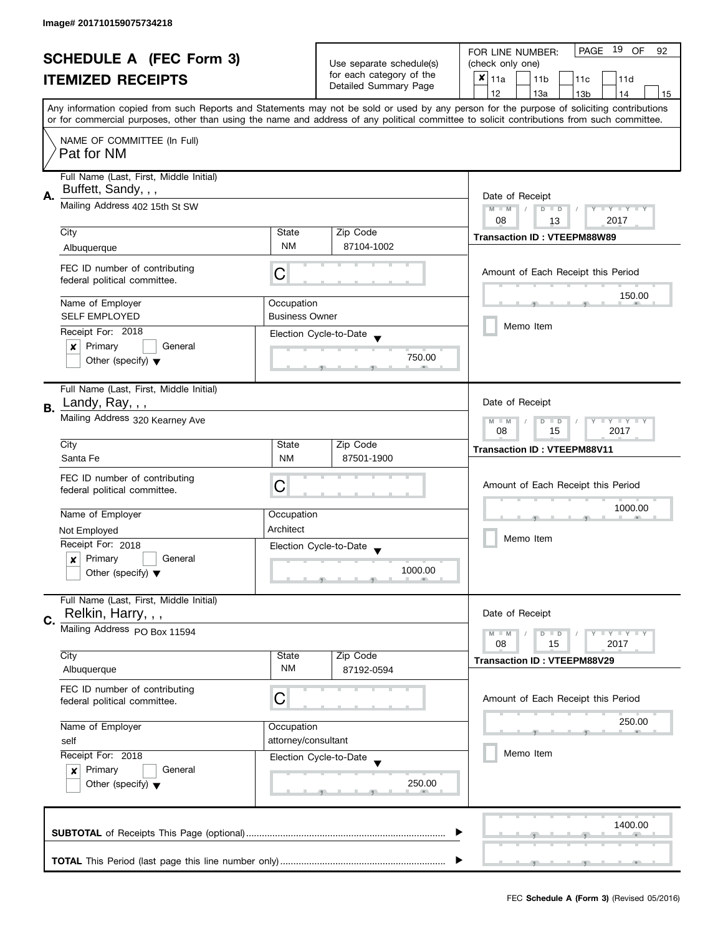| <b>SCHEDULE A (FEC Form 3)</b><br><b>ITEMIZED RECEIPTS</b> |                                                               |                          | PAGE 19 OF<br>FOR LINE NUMBER:<br>92        |                                                                                                                                            |  |  |
|------------------------------------------------------------|---------------------------------------------------------------|--------------------------|---------------------------------------------|--------------------------------------------------------------------------------------------------------------------------------------------|--|--|
|                                                            |                                                               | Use separate schedule(s) | (check only one)                            |                                                                                                                                            |  |  |
|                                                            |                                                               | for each category of the | $x _{11a}$<br>11 <sub>b</sub><br>11c<br>11d |                                                                                                                                            |  |  |
|                                                            |                                                               |                          | Detailed Summary Page                       | 12<br>13a<br>13 <sub>b</sub><br>14<br>15                                                                                                   |  |  |
|                                                            |                                                               |                          |                                             | Any information copied from such Reports and Statements may not be sold or used by any person for the purpose of soliciting contributions  |  |  |
|                                                            |                                                               |                          |                                             | or for commercial purposes, other than using the name and address of any political committee to solicit contributions from such committee. |  |  |
|                                                            | NAME OF COMMITTEE (In Full)                                   |                          |                                             |                                                                                                                                            |  |  |
|                                                            | Pat for NM                                                    |                          |                                             |                                                                                                                                            |  |  |
|                                                            |                                                               |                          |                                             |                                                                                                                                            |  |  |
|                                                            | Full Name (Last, First, Middle Initial)                       |                          |                                             |                                                                                                                                            |  |  |
| А.                                                         | Buffett, Sandy, , ,                                           |                          |                                             | Date of Receipt                                                                                                                            |  |  |
|                                                            | Mailing Address 402 15th St SW                                |                          |                                             | $M - M$<br>$D$ $D$<br>Y I Y I Y I Y                                                                                                        |  |  |
|                                                            |                                                               |                          |                                             | 08<br>2017<br>13                                                                                                                           |  |  |
|                                                            | City                                                          | State                    | Zip Code                                    |                                                                                                                                            |  |  |
|                                                            | Albuquerque                                                   | <b>NM</b>                | 87104-1002                                  | <b>Transaction ID: VTEEPM88W89</b>                                                                                                         |  |  |
|                                                            |                                                               |                          |                                             |                                                                                                                                            |  |  |
|                                                            | FEC ID number of contributing                                 | С                        |                                             | Amount of Each Receipt this Period                                                                                                         |  |  |
|                                                            | federal political committee.                                  |                          |                                             |                                                                                                                                            |  |  |
|                                                            | Name of Employer                                              | Occupation               |                                             | 150.00                                                                                                                                     |  |  |
|                                                            | <b>SELF EMPLOYED</b>                                          | <b>Business Owner</b>    |                                             |                                                                                                                                            |  |  |
|                                                            | Receipt For: 2018                                             |                          |                                             | Memo Item                                                                                                                                  |  |  |
|                                                            | Primary<br>General<br>$\boldsymbol{x}$                        |                          | Election Cycle-to-Date                      |                                                                                                                                            |  |  |
|                                                            | Other (specify) $\blacktriangledown$                          |                          | 750.00                                      |                                                                                                                                            |  |  |
|                                                            |                                                               |                          |                                             |                                                                                                                                            |  |  |
|                                                            | Full Name (Last, First, Middle Initial)                       |                          |                                             |                                                                                                                                            |  |  |
|                                                            | Landy, Ray, , ,                                               |                          |                                             | Date of Receipt                                                                                                                            |  |  |
| <b>B.</b>                                                  |                                                               |                          |                                             |                                                                                                                                            |  |  |
|                                                            | Mailing Address 320 Kearney Ave                               |                          |                                             | Y LY LY<br>$M - M$<br>$D$ $D$<br>08<br>15<br>2017                                                                                          |  |  |
|                                                            | City                                                          | State                    | Zip Code                                    |                                                                                                                                            |  |  |
|                                                            | Santa Fe                                                      | <b>NM</b>                | 87501-1900                                  | <b>Transaction ID: VTEEPM88V11</b>                                                                                                         |  |  |
|                                                            |                                                               |                          |                                             |                                                                                                                                            |  |  |
|                                                            | FEC ID number of contributing                                 | C                        |                                             | Amount of Each Receipt this Period                                                                                                         |  |  |
|                                                            | federal political committee.                                  |                          |                                             |                                                                                                                                            |  |  |
|                                                            | Name of Employer                                              | Occupation               |                                             | 1000.00                                                                                                                                    |  |  |
|                                                            | Not Employed                                                  | Architect                |                                             |                                                                                                                                            |  |  |
|                                                            | Receipt For: 2018                                             |                          |                                             | Memo Item                                                                                                                                  |  |  |
|                                                            | Primary<br>General<br>x                                       |                          | Election Cycle-to-Date                      |                                                                                                                                            |  |  |
|                                                            | Other (specify) $\blacktriangledown$                          |                          | 1000.00                                     |                                                                                                                                            |  |  |
|                                                            |                                                               |                          |                                             |                                                                                                                                            |  |  |
|                                                            | Full Name (Last, First, Middle Initial)                       |                          |                                             |                                                                                                                                            |  |  |
|                                                            | Relkin, Harry, , ,                                            |                          |                                             | Date of Receipt                                                                                                                            |  |  |
| C.                                                         | Mailing Address PO Box 11594                                  |                          |                                             | $M - M$<br>$Y \perp Y \perp Y$<br>$D$ $D$                                                                                                  |  |  |
|                                                            |                                                               |                          |                                             | 08<br>2017<br>15                                                                                                                           |  |  |
|                                                            | City                                                          | State                    | Zip Code                                    | <b>Transaction ID: VTEEPM88V29</b>                                                                                                         |  |  |
|                                                            | Albuquerque                                                   | ΝM                       | 87192-0594                                  |                                                                                                                                            |  |  |
|                                                            | FEC ID number of contributing                                 |                          |                                             |                                                                                                                                            |  |  |
|                                                            | federal political committee.                                  | С                        |                                             | Amount of Each Receipt this Period                                                                                                         |  |  |
|                                                            | Name of Employer<br>Occupation<br>attorney/consultant<br>self |                          |                                             | 250.00                                                                                                                                     |  |  |
|                                                            |                                                               |                          |                                             |                                                                                                                                            |  |  |
|                                                            |                                                               |                          |                                             |                                                                                                                                            |  |  |
|                                                            | Receipt For: 2018                                             |                          | Election Cycle-to-Date                      | Memo Item                                                                                                                                  |  |  |
|                                                            | Primary<br>General<br>x                                       |                          |                                             |                                                                                                                                            |  |  |
|                                                            | Other (specify) $\blacktriangledown$                          |                          | 250.00                                      |                                                                                                                                            |  |  |
|                                                            |                                                               |                          |                                             |                                                                                                                                            |  |  |
|                                                            |                                                               |                          |                                             | 1400.00                                                                                                                                    |  |  |
|                                                            |                                                               |                          |                                             |                                                                                                                                            |  |  |
|                                                            |                                                               |                          |                                             |                                                                                                                                            |  |  |
|                                                            |                                                               |                          |                                             |                                                                                                                                            |  |  |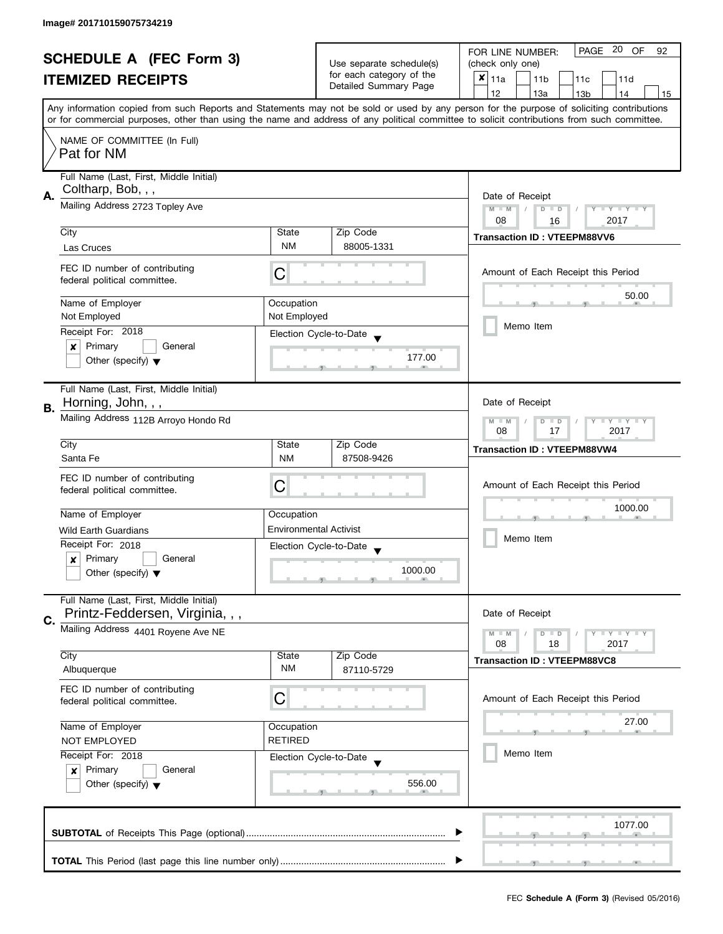| <b>SCHEDULE A (FEC Form 3)</b><br><b>ITEMIZED RECEIPTS</b> |                                                               |                                                                                               | PAGE 20 OF<br>FOR LINE NUMBER:<br>92        |                                                                                                                                            |  |  |
|------------------------------------------------------------|---------------------------------------------------------------|-----------------------------------------------------------------------------------------------|---------------------------------------------|--------------------------------------------------------------------------------------------------------------------------------------------|--|--|
|                                                            |                                                               | Use separate schedule(s)                                                                      | (check only one)                            |                                                                                                                                            |  |  |
|                                                            |                                                               | for each category of the<br>Detailed Summary Page                                             | $x _{11a}$<br>11 <sub>b</sub><br>11c<br>11d |                                                                                                                                            |  |  |
|                                                            |                                                               |                                                                                               |                                             | 12<br>13a<br>13 <sub>b</sub><br>14<br>15                                                                                                   |  |  |
|                                                            |                                                               |                                                                                               |                                             | Any information copied from such Reports and Statements may not be sold or used by any person for the purpose of soliciting contributions  |  |  |
|                                                            |                                                               |                                                                                               |                                             | or for commercial purposes, other than using the name and address of any political committee to solicit contributions from such committee. |  |  |
|                                                            | NAME OF COMMITTEE (In Full)                                   |                                                                                               |                                             |                                                                                                                                            |  |  |
|                                                            | Pat for NM                                                    |                                                                                               |                                             |                                                                                                                                            |  |  |
|                                                            | Full Name (Last, First, Middle Initial)                       |                                                                                               |                                             |                                                                                                                                            |  |  |
|                                                            | Coltharp, Bob, , ,                                            |                                                                                               |                                             |                                                                                                                                            |  |  |
| Α.                                                         | Mailing Address 2723 Topley Ave                               |                                                                                               |                                             | Date of Receipt<br>$M - M$<br>$\sqrt{ }$<br>$D$ $D$<br>Y I Y I Y I Y                                                                       |  |  |
|                                                            |                                                               |                                                                                               |                                             | 08<br>2017<br>16                                                                                                                           |  |  |
|                                                            | City                                                          | State                                                                                         | Zip Code                                    | <b>Transaction ID: VTEEPM88VV6</b>                                                                                                         |  |  |
|                                                            | Las Cruces                                                    | <b>NM</b>                                                                                     | 88005-1331                                  |                                                                                                                                            |  |  |
|                                                            |                                                               |                                                                                               |                                             |                                                                                                                                            |  |  |
|                                                            | FEC ID number of contributing<br>federal political committee. | C                                                                                             |                                             | Amount of Each Receipt this Period                                                                                                         |  |  |
|                                                            |                                                               |                                                                                               |                                             | 50.00                                                                                                                                      |  |  |
|                                                            | Name of Employer                                              | Occupation                                                                                    |                                             |                                                                                                                                            |  |  |
|                                                            | Not Employed                                                  | Not Employed                                                                                  |                                             | Memo Item                                                                                                                                  |  |  |
|                                                            | Receipt For: 2018                                             |                                                                                               | Election Cycle-to-Date                      |                                                                                                                                            |  |  |
|                                                            | Primary<br>General<br>×                                       |                                                                                               | 177.00                                      |                                                                                                                                            |  |  |
|                                                            | Other (specify) $\blacktriangledown$                          |                                                                                               |                                             |                                                                                                                                            |  |  |
|                                                            |                                                               |                                                                                               |                                             |                                                                                                                                            |  |  |
|                                                            | Full Name (Last, First, Middle Initial)<br>Horning, John, , , |                                                                                               |                                             | Date of Receipt                                                                                                                            |  |  |
| В.                                                         |                                                               |                                                                                               |                                             |                                                                                                                                            |  |  |
|                                                            | Mailing Address 112B Arroyo Hondo Rd                          | $\bot$ $\gamma$ $\bot$ $\gamma$ $\bot$ $\gamma$<br>$M - M$<br>D<br>$\Box$<br>17<br>2017<br>08 |                                             |                                                                                                                                            |  |  |
|                                                            | City                                                          | State                                                                                         | Zip Code                                    |                                                                                                                                            |  |  |
|                                                            | Santa Fe                                                      | <b>NM</b>                                                                                     | 87508-9426                                  | <b>Transaction ID: VTEEPM88VW4</b>                                                                                                         |  |  |
|                                                            | FEC ID number of contributing                                 |                                                                                               |                                             |                                                                                                                                            |  |  |
|                                                            | federal political committee.                                  | C                                                                                             |                                             | Amount of Each Receipt this Period                                                                                                         |  |  |
|                                                            |                                                               |                                                                                               |                                             | 1000.00                                                                                                                                    |  |  |
|                                                            | Name of Employer                                              | Occupation                                                                                    |                                             |                                                                                                                                            |  |  |
|                                                            | <b>Wild Earth Guardians</b>                                   | <b>Environmental Activist</b>                                                                 |                                             | Memo Item                                                                                                                                  |  |  |
|                                                            | Receipt For: 2018                                             |                                                                                               | Election Cycle-to-Date                      |                                                                                                                                            |  |  |
|                                                            | Primary<br>General<br>x                                       |                                                                                               | 1000.00                                     |                                                                                                                                            |  |  |
|                                                            | Other (specify) $\blacktriangledown$                          |                                                                                               |                                             |                                                                                                                                            |  |  |
|                                                            | Full Name (Last, First, Middle Initial)                       |                                                                                               |                                             |                                                                                                                                            |  |  |
|                                                            | Printz-Feddersen, Virginia, , ,                               |                                                                                               |                                             | Date of Receipt                                                                                                                            |  |  |
| C.                                                         | Mailing Address 4401 Royene Ave NE                            |                                                                                               |                                             |                                                                                                                                            |  |  |
|                                                            |                                                               |                                                                                               |                                             | $M - M$<br>$\bot$ $\gamma$ $\bot$ $\gamma$ $\bot$ $\gamma$<br>D<br>$\blacksquare$<br>08<br>2017<br>18                                      |  |  |
|                                                            | City                                                          | State                                                                                         | Zip Code                                    | <b>Transaction ID: VTEEPM88VC8</b>                                                                                                         |  |  |
|                                                            | Albuquerque                                                   | <b>NM</b>                                                                                     | 87110-5729                                  |                                                                                                                                            |  |  |
|                                                            | FEC ID number of contributing                                 |                                                                                               |                                             |                                                                                                                                            |  |  |
|                                                            | federal political committee.                                  | C                                                                                             |                                             | Amount of Each Receipt this Period                                                                                                         |  |  |
|                                                            |                                                               |                                                                                               |                                             | 27.00                                                                                                                                      |  |  |
| Name of Employer<br>Occupation                             |                                                               |                                                                                               |                                             |                                                                                                                                            |  |  |
|                                                            | <b>RETIRED</b><br><b>NOT EMPLOYED</b>                         |                                                                                               |                                             | Memo Item                                                                                                                                  |  |  |
|                                                            | Receipt For: 2018<br>Primary<br>General                       |                                                                                               | Election Cycle-to-Date                      |                                                                                                                                            |  |  |
|                                                            | $\boldsymbol{x}$<br>Other (specify) $\blacktriangledown$      |                                                                                               | 556.00                                      |                                                                                                                                            |  |  |
|                                                            |                                                               |                                                                                               |                                             |                                                                                                                                            |  |  |
|                                                            |                                                               |                                                                                               |                                             |                                                                                                                                            |  |  |
|                                                            |                                                               |                                                                                               |                                             | 1077.00                                                                                                                                    |  |  |
|                                                            |                                                               |                                                                                               |                                             |                                                                                                                                            |  |  |
|                                                            |                                                               |                                                                                               |                                             |                                                                                                                                            |  |  |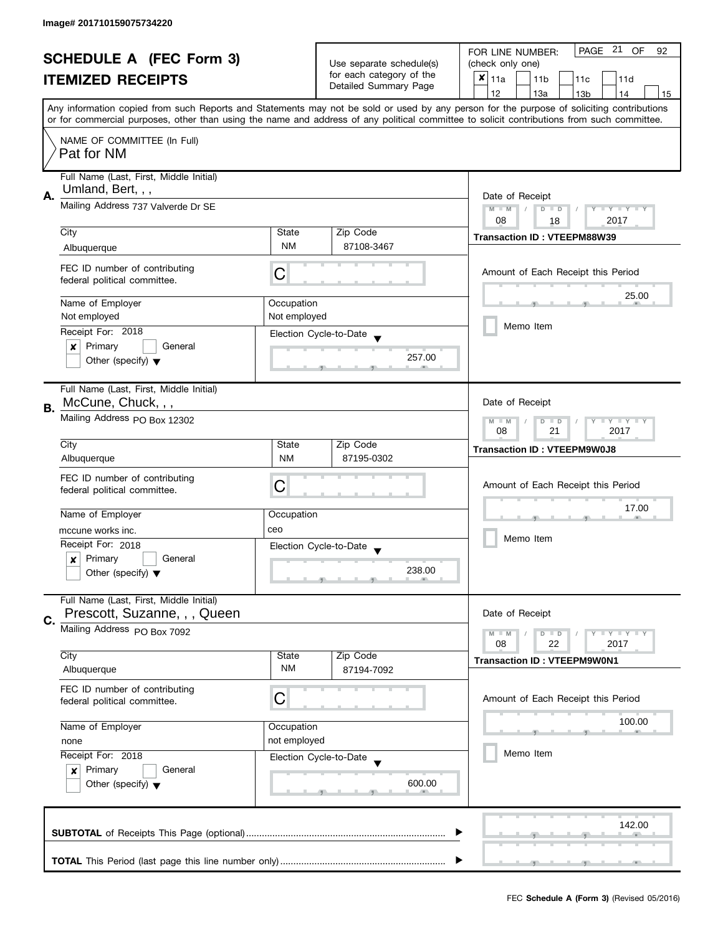| <b>SCHEDULE A (FEC Form 3)</b><br><b>ITEMIZED RECEIPTS</b> |                                                               |                          | PAGE 21 OF<br>FOR LINE NUMBER:<br>92        |                                                                                                                                            |  |  |
|------------------------------------------------------------|---------------------------------------------------------------|--------------------------|---------------------------------------------|--------------------------------------------------------------------------------------------------------------------------------------------|--|--|
|                                                            |                                                               | Use separate schedule(s) | (check only one)                            |                                                                                                                                            |  |  |
|                                                            |                                                               | for each category of the | $x _{11a}$<br>11 <sub>b</sub><br>11c<br>11d |                                                                                                                                            |  |  |
|                                                            |                                                               |                          | Detailed Summary Page                       | 12<br>13a<br>13 <sub>b</sub><br>14<br>15                                                                                                   |  |  |
|                                                            |                                                               |                          |                                             | Any information copied from such Reports and Statements may not be sold or used by any person for the purpose of soliciting contributions  |  |  |
|                                                            |                                                               |                          |                                             | or for commercial purposes, other than using the name and address of any political committee to solicit contributions from such committee. |  |  |
|                                                            | NAME OF COMMITTEE (In Full)                                   |                          |                                             |                                                                                                                                            |  |  |
|                                                            | Pat for NM                                                    |                          |                                             |                                                                                                                                            |  |  |
|                                                            |                                                               |                          |                                             |                                                                                                                                            |  |  |
|                                                            | Full Name (Last, First, Middle Initial)                       |                          |                                             |                                                                                                                                            |  |  |
| Α.                                                         | Umland, Bert, , ,                                             |                          |                                             | Date of Receipt                                                                                                                            |  |  |
|                                                            | Mailing Address 737 Valverde Dr SE                            |                          |                                             | $M - M$<br>Ÿ<br><b>LY LY LY</b><br>$\overline{D}$<br>$\Box$                                                                                |  |  |
|                                                            |                                                               |                          |                                             | 08<br>2017<br>18                                                                                                                           |  |  |
|                                                            | City                                                          | State                    | Zip Code                                    | <b>Transaction ID: VTEEPM88W39</b>                                                                                                         |  |  |
|                                                            | Albuquerque                                                   | <b>NM</b>                | 87108-3467                                  |                                                                                                                                            |  |  |
|                                                            |                                                               |                          |                                             |                                                                                                                                            |  |  |
|                                                            | FEC ID number of contributing                                 | C                        |                                             | Amount of Each Receipt this Period                                                                                                         |  |  |
|                                                            | federal political committee.                                  |                          |                                             |                                                                                                                                            |  |  |
|                                                            | Name of Employer                                              | Occupation               |                                             | 25.00                                                                                                                                      |  |  |
|                                                            | Not employed                                                  | Not employed             |                                             |                                                                                                                                            |  |  |
|                                                            | Receipt For: 2018                                             |                          | Election Cycle-to-Date                      | Memo Item                                                                                                                                  |  |  |
|                                                            | Primary<br>General<br>$\boldsymbol{x}$                        |                          |                                             |                                                                                                                                            |  |  |
|                                                            | Other (specify) $\blacktriangledown$                          |                          | 257.00                                      |                                                                                                                                            |  |  |
|                                                            |                                                               |                          |                                             |                                                                                                                                            |  |  |
|                                                            | Full Name (Last, First, Middle Initial)                       |                          |                                             |                                                                                                                                            |  |  |
|                                                            | McCune, Chuck, , ,                                            |                          |                                             | Date of Receipt                                                                                                                            |  |  |
| В.                                                         | Mailing Address PO Box 12302                                  |                          |                                             |                                                                                                                                            |  |  |
|                                                            |                                                               |                          |                                             | $\mathbf{y}$ $\mathbf{y}$<br>$M - M$<br>$\overline{D}$<br>Y<br>$\Box$<br>08<br>21<br>2017                                                  |  |  |
|                                                            | City                                                          | State                    | Zip Code                                    |                                                                                                                                            |  |  |
|                                                            | Albuquerque                                                   | <b>NM</b>                | 87195-0302                                  | <b>Transaction ID: VTEEPM9W0J8</b>                                                                                                         |  |  |
|                                                            |                                                               |                          |                                             |                                                                                                                                            |  |  |
|                                                            | FEC ID number of contributing<br>federal political committee. | C                        |                                             | Amount of Each Receipt this Period                                                                                                         |  |  |
|                                                            |                                                               |                          |                                             |                                                                                                                                            |  |  |
|                                                            | Name of Employer                                              | Occupation               |                                             | 17.00                                                                                                                                      |  |  |
|                                                            | mccune works inc.                                             | ceo                      |                                             |                                                                                                                                            |  |  |
|                                                            | Receipt For: 2018                                             |                          | Election Cycle-to-Date                      | Memo Item                                                                                                                                  |  |  |
|                                                            | Primary<br>General<br>x                                       |                          |                                             |                                                                                                                                            |  |  |
|                                                            | Other (specify) $\blacktriangledown$                          |                          | 238.00                                      |                                                                                                                                            |  |  |
|                                                            |                                                               |                          |                                             |                                                                                                                                            |  |  |
|                                                            | Full Name (Last, First, Middle Initial)                       |                          |                                             |                                                                                                                                            |  |  |
|                                                            | Prescott, Suzanne, , , Queen                                  |                          |                                             | Date of Receipt                                                                                                                            |  |  |
| C.                                                         | Mailing Address PO Box 7092                                   |                          |                                             | $M - M$<br>$Y \perp Y \perp Y$<br>$D$ $D$                                                                                                  |  |  |
|                                                            |                                                               |                          |                                             | 22<br>08<br>2017                                                                                                                           |  |  |
|                                                            | City                                                          | State                    | Zip Code                                    | <b>Transaction ID: VTEEPM9W0N1</b>                                                                                                         |  |  |
|                                                            | Albuquerque                                                   | <b>NM</b>                | 87194-7092                                  |                                                                                                                                            |  |  |
|                                                            | FEC ID number of contributing                                 |                          |                                             |                                                                                                                                            |  |  |
|                                                            | federal political committee.                                  | С                        |                                             | Amount of Each Receipt this Period                                                                                                         |  |  |
|                                                            |                                                               |                          |                                             |                                                                                                                                            |  |  |
|                                                            | Name of Employer<br>Occupation<br>not employed<br>none        |                          |                                             | 100.00                                                                                                                                     |  |  |
|                                                            |                                                               |                          |                                             |                                                                                                                                            |  |  |
|                                                            | Receipt For: 2018                                             |                          | Election Cycle-to-Date                      | Memo Item                                                                                                                                  |  |  |
|                                                            | Primary<br>General<br>x                                       |                          |                                             |                                                                                                                                            |  |  |
|                                                            | Other (specify) $\blacktriangledown$                          |                          | 600.00                                      |                                                                                                                                            |  |  |
|                                                            |                                                               |                          |                                             |                                                                                                                                            |  |  |
|                                                            |                                                               |                          |                                             |                                                                                                                                            |  |  |
|                                                            |                                                               | 142.00                   |                                             |                                                                                                                                            |  |  |
|                                                            |                                                               |                          |                                             |                                                                                                                                            |  |  |
|                                                            |                                                               |                          |                                             |                                                                                                                                            |  |  |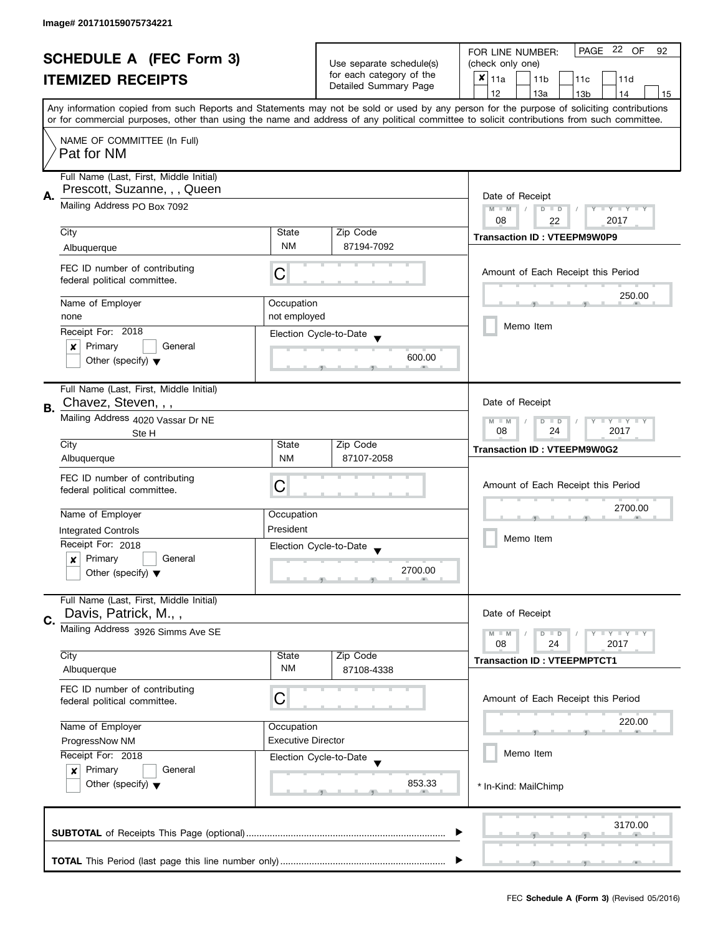| <b>SCHEDULE A (FEC Form 3)</b> |                                                                                            | Use separate schedule(s) | PAGE 22 OF<br>FOR LINE NUMBER:<br>92<br>(check only one) |                                                                                                                                                                                                                                                                                         |  |  |
|--------------------------------|--------------------------------------------------------------------------------------------|--------------------------|----------------------------------------------------------|-----------------------------------------------------------------------------------------------------------------------------------------------------------------------------------------------------------------------------------------------------------------------------------------|--|--|
| <b>ITEMIZED RECEIPTS</b>       |                                                                                            | for each category of the | ×<br>11a<br>11 <sub>b</sub><br>11c<br>11d                |                                                                                                                                                                                                                                                                                         |  |  |
|                                |                                                                                            |                          | Detailed Summary Page                                    | 12<br>13a<br>14<br>13 <sub>b</sub><br>15                                                                                                                                                                                                                                                |  |  |
|                                |                                                                                            |                          |                                                          | Any information copied from such Reports and Statements may not be sold or used by any person for the purpose of soliciting contributions<br>or for commercial purposes, other than using the name and address of any political committee to solicit contributions from such committee. |  |  |
|                                |                                                                                            |                          |                                                          |                                                                                                                                                                                                                                                                                         |  |  |
|                                | NAME OF COMMITTEE (In Full)<br>Pat for NM                                                  |                          |                                                          |                                                                                                                                                                                                                                                                                         |  |  |
|                                | Full Name (Last, First, Middle Initial)<br>Prescott, Suzanne, , , Queen                    |                          |                                                          |                                                                                                                                                                                                                                                                                         |  |  |
| А.                             | Mailing Address PO Box 7092                                                                |                          |                                                          | Date of Receipt<br>$M - M$<br>$D$ $D$<br>$T - Y = Y - T$<br>08<br>2017<br>22                                                                                                                                                                                                            |  |  |
|                                | City                                                                                       | State                    | Zip Code                                                 | <b>Transaction ID: VTEEPM9W0P9</b>                                                                                                                                                                                                                                                      |  |  |
|                                | Albuquerque                                                                                | <b>NM</b>                | 87194-7092                                               |                                                                                                                                                                                                                                                                                         |  |  |
|                                | FEC ID number of contributing<br>federal political committee.                              | C                        |                                                          | Amount of Each Receipt this Period                                                                                                                                                                                                                                                      |  |  |
|                                | Name of Employer                                                                           | Occupation               |                                                          | 250.00                                                                                                                                                                                                                                                                                  |  |  |
|                                | none                                                                                       | not employed             |                                                          |                                                                                                                                                                                                                                                                                         |  |  |
|                                | Receipt For: 2018                                                                          |                          | Election Cycle-to-Date                                   | Memo Item                                                                                                                                                                                                                                                                               |  |  |
|                                | Primary<br>General<br>x                                                                    |                          |                                                          |                                                                                                                                                                                                                                                                                         |  |  |
|                                | Other (specify) $\blacktriangledown$                                                       |                          | 600.00                                                   |                                                                                                                                                                                                                                                                                         |  |  |
| <b>B.</b>                      | Full Name (Last, First, Middle Initial)<br>Chavez, Steven, , ,                             |                          |                                                          | Date of Receipt                                                                                                                                                                                                                                                                         |  |  |
|                                | Mailing Address 4020 Vassar Dr NE<br>Ste H                                                 |                          |                                                          | $Y + Y$<br>D<br>$\Box$<br>$-M$<br>08<br>24<br>2017                                                                                                                                                                                                                                      |  |  |
|                                | City                                                                                       | State                    | Zip Code                                                 | <b>Transaction ID: VTEEPM9W0G2</b>                                                                                                                                                                                                                                                      |  |  |
|                                | Albuquerque                                                                                | <b>NM</b>                | 87107-2058                                               |                                                                                                                                                                                                                                                                                         |  |  |
|                                | FEC ID number of contributing                                                              |                          |                                                          | Amount of Each Receipt this Period                                                                                                                                                                                                                                                      |  |  |
|                                | federal political committee.                                                               | C                        |                                                          |                                                                                                                                                                                                                                                                                         |  |  |
|                                | Name of Employer                                                                           | Occupation               |                                                          | 2700.00                                                                                                                                                                                                                                                                                 |  |  |
|                                | <b>Integrated Controls</b>                                                                 | President                |                                                          |                                                                                                                                                                                                                                                                                         |  |  |
|                                | Receipt For: 2018                                                                          |                          | Election Cycle-to-Date                                   | Memo Item                                                                                                                                                                                                                                                                               |  |  |
|                                | Primary<br>General<br>$\boldsymbol{x}$                                                     |                          |                                                          |                                                                                                                                                                                                                                                                                         |  |  |
|                                | Other (specify) $\blacktriangledown$                                                       |                          | 2700.00                                                  |                                                                                                                                                                                                                                                                                         |  |  |
| C.                             | Full Name (Last, First, Middle Initial)<br>Davis, Patrick, M.,,                            |                          |                                                          | Date of Receipt                                                                                                                                                                                                                                                                         |  |  |
|                                | Mailing Address 3926 Simms Ave SE                                                          |                          |                                                          | $M - M$<br>$\bot$ Y $\bot$ Y $\bot$ Y<br>$D$ $D$<br>08<br>24<br>2017                                                                                                                                                                                                                    |  |  |
|                                | City<br>Albuquerque                                                                        | State<br>ΝM              | Zip Code<br>87108-4338                                   | <b>Transaction ID: VTEEPMPTCT1</b>                                                                                                                                                                                                                                                      |  |  |
|                                | FEC ID number of contributing                                                              |                          |                                                          |                                                                                                                                                                                                                                                                                         |  |  |
|                                | federal political committee.                                                               | C                        |                                                          | Amount of Each Receipt this Period                                                                                                                                                                                                                                                      |  |  |
|                                | Name of Employer                                                                           | Occupation               |                                                          | 220.00                                                                                                                                                                                                                                                                                  |  |  |
|                                | <b>Executive Director</b><br>ProgressNow NM<br>Receipt For: 2018<br>Election Cycle-to-Date |                          |                                                          |                                                                                                                                                                                                                                                                                         |  |  |
|                                |                                                                                            |                          |                                                          | Memo Item                                                                                                                                                                                                                                                                               |  |  |
|                                | Primary<br>General<br>$\boldsymbol{x}$<br>Other (specify) $\blacktriangledown$             |                          | 853.33                                                   | * In-Kind: MailChimp                                                                                                                                                                                                                                                                    |  |  |
|                                |                                                                                            |                          |                                                          | 3170.00                                                                                                                                                                                                                                                                                 |  |  |
|                                |                                                                                            |                          |                                                          |                                                                                                                                                                                                                                                                                         |  |  |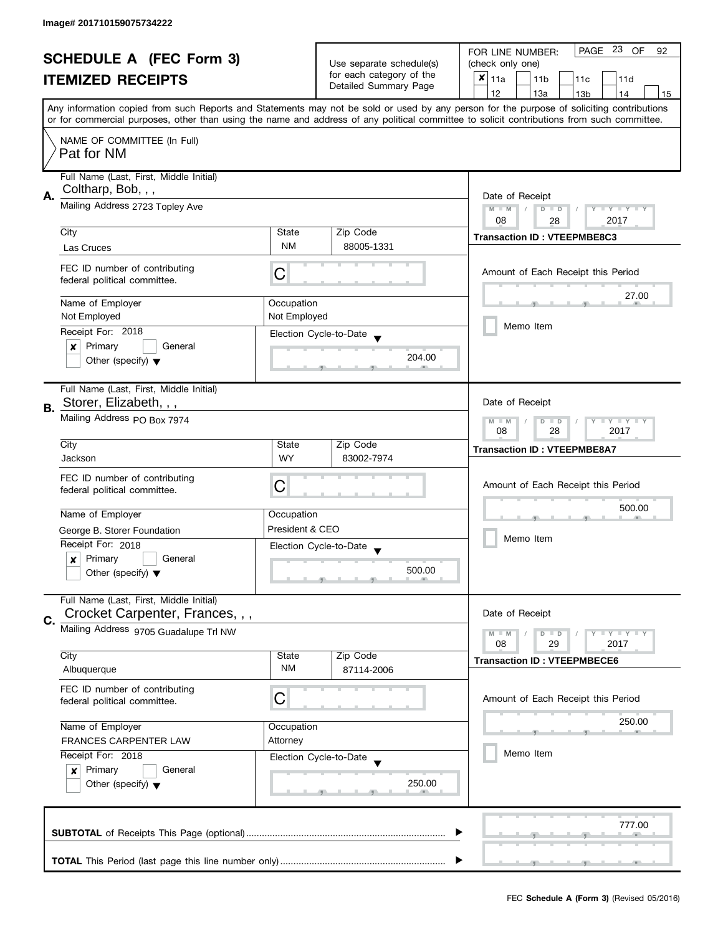|                       | <b>SCHEDULE A (FEC Form 3)</b>                                |                                                                            | Use separate schedule(s)                          | PAGE 23 OF<br>FOR LINE NUMBER:<br>92                                                                                                                                                                                                                                                    |  |  |
|-----------------------|---------------------------------------------------------------|----------------------------------------------------------------------------|---------------------------------------------------|-----------------------------------------------------------------------------------------------------------------------------------------------------------------------------------------------------------------------------------------------------------------------------------------|--|--|
|                       |                                                               |                                                                            |                                                   | (check only one)                                                                                                                                                                                                                                                                        |  |  |
|                       | <b>ITEMIZED RECEIPTS</b>                                      |                                                                            | for each category of the<br>Detailed Summary Page | $x _{11a}$<br>11 <sub>b</sub><br>11c<br>11d                                                                                                                                                                                                                                             |  |  |
|                       |                                                               |                                                                            |                                                   | 12<br>13a<br>13 <sub>b</sub><br>14<br>15                                                                                                                                                                                                                                                |  |  |
|                       |                                                               |                                                                            |                                                   | Any information copied from such Reports and Statements may not be sold or used by any person for the purpose of soliciting contributions<br>or for commercial purposes, other than using the name and address of any political committee to solicit contributions from such committee. |  |  |
|                       | NAME OF COMMITTEE (In Full)<br>Pat for NM                     |                                                                            |                                                   |                                                                                                                                                                                                                                                                                         |  |  |
|                       |                                                               |                                                                            |                                                   |                                                                                                                                                                                                                                                                                         |  |  |
|                       | Full Name (Last, First, Middle Initial)<br>Coltharp, Bob, , , |                                                                            |                                                   |                                                                                                                                                                                                                                                                                         |  |  |
| А.                    | Mailing Address 2723 Topley Ave                               | Date of Receipt<br>$M - M$<br>$D$ $D$<br>Y I Y I Y I Y<br>$\sqrt{ }$<br>08 |                                                   |                                                                                                                                                                                                                                                                                         |  |  |
|                       | City                                                          | State                                                                      | Zip Code                                          | 2017<br>28                                                                                                                                                                                                                                                                              |  |  |
|                       | Las Cruces                                                    | <b>NM</b>                                                                  | 88005-1331                                        | <b>Transaction ID: VTEEPMBE8C3</b>                                                                                                                                                                                                                                                      |  |  |
|                       |                                                               |                                                                            |                                                   |                                                                                                                                                                                                                                                                                         |  |  |
|                       | FEC ID number of contributing<br>federal political committee. | С                                                                          |                                                   | Amount of Each Receipt this Period                                                                                                                                                                                                                                                      |  |  |
|                       | Name of Employer                                              | Occupation                                                                 |                                                   | 27.00                                                                                                                                                                                                                                                                                   |  |  |
|                       | Not Employed                                                  | Not Employed                                                               |                                                   |                                                                                                                                                                                                                                                                                         |  |  |
|                       | Receipt For: 2018                                             |                                                                            | Election Cycle-to-Date                            | Memo Item                                                                                                                                                                                                                                                                               |  |  |
|                       | Primary<br>General<br>$\boldsymbol{x}$                        |                                                                            |                                                   |                                                                                                                                                                                                                                                                                         |  |  |
|                       | Other (specify) $\blacktriangledown$                          |                                                                            | 204.00                                            |                                                                                                                                                                                                                                                                                         |  |  |
|                       | Full Name (Last, First, Middle Initial)                       |                                                                            |                                                   |                                                                                                                                                                                                                                                                                         |  |  |
| В.                    | Storer, Elizabeth, , ,                                        |                                                                            |                                                   | Date of Receipt                                                                                                                                                                                                                                                                         |  |  |
|                       | Mailing Address PO Box 7974                                   | Y LY LY<br>$M - M$<br>$D$ $D$<br>28<br>2017<br>08                          |                                                   |                                                                                                                                                                                                                                                                                         |  |  |
|                       | City                                                          | State                                                                      | Zip Code                                          | <b>Transaction ID: VTEEPMBE8A7</b>                                                                                                                                                                                                                                                      |  |  |
|                       | Jackson                                                       | <b>WY</b>                                                                  | 83002-7974                                        |                                                                                                                                                                                                                                                                                         |  |  |
|                       | FEC ID number of contributing                                 |                                                                            |                                                   |                                                                                                                                                                                                                                                                                         |  |  |
|                       | federal political committee.                                  | C                                                                          |                                                   | Amount of Each Receipt this Period                                                                                                                                                                                                                                                      |  |  |
|                       |                                                               |                                                                            |                                                   | 500.00                                                                                                                                                                                                                                                                                  |  |  |
|                       | Name of Employer                                              | Occupation<br>President & CEO                                              |                                                   |                                                                                                                                                                                                                                                                                         |  |  |
|                       | George B. Storer Foundation                                   |                                                                            |                                                   | Memo Item                                                                                                                                                                                                                                                                               |  |  |
|                       | Receipt For: 2018<br>Primary<br>General                       |                                                                            | Election Cycle-to-Date                            |                                                                                                                                                                                                                                                                                         |  |  |
|                       | x<br>Other (specify) $\blacktriangledown$                     |                                                                            | 500.00                                            |                                                                                                                                                                                                                                                                                         |  |  |
|                       |                                                               |                                                                            |                                                   |                                                                                                                                                                                                                                                                                         |  |  |
|                       | Full Name (Last, First, Middle Initial)                       |                                                                            |                                                   |                                                                                                                                                                                                                                                                                         |  |  |
|                       | Crocket Carpenter, Frances, , ,                               |                                                                            |                                                   | Date of Receipt                                                                                                                                                                                                                                                                         |  |  |
| C.                    | Mailing Address 9705 Guadalupe Trl NW                         |                                                                            |                                                   | $Y = Y + Y$<br>$M - M$<br>$D$ $D$                                                                                                                                                                                                                                                       |  |  |
|                       |                                                               |                                                                            |                                                   | 08<br>29<br>2017                                                                                                                                                                                                                                                                        |  |  |
|                       | City                                                          | State                                                                      | Zip Code                                          | <b>Transaction ID: VTEEPMBECE6</b>                                                                                                                                                                                                                                                      |  |  |
|                       | Albuquerque                                                   | <b>NM</b>                                                                  | 87114-2006                                        |                                                                                                                                                                                                                                                                                         |  |  |
|                       | FEC ID number of contributing<br>federal political committee. | C                                                                          |                                                   | Amount of Each Receipt this Period                                                                                                                                                                                                                                                      |  |  |
|                       |                                                               |                                                                            |                                                   | 250.00                                                                                                                                                                                                                                                                                  |  |  |
|                       | Name of Employer                                              | Occupation                                                                 |                                                   |                                                                                                                                                                                                                                                                                         |  |  |
| FRANCES CARPENTER LAW |                                                               | Attorney                                                                   |                                                   | Memo Item                                                                                                                                                                                                                                                                               |  |  |
|                       | Receipt For: 2018                                             |                                                                            | Election Cycle-to-Date                            |                                                                                                                                                                                                                                                                                         |  |  |
|                       | Primary<br>General<br>x                                       |                                                                            | 250.00                                            |                                                                                                                                                                                                                                                                                         |  |  |
|                       | Other (specify) $\blacktriangledown$                          |                                                                            |                                                   |                                                                                                                                                                                                                                                                                         |  |  |
|                       |                                                               |                                                                            |                                                   | 777.00                                                                                                                                                                                                                                                                                  |  |  |
|                       |                                                               |                                                                            |                                                   |                                                                                                                                                                                                                                                                                         |  |  |
|                       |                                                               |                                                                            |                                                   |                                                                                                                                                                                                                                                                                         |  |  |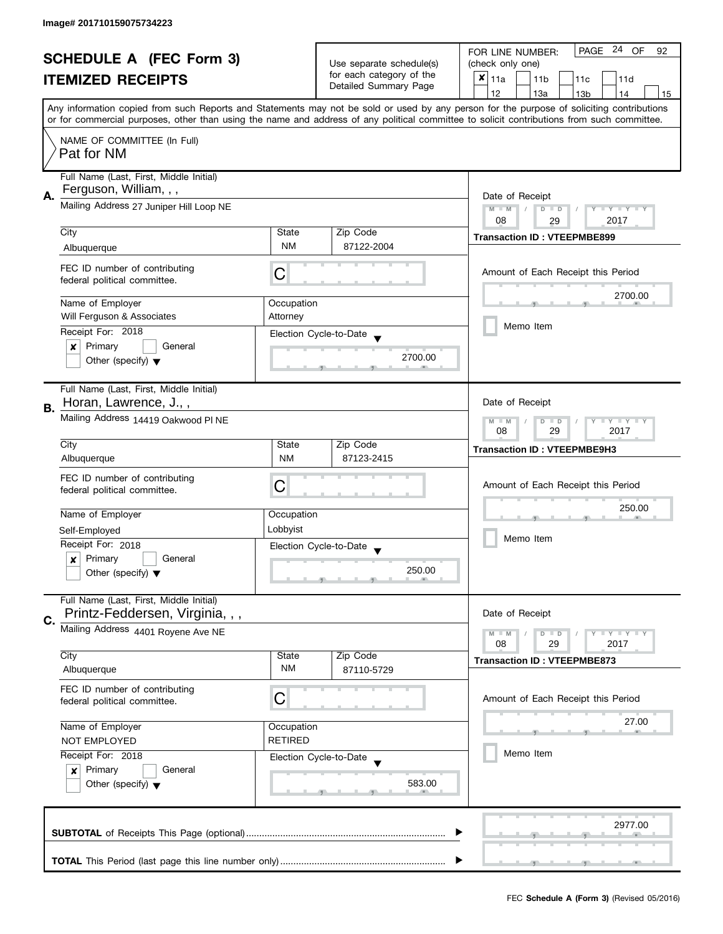| <b>SCHEDULE A (FEC Form 3)</b> |                                         |                  | PAGE 24 OF<br>FOR LINE NUMBER:<br>92 |                                                                                                                                            |  |
|--------------------------------|-----------------------------------------|------------------|--------------------------------------|--------------------------------------------------------------------------------------------------------------------------------------------|--|
|                                |                                         |                  | Use separate schedule(s)             | (check only one)                                                                                                                           |  |
|                                | <b>ITEMIZED RECEIPTS</b>                |                  | for each category of the             | $x _{11a}$<br>11 <sub>b</sub><br>11c<br>11d                                                                                                |  |
|                                |                                         |                  | Detailed Summary Page                | 12<br>13a<br>13 <sub>b</sub><br>14<br>15                                                                                                   |  |
|                                |                                         |                  |                                      | Any information copied from such Reports and Statements may not be sold or used by any person for the purpose of soliciting contributions  |  |
|                                |                                         |                  |                                      | or for commercial purposes, other than using the name and address of any political committee to solicit contributions from such committee. |  |
|                                | NAME OF COMMITTEE (In Full)             |                  |                                      |                                                                                                                                            |  |
|                                | Pat for NM                              |                  |                                      |                                                                                                                                            |  |
|                                |                                         |                  |                                      |                                                                                                                                            |  |
|                                | Full Name (Last, First, Middle Initial) |                  |                                      |                                                                                                                                            |  |
| Α.                             | Ferguson, William, , ,                  | Date of Receipt  |                                      |                                                                                                                                            |  |
|                                | Mailing Address 27 Juniper Hill Loop NE |                  |                                      | $M - M$<br>$D$ $D$<br>Ÿ<br><b>LY LY LY</b>                                                                                                 |  |
|                                |                                         |                  |                                      | 08<br>2017<br>29                                                                                                                           |  |
|                                | City                                    | State            | Zip Code                             | <b>Transaction ID: VTEEPMBE899</b>                                                                                                         |  |
|                                | Albuquerque                             | <b>NM</b>        | 87122-2004                           |                                                                                                                                            |  |
|                                | FEC ID number of contributing           |                  |                                      |                                                                                                                                            |  |
|                                | federal political committee.            | C                |                                      | Amount of Each Receipt this Period                                                                                                         |  |
|                                |                                         |                  |                                      | 2700.00                                                                                                                                    |  |
|                                | Name of Employer                        | Occupation       |                                      |                                                                                                                                            |  |
|                                | Will Ferguson & Associates              | Attorney         |                                      |                                                                                                                                            |  |
|                                | Receipt For: 2018                       |                  | Election Cycle-to-Date               | Memo Item                                                                                                                                  |  |
|                                | Primary<br>General<br>$\boldsymbol{x}$  |                  |                                      |                                                                                                                                            |  |
|                                | Other (specify) $\blacktriangledown$    |                  | 2700.00                              |                                                                                                                                            |  |
|                                |                                         |                  |                                      |                                                                                                                                            |  |
|                                | Full Name (Last, First, Middle Initial) |                  |                                      |                                                                                                                                            |  |
|                                | Horan, Lawrence, J.,,                   |                  |                                      | Date of Receipt                                                                                                                            |  |
| В.                             | Mailing Address 14419 Oakwood PI NE     |                  |                                      | Y LY LY<br>$M - M$<br>$\overline{D}$<br>$\Box$                                                                                             |  |
|                                |                                         | 08<br>29<br>2017 |                                      |                                                                                                                                            |  |
|                                | City                                    | State            | Zip Code                             | <b>Transaction ID: VTEEPMBE9H3</b>                                                                                                         |  |
|                                | Albuquerque                             | <b>NM</b>        | 87123-2415                           |                                                                                                                                            |  |
|                                | FEC ID number of contributing           |                  |                                      |                                                                                                                                            |  |
|                                | federal political committee.            | C                |                                      | Amount of Each Receipt this Period                                                                                                         |  |
|                                |                                         |                  |                                      |                                                                                                                                            |  |
|                                | Name of Employer                        | Occupation       |                                      | 250.00                                                                                                                                     |  |
|                                | Self-Employed                           | Lobbyist         |                                      |                                                                                                                                            |  |
|                                | Receipt For: 2018                       |                  | Election Cycle-to-Date               | Memo Item                                                                                                                                  |  |
|                                | Primary<br>General<br>x                 |                  |                                      |                                                                                                                                            |  |
|                                | Other (specify) $\blacktriangledown$    |                  | 250.00                               |                                                                                                                                            |  |
|                                |                                         |                  |                                      |                                                                                                                                            |  |
|                                | Full Name (Last, First, Middle Initial) |                  |                                      |                                                                                                                                            |  |
| C.                             | Printz-Feddersen, Virginia, , ,         |                  |                                      | Date of Receipt                                                                                                                            |  |
|                                | Mailing Address 4401 Royene Ave NE      |                  |                                      | $M - M$<br>$Y \perp Y \perp Y$<br>$D$ $D$                                                                                                  |  |
|                                |                                         |                  |                                      | 08<br>29<br>2017                                                                                                                           |  |
|                                | City                                    | State            | Zip Code                             | <b>Transaction ID: VTEEPMBE873</b>                                                                                                         |  |
|                                | Albuquerque                             | <b>NM</b>        | 87110-5729                           |                                                                                                                                            |  |
|                                | FEC ID number of contributing           |                  |                                      |                                                                                                                                            |  |
|                                | federal political committee.            | С                |                                      | Amount of Each Receipt this Period                                                                                                         |  |
|                                |                                         |                  |                                      | 27.00                                                                                                                                      |  |
|                                | Name of Employer                        | Occupation       |                                      |                                                                                                                                            |  |
|                                | <b>NOT EMPLOYED</b>                     | <b>RETIRED</b>   |                                      |                                                                                                                                            |  |
|                                | Receipt For: 2018                       |                  | Election Cycle-to-Date               | Memo Item                                                                                                                                  |  |
|                                | Primary<br>General<br>$\boldsymbol{x}$  |                  |                                      |                                                                                                                                            |  |
|                                | Other (specify) $\blacktriangledown$    |                  | 583.00                               |                                                                                                                                            |  |
|                                |                                         |                  |                                      |                                                                                                                                            |  |
|                                |                                         |                  |                                      |                                                                                                                                            |  |
|                                |                                         |                  |                                      | 2977.00                                                                                                                                    |  |
|                                |                                         |                  |                                      |                                                                                                                                            |  |
|                                |                                         |                  |                                      |                                                                                                                                            |  |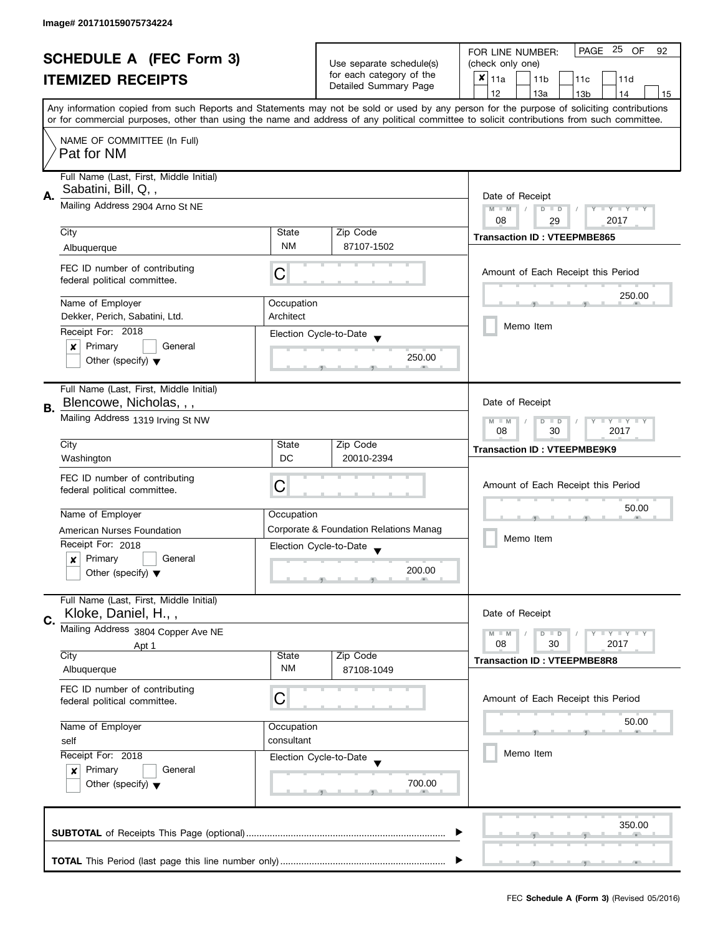| <b>SCHEDULE A (FEC Form 3)</b> |                                                                                |                                                               | PAGE 25 OF<br>FOR LINE NUMBER:<br>92                 |                                                                                                                                            |  |
|--------------------------------|--------------------------------------------------------------------------------|---------------------------------------------------------------|------------------------------------------------------|--------------------------------------------------------------------------------------------------------------------------------------------|--|
|                                |                                                                                |                                                               | Use separate schedule(s)<br>for each category of the | (check only one)                                                                                                                           |  |
|                                | <b>ITEMIZED RECEIPTS</b>                                                       |                                                               |                                                      | $x _{11a}$<br>11 <sub>b</sub><br>11c<br>11d                                                                                                |  |
|                                |                                                                                |                                                               | Detailed Summary Page                                | 12<br>13a<br>13 <sub>b</sub><br>14<br>15                                                                                                   |  |
|                                |                                                                                |                                                               |                                                      | Any information copied from such Reports and Statements may not be sold or used by any person for the purpose of soliciting contributions  |  |
|                                |                                                                                |                                                               |                                                      | or for commercial purposes, other than using the name and address of any political committee to solicit contributions from such committee. |  |
|                                | NAME OF COMMITTEE (In Full)                                                    |                                                               |                                                      |                                                                                                                                            |  |
|                                | Pat for NM                                                                     |                                                               |                                                      |                                                                                                                                            |  |
|                                | Full Name (Last, First, Middle Initial)                                        |                                                               |                                                      |                                                                                                                                            |  |
|                                | Sabatini, Bill, Q,,                                                            |                                                               |                                                      |                                                                                                                                            |  |
| Α.                             | Mailing Address 2904 Arno St NE                                                | Date of Receipt<br>$M - M$<br>$D$ $D$<br>Ÿ<br><b>LY LY LY</b> |                                                      |                                                                                                                                            |  |
|                                |                                                                                |                                                               |                                                      | 08<br>2017<br>29                                                                                                                           |  |
|                                | City                                                                           | State                                                         | Zip Code                                             | <b>Transaction ID: VTEEPMBE865</b>                                                                                                         |  |
|                                | Albuquerque                                                                    | <b>NM</b>                                                     | 87107-1502                                           |                                                                                                                                            |  |
|                                | FEC ID number of contributing                                                  |                                                               |                                                      |                                                                                                                                            |  |
|                                | federal political committee.                                                   | C                                                             |                                                      | Amount of Each Receipt this Period                                                                                                         |  |
|                                |                                                                                |                                                               |                                                      | 250.00                                                                                                                                     |  |
|                                | Name of Employer                                                               | Occupation                                                    |                                                      |                                                                                                                                            |  |
|                                | Dekker, Perich, Sabatini, Ltd.                                                 | Architect                                                     |                                                      | Memo Item                                                                                                                                  |  |
|                                | Receipt For: 2018                                                              |                                                               | Election Cycle-to-Date                               |                                                                                                                                            |  |
|                                | Primary<br>General<br>$\boldsymbol{x}$<br>Other (specify) $\blacktriangledown$ |                                                               | 250.00                                               |                                                                                                                                            |  |
|                                |                                                                                |                                                               |                                                      |                                                                                                                                            |  |
|                                | Full Name (Last, First, Middle Initial)                                        |                                                               |                                                      |                                                                                                                                            |  |
| В.                             | Blencowe, Nicholas, , ,                                                        |                                                               |                                                      | Date of Receipt                                                                                                                            |  |
|                                | Mailing Address 1319 Irving St NW                                              | Y LY LY<br>$M - M$<br>$\overline{D}$<br>$\Box$                |                                                      |                                                                                                                                            |  |
|                                |                                                                                | 08<br>30<br>2017                                              |                                                      |                                                                                                                                            |  |
|                                | City                                                                           | State                                                         | Zip Code                                             | <b>Transaction ID: VTEEPMBE9K9</b>                                                                                                         |  |
|                                | Washington                                                                     | <b>DC</b>                                                     | 20010-2394                                           |                                                                                                                                            |  |
|                                | FEC ID number of contributing                                                  | C                                                             |                                                      | Amount of Each Receipt this Period                                                                                                         |  |
|                                | federal political committee.                                                   |                                                               |                                                      |                                                                                                                                            |  |
|                                | Name of Employer                                                               | Occupation                                                    |                                                      | 50.00                                                                                                                                      |  |
|                                | American Nurses Foundation                                                     |                                                               | Corporate & Foundation Relations Manag               |                                                                                                                                            |  |
|                                | Receipt For: 2018                                                              |                                                               | Election Cycle-to-Date                               | Memo Item                                                                                                                                  |  |
|                                | Primary<br>General<br>x                                                        |                                                               |                                                      |                                                                                                                                            |  |
|                                | Other (specify) $\blacktriangledown$                                           |                                                               | 200.00                                               |                                                                                                                                            |  |
|                                |                                                                                |                                                               |                                                      |                                                                                                                                            |  |
|                                | Full Name (Last, First, Middle Initial)                                        |                                                               |                                                      |                                                                                                                                            |  |
| C.                             | Kloke, Daniel, H.,,                                                            |                                                               |                                                      | Date of Receipt                                                                                                                            |  |
|                                | Mailing Address 3804 Copper Ave NE                                             |                                                               |                                                      | $M - M$<br>$Y \perp Y \perp Y$<br>$D$ $D$<br>08                                                                                            |  |
|                                | Apt 1<br>City                                                                  | State                                                         | Zip Code                                             | 30<br>2017                                                                                                                                 |  |
|                                | Albuquerque                                                                    | ΝM                                                            | 87108-1049                                           | <b>Transaction ID: VTEEPMBE8R8</b>                                                                                                         |  |
|                                | FEC ID number of contributing                                                  |                                                               |                                                      |                                                                                                                                            |  |
|                                | federal political committee.                                                   | С                                                             |                                                      | Amount of Each Receipt this Period                                                                                                         |  |
|                                |                                                                                |                                                               |                                                      | 50.00                                                                                                                                      |  |
|                                | Name of Employer                                                               | Occupation                                                    |                                                      |                                                                                                                                            |  |
|                                | self                                                                           | consultant                                                    |                                                      | Memo Item                                                                                                                                  |  |
|                                | Receipt For: 2018                                                              |                                                               | Election Cycle-to-Date                               |                                                                                                                                            |  |
|                                | Primary<br>General<br>x                                                        |                                                               | 700.00                                               |                                                                                                                                            |  |
|                                | Other (specify) $\blacktriangledown$                                           |                                                               |                                                      |                                                                                                                                            |  |
|                                |                                                                                |                                                               |                                                      |                                                                                                                                            |  |
|                                |                                                                                |                                                               |                                                      | 350.00                                                                                                                                     |  |
|                                |                                                                                |                                                               |                                                      |                                                                                                                                            |  |
|                                |                                                                                |                                                               |                                                      |                                                                                                                                            |  |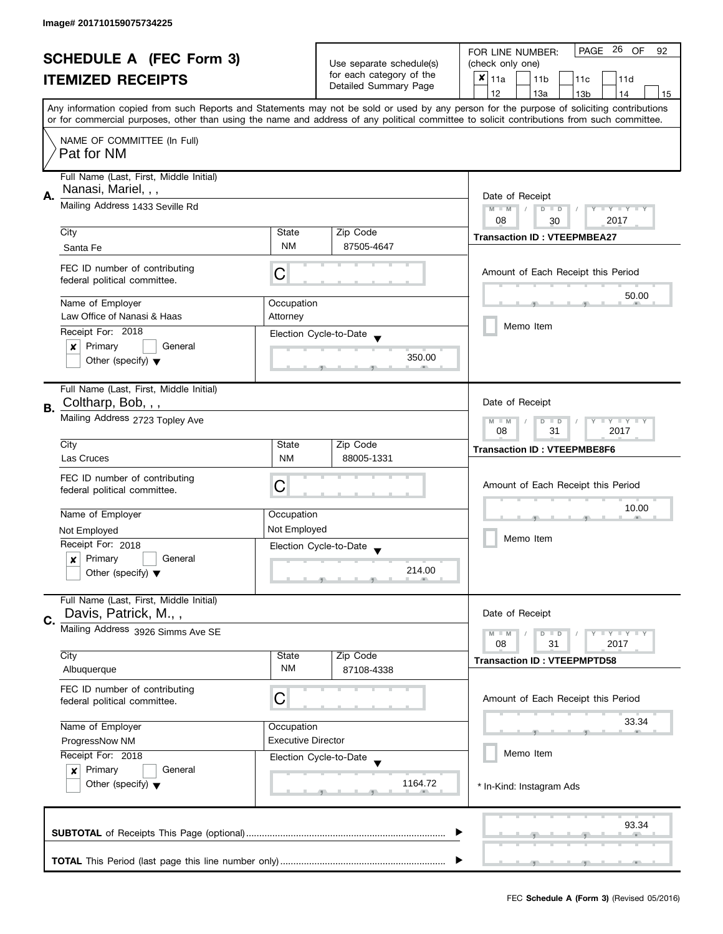| <b>SCHEDULE A (FEC Form 3)</b> |                                                                 |                                                |                                                                               | PAGE 26 OF<br>FOR LINE NUMBER:<br>92                                                                                                       |  |  |  |
|--------------------------------|-----------------------------------------------------------------|------------------------------------------------|-------------------------------------------------------------------------------|--------------------------------------------------------------------------------------------------------------------------------------------|--|--|--|
|                                |                                                                 |                                                | Use separate schedule(s)<br>for each category of the<br>Detailed Summary Page | (check only one)                                                                                                                           |  |  |  |
|                                | <b>ITEMIZED RECEIPTS</b>                                        |                                                |                                                                               | $x _{11a}$<br>11 <sub>b</sub><br>11c<br>11d                                                                                                |  |  |  |
|                                |                                                                 |                                                |                                                                               | 12<br>13a<br>13 <sub>b</sub><br>14<br>15                                                                                                   |  |  |  |
|                                |                                                                 |                                                |                                                                               | Any information copied from such Reports and Statements may not be sold or used by any person for the purpose of soliciting contributions  |  |  |  |
|                                |                                                                 |                                                |                                                                               | or for commercial purposes, other than using the name and address of any political committee to solicit contributions from such committee. |  |  |  |
|                                | NAME OF COMMITTEE (In Full)                                     |                                                |                                                                               |                                                                                                                                            |  |  |  |
|                                | Pat for NM                                                      |                                                |                                                                               |                                                                                                                                            |  |  |  |
|                                |                                                                 |                                                |                                                                               |                                                                                                                                            |  |  |  |
|                                | Full Name (Last, First, Middle Initial)                         |                                                |                                                                               |                                                                                                                                            |  |  |  |
| Α.                             |                                                                 | Nanasi, Mariel, , ,                            |                                                                               |                                                                                                                                            |  |  |  |
|                                | Mailing Address 1433 Seville Rd                                 |                                                |                                                                               | $M - M$<br>$D$ $D$<br>Y I Y I Y I Y                                                                                                        |  |  |  |
|                                |                                                                 |                                                |                                                                               | 08<br>2017<br>30                                                                                                                           |  |  |  |
|                                | City                                                            | State                                          | Zip Code                                                                      | <b>Transaction ID: VTEEPMBEA27</b>                                                                                                         |  |  |  |
|                                | Santa Fe                                                        | <b>NM</b>                                      | 87505-4647                                                                    |                                                                                                                                            |  |  |  |
|                                | FEC ID number of contributing                                   |                                                |                                                                               | Amount of Each Receipt this Period                                                                                                         |  |  |  |
|                                | federal political committee.                                    | C                                              |                                                                               |                                                                                                                                            |  |  |  |
|                                |                                                                 |                                                |                                                                               | 50.00                                                                                                                                      |  |  |  |
|                                | Name of Employer                                                | Occupation                                     |                                                                               |                                                                                                                                            |  |  |  |
|                                | Law Office of Nanasi & Haas                                     | Attorney                                       |                                                                               | Memo Item                                                                                                                                  |  |  |  |
|                                | Receipt For: 2018                                               |                                                | Election Cycle-to-Date                                                        |                                                                                                                                            |  |  |  |
|                                | Primary<br>General<br>$\boldsymbol{x}$                          |                                                |                                                                               |                                                                                                                                            |  |  |  |
|                                | Other (specify) $\blacktriangledown$                            |                                                | 350.00                                                                        |                                                                                                                                            |  |  |  |
|                                |                                                                 |                                                |                                                                               |                                                                                                                                            |  |  |  |
|                                | Full Name (Last, First, Middle Initial)                         |                                                |                                                                               |                                                                                                                                            |  |  |  |
| В.                             | Coltharp, Bob, , ,                                              |                                                |                                                                               | Date of Receipt                                                                                                                            |  |  |  |
|                                | Mailing Address 2723 Topley Ave                                 | Y LY LY<br>$M - M$<br>$\overline{D}$<br>$\Box$ |                                                                               |                                                                                                                                            |  |  |  |
|                                |                                                                 | 08<br>31<br>2017                               |                                                                               |                                                                                                                                            |  |  |  |
|                                | City                                                            | State                                          | Zip Code                                                                      | <b>Transaction ID: VTEEPMBE8F6</b>                                                                                                         |  |  |  |
|                                | Las Cruces                                                      | <b>NM</b>                                      | 88005-1331                                                                    |                                                                                                                                            |  |  |  |
|                                | FEC ID number of contributing                                   |                                                |                                                                               |                                                                                                                                            |  |  |  |
|                                | federal political committee.                                    | C                                              |                                                                               | Amount of Each Receipt this Period                                                                                                         |  |  |  |
|                                |                                                                 |                                                |                                                                               | 10.00                                                                                                                                      |  |  |  |
|                                | Name of Employer                                                | Occupation                                     |                                                                               |                                                                                                                                            |  |  |  |
|                                | Not Employed                                                    | Not Employed                                   |                                                                               | Memo Item                                                                                                                                  |  |  |  |
|                                | Receipt For: 2018                                               |                                                | Election Cycle-to-Date                                                        |                                                                                                                                            |  |  |  |
|                                | Primary<br>General<br>x                                         |                                                |                                                                               |                                                                                                                                            |  |  |  |
|                                | Other (specify) $\blacktriangledown$                            |                                                | 214.00                                                                        |                                                                                                                                            |  |  |  |
|                                |                                                                 |                                                |                                                                               |                                                                                                                                            |  |  |  |
|                                | Full Name (Last, First, Middle Initial)<br>Davis, Patrick, M.,, |                                                |                                                                               | Date of Receipt                                                                                                                            |  |  |  |
| C.                             |                                                                 |                                                |                                                                               |                                                                                                                                            |  |  |  |
|                                | Mailing Address 3926 Simms Ave SE                               |                                                |                                                                               | $M - M$<br>$Y \perp Y \perp Y$<br>$D$ $D$                                                                                                  |  |  |  |
|                                | City                                                            | State                                          | Zip Code                                                                      | 08<br>31<br>2017                                                                                                                           |  |  |  |
|                                | Albuquerque                                                     | ΝM                                             | 87108-4338                                                                    | <b>Transaction ID: VTEEPMPTD58</b>                                                                                                         |  |  |  |
|                                |                                                                 |                                                |                                                                               |                                                                                                                                            |  |  |  |
|                                | FEC ID number of contributing                                   | С                                              |                                                                               | Amount of Each Receipt this Period                                                                                                         |  |  |  |
|                                | federal political committee.                                    |                                                |                                                                               |                                                                                                                                            |  |  |  |
|                                | Name of Employer                                                | Occupation                                     |                                                                               | 33.34                                                                                                                                      |  |  |  |
|                                | ProgressNow NM                                                  | <b>Executive Director</b>                      |                                                                               |                                                                                                                                            |  |  |  |
|                                | Receipt For: 2018                                               |                                                |                                                                               | Memo Item                                                                                                                                  |  |  |  |
|                                | Primary<br>General                                              |                                                | Election Cycle-to-Date                                                        |                                                                                                                                            |  |  |  |
|                                | $\boldsymbol{x}$<br>Other (specify) $\blacktriangledown$        |                                                | 1164.72                                                                       |                                                                                                                                            |  |  |  |
|                                |                                                                 |                                                |                                                                               | * In-Kind: Instagram Ads                                                                                                                   |  |  |  |
|                                |                                                                 |                                                |                                                                               |                                                                                                                                            |  |  |  |
|                                |                                                                 |                                                |                                                                               | 93.34                                                                                                                                      |  |  |  |
|                                |                                                                 |                                                |                                                                               |                                                                                                                                            |  |  |  |
|                                |                                                                 |                                                |                                                                               |                                                                                                                                            |  |  |  |
|                                |                                                                 |                                                |                                                                               |                                                                                                                                            |  |  |  |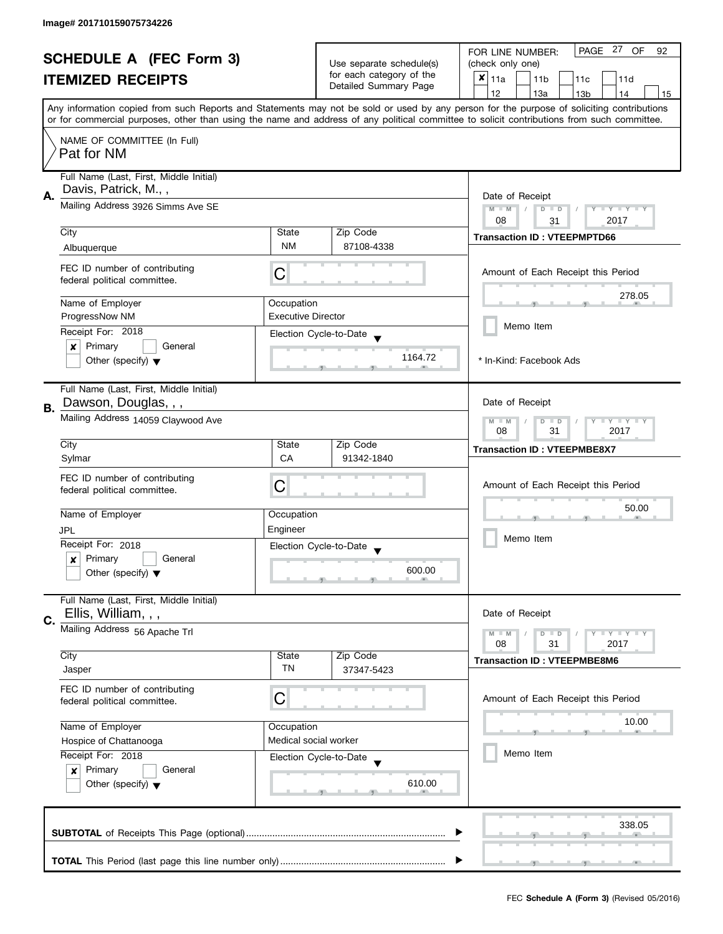| <b>SCHEDULE A (FEC Form 3)</b> |                                         |                                                      | PAGE 27<br><b>OF</b><br>FOR LINE NUMBER:<br>92 |                                                                                                                                            |  |
|--------------------------------|-----------------------------------------|------------------------------------------------------|------------------------------------------------|--------------------------------------------------------------------------------------------------------------------------------------------|--|
|                                |                                         | Use separate schedule(s)<br>for each category of the | (check only one)                               |                                                                                                                                            |  |
|                                | <b>ITEMIZED RECEIPTS</b>                |                                                      | Detailed Summary Page                          | $x _{11a}$<br>11 <sub>b</sub><br>11c<br>11d                                                                                                |  |
|                                |                                         |                                                      |                                                | 12<br>13a<br>14<br>13 <sub>b</sub><br>15                                                                                                   |  |
|                                |                                         |                                                      |                                                | Any information copied from such Reports and Statements may not be sold or used by any person for the purpose of soliciting contributions  |  |
|                                |                                         |                                                      |                                                | or for commercial purposes, other than using the name and address of any political committee to solicit contributions from such committee. |  |
|                                | NAME OF COMMITTEE (In Full)             |                                                      |                                                |                                                                                                                                            |  |
|                                | Pat for NM                              |                                                      |                                                |                                                                                                                                            |  |
|                                |                                         |                                                      |                                                |                                                                                                                                            |  |
|                                | Full Name (Last, First, Middle Initial) |                                                      |                                                |                                                                                                                                            |  |
| А.                             | Davis, Patrick, M.,,                    |                                                      |                                                | Date of Receipt                                                                                                                            |  |
|                                | Mailing Address 3926 Simms Ave SE       | $M - M$<br>$\sqrt{2}$<br>$D$ $D$<br>Y I Y I Y I      |                                                |                                                                                                                                            |  |
|                                |                                         | 08<br>2017<br>31                                     |                                                |                                                                                                                                            |  |
|                                | City                                    | State                                                | Zip Code                                       | <b>Transaction ID: VTEEPMPTD66</b>                                                                                                         |  |
|                                | Albuquerque                             | <b>NM</b>                                            | 87108-4338                                     |                                                                                                                                            |  |
|                                |                                         |                                                      |                                                |                                                                                                                                            |  |
|                                | FEC ID number of contributing           | С                                                    |                                                | Amount of Each Receipt this Period                                                                                                         |  |
|                                | federal political committee.            |                                                      |                                                |                                                                                                                                            |  |
|                                | Name of Employer                        | Occupation                                           |                                                | 278.05                                                                                                                                     |  |
|                                | ProgressNow NM                          | <b>Executive Director</b>                            |                                                |                                                                                                                                            |  |
|                                |                                         |                                                      |                                                | Memo Item                                                                                                                                  |  |
|                                | Receipt For: 2018                       |                                                      | Election Cycle-to-Date                         |                                                                                                                                            |  |
|                                | Primary<br>General<br>×                 |                                                      | 1164.72                                        |                                                                                                                                            |  |
|                                | Other (specify) $\blacktriangledown$    |                                                      |                                                | * In-Kind: Facebook Ads                                                                                                                    |  |
|                                |                                         |                                                      |                                                |                                                                                                                                            |  |
|                                | Full Name (Last, First, Middle Initial) |                                                      |                                                | Date of Receipt                                                                                                                            |  |
| В.                             |                                         | Dawson, Douglas, , ,                                 |                                                |                                                                                                                                            |  |
|                                | Mailing Address 14059 Claywood Ave      | $Y - Y - Y$<br>$M - M$<br>D<br>$\Box$                |                                                |                                                                                                                                            |  |
|                                |                                         |                                                      | 08<br>31<br>2017                               |                                                                                                                                            |  |
|                                | City                                    | State                                                | Zip Code                                       | <b>Transaction ID: VTEEPMBE8X7</b>                                                                                                         |  |
|                                | Sylmar                                  | CA                                                   | 91342-1840                                     |                                                                                                                                            |  |
|                                | FEC ID number of contributing           |                                                      |                                                |                                                                                                                                            |  |
|                                | federal political committee.            | C                                                    |                                                | Amount of Each Receipt this Period                                                                                                         |  |
|                                |                                         |                                                      |                                                | 50.00                                                                                                                                      |  |
|                                | Name of Employer                        | Occupation                                           |                                                |                                                                                                                                            |  |
|                                | JPL                                     | Engineer                                             |                                                |                                                                                                                                            |  |
|                                | Receipt For: 2018                       |                                                      | Election Cycle-to-Date                         | Memo Item                                                                                                                                  |  |
|                                | Primary<br>General<br>x                 |                                                      |                                                |                                                                                                                                            |  |
|                                | Other (specify) $\blacktriangledown$    |                                                      | 600.00                                         |                                                                                                                                            |  |
|                                |                                         |                                                      |                                                |                                                                                                                                            |  |
|                                | Full Name (Last, First, Middle Initial) |                                                      |                                                |                                                                                                                                            |  |
| C.                             | Ellis, William, , ,                     |                                                      |                                                | Date of Receipt                                                                                                                            |  |
|                                | Mailing Address 56 Apache Trl           |                                                      |                                                | Y LY LY<br>$M - M$<br>$D$ $D$                                                                                                              |  |
|                                |                                         |                                                      |                                                | 08<br>31<br>2017                                                                                                                           |  |
|                                | City                                    | State                                                | Zip Code                                       | <b>Transaction ID: VTEEPMBE8M6</b>                                                                                                         |  |
|                                | Jasper                                  | TN                                                   | 37347-5423                                     |                                                                                                                                            |  |
|                                | FEC ID number of contributing           |                                                      |                                                |                                                                                                                                            |  |
|                                | federal political committee.            | C                                                    |                                                | Amount of Each Receipt this Period                                                                                                         |  |
|                                |                                         |                                                      |                                                |                                                                                                                                            |  |
|                                | Name of Employer                        | Occupation                                           |                                                | 10.00                                                                                                                                      |  |
|                                | Hospice of Chattanooga                  | Medical social worker                                |                                                |                                                                                                                                            |  |
|                                | Receipt For: 2018                       |                                                      | Election Cycle-to-Date                         | Memo Item                                                                                                                                  |  |
|                                | Primary<br>General<br>$\boldsymbol{x}$  |                                                      |                                                |                                                                                                                                            |  |
|                                | Other (specify) $\blacktriangledown$    |                                                      | 610.00                                         |                                                                                                                                            |  |
|                                |                                         |                                                      |                                                |                                                                                                                                            |  |
|                                |                                         |                                                      |                                                |                                                                                                                                            |  |
|                                |                                         |                                                      |                                                | 338.05                                                                                                                                     |  |
|                                |                                         |                                                      |                                                |                                                                                                                                            |  |
|                                |                                         |                                                      |                                                |                                                                                                                                            |  |
|                                |                                         |                                                      |                                                |                                                                                                                                            |  |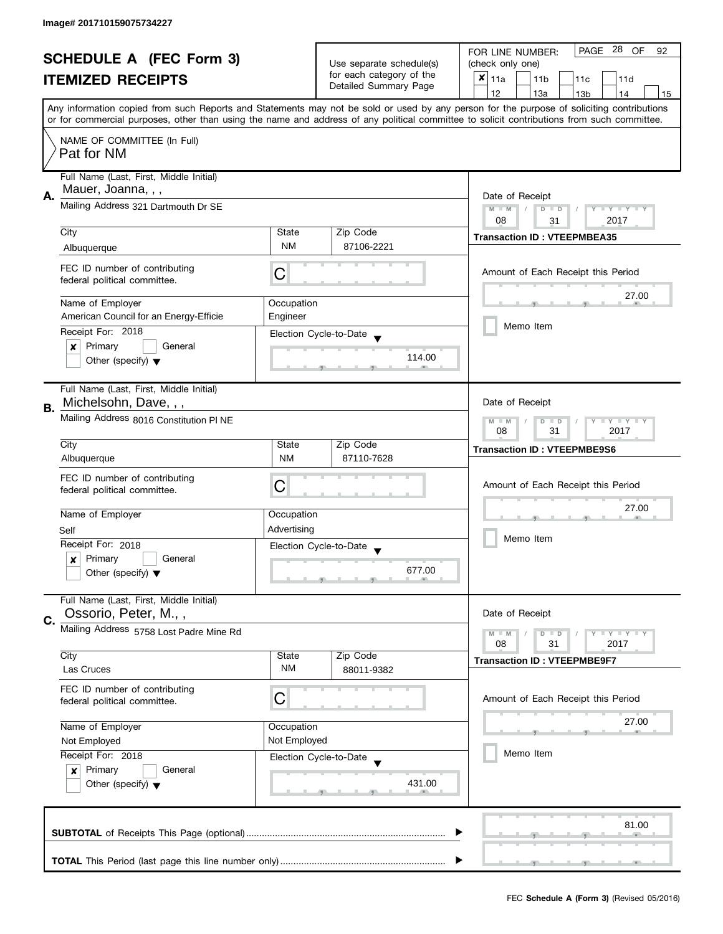| <b>SCHEDULE A (FEC Form 3)</b> |                                           |                                                                    |                                                      | PAGE 28 OF<br>FOR LINE NUMBER:<br>92                                                                                                                                                                                                                                                    |  |  |
|--------------------------------|-------------------------------------------|--------------------------------------------------------------------|------------------------------------------------------|-----------------------------------------------------------------------------------------------------------------------------------------------------------------------------------------------------------------------------------------------------------------------------------------|--|--|
|                                |                                           |                                                                    | Use separate schedule(s)<br>for each category of the | (check only one)                                                                                                                                                                                                                                                                        |  |  |
|                                | <b>ITEMIZED RECEIPTS</b>                  |                                                                    | Detailed Summary Page                                | $x _{11a}$<br>11 <sub>b</sub><br>11c<br>11d                                                                                                                                                                                                                                             |  |  |
|                                |                                           |                                                                    |                                                      | 12<br>13a<br>13 <sub>b</sub><br>14<br>15                                                                                                                                                                                                                                                |  |  |
|                                |                                           |                                                                    |                                                      | Any information copied from such Reports and Statements may not be sold or used by any person for the purpose of soliciting contributions<br>or for commercial purposes, other than using the name and address of any political committee to solicit contributions from such committee. |  |  |
|                                |                                           |                                                                    |                                                      |                                                                                                                                                                                                                                                                                         |  |  |
|                                | NAME OF COMMITTEE (In Full)<br>Pat for NM |                                                                    |                                                      |                                                                                                                                                                                                                                                                                         |  |  |
|                                | Full Name (Last, First, Middle Initial)   |                                                                    |                                                      |                                                                                                                                                                                                                                                                                         |  |  |
| А.                             | Mauer, Joanna, , ,                        | Date of Receipt                                                    |                                                      |                                                                                                                                                                                                                                                                                         |  |  |
|                                | Mailing Address 321 Dartmouth Dr SE       | $M - M$<br>$\sqrt{2}$<br>$D$ $D$<br>Y FY FY FY<br>08<br>2017<br>31 |                                                      |                                                                                                                                                                                                                                                                                         |  |  |
|                                | City                                      | State                                                              | Zip Code                                             | <b>Transaction ID: VTEEPMBEA35</b>                                                                                                                                                                                                                                                      |  |  |
|                                | Albuquerque                               | <b>NM</b>                                                          | 87106-2221                                           |                                                                                                                                                                                                                                                                                         |  |  |
|                                | FEC ID number of contributing             |                                                                    |                                                      | Amount of Each Receipt this Period                                                                                                                                                                                                                                                      |  |  |
|                                | federal political committee.              | C                                                                  |                                                      |                                                                                                                                                                                                                                                                                         |  |  |
|                                | Name of Employer                          | Occupation                                                         |                                                      | 27.00                                                                                                                                                                                                                                                                                   |  |  |
|                                | American Council for an Energy-Efficie    | Engineer                                                           |                                                      |                                                                                                                                                                                                                                                                                         |  |  |
|                                | Receipt For: 2018                         |                                                                    | Election Cycle-to-Date                               | Memo Item                                                                                                                                                                                                                                                                               |  |  |
|                                | Primary<br>General<br>x                   |                                                                    | 114.00                                               |                                                                                                                                                                                                                                                                                         |  |  |
|                                | Other (specify) $\blacktriangledown$      |                                                                    |                                                      |                                                                                                                                                                                                                                                                                         |  |  |
|                                | Full Name (Last, First, Middle Initial)   |                                                                    |                                                      |                                                                                                                                                                                                                                                                                         |  |  |
| В.                             | Michelsohn, Dave, , ,                     |                                                                    |                                                      | Date of Receipt                                                                                                                                                                                                                                                                         |  |  |
|                                | Mailing Address 8016 Constitution PI NE   | $Y = Y + Y$<br>$M - M$<br>$D$ $D$<br>08<br>31<br>2017              |                                                      |                                                                                                                                                                                                                                                                                         |  |  |
|                                | City                                      | State                                                              | Zip Code                                             | <b>Transaction ID: VTEEPMBE9S6</b>                                                                                                                                                                                                                                                      |  |  |
|                                | Albuquerque                               | <b>NM</b>                                                          | 87110-7628                                           |                                                                                                                                                                                                                                                                                         |  |  |
|                                | FEC ID number of contributing             | С                                                                  |                                                      | Amount of Each Receipt this Period                                                                                                                                                                                                                                                      |  |  |
|                                | federal political committee.              |                                                                    |                                                      |                                                                                                                                                                                                                                                                                         |  |  |
|                                | Name of Employer                          | Occupation                                                         |                                                      | 27.00                                                                                                                                                                                                                                                                                   |  |  |
|                                | Self                                      | Advertising                                                        |                                                      |                                                                                                                                                                                                                                                                                         |  |  |
|                                | Receipt For: 2018                         |                                                                    | Election Cycle-to-Date                               | Memo Item                                                                                                                                                                                                                                                                               |  |  |
|                                | Primary<br>General<br>x                   |                                                                    |                                                      |                                                                                                                                                                                                                                                                                         |  |  |
|                                | Other (specify) $\blacktriangledown$      |                                                                    | 677.00                                               |                                                                                                                                                                                                                                                                                         |  |  |
|                                | Full Name (Last, First, Middle Initial)   |                                                                    |                                                      |                                                                                                                                                                                                                                                                                         |  |  |
| C.                             | Ossorio, Peter, M.,,                      |                                                                    |                                                      | Date of Receipt                                                                                                                                                                                                                                                                         |  |  |
|                                | Mailing Address 5758 Lost Padre Mine Rd   |                                                                    |                                                      | $M - M$<br>$Y \perp Y \perp Y$<br>$D$ $D$<br>08<br>31                                                                                                                                                                                                                                   |  |  |
|                                | City                                      | State                                                              | Zip Code                                             | 2017                                                                                                                                                                                                                                                                                    |  |  |
|                                | Las Cruces                                | <b>NM</b>                                                          | 88011-9382                                           | <b>Transaction ID: VTEEPMBE9F7</b>                                                                                                                                                                                                                                                      |  |  |
|                                | FEC ID number of contributing             |                                                                    |                                                      |                                                                                                                                                                                                                                                                                         |  |  |
|                                | federal political committee.              | С                                                                  |                                                      | Amount of Each Receipt this Period                                                                                                                                                                                                                                                      |  |  |
|                                | Name of Employer                          | Occupation                                                         |                                                      | 27.00                                                                                                                                                                                                                                                                                   |  |  |
|                                | Not Employed                              | Not Employed                                                       |                                                      |                                                                                                                                                                                                                                                                                         |  |  |
|                                | Receipt For: 2018                         |                                                                    | Election Cycle-to-Date                               | Memo Item                                                                                                                                                                                                                                                                               |  |  |
|                                | Primary<br>General<br>$\boldsymbol{x}$    |                                                                    |                                                      |                                                                                                                                                                                                                                                                                         |  |  |
|                                | Other (specify) $\blacktriangledown$      |                                                                    | 431.00                                               |                                                                                                                                                                                                                                                                                         |  |  |
|                                |                                           |                                                                    |                                                      |                                                                                                                                                                                                                                                                                         |  |  |
|                                |                                           |                                                                    |                                                      | 81.00                                                                                                                                                                                                                                                                                   |  |  |
|                                |                                           |                                                                    |                                                      |                                                                                                                                                                                                                                                                                         |  |  |
|                                |                                           |                                                                    |                                                      |                                                                                                                                                                                                                                                                                         |  |  |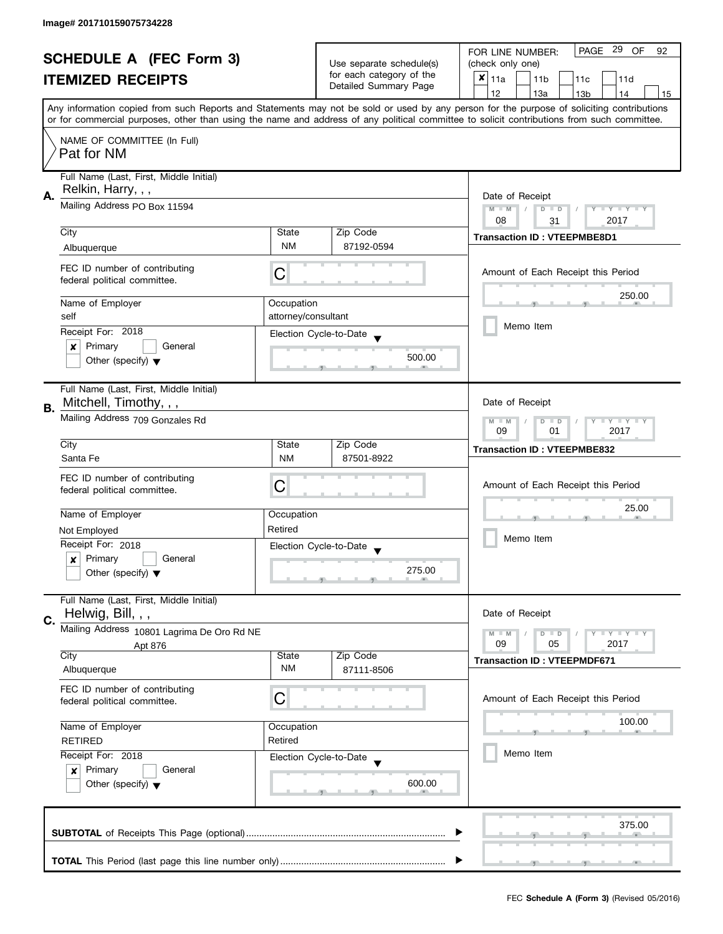| <b>SCHEDULE A (FEC Form 3)</b> |                                            |                     | PAGE 29 OF<br>FOR LINE NUMBER:<br>92 |                                                                                                                                            |  |
|--------------------------------|--------------------------------------------|---------------------|--------------------------------------|--------------------------------------------------------------------------------------------------------------------------------------------|--|
|                                |                                            |                     | Use separate schedule(s)             | (check only one)                                                                                                                           |  |
|                                | <b>ITEMIZED RECEIPTS</b>                   |                     | for each category of the             | $x _{11a}$<br>11 <sub>b</sub><br>11c<br>11d                                                                                                |  |
|                                |                                            |                     | Detailed Summary Page                | 12<br>13a<br>13 <sub>b</sub><br>14<br>15                                                                                                   |  |
|                                |                                            |                     |                                      | Any information copied from such Reports and Statements may not be sold or used by any person for the purpose of soliciting contributions  |  |
|                                |                                            |                     |                                      | or for commercial purposes, other than using the name and address of any political committee to solicit contributions from such committee. |  |
|                                | NAME OF COMMITTEE (In Full)                |                     |                                      |                                                                                                                                            |  |
|                                | Pat for NM                                 |                     |                                      |                                                                                                                                            |  |
|                                |                                            |                     |                                      |                                                                                                                                            |  |
|                                | Full Name (Last, First, Middle Initial)    |                     |                                      |                                                                                                                                            |  |
|                                | Relkin, Harry, , ,                         |                     |                                      |                                                                                                                                            |  |
| Α.                             | Mailing Address PO Box 11594               |                     |                                      | Date of Receipt<br>$M - M$<br>$D$ $D$<br>Y I Y I Y I Y                                                                                     |  |
|                                |                                            |                     |                                      | 08<br>2017<br>31                                                                                                                           |  |
|                                | City                                       | State               | Zip Code                             |                                                                                                                                            |  |
|                                |                                            | <b>NM</b>           | 87192-0594                           | <b>Transaction ID: VTEEPMBE8D1</b>                                                                                                         |  |
|                                | Albuquerque                                |                     |                                      |                                                                                                                                            |  |
|                                | FEC ID number of contributing              | C                   |                                      | Amount of Each Receipt this Period                                                                                                         |  |
|                                | federal political committee.               |                     |                                      |                                                                                                                                            |  |
|                                |                                            |                     |                                      | 250.00                                                                                                                                     |  |
|                                | Name of Employer                           | Occupation          |                                      |                                                                                                                                            |  |
|                                | self                                       | attorney/consultant |                                      | Memo Item                                                                                                                                  |  |
|                                | Receipt For: 2018                          |                     | Election Cycle-to-Date               |                                                                                                                                            |  |
|                                | Primary<br>General<br>×                    |                     |                                      |                                                                                                                                            |  |
|                                | Other (specify) $\blacktriangledown$       |                     | 500.00                               |                                                                                                                                            |  |
|                                |                                            |                     |                                      |                                                                                                                                            |  |
|                                | Full Name (Last, First, Middle Initial)    |                     |                                      |                                                                                                                                            |  |
| В.                             | Mitchell, Timothy, , ,                     |                     |                                      | Date of Receipt                                                                                                                            |  |
|                                | Mailing Address 709 Gonzales Rd            |                     |                                      | $Y - Y - Y$<br>$M - M$<br>$\overline{D}$<br>$\Box$                                                                                         |  |
|                                |                                            | 09<br>2017<br>01    |                                      |                                                                                                                                            |  |
|                                | City                                       | State               | Zip Code                             | <b>Transaction ID: VTEEPMBE832</b>                                                                                                         |  |
|                                | Santa Fe                                   | <b>NM</b>           | 87501-8922                           |                                                                                                                                            |  |
|                                | FEC ID number of contributing              |                     |                                      |                                                                                                                                            |  |
|                                | federal political committee.               | C                   |                                      | Amount of Each Receipt this Period                                                                                                         |  |
|                                |                                            |                     |                                      |                                                                                                                                            |  |
|                                | Name of Employer                           | Occupation          |                                      | 25.00                                                                                                                                      |  |
|                                | Not Employed                               | Retired             |                                      |                                                                                                                                            |  |
|                                | Receipt For: 2018                          |                     | Election Cycle-to-Date               | Memo Item                                                                                                                                  |  |
|                                | Primary<br>General<br>x                    |                     |                                      |                                                                                                                                            |  |
|                                | Other (specify) $\blacktriangledown$       |                     | 275.00                               |                                                                                                                                            |  |
|                                |                                            |                     |                                      |                                                                                                                                            |  |
|                                | Full Name (Last, First, Middle Initial)    |                     |                                      |                                                                                                                                            |  |
| C.                             | Helwig, Bill, , ,                          |                     |                                      | Date of Receipt                                                                                                                            |  |
|                                | Mailing Address 10801 Lagrima De Oro Rd NE |                     |                                      | $M - M$<br>$\bot$ $\gamma$ $\bot$ $\gamma$ $\bot$ $\gamma$<br>$D$ $D$                                                                      |  |
|                                | Apt 876                                    |                     |                                      | 09<br>05<br>2017                                                                                                                           |  |
|                                | City                                       | State               | Zip Code                             | <b>Transaction ID: VTEEPMDF671</b>                                                                                                         |  |
|                                | Albuquerque                                | <b>NM</b>           | 87111-8506                           |                                                                                                                                            |  |
|                                | FEC ID number of contributing              |                     |                                      |                                                                                                                                            |  |
|                                | federal political committee.               | С                   |                                      | Amount of Each Receipt this Period                                                                                                         |  |
|                                |                                            |                     |                                      |                                                                                                                                            |  |
|                                | Name of Employer                           | Occupation          |                                      | 100.00                                                                                                                                     |  |
|                                | <b>RETIRED</b>                             | Retired             |                                      |                                                                                                                                            |  |
|                                | Receipt For: 2018                          |                     | Election Cycle-to-Date               | Memo Item                                                                                                                                  |  |
|                                | Primary<br>General<br>$\mathbf{x}$         |                     |                                      |                                                                                                                                            |  |
|                                | Other (specify) $\blacktriangledown$       |                     | 600.00                               |                                                                                                                                            |  |
|                                |                                            |                     |                                      |                                                                                                                                            |  |
|                                |                                            |                     |                                      |                                                                                                                                            |  |
|                                |                                            |                     |                                      | 375.00                                                                                                                                     |  |
|                                |                                            |                     |                                      |                                                                                                                                            |  |
|                                |                                            |                     |                                      |                                                                                                                                            |  |
|                                |                                            |                     |                                      |                                                                                                                                            |  |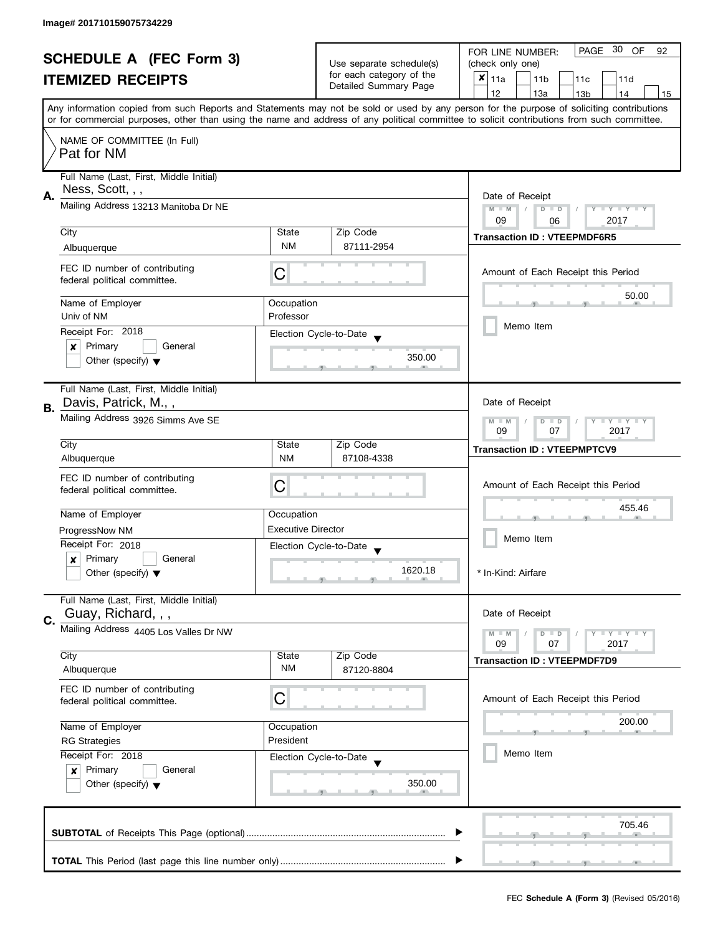| <b>SCHEDULE A (FEC Form 3)</b> |                                                                 |                                                                    | PAGE 30 OF<br>FOR LINE NUMBER:<br>92 |                                                                                                                                            |  |
|--------------------------------|-----------------------------------------------------------------|--------------------------------------------------------------------|--------------------------------------|--------------------------------------------------------------------------------------------------------------------------------------------|--|
|                                |                                                                 |                                                                    | Use separate schedule(s)             | (check only one)                                                                                                                           |  |
|                                | <b>ITEMIZED RECEIPTS</b>                                        |                                                                    | for each category of the             | $x _{11a}$<br>11 <sub>b</sub><br>11c<br>11d                                                                                                |  |
|                                |                                                                 |                                                                    | Detailed Summary Page                | 12<br>13a<br>13 <sub>b</sub><br>14<br>15                                                                                                   |  |
|                                |                                                                 |                                                                    |                                      | Any information copied from such Reports and Statements may not be sold or used by any person for the purpose of soliciting contributions  |  |
|                                |                                                                 |                                                                    |                                      | or for commercial purposes, other than using the name and address of any political committee to solicit contributions from such committee. |  |
|                                | NAME OF COMMITTEE (In Full)                                     |                                                                    |                                      |                                                                                                                                            |  |
|                                | Pat for NM                                                      |                                                                    |                                      |                                                                                                                                            |  |
|                                |                                                                 |                                                                    |                                      |                                                                                                                                            |  |
|                                | Full Name (Last, First, Middle Initial)<br>Ness, Scott, , ,     |                                                                    |                                      |                                                                                                                                            |  |
| Α.                             |                                                                 | Date of Receipt                                                    |                                      |                                                                                                                                            |  |
|                                | Mailing Address 13213 Manitoba Dr NE                            |                                                                    |                                      | $M - M$<br>$D$ $D$<br>Y I Y I Y I Y                                                                                                        |  |
|                                | City                                                            | State                                                              | Zip Code                             | 09<br>2017<br>06                                                                                                                           |  |
|                                | Albuquerque                                                     | <b>NM</b>                                                          | 87111-2954                           | <b>Transaction ID: VTEEPMDF6R5</b>                                                                                                         |  |
|                                |                                                                 |                                                                    |                                      |                                                                                                                                            |  |
|                                | FEC ID number of contributing                                   | C                                                                  |                                      | Amount of Each Receipt this Period                                                                                                         |  |
|                                | federal political committee.                                    |                                                                    |                                      |                                                                                                                                            |  |
|                                | Name of Employer                                                | Occupation                                                         |                                      | 50.00                                                                                                                                      |  |
|                                | Univ of NM                                                      | Professor                                                          |                                      |                                                                                                                                            |  |
|                                | Receipt For: 2018                                               |                                                                    | Election Cycle-to-Date               | Memo Item                                                                                                                                  |  |
|                                | Primary<br>General<br>×                                         |                                                                    |                                      |                                                                                                                                            |  |
|                                | Other (specify) $\blacktriangledown$                            |                                                                    | 350.00                               |                                                                                                                                            |  |
|                                |                                                                 |                                                                    |                                      |                                                                                                                                            |  |
|                                | Full Name (Last, First, Middle Initial)<br>Davis, Patrick, M.,, |                                                                    |                                      | Date of Receipt                                                                                                                            |  |
| В.                             |                                                                 |                                                                    |                                      |                                                                                                                                            |  |
|                                | Mailing Address 3926 Simms Ave SE                               | Y LY LY<br>$M - M$<br>$\overline{D}$<br>$\Box$<br>09<br>07<br>2017 |                                      |                                                                                                                                            |  |
|                                | City                                                            | State                                                              | Zip Code                             |                                                                                                                                            |  |
|                                | Albuquerque                                                     | <b>NM</b>                                                          | 87108-4338                           | <b>Transaction ID: VTEEPMPTCV9</b>                                                                                                         |  |
|                                | FEC ID number of contributing                                   |                                                                    |                                      |                                                                                                                                            |  |
|                                | federal political committee.                                    | C                                                                  |                                      | Amount of Each Receipt this Period                                                                                                         |  |
|                                |                                                                 |                                                                    |                                      | 455.46                                                                                                                                     |  |
|                                | Name of Employer                                                | Occupation                                                         |                                      |                                                                                                                                            |  |
|                                | ProgressNow NM                                                  | <b>Executive Director</b>                                          |                                      | Memo Item                                                                                                                                  |  |
|                                | Receipt For: 2018                                               |                                                                    | Election Cycle-to-Date               |                                                                                                                                            |  |
|                                | Primary<br>General<br>x                                         |                                                                    | 1620.18                              | * In-Kind: Airfare                                                                                                                         |  |
|                                | Other (specify) $\blacktriangledown$                            |                                                                    |                                      |                                                                                                                                            |  |
|                                | Full Name (Last, First, Middle Initial)                         |                                                                    |                                      |                                                                                                                                            |  |
| C.                             | Guay, Richard, , ,                                              |                                                                    |                                      | Date of Receipt                                                                                                                            |  |
|                                | Mailing Address 4405 Los Valles Dr NW                           |                                                                    |                                      | $\bot$ Y $\bot$ Y $\bot$ Y<br>$M - M$<br>$D$ $D$                                                                                           |  |
|                                |                                                                 |                                                                    |                                      | 07<br>2017<br>09                                                                                                                           |  |
|                                | City<br>Albuquerque                                             | State<br>ΝM                                                        | Zip Code<br>87120-8804               | <b>Transaction ID: VTEEPMDF7D9</b>                                                                                                         |  |
|                                |                                                                 |                                                                    |                                      |                                                                                                                                            |  |
|                                | FEC ID number of contributing<br>federal political committee.   | С                                                                  |                                      | Amount of Each Receipt this Period                                                                                                         |  |
|                                |                                                                 |                                                                    |                                      |                                                                                                                                            |  |
|                                | Name of Employer                                                | Occupation                                                         |                                      | 200.00                                                                                                                                     |  |
|                                | President<br><b>RG Strategies</b><br>Receipt For: 2018          |                                                                    |                                      |                                                                                                                                            |  |
|                                |                                                                 |                                                                    | Election Cycle-to-Date               | Memo Item                                                                                                                                  |  |
|                                | Primary<br>General<br>$\boldsymbol{x}$                          |                                                                    |                                      |                                                                                                                                            |  |
|                                | Other (specify) $\blacktriangledown$                            |                                                                    | 350.00                               |                                                                                                                                            |  |
|                                |                                                                 |                                                                    |                                      |                                                                                                                                            |  |
|                                |                                                                 |                                                                    |                                      | 705.46                                                                                                                                     |  |
|                                |                                                                 |                                                                    |                                      |                                                                                                                                            |  |
|                                |                                                                 |                                                                    |                                      |                                                                                                                                            |  |
|                                |                                                                 |                                                                    |                                      |                                                                                                                                            |  |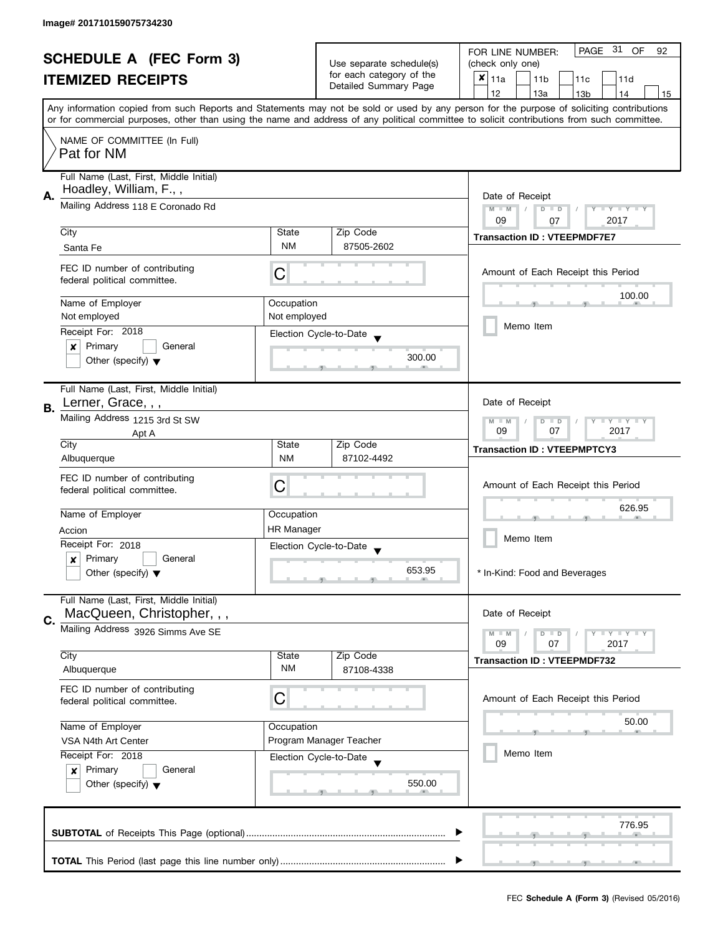| <b>SCHEDULE A (FEC Form 3)</b> |                                                                       |                                                                                                            |                                                      | PAGE 31 OF<br>FOR LINE NUMBER:<br>92                                                                                                                                                                                                                                                    |  |  |
|--------------------------------|-----------------------------------------------------------------------|------------------------------------------------------------------------------------------------------------|------------------------------------------------------|-----------------------------------------------------------------------------------------------------------------------------------------------------------------------------------------------------------------------------------------------------------------------------------------|--|--|
|                                |                                                                       |                                                                                                            | Use separate schedule(s)<br>for each category of the | (check only one)                                                                                                                                                                                                                                                                        |  |  |
|                                | <b>ITEMIZED RECEIPTS</b>                                              |                                                                                                            | Detailed Summary Page                                | $x _{11a}$<br>11 <sub>b</sub><br>11 <sub>c</sub><br>11d                                                                                                                                                                                                                                 |  |  |
|                                |                                                                       |                                                                                                            |                                                      | 12<br>13a<br>13 <sub>b</sub><br>14<br>15                                                                                                                                                                                                                                                |  |  |
|                                |                                                                       |                                                                                                            |                                                      | Any information copied from such Reports and Statements may not be sold or used by any person for the purpose of soliciting contributions<br>or for commercial purposes, other than using the name and address of any political committee to solicit contributions from such committee. |  |  |
|                                |                                                                       |                                                                                                            |                                                      |                                                                                                                                                                                                                                                                                         |  |  |
|                                | NAME OF COMMITTEE (In Full)                                           |                                                                                                            |                                                      |                                                                                                                                                                                                                                                                                         |  |  |
|                                | Pat for NM                                                            |                                                                                                            |                                                      |                                                                                                                                                                                                                                                                                         |  |  |
|                                | Full Name (Last, First, Middle Initial)                               |                                                                                                            |                                                      |                                                                                                                                                                                                                                                                                         |  |  |
|                                | Hoadley, William, F.,,                                                |                                                                                                            |                                                      |                                                                                                                                                                                                                                                                                         |  |  |
| А.                             | Mailing Address 118 E Coronado Rd                                     | Date of Receipt                                                                                            |                                                      |                                                                                                                                                                                                                                                                                         |  |  |
|                                |                                                                       | $M - M$<br>$D$ $D$<br>$T - Y = Y + Y$<br>09<br>2017<br>07                                                  |                                                      |                                                                                                                                                                                                                                                                                         |  |  |
|                                | City                                                                  | State                                                                                                      | Zip Code                                             |                                                                                                                                                                                                                                                                                         |  |  |
|                                | Santa Fe                                                              | <b>NM</b>                                                                                                  | 87505-2602                                           | <b>Transaction ID: VTEEPMDF7E7</b>                                                                                                                                                                                                                                                      |  |  |
|                                |                                                                       |                                                                                                            |                                                      |                                                                                                                                                                                                                                                                                         |  |  |
|                                | FEC ID number of contributing<br>federal political committee.         | C                                                                                                          |                                                      | Amount of Each Receipt this Period                                                                                                                                                                                                                                                      |  |  |
|                                |                                                                       |                                                                                                            |                                                      |                                                                                                                                                                                                                                                                                         |  |  |
|                                | Name of Employer                                                      | Occupation                                                                                                 |                                                      | 100.00                                                                                                                                                                                                                                                                                  |  |  |
|                                | Not employed                                                          | Not employed                                                                                               |                                                      | Memo Item                                                                                                                                                                                                                                                                               |  |  |
|                                | Receipt For: 2018                                                     |                                                                                                            | Election Cycle-to-Date                               |                                                                                                                                                                                                                                                                                         |  |  |
|                                | Primary<br>General<br>×                                               |                                                                                                            |                                                      |                                                                                                                                                                                                                                                                                         |  |  |
|                                | Other (specify) $\blacktriangledown$                                  |                                                                                                            | 300.00                                               |                                                                                                                                                                                                                                                                                         |  |  |
|                                |                                                                       |                                                                                                            |                                                      |                                                                                                                                                                                                                                                                                         |  |  |
|                                | Full Name (Last, First, Middle Initial)                               |                                                                                                            |                                                      |                                                                                                                                                                                                                                                                                         |  |  |
| В.                             | Lerner, Grace, , ,                                                    |                                                                                                            |                                                      | Date of Receipt                                                                                                                                                                                                                                                                         |  |  |
|                                | Mailing Address 1215 3rd St SW                                        | $\bot$ $\gamma$ $\bot$ $\gamma$ $\bot$ $\gamma$<br>$M - M$<br>$\overline{D}$<br>$\Box$<br>09<br>07<br>2017 |                                                      |                                                                                                                                                                                                                                                                                         |  |  |
|                                | Apt A<br>City                                                         | State                                                                                                      | Zip Code                                             |                                                                                                                                                                                                                                                                                         |  |  |
|                                | Albuquerque                                                           | NM                                                                                                         | 87102-4492                                           | <b>Transaction ID: VTEEPMPTCY3</b>                                                                                                                                                                                                                                                      |  |  |
|                                |                                                                       |                                                                                                            |                                                      |                                                                                                                                                                                                                                                                                         |  |  |
|                                | FEC ID number of contributing<br>federal political committee.         | С                                                                                                          |                                                      | Amount of Each Receipt this Period                                                                                                                                                                                                                                                      |  |  |
|                                |                                                                       |                                                                                                            |                                                      |                                                                                                                                                                                                                                                                                         |  |  |
|                                | Name of Employer                                                      | Occupation                                                                                                 |                                                      | 626.95                                                                                                                                                                                                                                                                                  |  |  |
|                                | Accion                                                                | <b>HR Manager</b>                                                                                          |                                                      |                                                                                                                                                                                                                                                                                         |  |  |
|                                | Receipt For: 2018                                                     |                                                                                                            | Election Cycle-to-Date                               | Memo Item                                                                                                                                                                                                                                                                               |  |  |
|                                | Primary<br>General<br>x                                               |                                                                                                            |                                                      |                                                                                                                                                                                                                                                                                         |  |  |
|                                | Other (specify) $\blacktriangledown$                                  |                                                                                                            | 653.95                                               | * In-Kind: Food and Beverages                                                                                                                                                                                                                                                           |  |  |
|                                |                                                                       |                                                                                                            |                                                      |                                                                                                                                                                                                                                                                                         |  |  |
|                                | Full Name (Last, First, Middle Initial)<br>MacQueen, Christopher, , , |                                                                                                            |                                                      | Date of Receipt                                                                                                                                                                                                                                                                         |  |  |
| C.                             |                                                                       |                                                                                                            |                                                      |                                                                                                                                                                                                                                                                                         |  |  |
|                                | Mailing Address 3926 Simms Ave SE                                     |                                                                                                            |                                                      | $Y \perp Y \perp Y$<br>$M - M$<br>$D$ $D$<br>09<br>07<br>2017                                                                                                                                                                                                                           |  |  |
|                                | City                                                                  | State                                                                                                      | Zip Code                                             |                                                                                                                                                                                                                                                                                         |  |  |
|                                | Albuquerque                                                           | <b>NM</b>                                                                                                  | 87108-4338                                           | <b>Transaction ID: VTEEPMDF732</b>                                                                                                                                                                                                                                                      |  |  |
|                                | FEC ID number of contributing                                         |                                                                                                            |                                                      |                                                                                                                                                                                                                                                                                         |  |  |
|                                | federal political committee.                                          | С                                                                                                          |                                                      | Amount of Each Receipt this Period                                                                                                                                                                                                                                                      |  |  |
|                                |                                                                       |                                                                                                            |                                                      |                                                                                                                                                                                                                                                                                         |  |  |
|                                | Name of Employer                                                      | Occupation                                                                                                 |                                                      | 50.00                                                                                                                                                                                                                                                                                   |  |  |
|                                | VSA N4th Art Center                                                   |                                                                                                            | Program Manager Teacher                              |                                                                                                                                                                                                                                                                                         |  |  |
|                                | Receipt For: 2018                                                     |                                                                                                            | Election Cycle-to-Date                               | Memo Item                                                                                                                                                                                                                                                                               |  |  |
|                                | Primary<br>General<br>$\boldsymbol{x}$                                |                                                                                                            |                                                      |                                                                                                                                                                                                                                                                                         |  |  |
|                                | Other (specify) $\blacktriangledown$                                  |                                                                                                            | 550.00                                               |                                                                                                                                                                                                                                                                                         |  |  |
|                                |                                                                       |                                                                                                            |                                                      |                                                                                                                                                                                                                                                                                         |  |  |
|                                |                                                                       |                                                                                                            |                                                      | 776.95                                                                                                                                                                                                                                                                                  |  |  |
|                                |                                                                       |                                                                                                            |                                                      |                                                                                                                                                                                                                                                                                         |  |  |
|                                |                                                                       |                                                                                                            |                                                      |                                                                                                                                                                                                                                                                                         |  |  |
|                                |                                                                       |                                                                                                            |                                                      |                                                                                                                                                                                                                                                                                         |  |  |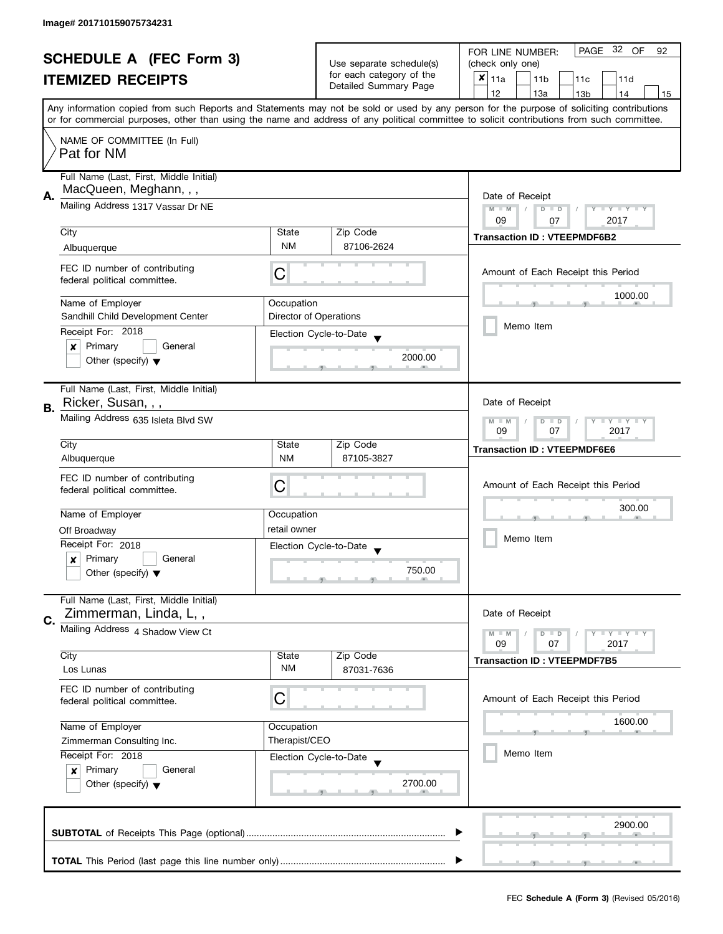| <b>SCHEDULE A (FEC Form 3)</b> |                                                                              |                                                           | PAGE 32 OF<br>FOR LINE NUMBER:<br>92                 |                                                                                                                                                                                                                                                                                         |  |
|--------------------------------|------------------------------------------------------------------------------|-----------------------------------------------------------|------------------------------------------------------|-----------------------------------------------------------------------------------------------------------------------------------------------------------------------------------------------------------------------------------------------------------------------------------------|--|
|                                |                                                                              |                                                           | Use separate schedule(s)<br>for each category of the | (check only one)                                                                                                                                                                                                                                                                        |  |
|                                | <b>ITEMIZED RECEIPTS</b>                                                     |                                                           | Detailed Summary Page                                | ×<br>11a<br>11 <sub>b</sub><br>11c<br>11d                                                                                                                                                                                                                                               |  |
|                                |                                                                              |                                                           |                                                      | 12<br>13a<br>13 <sub>b</sub><br>14<br>15                                                                                                                                                                                                                                                |  |
|                                |                                                                              |                                                           |                                                      | Any information copied from such Reports and Statements may not be sold or used by any person for the purpose of soliciting contributions<br>or for commercial purposes, other than using the name and address of any political committee to solicit contributions from such committee. |  |
|                                | NAME OF COMMITTEE (In Full)                                                  |                                                           |                                                      |                                                                                                                                                                                                                                                                                         |  |
|                                | Pat for NM                                                                   |                                                           |                                                      |                                                                                                                                                                                                                                                                                         |  |
|                                | Full Name (Last, First, Middle Initial)                                      |                                                           |                                                      |                                                                                                                                                                                                                                                                                         |  |
| А.                             | MacQueen, Meghann, , ,                                                       | Date of Receipt                                           |                                                      |                                                                                                                                                                                                                                                                                         |  |
|                                | Mailing Address 1317 Vassar Dr NE                                            | $M - M$<br>Y FY FY FY<br>$D$ $D$                          |                                                      |                                                                                                                                                                                                                                                                                         |  |
|                                |                                                                              |                                                           |                                                      | 2017<br>09<br>07                                                                                                                                                                                                                                                                        |  |
|                                | City                                                                         | State                                                     | Zip Code                                             | <b>Transaction ID: VTEEPMDF6B2</b>                                                                                                                                                                                                                                                      |  |
|                                | Albuquerque                                                                  | <b>NM</b>                                                 | 87106-2624                                           |                                                                                                                                                                                                                                                                                         |  |
|                                | FEC ID number of contributing                                                |                                                           |                                                      |                                                                                                                                                                                                                                                                                         |  |
|                                | federal political committee.                                                 | С                                                         |                                                      | Amount of Each Receipt this Period                                                                                                                                                                                                                                                      |  |
|                                |                                                                              |                                                           |                                                      | 1000.00                                                                                                                                                                                                                                                                                 |  |
|                                | Name of Employer                                                             | Occupation                                                |                                                      |                                                                                                                                                                                                                                                                                         |  |
|                                | Sandhill Child Development Center                                            |                                                           | Director of Operations                               | Memo Item                                                                                                                                                                                                                                                                               |  |
|                                | Receipt For: 2018                                                            |                                                           | Election Cycle-to-Date                               |                                                                                                                                                                                                                                                                                         |  |
|                                | Primary<br>General<br>×                                                      |                                                           | 2000.00                                              |                                                                                                                                                                                                                                                                                         |  |
|                                | Other (specify) $\blacktriangledown$                                         |                                                           |                                                      |                                                                                                                                                                                                                                                                                         |  |
|                                | Full Name (Last, First, Middle Initial)                                      |                                                           |                                                      |                                                                                                                                                                                                                                                                                         |  |
|                                | Ricker, Susan, , ,                                                           |                                                           |                                                      | Date of Receipt                                                                                                                                                                                                                                                                         |  |
| В.                             | Mailing Address 635 Isleta Blvd SW                                           |                                                           |                                                      |                                                                                                                                                                                                                                                                                         |  |
|                                |                                                                              | <b>LY LY LY</b><br>$M - M$<br>$D$ $D$<br>2017<br>09<br>07 |                                                      |                                                                                                                                                                                                                                                                                         |  |
|                                | City                                                                         | State                                                     | Zip Code                                             | <b>Transaction ID: VTEEPMDF6E6</b>                                                                                                                                                                                                                                                      |  |
|                                | Albuquerque                                                                  | <b>NM</b>                                                 | 87105-3827                                           |                                                                                                                                                                                                                                                                                         |  |
|                                | FEC ID number of contributing                                                |                                                           |                                                      |                                                                                                                                                                                                                                                                                         |  |
|                                | federal political committee.                                                 | C                                                         |                                                      | Amount of Each Receipt this Period                                                                                                                                                                                                                                                      |  |
|                                |                                                                              |                                                           |                                                      | 300.00                                                                                                                                                                                                                                                                                  |  |
|                                | Name of Employer                                                             | Occupation                                                |                                                      |                                                                                                                                                                                                                                                                                         |  |
|                                | Off Broadway                                                                 | retail owner                                              |                                                      | Memo Item                                                                                                                                                                                                                                                                               |  |
|                                | Receipt For: 2018                                                            |                                                           | Election Cycle-to-Date<br>$\overline{\mathbf{v}}$    |                                                                                                                                                                                                                                                                                         |  |
|                                | Primary<br>General<br>$\boldsymbol{x}$                                       |                                                           |                                                      |                                                                                                                                                                                                                                                                                         |  |
|                                | Other (specify) $\blacktriangledown$                                         |                                                           | 750.00                                               |                                                                                                                                                                                                                                                                                         |  |
|                                | Full Name (Last, First, Middle Initial)                                      |                                                           |                                                      |                                                                                                                                                                                                                                                                                         |  |
|                                | Zimmerman, Linda, L,,                                                        |                                                           |                                                      | Date of Receipt                                                                                                                                                                                                                                                                         |  |
| C.                             | Mailing Address 4 Shadow View Ct                                             |                                                           |                                                      |                                                                                                                                                                                                                                                                                         |  |
|                                |                                                                              |                                                           |                                                      | $\blacksquare$<br>$M - M$<br>$D$ $D$<br>09<br>07<br>2017                                                                                                                                                                                                                                |  |
|                                | City                                                                         | State                                                     | Zip Code                                             | <b>Transaction ID: VTEEPMDF7B5</b>                                                                                                                                                                                                                                                      |  |
|                                | Los Lunas                                                                    | <b>NM</b>                                                 | 87031-7636                                           |                                                                                                                                                                                                                                                                                         |  |
|                                | FEC ID number of contributing                                                |                                                           |                                                      |                                                                                                                                                                                                                                                                                         |  |
|                                | federal political committee.                                                 | C                                                         |                                                      | Amount of Each Receipt this Period                                                                                                                                                                                                                                                      |  |
|                                |                                                                              |                                                           |                                                      | 1600.00                                                                                                                                                                                                                                                                                 |  |
|                                | Name of Employer<br>Occupation<br>Therapist/CEO<br>Zimmerman Consulting Inc. |                                                           |                                                      |                                                                                                                                                                                                                                                                                         |  |
|                                |                                                                              |                                                           |                                                      | Memo Item                                                                                                                                                                                                                                                                               |  |
|                                | Receipt For: 2018                                                            |                                                           | Election Cycle-to-Date                               |                                                                                                                                                                                                                                                                                         |  |
|                                | Primary<br>General<br>$\boldsymbol{x}$                                       |                                                           | 2700.00                                              |                                                                                                                                                                                                                                                                                         |  |
|                                | Other (specify) $\blacktriangledown$                                         |                                                           |                                                      |                                                                                                                                                                                                                                                                                         |  |
|                                |                                                                              |                                                           |                                                      |                                                                                                                                                                                                                                                                                         |  |
|                                |                                                                              |                                                           |                                                      | 2900.00                                                                                                                                                                                                                                                                                 |  |
|                                |                                                                              |                                                           |                                                      |                                                                                                                                                                                                                                                                                         |  |
|                                |                                                                              |                                                           |                                                      |                                                                                                                                                                                                                                                                                         |  |
|                                |                                                                              |                                                           |                                                      |                                                                                                                                                                                                                                                                                         |  |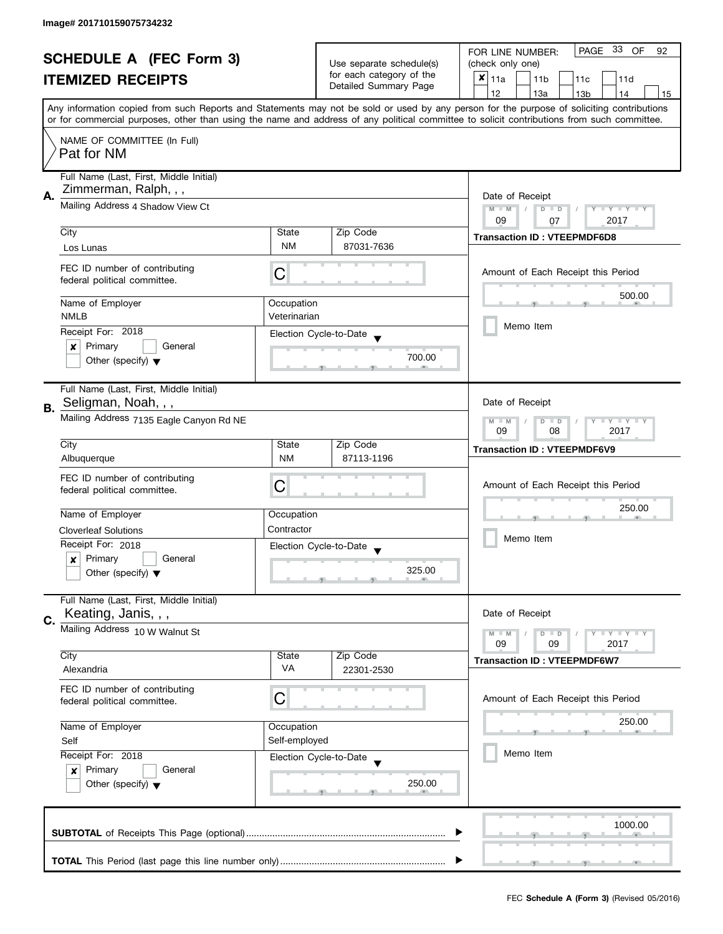| <b>SCHEDULE A (FEC Form 3)</b> |                                                                  |                                                                            |                                                   | PAGE 33 OF<br>FOR LINE NUMBER:<br>92                                                                                                                                                                                                                                                    |  |  |
|--------------------------------|------------------------------------------------------------------|----------------------------------------------------------------------------|---------------------------------------------------|-----------------------------------------------------------------------------------------------------------------------------------------------------------------------------------------------------------------------------------------------------------------------------------------|--|--|
|                                |                                                                  |                                                                            | Use separate schedule(s)                          | (check only one)                                                                                                                                                                                                                                                                        |  |  |
|                                | <b>ITEMIZED RECEIPTS</b>                                         |                                                                            | for each category of the<br>Detailed Summary Page | $x _{11a}$<br>11 <sub>b</sub><br>11c<br>11d                                                                                                                                                                                                                                             |  |  |
|                                |                                                                  |                                                                            |                                                   | 12<br>13a<br>13 <sub>b</sub><br>14<br>15                                                                                                                                                                                                                                                |  |  |
|                                |                                                                  |                                                                            |                                                   | Any information copied from such Reports and Statements may not be sold or used by any person for the purpose of soliciting contributions<br>or for commercial purposes, other than using the name and address of any political committee to solicit contributions from such committee. |  |  |
|                                |                                                                  |                                                                            |                                                   |                                                                                                                                                                                                                                                                                         |  |  |
|                                | NAME OF COMMITTEE (In Full)<br>Pat for NM                        |                                                                            |                                                   |                                                                                                                                                                                                                                                                                         |  |  |
|                                | Full Name (Last, First, Middle Initial)<br>Zimmerman, Ralph, , , |                                                                            |                                                   |                                                                                                                                                                                                                                                                                         |  |  |
| А.                             | Mailing Address 4 Shadow View Ct                                 | Date of Receipt<br>$M - M$<br>$D$ $D$<br>Y I Y I Y I Y<br>09<br>2017<br>07 |                                                   |                                                                                                                                                                                                                                                                                         |  |  |
|                                | City                                                             | State                                                                      | Zip Code                                          |                                                                                                                                                                                                                                                                                         |  |  |
|                                | Los Lunas                                                        | <b>NM</b>                                                                  | 87031-7636                                        | <b>Transaction ID: VTEEPMDF6D8</b>                                                                                                                                                                                                                                                      |  |  |
|                                |                                                                  |                                                                            |                                                   |                                                                                                                                                                                                                                                                                         |  |  |
|                                | FEC ID number of contributing<br>federal political committee.    | С                                                                          |                                                   | Amount of Each Receipt this Period                                                                                                                                                                                                                                                      |  |  |
|                                | Name of Employer                                                 | Occupation                                                                 |                                                   | 500.00                                                                                                                                                                                                                                                                                  |  |  |
|                                | <b>NMLB</b>                                                      | Veterinarian                                                               |                                                   |                                                                                                                                                                                                                                                                                         |  |  |
|                                | Receipt For: 2018                                                |                                                                            |                                                   | Memo Item                                                                                                                                                                                                                                                                               |  |  |
|                                | Primary<br>General<br>×                                          |                                                                            | Election Cycle-to-Date                            |                                                                                                                                                                                                                                                                                         |  |  |
|                                | Other (specify) $\blacktriangledown$                             |                                                                            | 700.00                                            |                                                                                                                                                                                                                                                                                         |  |  |
|                                | Full Name (Last, First, Middle Initial)                          |                                                                            |                                                   |                                                                                                                                                                                                                                                                                         |  |  |
|                                | Seligman, Noah, , ,                                              |                                                                            |                                                   | Date of Receipt                                                                                                                                                                                                                                                                         |  |  |
| В.                             |                                                                  |                                                                            |                                                   |                                                                                                                                                                                                                                                                                         |  |  |
|                                | Mailing Address 7135 Eagle Canyon Rd NE                          |                                                                            |                                                   | $\mathbf{y}$ $\mathbf{y}$<br>$M - M$<br>$\overline{D}$<br>Y<br>$\Box$<br>09<br>08<br>2017                                                                                                                                                                                               |  |  |
|                                | City                                                             | Zip Code<br>State                                                          |                                                   |                                                                                                                                                                                                                                                                                         |  |  |
|                                | Albuquerque                                                      | <b>NM</b>                                                                  | 87113-1196                                        | <b>Transaction ID: VTEEPMDF6V9</b>                                                                                                                                                                                                                                                      |  |  |
|                                |                                                                  |                                                                            |                                                   |                                                                                                                                                                                                                                                                                         |  |  |
|                                | FEC ID number of contributing                                    | С                                                                          |                                                   | Amount of Each Receipt this Period                                                                                                                                                                                                                                                      |  |  |
|                                | federal political committee.                                     |                                                                            |                                                   |                                                                                                                                                                                                                                                                                         |  |  |
|                                | Name of Employer                                                 | Occupation                                                                 |                                                   | 250.00                                                                                                                                                                                                                                                                                  |  |  |
|                                | <b>Cloverleaf Solutions</b>                                      | Contractor                                                                 |                                                   |                                                                                                                                                                                                                                                                                         |  |  |
|                                | Receipt For: 2018                                                |                                                                            |                                                   | Memo Item                                                                                                                                                                                                                                                                               |  |  |
|                                | Primary                                                          |                                                                            | Election Cycle-to-Date                            |                                                                                                                                                                                                                                                                                         |  |  |
|                                | General<br>x                                                     |                                                                            | 325.00                                            |                                                                                                                                                                                                                                                                                         |  |  |
|                                | Other (specify) $\blacktriangledown$                             |                                                                            |                                                   |                                                                                                                                                                                                                                                                                         |  |  |
|                                | Full Name (Last, First, Middle Initial)                          |                                                                            |                                                   |                                                                                                                                                                                                                                                                                         |  |  |
| C.                             | Keating, Janis, , ,                                              |                                                                            |                                                   | Date of Receipt                                                                                                                                                                                                                                                                         |  |  |
|                                | Mailing Address 10 W Walnut St                                   |                                                                            |                                                   | $M - M$<br>$Y \perp Y \perp Y$<br>$D$ $D$                                                                                                                                                                                                                                               |  |  |
|                                |                                                                  |                                                                            |                                                   | 09<br>09<br>2017                                                                                                                                                                                                                                                                        |  |  |
|                                | City                                                             | State<br>VA                                                                | Zip Code                                          | <b>Transaction ID: VTEEPMDF6W7</b>                                                                                                                                                                                                                                                      |  |  |
|                                | Alexandria                                                       |                                                                            | 22301-2530                                        |                                                                                                                                                                                                                                                                                         |  |  |
|                                | FEC ID number of contributing                                    |                                                                            |                                                   |                                                                                                                                                                                                                                                                                         |  |  |
|                                | federal political committee.                                     | C                                                                          |                                                   | Amount of Each Receipt this Period                                                                                                                                                                                                                                                      |  |  |
|                                |                                                                  |                                                                            |                                                   | 250.00                                                                                                                                                                                                                                                                                  |  |  |
|                                | Name of Employer                                                 | Occupation                                                                 |                                                   |                                                                                                                                                                                                                                                                                         |  |  |
|                                | Self                                                             | Self-employed                                                              |                                                   |                                                                                                                                                                                                                                                                                         |  |  |
|                                | Receipt For: 2018                                                |                                                                            | Election Cycle-to-Date                            | Memo Item                                                                                                                                                                                                                                                                               |  |  |
|                                | Primary<br>General<br>$\boldsymbol{x}$                           |                                                                            |                                                   |                                                                                                                                                                                                                                                                                         |  |  |
|                                | Other (specify) $\blacktriangledown$                             |                                                                            | 250.00                                            |                                                                                                                                                                                                                                                                                         |  |  |
|                                |                                                                  |                                                                            |                                                   |                                                                                                                                                                                                                                                                                         |  |  |
|                                |                                                                  |                                                                            |                                                   |                                                                                                                                                                                                                                                                                         |  |  |
|                                |                                                                  |                                                                            |                                                   | 1000.00                                                                                                                                                                                                                                                                                 |  |  |
|                                |                                                                  |                                                                            |                                                   |                                                                                                                                                                                                                                                                                         |  |  |
|                                |                                                                  |                                                                            |                                                   |                                                                                                                                                                                                                                                                                         |  |  |
|                                |                                                                  |                                                                            |                                                   |                                                                                                                                                                                                                                                                                         |  |  |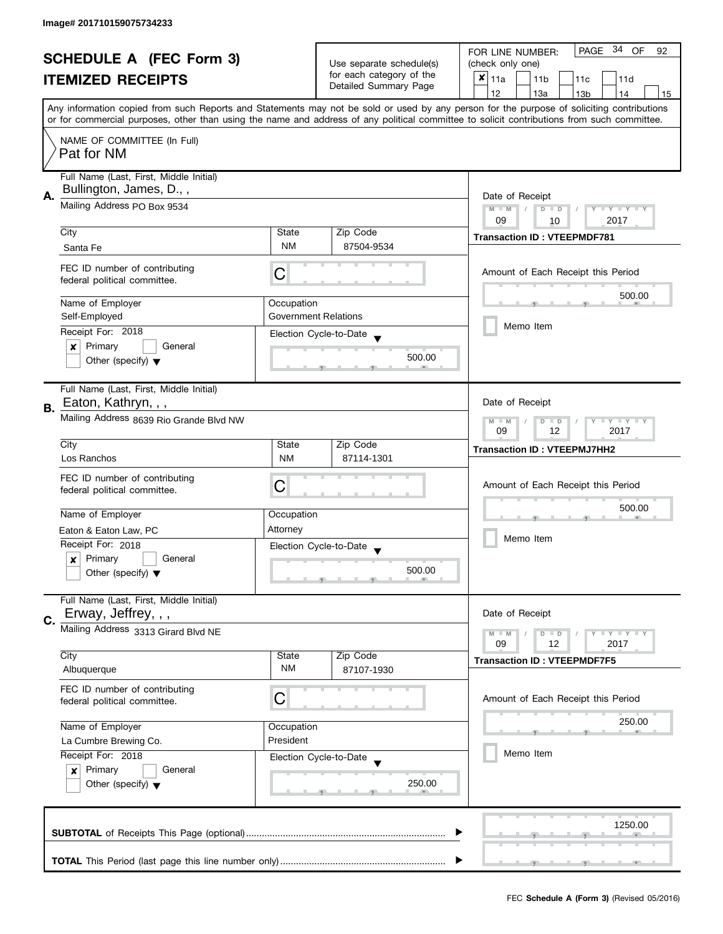| <b>SCHEDULE A (FEC Form 3)</b> |                                                                    | Use separate schedule(s)                                                              | PAGE 34 OF<br>FOR LINE NUMBER:<br>92              |                                                                                                                                            |  |
|--------------------------------|--------------------------------------------------------------------|---------------------------------------------------------------------------------------|---------------------------------------------------|--------------------------------------------------------------------------------------------------------------------------------------------|--|
|                                |                                                                    |                                                                                       | (check only one)                                  |                                                                                                                                            |  |
|                                | <b>ITEMIZED RECEIPTS</b>                                           |                                                                                       | for each category of the<br>Detailed Summary Page | $x _{11a}$<br>11 <sub>b</sub><br>11c<br>11d                                                                                                |  |
|                                |                                                                    |                                                                                       |                                                   | 12<br>13a<br>13 <sub>b</sub><br>14<br>15                                                                                                   |  |
|                                |                                                                    |                                                                                       |                                                   | Any information copied from such Reports and Statements may not be sold or used by any person for the purpose of soliciting contributions  |  |
|                                |                                                                    |                                                                                       |                                                   | or for commercial purposes, other than using the name and address of any political committee to solicit contributions from such committee. |  |
|                                | NAME OF COMMITTEE (In Full)<br>Pat for NM                          |                                                                                       |                                                   |                                                                                                                                            |  |
|                                | Full Name (Last, First, Middle Initial)<br>Bullington, James, D.,, |                                                                                       |                                                   |                                                                                                                                            |  |
| А.                             | Mailing Address PO Box 9534                                        | Date of Receipt<br>$M - M$<br>$\sqrt{ }$<br>$D$ $D$<br>Y FY FY FY<br>09<br>2017<br>10 |                                                   |                                                                                                                                            |  |
|                                | City                                                               | State                                                                                 | Zip Code                                          |                                                                                                                                            |  |
|                                | Santa Fe                                                           | <b>NM</b>                                                                             | 87504-9534                                        | <b>Transaction ID: VTEEPMDF781</b>                                                                                                         |  |
|                                | FEC ID number of contributing<br>federal political committee.      | С                                                                                     |                                                   | Amount of Each Receipt this Period                                                                                                         |  |
|                                | Name of Employer                                                   | Occupation                                                                            |                                                   | 500.00                                                                                                                                     |  |
|                                | Self-Employed                                                      | <b>Government Relations</b>                                                           |                                                   |                                                                                                                                            |  |
|                                | Receipt For: 2018                                                  |                                                                                       | Election Cycle-to-Date                            | Memo Item                                                                                                                                  |  |
|                                | Primary<br>$\pmb{\times}$<br>General                               |                                                                                       | 500.00                                            |                                                                                                                                            |  |
|                                | Other (specify) $\blacktriangledown$                               |                                                                                       |                                                   |                                                                                                                                            |  |
|                                | Full Name (Last, First, Middle Initial)                            |                                                                                       |                                                   |                                                                                                                                            |  |
| В.                             | Eaton, Kathryn, , ,                                                |                                                                                       |                                                   | Date of Receipt                                                                                                                            |  |
|                                | Mailing Address 8639 Rio Grande Blvd NW                            |                                                                                       |                                                   | $Y = Y + Y$<br>$M - M$<br>D<br>$\Box$<br>2017<br>09<br>12                                                                                  |  |
|                                | City                                                               | State                                                                                 | Zip Code                                          | <b>Transaction ID: VTEEPMJ7HH2</b>                                                                                                         |  |
|                                | Los Ranchos                                                        | <b>NM</b>                                                                             | 87114-1301                                        |                                                                                                                                            |  |
|                                | FEC ID number of contributing                                      | С                                                                                     |                                                   |                                                                                                                                            |  |
|                                | federal political committee.                                       |                                                                                       |                                                   | Amount of Each Receipt this Period                                                                                                         |  |
|                                | Name of Employer                                                   | Occupation                                                                            |                                                   | 500.00                                                                                                                                     |  |
|                                | Eaton & Eaton Law, PC                                              | Attorney                                                                              |                                                   |                                                                                                                                            |  |
|                                | Receipt For: 2018                                                  |                                                                                       | Election Cycle-to-Date                            | Memo Item                                                                                                                                  |  |
|                                | Primary<br>General<br>x                                            |                                                                                       |                                                   |                                                                                                                                            |  |
|                                | Other (specify) $\blacktriangledown$                               |                                                                                       | 500.00                                            |                                                                                                                                            |  |
|                                | Full Name (Last, First, Middle Initial)                            |                                                                                       |                                                   |                                                                                                                                            |  |
| C.                             | Erway, Jeffrey, , ,                                                |                                                                                       |                                                   | Date of Receipt                                                                                                                            |  |
|                                | Mailing Address 3313 Girard Blvd NE                                |                                                                                       |                                                   | $M - M$<br>$\bot$ $\gamma$ $\bot$ $\gamma$ $\bot$ $\gamma$<br>D<br>$\blacksquare$<br>09<br>12<br>2017                                      |  |
|                                | City                                                               | State                                                                                 | Zip Code                                          | <b>Transaction ID: VTEEPMDF7F5</b>                                                                                                         |  |
|                                | Albuquerque                                                        | NM                                                                                    | 87107-1930                                        |                                                                                                                                            |  |
|                                | FEC ID number of contributing<br>federal political committee.      | C                                                                                     |                                                   | Amount of Each Receipt this Period                                                                                                         |  |
|                                |                                                                    |                                                                                       |                                                   | 250.00                                                                                                                                     |  |
|                                | Name of Employer                                                   | Occupation<br>President                                                               |                                                   |                                                                                                                                            |  |
|                                | La Cumbre Brewing Co.<br>Receipt For: 2018                         |                                                                                       |                                                   | Memo Item                                                                                                                                  |  |
|                                | Primary<br>General<br>$\boldsymbol{x}$                             |                                                                                       | Election Cycle-to-Date                            |                                                                                                                                            |  |
|                                | Other (specify) $\blacktriangledown$                               |                                                                                       | 250.00                                            |                                                                                                                                            |  |
|                                |                                                                    |                                                                                       |                                                   |                                                                                                                                            |  |
|                                |                                                                    |                                                                                       |                                                   | 1250.00                                                                                                                                    |  |
|                                |                                                                    |                                                                                       |                                                   |                                                                                                                                            |  |
|                                |                                                                    |                                                                                       |                                                   |                                                                                                                                            |  |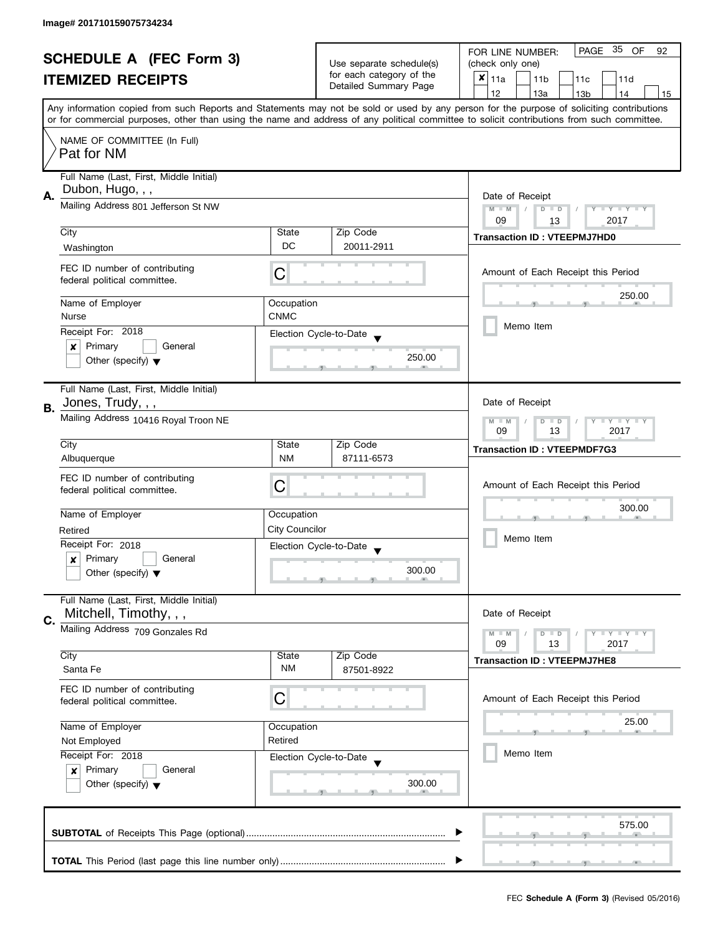| <b>SCHEDULE A (FEC Form 3)</b>                                                                                                             |                                                                                                                                                                                                     |            | Use separate schedule(s) | PAGE 35 OF<br>FOR LINE NUMBER:<br>92                                                                                                      |  |  |  |
|--------------------------------------------------------------------------------------------------------------------------------------------|-----------------------------------------------------------------------------------------------------------------------------------------------------------------------------------------------------|------------|--------------------------|-------------------------------------------------------------------------------------------------------------------------------------------|--|--|--|
|                                                                                                                                            |                                                                                                                                                                                                     |            |                          | (check only one)                                                                                                                          |  |  |  |
|                                                                                                                                            | <b>ITEMIZED RECEIPTS</b>                                                                                                                                                                            |            | for each category of the | $x _{11a}$<br>11 <sub>b</sub><br>11c<br>11d                                                                                               |  |  |  |
|                                                                                                                                            |                                                                                                                                                                                                     |            | Detailed Summary Page    | 12<br>13a<br>14<br>13 <sub>b</sub><br>15                                                                                                  |  |  |  |
|                                                                                                                                            |                                                                                                                                                                                                     |            |                          | Any information copied from such Reports and Statements may not be sold or used by any person for the purpose of soliciting contributions |  |  |  |
| or for commercial purposes, other than using the name and address of any political committee to solicit contributions from such committee. |                                                                                                                                                                                                     |            |                          |                                                                                                                                           |  |  |  |
|                                                                                                                                            | NAME OF COMMITTEE (In Full)                                                                                                                                                                         |            |                          |                                                                                                                                           |  |  |  |
|                                                                                                                                            | Pat for NM                                                                                                                                                                                          |            |                          |                                                                                                                                           |  |  |  |
|                                                                                                                                            |                                                                                                                                                                                                     |            |                          |                                                                                                                                           |  |  |  |
|                                                                                                                                            | Full Name (Last, First, Middle Initial)                                                                                                                                                             |            |                          |                                                                                                                                           |  |  |  |
|                                                                                                                                            | Dubon, Hugo, , ,                                                                                                                                                                                    |            |                          |                                                                                                                                           |  |  |  |
| А.                                                                                                                                         | Mailing Address 801 Jefferson St NW                                                                                                                                                                 |            |                          | Date of Receipt                                                                                                                           |  |  |  |
|                                                                                                                                            |                                                                                                                                                                                                     |            |                          | $M - M$<br>Y I Y I Y I Y<br>$D$ $D$<br>09<br>2017<br>13                                                                                   |  |  |  |
|                                                                                                                                            | City                                                                                                                                                                                                | State      | Zip Code                 |                                                                                                                                           |  |  |  |
|                                                                                                                                            | Washington                                                                                                                                                                                          | <b>DC</b>  | 20011-2911               | <b>Transaction ID: VTEEPMJ7HD0</b>                                                                                                        |  |  |  |
|                                                                                                                                            |                                                                                                                                                                                                     |            |                          |                                                                                                                                           |  |  |  |
|                                                                                                                                            | FEC ID number of contributing                                                                                                                                                                       | С          |                          | Amount of Each Receipt this Period                                                                                                        |  |  |  |
|                                                                                                                                            | federal political committee.                                                                                                                                                                        |            |                          |                                                                                                                                           |  |  |  |
|                                                                                                                                            |                                                                                                                                                                                                     |            |                          | 250.00                                                                                                                                    |  |  |  |
|                                                                                                                                            | Name of Employer                                                                                                                                                                                    | Occupation |                          |                                                                                                                                           |  |  |  |
|                                                                                                                                            | <b>CNMC</b><br>Nurse<br>Receipt For: 2018                                                                                                                                                           |            |                          | Memo Item                                                                                                                                 |  |  |  |
|                                                                                                                                            |                                                                                                                                                                                                     |            | Election Cycle-to-Date   |                                                                                                                                           |  |  |  |
|                                                                                                                                            | Primary<br>General<br>×                                                                                                                                                                             |            |                          |                                                                                                                                           |  |  |  |
|                                                                                                                                            | Other (specify) $\blacktriangledown$                                                                                                                                                                |            | 250.00                   |                                                                                                                                           |  |  |  |
|                                                                                                                                            |                                                                                                                                                                                                     |            |                          |                                                                                                                                           |  |  |  |
|                                                                                                                                            | Full Name (Last, First, Middle Initial)                                                                                                                                                             |            |                          |                                                                                                                                           |  |  |  |
| В.                                                                                                                                         | Jones, Trudy, , ,                                                                                                                                                                                   |            |                          | Date of Receipt                                                                                                                           |  |  |  |
|                                                                                                                                            | Mailing Address 10416 Royal Troon NE                                                                                                                                                                |            |                          | <b>LY LY LY</b><br>$M - M$<br>$D$ $D$                                                                                                     |  |  |  |
|                                                                                                                                            |                                                                                                                                                                                                     |            |                          | 09<br>13<br>2017                                                                                                                          |  |  |  |
|                                                                                                                                            | City                                                                                                                                                                                                | State      | Zip Code                 | <b>Transaction ID: VTEEPMDF7G3</b>                                                                                                        |  |  |  |
|                                                                                                                                            | Albuquerque                                                                                                                                                                                         | <b>NM</b>  | 87111-6573               |                                                                                                                                           |  |  |  |
|                                                                                                                                            | FEC ID number of contributing                                                                                                                                                                       |            |                          |                                                                                                                                           |  |  |  |
|                                                                                                                                            | federal political committee.                                                                                                                                                                        | C          |                          | Amount of Each Receipt this Period                                                                                                        |  |  |  |
|                                                                                                                                            |                                                                                                                                                                                                     |            |                          |                                                                                                                                           |  |  |  |
|                                                                                                                                            | Name of Employer<br>Occupation<br><b>City Councilor</b><br>Retired<br>Receipt For: 2018<br>Election Cycle-to-Date<br>Primary<br>General<br>$\boldsymbol{x}$<br>Other (specify) $\blacktriangledown$ |            |                          | 300.00                                                                                                                                    |  |  |  |
|                                                                                                                                            |                                                                                                                                                                                                     |            |                          |                                                                                                                                           |  |  |  |
|                                                                                                                                            |                                                                                                                                                                                                     |            |                          | Memo Item                                                                                                                                 |  |  |  |
|                                                                                                                                            |                                                                                                                                                                                                     |            |                          |                                                                                                                                           |  |  |  |
|                                                                                                                                            |                                                                                                                                                                                                     |            | 300.00                   |                                                                                                                                           |  |  |  |
|                                                                                                                                            |                                                                                                                                                                                                     |            |                          |                                                                                                                                           |  |  |  |
|                                                                                                                                            | Full Name (Last, First, Middle Initial)                                                                                                                                                             |            |                          |                                                                                                                                           |  |  |  |
|                                                                                                                                            | Mitchell, Timothy, , ,                                                                                                                                                                              |            |                          | Date of Receipt                                                                                                                           |  |  |  |
| C.                                                                                                                                         | Mailing Address 709 Gonzales Rd                                                                                                                                                                     |            | <b>LYLYLY</b>            |                                                                                                                                           |  |  |  |
|                                                                                                                                            |                                                                                                                                                                                                     |            |                          | $M - M$<br>$D$ $D$<br>09<br>13<br>2017                                                                                                    |  |  |  |
|                                                                                                                                            | City<br>State                                                                                                                                                                                       |            | Zip Code                 | <b>Transaction ID: VTEEPMJ7HE8</b>                                                                                                        |  |  |  |
|                                                                                                                                            | Santa Fe                                                                                                                                                                                            | ΝM         | 87501-8922               |                                                                                                                                           |  |  |  |
|                                                                                                                                            | FEC ID number of contributing                                                                                                                                                                       |            |                          |                                                                                                                                           |  |  |  |
|                                                                                                                                            | federal political committee.                                                                                                                                                                        | С          |                          | Amount of Each Receipt this Period                                                                                                        |  |  |  |
|                                                                                                                                            |                                                                                                                                                                                                     |            |                          |                                                                                                                                           |  |  |  |
|                                                                                                                                            | Name of Employer<br>Occupation                                                                                                                                                                      |            |                          | 25.00                                                                                                                                     |  |  |  |
|                                                                                                                                            | Retired<br>Not Employed<br>Receipt For: 2018<br>Election Cycle-to-Date<br>Primary<br>General<br>$\boldsymbol{x}$<br>Other (specify) $\blacktriangledown$                                            |            |                          |                                                                                                                                           |  |  |  |
|                                                                                                                                            |                                                                                                                                                                                                     |            |                          | Memo Item                                                                                                                                 |  |  |  |
|                                                                                                                                            |                                                                                                                                                                                                     |            |                          |                                                                                                                                           |  |  |  |
|                                                                                                                                            |                                                                                                                                                                                                     |            | 300.00                   |                                                                                                                                           |  |  |  |
|                                                                                                                                            |                                                                                                                                                                                                     |            |                          |                                                                                                                                           |  |  |  |
|                                                                                                                                            |                                                                                                                                                                                                     |            |                          |                                                                                                                                           |  |  |  |
|                                                                                                                                            |                                                                                                                                                                                                     |            |                          |                                                                                                                                           |  |  |  |
| 575.00                                                                                                                                     |                                                                                                                                                                                                     |            |                          |                                                                                                                                           |  |  |  |
|                                                                                                                                            |                                                                                                                                                                                                     |            |                          |                                                                                                                                           |  |  |  |
|                                                                                                                                            |                                                                                                                                                                                                     |            |                          |                                                                                                                                           |  |  |  |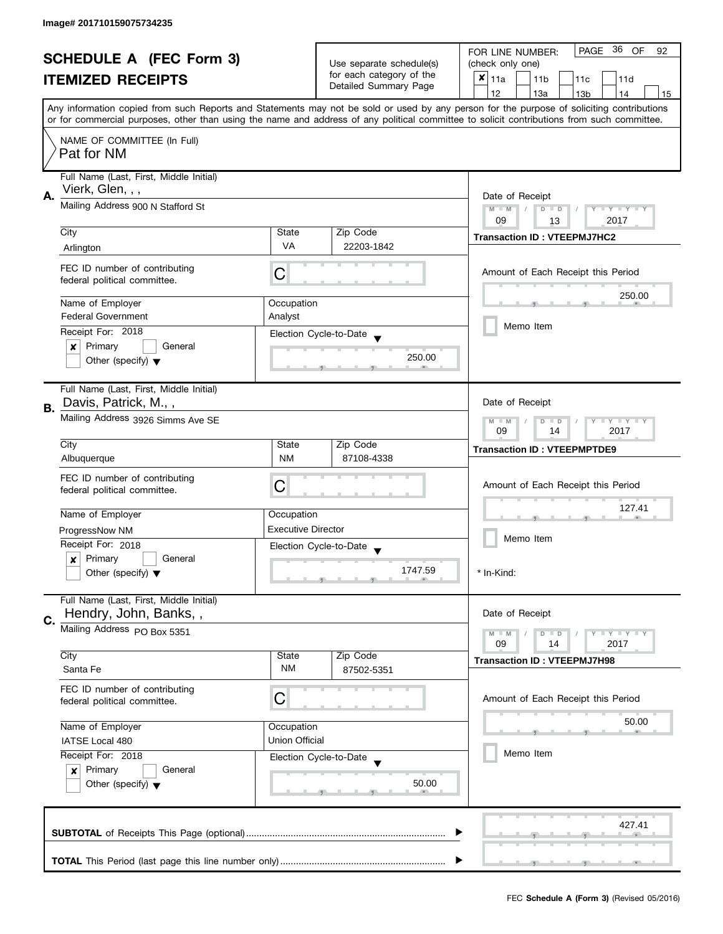| <b>SCHEDULE A (FEC Form 3)</b> |                                                                                                                                              |            | Use separate schedule(s)                          | PAGE 36 OF<br>FOR LINE NUMBER:<br>92                                                                                                                                                                                                                                                    |  |  |  |
|--------------------------------|----------------------------------------------------------------------------------------------------------------------------------------------|------------|---------------------------------------------------|-----------------------------------------------------------------------------------------------------------------------------------------------------------------------------------------------------------------------------------------------------------------------------------------|--|--|--|
|                                |                                                                                                                                              |            |                                                   | (check only one)                                                                                                                                                                                                                                                                        |  |  |  |
|                                | <b>ITEMIZED RECEIPTS</b>                                                                                                                     |            | for each category of the<br>Detailed Summary Page | $x _{11a}$<br>11 <sub>b</sub><br>11c<br>11d                                                                                                                                                                                                                                             |  |  |  |
|                                |                                                                                                                                              |            |                                                   | 12<br>13a<br>13 <sub>b</sub><br>14<br>15                                                                                                                                                                                                                                                |  |  |  |
|                                |                                                                                                                                              |            |                                                   | Any information copied from such Reports and Statements may not be sold or used by any person for the purpose of soliciting contributions<br>or for commercial purposes, other than using the name and address of any political committee to solicit contributions from such committee. |  |  |  |
|                                |                                                                                                                                              |            |                                                   |                                                                                                                                                                                                                                                                                         |  |  |  |
|                                | NAME OF COMMITTEE (In Full)<br>Pat for NM                                                                                                    |            |                                                   |                                                                                                                                                                                                                                                                                         |  |  |  |
|                                | Full Name (Last, First, Middle Initial)<br>Vierk, Glen, , ,                                                                                  |            |                                                   |                                                                                                                                                                                                                                                                                         |  |  |  |
| А.                             | Mailing Address 900 N Stafford St                                                                                                            |            |                                                   | Date of Receipt<br>$M - M$<br>$\sqrt{2}$<br>$D$ $D$<br>Y I Y I Y I Y<br>09<br>2017<br>13                                                                                                                                                                                                |  |  |  |
|                                | City                                                                                                                                         | State      | Zip Code                                          |                                                                                                                                                                                                                                                                                         |  |  |  |
|                                | Arlington                                                                                                                                    | <b>VA</b>  | 22203-1842                                        | <b>Transaction ID: VTEEPMJ7HC2</b>                                                                                                                                                                                                                                                      |  |  |  |
|                                |                                                                                                                                              |            |                                                   |                                                                                                                                                                                                                                                                                         |  |  |  |
|                                | FEC ID number of contributing<br>federal political committee.                                                                                | С          |                                                   | Amount of Each Receipt this Period                                                                                                                                                                                                                                                      |  |  |  |
|                                | Name of Employer                                                                                                                             | Occupation |                                                   | 250.00                                                                                                                                                                                                                                                                                  |  |  |  |
|                                | <b>Federal Government</b><br>Analyst<br>Receipt For: 2018                                                                                    |            |                                                   |                                                                                                                                                                                                                                                                                         |  |  |  |
|                                |                                                                                                                                              |            | Election Cycle-to-Date                            | Memo Item                                                                                                                                                                                                                                                                               |  |  |  |
|                                | Primary<br>General<br>×                                                                                                                      |            | 250.00                                            |                                                                                                                                                                                                                                                                                         |  |  |  |
|                                | Other (specify) $\blacktriangledown$                                                                                                         |            |                                                   |                                                                                                                                                                                                                                                                                         |  |  |  |
|                                | Full Name (Last, First, Middle Initial)                                                                                                      |            |                                                   |                                                                                                                                                                                                                                                                                         |  |  |  |
| В.                             | Davis, Patrick, M.,,                                                                                                                         |            |                                                   | Date of Receipt                                                                                                                                                                                                                                                                         |  |  |  |
|                                | Mailing Address 3926 Simms Ave SE                                                                                                            |            |                                                   | $Y = Y + Y$<br>$M - M$<br>D<br>$\Box$<br>2017<br>09<br>14                                                                                                                                                                                                                               |  |  |  |
|                                | City                                                                                                                                         | State      | Zip Code                                          | <b>Transaction ID: VTEEPMPTDE9</b>                                                                                                                                                                                                                                                      |  |  |  |
|                                | Albuquerque                                                                                                                                  | <b>NM</b>  | 87108-4338                                        |                                                                                                                                                                                                                                                                                         |  |  |  |
|                                | FEC ID number of contributing                                                                                                                | C          |                                                   | Amount of Each Receipt this Period                                                                                                                                                                                                                                                      |  |  |  |
|                                | federal political committee.                                                                                                                 |            |                                                   |                                                                                                                                                                                                                                                                                         |  |  |  |
|                                | Name of Employer<br>Occupation<br><b>Executive Director</b><br>ProgressNow NM<br>Receipt For: 2018<br>Primary<br>General<br>$\boldsymbol{x}$ |            |                                                   | 127.41                                                                                                                                                                                                                                                                                  |  |  |  |
|                                |                                                                                                                                              |            |                                                   |                                                                                                                                                                                                                                                                                         |  |  |  |
|                                |                                                                                                                                              |            | Election Cycle-to-Date                            | Memo Item                                                                                                                                                                                                                                                                               |  |  |  |
|                                |                                                                                                                                              |            |                                                   |                                                                                                                                                                                                                                                                                         |  |  |  |
|                                | Other (specify) $\blacktriangledown$                                                                                                         |            |                                                   | * In-Kind:                                                                                                                                                                                                                                                                              |  |  |  |
|                                | Full Name (Last, First, Middle Initial)<br>Hendry, John, Banks,,                                                                             |            |                                                   | Date of Receipt                                                                                                                                                                                                                                                                         |  |  |  |
| C.                             | Mailing Address PO Box 5351                                                                                                                  |            |                                                   | $M - M$<br>$\bot$ $\gamma$ $\bot$ $\gamma$ $\bot$ $\gamma$                                                                                                                                                                                                                              |  |  |  |
|                                |                                                                                                                                              |            |                                                   | D<br>$\blacksquare$<br>09<br>2017<br>14                                                                                                                                                                                                                                                 |  |  |  |
|                                | City<br>State                                                                                                                                |            | Zip Code                                          | <b>Transaction ID: VTEEPMJ7H98</b>                                                                                                                                                                                                                                                      |  |  |  |
|                                | Santa Fe                                                                                                                                     | <b>NM</b>  | 87502-5351                                        |                                                                                                                                                                                                                                                                                         |  |  |  |
|                                | FEC ID number of contributing<br>C<br>federal political committee.                                                                           |            |                                                   | Amount of Each Receipt this Period                                                                                                                                                                                                                                                      |  |  |  |
|                                |                                                                                                                                              |            |                                                   |                                                                                                                                                                                                                                                                                         |  |  |  |
|                                | Name of Employer<br>Occupation                                                                                                               |            |                                                   | 50.00                                                                                                                                                                                                                                                                                   |  |  |  |
|                                | <b>Union Official</b><br>IATSE Local 480<br>Receipt For: 2018                                                                                |            |                                                   |                                                                                                                                                                                                                                                                                         |  |  |  |
|                                |                                                                                                                                              |            | Election Cycle-to-Date                            | Memo Item                                                                                                                                                                                                                                                                               |  |  |  |
|                                | Primary<br>General<br>$\mathsf{x}$                                                                                                           |            |                                                   |                                                                                                                                                                                                                                                                                         |  |  |  |
|                                | Other (specify) $\blacktriangledown$                                                                                                         |            | 50.00                                             |                                                                                                                                                                                                                                                                                         |  |  |  |
|                                |                                                                                                                                              |            |                                                   |                                                                                                                                                                                                                                                                                         |  |  |  |
|                                |                                                                                                                                              |            |                                                   | 427.41                                                                                                                                                                                                                                                                                  |  |  |  |
|                                |                                                                                                                                              |            |                                                   |                                                                                                                                                                                                                                                                                         |  |  |  |
|                                |                                                                                                                                              |            |                                                   |                                                                                                                                                                                                                                                                                         |  |  |  |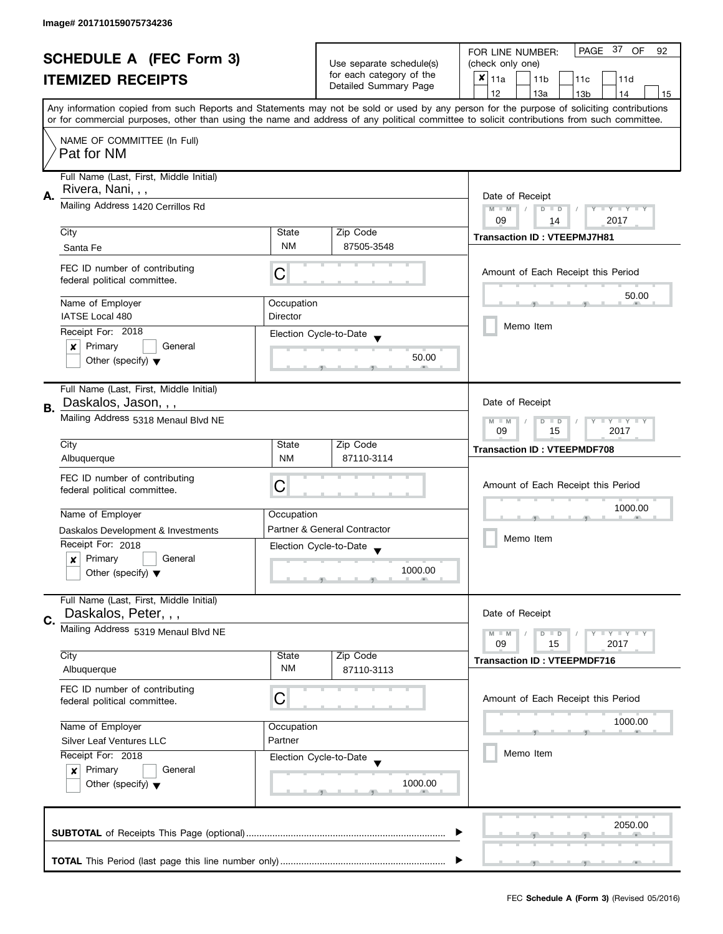| <b>SCHEDULE A (FEC Form 3)</b> |                                           | Use separate schedule(s)                                              | PAGE 37 OF<br>FOR LINE NUMBER:<br>92<br>(check only one) |                                                                                                                                                                                                                                                                                         |  |
|--------------------------------|-------------------------------------------|-----------------------------------------------------------------------|----------------------------------------------------------|-----------------------------------------------------------------------------------------------------------------------------------------------------------------------------------------------------------------------------------------------------------------------------------------|--|
|                                |                                           |                                                                       | for each category of the                                 |                                                                                                                                                                                                                                                                                         |  |
|                                | <b>ITEMIZED RECEIPTS</b>                  |                                                                       | Detailed Summary Page                                    | $x _{11a}$<br>11 <sub>b</sub><br>11c<br>11d                                                                                                                                                                                                                                             |  |
|                                |                                           |                                                                       |                                                          | 12<br>13a<br>13 <sub>b</sub><br>14<br>15                                                                                                                                                                                                                                                |  |
|                                |                                           |                                                                       |                                                          | Any information copied from such Reports and Statements may not be sold or used by any person for the purpose of soliciting contributions<br>or for commercial purposes, other than using the name and address of any political committee to solicit contributions from such committee. |  |
|                                |                                           |                                                                       |                                                          |                                                                                                                                                                                                                                                                                         |  |
|                                | NAME OF COMMITTEE (In Full)<br>Pat for NM |                                                                       |                                                          |                                                                                                                                                                                                                                                                                         |  |
|                                | Full Name (Last, First, Middle Initial)   |                                                                       |                                                          |                                                                                                                                                                                                                                                                                         |  |
| Α.                             | Rivera, Nani, , ,                         |                                                                       |                                                          | Date of Receipt                                                                                                                                                                                                                                                                         |  |
|                                | Mailing Address 1420 Cerrillos Rd         | $M - M$<br>$\sqrt{2}$<br>$D$ $D$<br>Y I Y I Y I Y<br>09<br>2017<br>14 |                                                          |                                                                                                                                                                                                                                                                                         |  |
|                                | City                                      | State                                                                 | Zip Code                                                 |                                                                                                                                                                                                                                                                                         |  |
|                                | Santa Fe                                  | <b>NM</b>                                                             | 87505-3548                                               | <b>Transaction ID: VTEEPMJ7H81</b>                                                                                                                                                                                                                                                      |  |
|                                | FEC ID number of contributing             |                                                                       |                                                          |                                                                                                                                                                                                                                                                                         |  |
|                                | federal political committee.              | C                                                                     |                                                          | Amount of Each Receipt this Period                                                                                                                                                                                                                                                      |  |
|                                | Name of Employer                          | Occupation                                                            |                                                          | 50.00                                                                                                                                                                                                                                                                                   |  |
|                                | IATSE Local 480                           | <b>Director</b>                                                       |                                                          | Memo Item                                                                                                                                                                                                                                                                               |  |
|                                | Receipt For: 2018                         |                                                                       | Election Cycle-to-Date                                   |                                                                                                                                                                                                                                                                                         |  |
|                                | Primary<br>General<br>×                   |                                                                       | 50.00                                                    |                                                                                                                                                                                                                                                                                         |  |
|                                | Other (specify) $\blacktriangledown$      |                                                                       |                                                          |                                                                                                                                                                                                                                                                                         |  |
|                                | Full Name (Last, First, Middle Initial)   |                                                                       |                                                          |                                                                                                                                                                                                                                                                                         |  |
| В.                             | Daskalos, Jason, , ,                      |                                                                       |                                                          | Date of Receipt                                                                                                                                                                                                                                                                         |  |
|                                | Mailing Address 5318 Menaul Blvd NE       |                                                                       |                                                          | $Y = Y + Y$<br>$M - M$<br>D<br>$\Box$<br>2017<br>09<br>15                                                                                                                                                                                                                               |  |
|                                | City                                      | State                                                                 | Zip Code                                                 | <b>Transaction ID: VTEEPMDF708</b>                                                                                                                                                                                                                                                      |  |
|                                | Albuquerque                               | <b>NM</b>                                                             | 87110-3114                                               |                                                                                                                                                                                                                                                                                         |  |
|                                | FEC ID number of contributing             |                                                                       |                                                          |                                                                                                                                                                                                                                                                                         |  |
|                                | federal political committee.              | C                                                                     |                                                          | Amount of Each Receipt this Period                                                                                                                                                                                                                                                      |  |
|                                | Name of Employer                          | Occupation                                                            |                                                          | 1000.00                                                                                                                                                                                                                                                                                 |  |
|                                | Daskalos Development & Investments        |                                                                       | Partner & General Contractor                             |                                                                                                                                                                                                                                                                                         |  |
|                                | Receipt For: 2018                         |                                                                       | Election Cycle-to-Date                                   | Memo Item                                                                                                                                                                                                                                                                               |  |
|                                | Primary<br>General<br>x                   |                                                                       |                                                          |                                                                                                                                                                                                                                                                                         |  |
|                                | Other (specify) $\blacktriangledown$      |                                                                       | 1000.00                                                  |                                                                                                                                                                                                                                                                                         |  |
|                                | Full Name (Last, First, Middle Initial)   |                                                                       |                                                          |                                                                                                                                                                                                                                                                                         |  |
| C.                             | Daskalos, Peter, , ,                      |                                                                       |                                                          | Date of Receipt                                                                                                                                                                                                                                                                         |  |
|                                | Mailing Address 5319 Menaul Blvd NE       |                                                                       |                                                          | $M - M$<br>$\bot$ $\gamma$ $\bot$ $\gamma$ $\bot$ $\gamma$<br>D<br>$\blacksquare$                                                                                                                                                                                                       |  |
|                                | City                                      | State                                                                 | Zip Code                                                 | 09<br>2017<br>15                                                                                                                                                                                                                                                                        |  |
|                                | Albuquerque                               | <b>NM</b>                                                             | 87110-3113                                               | <b>Transaction ID: VTEEPMDF716</b>                                                                                                                                                                                                                                                      |  |
|                                | FEC ID number of contributing             |                                                                       |                                                          |                                                                                                                                                                                                                                                                                         |  |
|                                | federal political committee.              | C                                                                     |                                                          | Amount of Each Receipt this Period                                                                                                                                                                                                                                                      |  |
|                                | Name of Employer                          | Occupation                                                            |                                                          | 1000.00                                                                                                                                                                                                                                                                                 |  |
|                                | <b>Silver Leaf Ventures LLC</b>           | Partner                                                               |                                                          |                                                                                                                                                                                                                                                                                         |  |
|                                | Receipt For: 2018                         |                                                                       | Election Cycle-to-Date                                   | Memo Item                                                                                                                                                                                                                                                                               |  |
|                                | Primary<br>General<br>$\boldsymbol{x}$    |                                                                       |                                                          |                                                                                                                                                                                                                                                                                         |  |
|                                | Other (specify) $\blacktriangledown$      |                                                                       | 1000.00                                                  |                                                                                                                                                                                                                                                                                         |  |
|                                |                                           |                                                                       |                                                          |                                                                                                                                                                                                                                                                                         |  |
|                                |                                           |                                                                       |                                                          | 2050.00                                                                                                                                                                                                                                                                                 |  |
|                                |                                           |                                                                       |                                                          |                                                                                                                                                                                                                                                                                         |  |
|                                |                                           |                                                                       |                                                          |                                                                                                                                                                                                                                                                                         |  |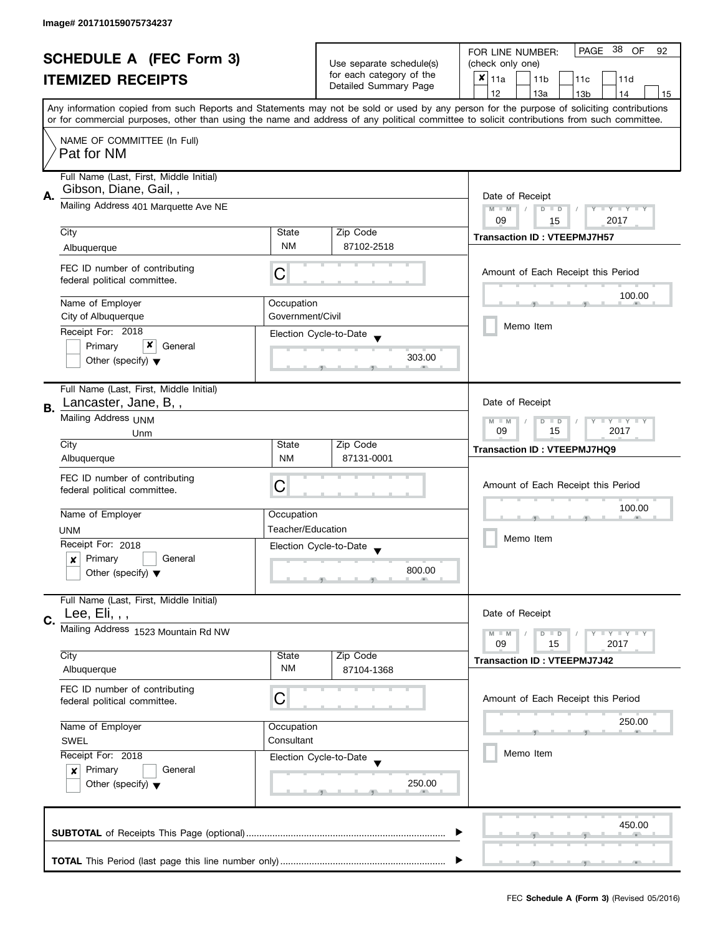| <b>SCHEDULE A (FEC Form 3)</b> |                                                                  |                                                                         |                                                    | PAGE 38 OF<br>FOR LINE NUMBER:<br>92                                                                                                                                                                                                                                                    |  |  |
|--------------------------------|------------------------------------------------------------------|-------------------------------------------------------------------------|----------------------------------------------------|-----------------------------------------------------------------------------------------------------------------------------------------------------------------------------------------------------------------------------------------------------------------------------------------|--|--|
|                                |                                                                  |                                                                         | Use separate schedule(s)                           | (check only one)                                                                                                                                                                                                                                                                        |  |  |
|                                | <b>ITEMIZED RECEIPTS</b>                                         |                                                                         | for each category of the<br>Detailed Summary Page  | $\boldsymbol{x}$<br>11a<br>11 <sub>b</sub><br>11c<br>11d                                                                                                                                                                                                                                |  |  |
|                                |                                                                  |                                                                         |                                                    | 12<br>13a<br>13 <sub>b</sub><br>14<br>15                                                                                                                                                                                                                                                |  |  |
|                                |                                                                  |                                                                         |                                                    | Any information copied from such Reports and Statements may not be sold or used by any person for the purpose of soliciting contributions<br>or for commercial purposes, other than using the name and address of any political committee to solicit contributions from such committee. |  |  |
|                                | NAME OF COMMITTEE (In Full)<br>Pat for NM                        |                                                                         |                                                    |                                                                                                                                                                                                                                                                                         |  |  |
|                                | Full Name (Last, First, Middle Initial)<br>Gibson, Diane, Gail,, |                                                                         |                                                    |                                                                                                                                                                                                                                                                                         |  |  |
| А.                             | Mailing Address 401 Marquette Ave NE                             | Date of Receipt<br>$M - M$<br>$D$ $D$<br>Y FY FY FY<br>2017<br>09<br>15 |                                                    |                                                                                                                                                                                                                                                                                         |  |  |
|                                | City                                                             | State                                                                   | Zip Code                                           |                                                                                                                                                                                                                                                                                         |  |  |
|                                | Albuquerque                                                      | <b>NM</b>                                                               | 87102-2518                                         | <b>Transaction ID: VTEEPMJ7H57</b>                                                                                                                                                                                                                                                      |  |  |
|                                | FEC ID number of contributing<br>federal political committee.    | C                                                                       |                                                    | Amount of Each Receipt this Period                                                                                                                                                                                                                                                      |  |  |
|                                | Name of Employer                                                 | Occupation                                                              |                                                    | 100.00                                                                                                                                                                                                                                                                                  |  |  |
|                                | City of Albuquerque                                              | Government/Civil                                                        |                                                    |                                                                                                                                                                                                                                                                                         |  |  |
|                                | Receipt For: 2018                                                |                                                                         | Election Cycle-to-Date                             | Memo Item                                                                                                                                                                                                                                                                               |  |  |
|                                | x<br>Primary<br>General                                          |                                                                         |                                                    |                                                                                                                                                                                                                                                                                         |  |  |
|                                | Other (specify) $\blacktriangledown$                             |                                                                         | 303.00                                             |                                                                                                                                                                                                                                                                                         |  |  |
| В.                             | Full Name (Last, First, Middle Initial)<br>Lancaster, Jane, B,,  |                                                                         |                                                    | Date of Receipt                                                                                                                                                                                                                                                                         |  |  |
|                                | Mailing Address UNM                                              |                                                                         |                                                    | <b>LY LY LY</b><br>$M - M$<br>$D$ $D$                                                                                                                                                                                                                                                   |  |  |
|                                | Unm                                                              |                                                                         |                                                    | 09<br>15<br>2017                                                                                                                                                                                                                                                                        |  |  |
|                                | City                                                             | State                                                                   | Zip Code                                           | <b>Transaction ID: VTEEPMJ7HQ9</b>                                                                                                                                                                                                                                                      |  |  |
|                                | Albuquerque                                                      | <b>NM</b>                                                               | 87131-0001                                         |                                                                                                                                                                                                                                                                                         |  |  |
|                                | FEC ID number of contributing                                    |                                                                         |                                                    |                                                                                                                                                                                                                                                                                         |  |  |
|                                | federal political committee.                                     | С                                                                       |                                                    | Amount of Each Receipt this Period                                                                                                                                                                                                                                                      |  |  |
|                                |                                                                  |                                                                         |                                                    | 100.00                                                                                                                                                                                                                                                                                  |  |  |
|                                | Name of Employer                                                 | Occupation                                                              |                                                    |                                                                                                                                                                                                                                                                                         |  |  |
|                                | <b>UNM</b>                                                       | Teacher/Education                                                       |                                                    |                                                                                                                                                                                                                                                                                         |  |  |
|                                | Receipt For: 2018                                                |                                                                         | Election Cycle-to-Date<br>$\overline{\phantom{a}}$ | Memo Item                                                                                                                                                                                                                                                                               |  |  |
|                                | Primary<br>General<br>x                                          |                                                                         |                                                    |                                                                                                                                                                                                                                                                                         |  |  |
|                                | Other (specify) $\blacktriangledown$                             |                                                                         | 800.00                                             |                                                                                                                                                                                                                                                                                         |  |  |
| C.                             | Full Name (Last, First, Middle Initial)<br>Lee, Eli, , ,         |                                                                         |                                                    | Date of Receipt                                                                                                                                                                                                                                                                         |  |  |
|                                | Mailing Address 1523 Mountain Rd NW                              |                                                                         |                                                    | <b>LEY LEY LEY</b><br>$M - M$<br>$D$ $D$<br>09<br>15<br>2017                                                                                                                                                                                                                            |  |  |
|                                | City                                                             | State                                                                   | Zip Code                                           | <b>Transaction ID: VTEEPMJ7J42</b>                                                                                                                                                                                                                                                      |  |  |
|                                | Albuquerque                                                      | <b>NM</b>                                                               | 87104-1368                                         |                                                                                                                                                                                                                                                                                         |  |  |
|                                | FEC ID number of contributing<br>federal political committee.    | С                                                                       |                                                    | Amount of Each Receipt this Period                                                                                                                                                                                                                                                      |  |  |
|                                | Name of Employer                                                 | Occupation                                                              |                                                    | 250.00                                                                                                                                                                                                                                                                                  |  |  |
|                                | SWEL                                                             | Consultant                                                              |                                                    |                                                                                                                                                                                                                                                                                         |  |  |
|                                | Receipt For: 2018                                                |                                                                         | Election Cycle-to-Date                             | Memo Item                                                                                                                                                                                                                                                                               |  |  |
|                                | Primary<br>General<br>$\boldsymbol{x}$                           |                                                                         |                                                    |                                                                                                                                                                                                                                                                                         |  |  |
|                                | Other (specify) $\blacktriangledown$                             |                                                                         | 250.00                                             |                                                                                                                                                                                                                                                                                         |  |  |
|                                |                                                                  |                                                                         |                                                    | 450.00                                                                                                                                                                                                                                                                                  |  |  |
|                                |                                                                  |                                                                         |                                                    |                                                                                                                                                                                                                                                                                         |  |  |
|                                |                                                                  |                                                                         |                                                    |                                                                                                                                                                                                                                                                                         |  |  |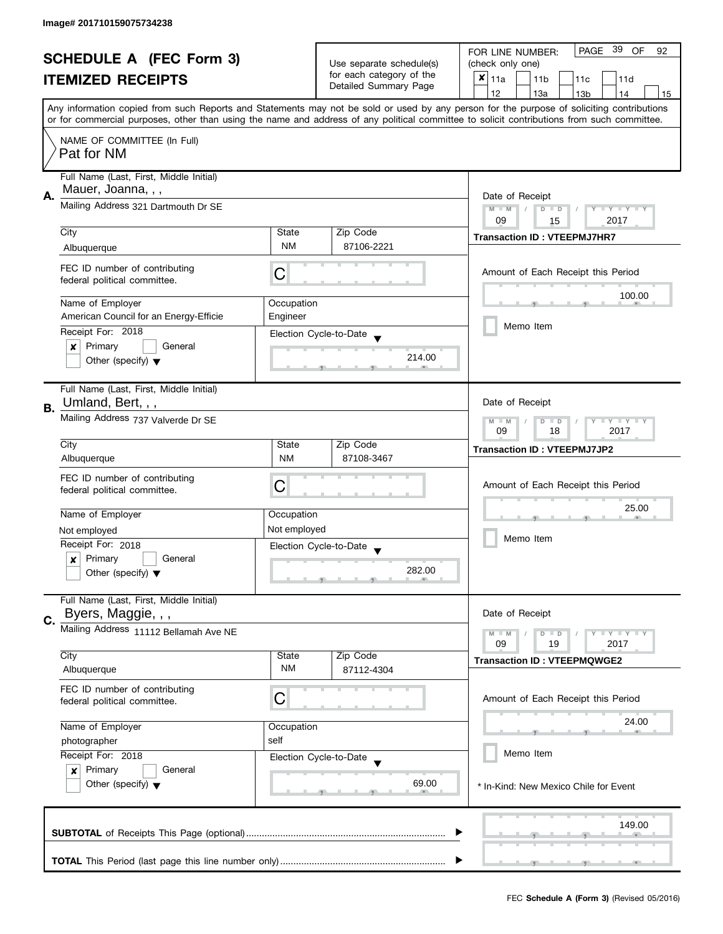| <b>SCHEDULE A (FEC Form 3)</b> |                                                                                                                                           | Use separate schedule(s)                                           | PAGE 39 OF<br>FOR LINE NUMBER:<br>92              |                                                                                                                                            |
|--------------------------------|-------------------------------------------------------------------------------------------------------------------------------------------|--------------------------------------------------------------------|---------------------------------------------------|--------------------------------------------------------------------------------------------------------------------------------------------|
|                                |                                                                                                                                           |                                                                    | (check only one)                                  |                                                                                                                                            |
|                                | <b>ITEMIZED RECEIPTS</b>                                                                                                                  |                                                                    | for each category of the<br>Detailed Summary Page | $x _{11a}$<br>11 <sub>b</sub><br>11c<br>11d                                                                                                |
|                                |                                                                                                                                           |                                                                    |                                                   | 12<br>13a<br>13 <sub>b</sub><br>14<br>15                                                                                                   |
|                                | Any information copied from such Reports and Statements may not be sold or used by any person for the purpose of soliciting contributions |                                                                    |                                                   |                                                                                                                                            |
|                                |                                                                                                                                           |                                                                    |                                                   | or for commercial purposes, other than using the name and address of any political committee to solicit contributions from such committee. |
|                                | NAME OF COMMITTEE (In Full)                                                                                                               |                                                                    |                                                   |                                                                                                                                            |
|                                | Pat for NM                                                                                                                                |                                                                    |                                                   |                                                                                                                                            |
|                                | Full Name (Last, First, Middle Initial)                                                                                                   |                                                                    |                                                   |                                                                                                                                            |
|                                | Mauer, Joanna, , ,                                                                                                                        |                                                                    |                                                   |                                                                                                                                            |
| А.                             | Mailing Address 321 Dartmouth Dr SE                                                                                                       | Date of Receipt                                                    |                                                   |                                                                                                                                            |
|                                |                                                                                                                                           | $M - M$<br>$\sqrt{2}$<br>$D$ $D$<br>Y FY FY FY<br>09<br>2017<br>15 |                                                   |                                                                                                                                            |
|                                | City                                                                                                                                      | State                                                              | Zip Code                                          |                                                                                                                                            |
|                                | Albuquerque                                                                                                                               | <b>NM</b>                                                          | 87106-2221                                        | <b>Transaction ID: VTEEPMJ7HR7</b>                                                                                                         |
|                                |                                                                                                                                           |                                                                    |                                                   |                                                                                                                                            |
|                                | FEC ID number of contributing<br>federal political committee.                                                                             | С                                                                  |                                                   | Amount of Each Receipt this Period                                                                                                         |
|                                |                                                                                                                                           |                                                                    |                                                   | 100.00                                                                                                                                     |
|                                | Name of Employer                                                                                                                          | Occupation                                                         |                                                   |                                                                                                                                            |
|                                | American Council for an Energy-Efficie                                                                                                    | Engineer                                                           |                                                   |                                                                                                                                            |
|                                | Receipt For: 2018                                                                                                                         |                                                                    | Election Cycle-to-Date                            | Memo Item                                                                                                                                  |
|                                | Primary<br>$\pmb{\times}$<br>General                                                                                                      |                                                                    |                                                   |                                                                                                                                            |
|                                | Other (specify) $\blacktriangledown$                                                                                                      |                                                                    | 214.00                                            |                                                                                                                                            |
|                                |                                                                                                                                           |                                                                    |                                                   |                                                                                                                                            |
|                                | Full Name (Last, First, Middle Initial)                                                                                                   |                                                                    |                                                   |                                                                                                                                            |
| В.                             | Umland, Bert, , ,                                                                                                                         |                                                                    |                                                   | Date of Receipt                                                                                                                            |
|                                | Mailing Address 737 Valverde Dr SE                                                                                                        | $Y = Y + Y$<br>$M - M$<br>D<br>$\Box$                              |                                                   |                                                                                                                                            |
|                                | City                                                                                                                                      | State                                                              | Zip Code                                          | 2017<br>09<br>18                                                                                                                           |
|                                | Albuquerque                                                                                                                               | <b>NM</b>                                                          | 87108-3467                                        | <b>Transaction ID: VTEEPMJ7JP2</b>                                                                                                         |
|                                |                                                                                                                                           |                                                                    |                                                   |                                                                                                                                            |
|                                | FEC ID number of contributing                                                                                                             | С                                                                  |                                                   | Amount of Each Receipt this Period                                                                                                         |
|                                | federal political committee.                                                                                                              |                                                                    |                                                   |                                                                                                                                            |
|                                | Name of Employer                                                                                                                          | Occupation                                                         |                                                   | 25.00                                                                                                                                      |
|                                | Not employed                                                                                                                              | Not employed                                                       |                                                   |                                                                                                                                            |
|                                | Receipt For: 2018                                                                                                                         |                                                                    | Election Cycle-to-Date                            | Memo Item                                                                                                                                  |
|                                | Primary<br>General<br>x                                                                                                                   |                                                                    |                                                   |                                                                                                                                            |
|                                | Other (specify) $\blacktriangledown$                                                                                                      |                                                                    | 282.00                                            |                                                                                                                                            |
|                                |                                                                                                                                           |                                                                    |                                                   |                                                                                                                                            |
|                                | Full Name (Last, First, Middle Initial)                                                                                                   |                                                                    |                                                   |                                                                                                                                            |
| C.                             | Byers, Maggie, , ,                                                                                                                        |                                                                    |                                                   | Date of Receipt                                                                                                                            |
|                                | Mailing Address 11112 Bellamah Ave NE                                                                                                     |                                                                    |                                                   | $M - M$<br>$\bot$ $\gamma$ $\bot$ $\gamma$ $\bot$ $\gamma$<br>D<br>$\blacksquare$                                                          |
|                                |                                                                                                                                           |                                                                    |                                                   | 09<br>19<br>2017                                                                                                                           |
|                                | City<br>Albuquerque                                                                                                                       | State<br>NM                                                        | Zip Code<br>87112-4304                            | <b>Transaction ID: VTEEPMQWGE2</b>                                                                                                         |
|                                |                                                                                                                                           |                                                                    |                                                   |                                                                                                                                            |
|                                | FEC ID number of contributing<br>federal political committee.                                                                             | C                                                                  |                                                   | Amount of Each Receipt this Period                                                                                                         |
|                                |                                                                                                                                           |                                                                    |                                                   |                                                                                                                                            |
|                                | Name of Employer                                                                                                                          | Occupation                                                         |                                                   | 24.00                                                                                                                                      |
|                                | photographer                                                                                                                              | self                                                               |                                                   |                                                                                                                                            |
|                                | Receipt For: 2018                                                                                                                         |                                                                    | Election Cycle-to-Date                            | Memo Item                                                                                                                                  |
|                                | Primary<br>$\boldsymbol{x}$<br>General                                                                                                    |                                                                    |                                                   |                                                                                                                                            |
|                                | Other (specify) $\blacktriangledown$                                                                                                      |                                                                    | 69.00                                             | * In-Kind: New Mexico Chile for Event                                                                                                      |
|                                |                                                                                                                                           |                                                                    |                                                   |                                                                                                                                            |
|                                |                                                                                                                                           |                                                                    |                                                   |                                                                                                                                            |
|                                |                                                                                                                                           |                                                                    |                                                   | 149.00                                                                                                                                     |
|                                |                                                                                                                                           |                                                                    |                                                   |                                                                                                                                            |
|                                |                                                                                                                                           |                                                                    |                                                   |                                                                                                                                            |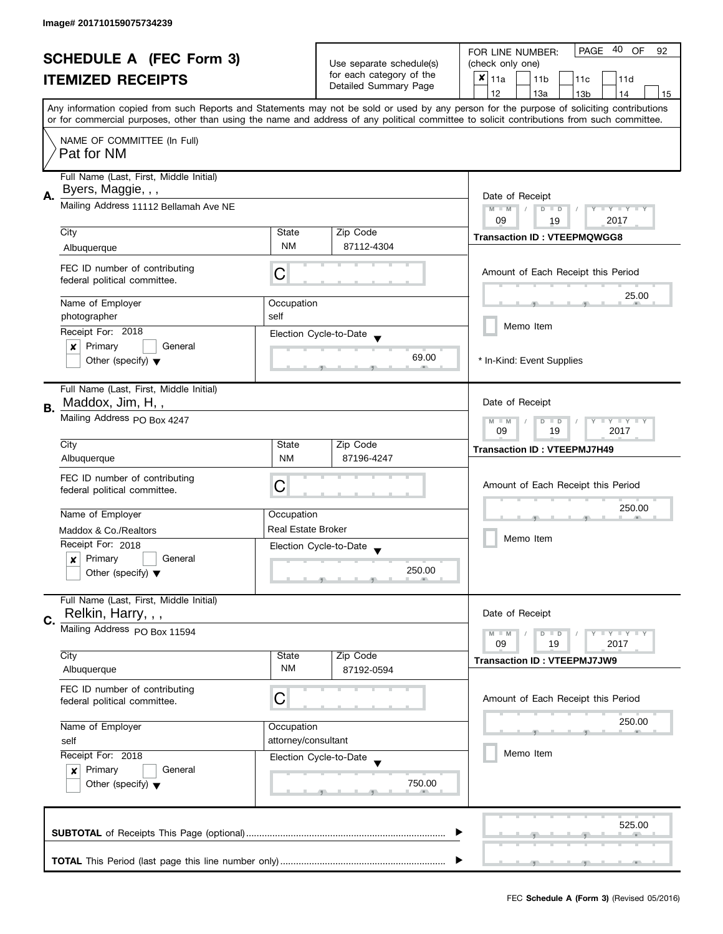| <b>SCHEDULE A (FEC Form 3)</b> |                                         |                                                      | 40<br>PAGE<br><b>OF</b><br>FOR LINE NUMBER:<br>92 |                                                                                                                                            |  |
|--------------------------------|-----------------------------------------|------------------------------------------------------|---------------------------------------------------|--------------------------------------------------------------------------------------------------------------------------------------------|--|
|                                |                                         | Use separate schedule(s)<br>for each category of the | (check only one)                                  |                                                                                                                                            |  |
|                                | <b>ITEMIZED RECEIPTS</b>                |                                                      | Detailed Summary Page                             | $x _{11a}$<br>11 <sub>b</sub><br>11c<br>11d                                                                                                |  |
|                                |                                         |                                                      |                                                   | 12<br>13a<br>13 <sub>b</sub><br>14<br>15                                                                                                   |  |
|                                |                                         |                                                      |                                                   | Any information copied from such Reports and Statements may not be sold or used by any person for the purpose of soliciting contributions  |  |
|                                |                                         |                                                      |                                                   | or for commercial purposes, other than using the name and address of any political committee to solicit contributions from such committee. |  |
|                                | NAME OF COMMITTEE (In Full)             |                                                      |                                                   |                                                                                                                                            |  |
|                                | Pat for NM                              |                                                      |                                                   |                                                                                                                                            |  |
|                                |                                         |                                                      |                                                   |                                                                                                                                            |  |
|                                | Full Name (Last, First, Middle Initial) |                                                      |                                                   |                                                                                                                                            |  |
| А.                             | Byers, Maggie, , ,                      |                                                      |                                                   | Date of Receipt                                                                                                                            |  |
|                                | Mailing Address 11112 Bellamah Ave NE   |                                                      |                                                   | $M - M$<br>$\sqrt{2}$<br>Y FY FY FY<br>$D$ $D$                                                                                             |  |
|                                |                                         |                                                      |                                                   | 09<br>2017<br>19                                                                                                                           |  |
|                                | City                                    | State                                                | Zip Code                                          | <b>Transaction ID: VTEEPMQWGG8</b>                                                                                                         |  |
|                                | Albuquerque                             | <b>NM</b>                                            | 87112-4304                                        |                                                                                                                                            |  |
|                                | FEC ID number of contributing           |                                                      |                                                   | Amount of Each Receipt this Period                                                                                                         |  |
|                                | federal political committee.            | С                                                    |                                                   |                                                                                                                                            |  |
|                                |                                         |                                                      |                                                   | 25.00                                                                                                                                      |  |
|                                | Name of Employer                        | Occupation                                           |                                                   |                                                                                                                                            |  |
|                                | photographer                            | self                                                 |                                                   | Memo Item                                                                                                                                  |  |
|                                | Receipt For: 2018                       |                                                      | Election Cycle-to-Date                            |                                                                                                                                            |  |
|                                | Primary<br>General<br>×                 |                                                      |                                                   |                                                                                                                                            |  |
|                                | Other (specify) $\blacktriangledown$    |                                                      | 69.00                                             | * In-Kind: Event Supplies                                                                                                                  |  |
|                                |                                         |                                                      |                                                   |                                                                                                                                            |  |
|                                | Full Name (Last, First, Middle Initial) |                                                      |                                                   |                                                                                                                                            |  |
| В.                             | Maddox, Jim, H,,                        |                                                      |                                                   | Date of Receipt                                                                                                                            |  |
|                                | Mailing Address PO Box 4247             |                                                      |                                                   | <b>LY LY LY</b><br>$M - M$<br>$D$ $D$                                                                                                      |  |
|                                |                                         |                                                      |                                                   |                                                                                                                                            |  |
|                                | City                                    | State                                                | Zip Code                                          | <b>Transaction ID: VTEEPMJ7H49</b>                                                                                                         |  |
|                                | Albuquerque                             | <b>NM</b>                                            | 87196-4247                                        |                                                                                                                                            |  |
|                                | FEC ID number of contributing           |                                                      |                                                   |                                                                                                                                            |  |
|                                | federal political committee.            | С                                                    |                                                   | Amount of Each Receipt this Period                                                                                                         |  |
|                                |                                         |                                                      |                                                   | 250.00                                                                                                                                     |  |
|                                | Name of Employer                        | Occupation                                           |                                                   |                                                                                                                                            |  |
|                                | Maddox & Co./Realtors                   | <b>Real Estate Broker</b>                            |                                                   | Memo Item                                                                                                                                  |  |
|                                | Receipt For: 2018                       |                                                      | Election Cycle-to-Date<br>$\overline{\mathbf{v}}$ |                                                                                                                                            |  |
|                                | Primary<br>General<br>$\boldsymbol{x}$  |                                                      |                                                   |                                                                                                                                            |  |
|                                | Other (specify) $\blacktriangledown$    |                                                      | 250.00                                            |                                                                                                                                            |  |
|                                |                                         |                                                      |                                                   |                                                                                                                                            |  |
|                                | Full Name (Last, First, Middle Initial) |                                                      |                                                   |                                                                                                                                            |  |
| C.                             | Relkin, Harry, , ,                      |                                                      |                                                   | Date of Receipt                                                                                                                            |  |
|                                | Mailing Address PO Box 11594            |                                                      |                                                   | $M - M$<br>$D$ $D$                                                                                                                         |  |
|                                |                                         |                                                      |                                                   | 09<br>19<br>2017                                                                                                                           |  |
|                                | City                                    | State                                                | Zip Code                                          | <b>Transaction ID: VTEEPMJ7JW9</b>                                                                                                         |  |
|                                | Albuquerque                             | <b>NM</b>                                            | 87192-0594                                        |                                                                                                                                            |  |
|                                | FEC ID number of contributing           |                                                      |                                                   |                                                                                                                                            |  |
|                                | federal political committee.            | C                                                    |                                                   | Amount of Each Receipt this Period                                                                                                         |  |
|                                |                                         |                                                      |                                                   | 250.00                                                                                                                                     |  |
|                                | Name of Employer                        | Occupation                                           |                                                   |                                                                                                                                            |  |
|                                | self                                    | attorney/consultant                                  |                                                   |                                                                                                                                            |  |
|                                | Receipt For: 2018                       |                                                      | Election Cycle-to-Date                            | Memo Item                                                                                                                                  |  |
|                                | Primary<br>General<br>$\boldsymbol{x}$  |                                                      |                                                   |                                                                                                                                            |  |
|                                | Other (specify) $\blacktriangledown$    |                                                      | 750.00                                            |                                                                                                                                            |  |
|                                |                                         |                                                      |                                                   |                                                                                                                                            |  |
|                                |                                         |                                                      |                                                   |                                                                                                                                            |  |
|                                |                                         |                                                      |                                                   | 525.00                                                                                                                                     |  |
|                                |                                         |                                                      |                                                   |                                                                                                                                            |  |
|                                |                                         |                                                      |                                                   |                                                                                                                                            |  |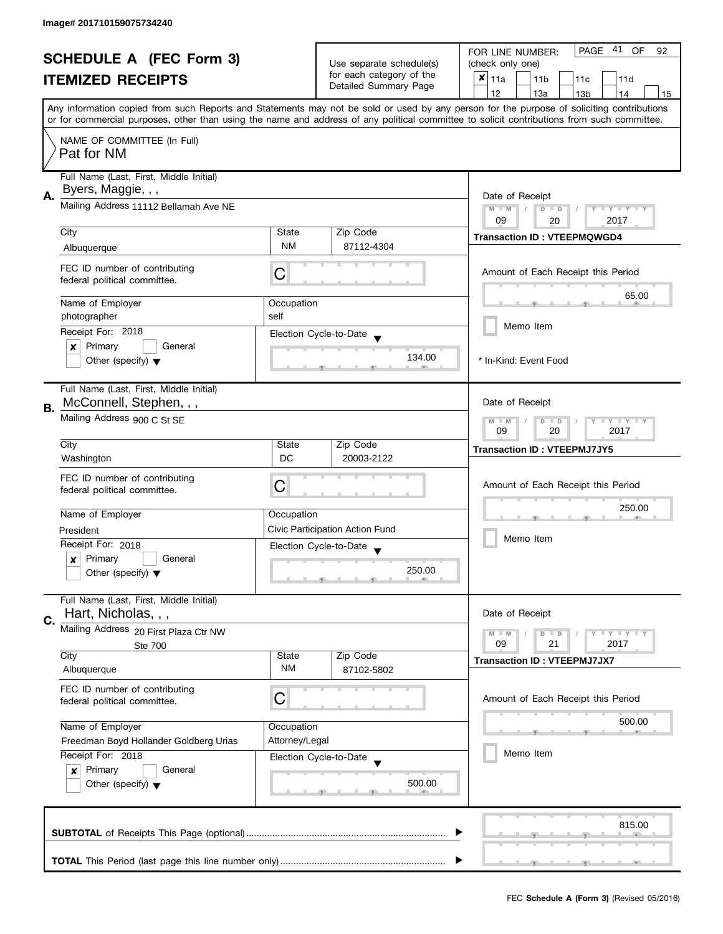| <b>SCHEDULE A (FEC Form 3)</b> |                                                               |                |                                                   | 41<br><b>PAGE</b><br><b>OF</b><br>FOR LINE NUMBER:<br>92                                                                                                                                                                                                                                |  |  |
|--------------------------------|---------------------------------------------------------------|----------------|---------------------------------------------------|-----------------------------------------------------------------------------------------------------------------------------------------------------------------------------------------------------------------------------------------------------------------------------------------|--|--|
|                                |                                                               |                | Use separate schedule(s)                          | (check only one)                                                                                                                                                                                                                                                                        |  |  |
|                                | <b>ITEMIZED RECEIPTS</b>                                      |                | for each category of the<br>Detailed Summary Page | $x _{11a}$<br>11 <sub>b</sub><br>11c<br>11d                                                                                                                                                                                                                                             |  |  |
|                                |                                                               |                |                                                   | 12<br>13a<br>13 <sub>b</sub><br>14<br>15                                                                                                                                                                                                                                                |  |  |
|                                |                                                               |                |                                                   | Any information copied from such Reports and Statements may not be sold or used by any person for the purpose of soliciting contributions<br>or for commercial purposes, other than using the name and address of any political committee to solicit contributions from such committee. |  |  |
|                                |                                                               |                |                                                   |                                                                                                                                                                                                                                                                                         |  |  |
|                                | NAME OF COMMITTEE (In Full)<br>Pat for NM                     |                |                                                   |                                                                                                                                                                                                                                                                                         |  |  |
|                                | Full Name (Last, First, Middle Initial)                       |                |                                                   |                                                                                                                                                                                                                                                                                         |  |  |
| Α.                             | Byers, Maggie, , ,                                            |                |                                                   | Date of Receipt                                                                                                                                                                                                                                                                         |  |  |
|                                | Mailing Address 11112 Bellamah Ave NE                         |                |                                                   | $M - M$<br>$D$ $D$<br>Y I Y I Y I Y<br>09<br>2017<br>20                                                                                                                                                                                                                                 |  |  |
|                                | City                                                          | State          | Zip Code                                          |                                                                                                                                                                                                                                                                                         |  |  |
|                                | Albuquerque                                                   | <b>NM</b>      | 87112-4304                                        | <b>Transaction ID: VTEEPMQWGD4</b>                                                                                                                                                                                                                                                      |  |  |
|                                |                                                               |                |                                                   |                                                                                                                                                                                                                                                                                         |  |  |
|                                | FEC ID number of contributing<br>federal political committee. | С              |                                                   | Amount of Each Receipt this Period                                                                                                                                                                                                                                                      |  |  |
|                                | Name of Employer                                              | Occupation     |                                                   | 65.00                                                                                                                                                                                                                                                                                   |  |  |
|                                | photographer                                                  | self           |                                                   |                                                                                                                                                                                                                                                                                         |  |  |
|                                | Receipt For: 2018                                             |                | Election Cycle-to-Date                            | Memo Item                                                                                                                                                                                                                                                                               |  |  |
|                                | Primary<br>General<br>×                                       |                |                                                   |                                                                                                                                                                                                                                                                                         |  |  |
|                                | Other (specify) $\blacktriangledown$                          |                | 134.00                                            | * In-Kind: Event Food                                                                                                                                                                                                                                                                   |  |  |
|                                | Full Name (Last, First, Middle Initial)                       |                |                                                   |                                                                                                                                                                                                                                                                                         |  |  |
|                                | McConnell, Stephen, , ,                                       |                |                                                   | Date of Receipt                                                                                                                                                                                                                                                                         |  |  |
| В.                             | Mailing Address 900 C St SE                                   |                |                                                   | <b>LYLYLY</b><br>$M - M$<br>D<br>$\Box$                                                                                                                                                                                                                                                 |  |  |
|                                |                                                               |                |                                                   | 09<br>20<br>2017                                                                                                                                                                                                                                                                        |  |  |
|                                | City                                                          | State          | Zip Code                                          | <b>Transaction ID: VTEEPMJ7JY5</b>                                                                                                                                                                                                                                                      |  |  |
|                                | Washington                                                    | DC             | 20003-2122                                        |                                                                                                                                                                                                                                                                                         |  |  |
|                                | FEC ID number of contributing                                 |                |                                                   |                                                                                                                                                                                                                                                                                         |  |  |
|                                | federal political committee.                                  | С              |                                                   | Amount of Each Receipt this Period                                                                                                                                                                                                                                                      |  |  |
|                                |                                                               |                |                                                   | 250.00                                                                                                                                                                                                                                                                                  |  |  |
|                                | Name of Employer                                              | Occupation     |                                                   |                                                                                                                                                                                                                                                                                         |  |  |
|                                | President                                                     |                | Civic Participation Action Fund                   | Memo Item                                                                                                                                                                                                                                                                               |  |  |
|                                | Receipt For: 2018                                             |                | Election Cycle-to-Date                            |                                                                                                                                                                                                                                                                                         |  |  |
|                                | Primary<br>General<br>$\boldsymbol{x}$                        |                | 250.00                                            |                                                                                                                                                                                                                                                                                         |  |  |
|                                | Other (specify) $\blacktriangledown$                          |                |                                                   |                                                                                                                                                                                                                                                                                         |  |  |
|                                | Full Name (Last, First, Middle Initial)                       |                |                                                   |                                                                                                                                                                                                                                                                                         |  |  |
| C.                             | Hart, Nicholas, , ,                                           |                |                                                   | Date of Receipt                                                                                                                                                                                                                                                                         |  |  |
|                                | Mailing Address 20 First Plaza Ctr NW                         |                |                                                   | $Y = Y = Y$<br>$M - M$<br>$D$ $D$                                                                                                                                                                                                                                                       |  |  |
|                                | <b>Ste 700</b><br>City                                        | State          | Zip Code                                          | 09<br>21<br>2017                                                                                                                                                                                                                                                                        |  |  |
|                                | Albuquerque                                                   | ΝM             | 87102-5802                                        | <b>Transaction ID: VTEEPMJ7JX7</b>                                                                                                                                                                                                                                                      |  |  |
|                                | FEC ID number of contributing                                 |                |                                                   |                                                                                                                                                                                                                                                                                         |  |  |
|                                | federal political committee.                                  | C              |                                                   | Amount of Each Receipt this Period                                                                                                                                                                                                                                                      |  |  |
|                                |                                                               |                |                                                   | 500.00                                                                                                                                                                                                                                                                                  |  |  |
|                                | Name of Employer                                              | Occupation     |                                                   |                                                                                                                                                                                                                                                                                         |  |  |
|                                | Freedman Boyd Hollander Goldberg Urias                        | Attorney/Legal |                                                   | Memo Item                                                                                                                                                                                                                                                                               |  |  |
|                                | Receipt For: 2018                                             |                | Election Cycle-to-Date                            |                                                                                                                                                                                                                                                                                         |  |  |
|                                | Primary<br>General<br>x                                       |                | 500.00                                            |                                                                                                                                                                                                                                                                                         |  |  |
|                                | Other (specify) $\blacktriangledown$                          |                |                                                   |                                                                                                                                                                                                                                                                                         |  |  |
|                                |                                                               |                |                                                   |                                                                                                                                                                                                                                                                                         |  |  |
|                                |                                                               |                |                                                   | 815.00                                                                                                                                                                                                                                                                                  |  |  |
|                                |                                                               |                |                                                   |                                                                                                                                                                                                                                                                                         |  |  |
|                                |                                                               |                |                                                   |                                                                                                                                                                                                                                                                                         |  |  |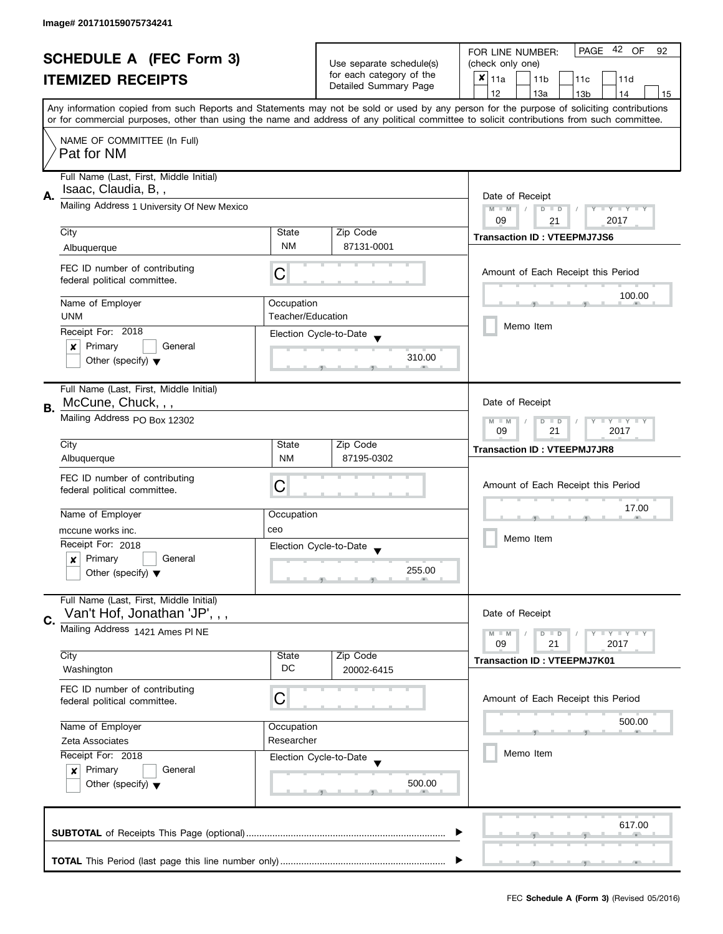| <b>SCHEDULE A (FEC Form 3)</b><br><b>ITEMIZED RECEIPTS</b> |                                                               |                                                   | 42 OF<br>PAGE<br>FOR LINE NUMBER:<br>92            |                                                                                                                                            |  |
|------------------------------------------------------------|---------------------------------------------------------------|---------------------------------------------------|----------------------------------------------------|--------------------------------------------------------------------------------------------------------------------------------------------|--|
|                                                            |                                                               | Use separate schedule(s)                          | (check only one)                                   |                                                                                                                                            |  |
|                                                            |                                                               | for each category of the<br>Detailed Summary Page | $x _{11a}$<br>11 <sub>b</sub><br>11c<br>11d        |                                                                                                                                            |  |
|                                                            |                                                               |                                                   |                                                    | 12<br>13a<br>13 <sub>b</sub><br>14<br>15                                                                                                   |  |
|                                                            |                                                               |                                                   |                                                    | Any information copied from such Reports and Statements may not be sold or used by any person for the purpose of soliciting contributions  |  |
|                                                            |                                                               |                                                   |                                                    | or for commercial purposes, other than using the name and address of any political committee to solicit contributions from such committee. |  |
|                                                            | NAME OF COMMITTEE (In Full)                                   |                                                   |                                                    |                                                                                                                                            |  |
|                                                            | Pat for NM                                                    |                                                   |                                                    |                                                                                                                                            |  |
|                                                            |                                                               |                                                   |                                                    |                                                                                                                                            |  |
|                                                            | Full Name (Last, First, Middle Initial)                       |                                                   |                                                    |                                                                                                                                            |  |
| А.                                                         | Isaac, Claudia, B,,                                           | Date of Receipt                                   |                                                    |                                                                                                                                            |  |
|                                                            | Mailing Address 1 University Of New Mexico                    | $M - M$<br>Y I Y I Y I Y<br>$D$ $D$               |                                                    |                                                                                                                                            |  |
|                                                            |                                                               |                                                   |                                                    | 2017<br>09<br>21                                                                                                                           |  |
|                                                            | City                                                          | State                                             | Zip Code                                           | <b>Transaction ID: VTEEPMJ7JS6</b>                                                                                                         |  |
|                                                            | Albuquerque                                                   | <b>NM</b>                                         | 87131-0001                                         |                                                                                                                                            |  |
|                                                            | FEC ID number of contributing                                 |                                                   |                                                    |                                                                                                                                            |  |
|                                                            | federal political committee.                                  | С                                                 |                                                    | Amount of Each Receipt this Period                                                                                                         |  |
|                                                            |                                                               |                                                   |                                                    | 100.00                                                                                                                                     |  |
|                                                            | Name of Employer                                              | Occupation                                        |                                                    |                                                                                                                                            |  |
|                                                            | <b>UNM</b>                                                    | Teacher/Education                                 |                                                    | Memo Item                                                                                                                                  |  |
|                                                            | Receipt For: 2018                                             |                                                   | Election Cycle-to-Date                             |                                                                                                                                            |  |
|                                                            | Primary<br>General<br>×                                       |                                                   |                                                    |                                                                                                                                            |  |
|                                                            | Other (specify) $\blacktriangledown$                          |                                                   | 310.00                                             |                                                                                                                                            |  |
|                                                            |                                                               |                                                   |                                                    |                                                                                                                                            |  |
|                                                            | Full Name (Last, First, Middle Initial)                       |                                                   |                                                    |                                                                                                                                            |  |
| В.                                                         | McCune, Chuck, , ,                                            |                                                   |                                                    | Date of Receipt                                                                                                                            |  |
|                                                            | Mailing Address PO Box 12302                                  |                                                   |                                                    | <b>LYLYLY</b><br>$M - M$<br>$D$ $D$                                                                                                        |  |
|                                                            |                                                               |                                                   |                                                    | 21<br>2017<br>09                                                                                                                           |  |
|                                                            | City                                                          | State                                             | Zip Code                                           | <b>Transaction ID: VTEEPMJ7JR8</b>                                                                                                         |  |
|                                                            | Albuquerque                                                   | <b>NM</b>                                         | 87195-0302                                         |                                                                                                                                            |  |
|                                                            | FEC ID number of contributing                                 |                                                   |                                                    |                                                                                                                                            |  |
|                                                            | federal political committee.                                  | С                                                 |                                                    | Amount of Each Receipt this Period                                                                                                         |  |
|                                                            |                                                               |                                                   |                                                    | 17.00                                                                                                                                      |  |
|                                                            | Name of Employer                                              | Occupation                                        |                                                    |                                                                                                                                            |  |
|                                                            | mccune works inc.                                             | ceo                                               |                                                    | Memo Item                                                                                                                                  |  |
|                                                            | Receipt For: 2018                                             |                                                   | Election Cycle-to-Date<br>$\overline{\phantom{a}}$ |                                                                                                                                            |  |
|                                                            | Primary<br>General<br>x                                       |                                                   | 255.00                                             |                                                                                                                                            |  |
|                                                            | Other (specify) $\blacktriangledown$                          |                                                   |                                                    |                                                                                                                                            |  |
|                                                            | Full Name (Last, First, Middle Initial)                       |                                                   |                                                    |                                                                                                                                            |  |
|                                                            | Van't Hof, Jonathan 'JP', , ,                                 |                                                   |                                                    | Date of Receipt                                                                                                                            |  |
| C.                                                         | Mailing Address 1421 Ames PI NE                               |                                                   |                                                    |                                                                                                                                            |  |
|                                                            |                                                               |                                                   |                                                    | <b>LYLYLY</b><br>$M - M$<br>$D$ $D$<br>09<br>21<br>2017                                                                                    |  |
|                                                            | City                                                          | State                                             | Zip Code                                           |                                                                                                                                            |  |
|                                                            | Washington                                                    | DC                                                | 20002-6415                                         | <b>Transaction ID: VTEEPMJ7K01</b>                                                                                                         |  |
|                                                            |                                                               |                                                   |                                                    |                                                                                                                                            |  |
|                                                            | FEC ID number of contributing<br>federal political committee. | С                                                 |                                                    | Amount of Each Receipt this Period                                                                                                         |  |
|                                                            |                                                               |                                                   |                                                    |                                                                                                                                            |  |
|                                                            | Name of Employer                                              | Occupation                                        |                                                    | 500.00                                                                                                                                     |  |
|                                                            | Zeta Associates                                               | Researcher                                        |                                                    |                                                                                                                                            |  |
|                                                            | Receipt For: 2018                                             |                                                   | Election Cycle-to-Date                             | Memo Item                                                                                                                                  |  |
|                                                            | Primary<br>General<br>$\mathbf{x}$                            |                                                   |                                                    |                                                                                                                                            |  |
|                                                            | Other (specify) $\blacktriangledown$                          |                                                   | 500.00                                             |                                                                                                                                            |  |
|                                                            |                                                               |                                                   |                                                    |                                                                                                                                            |  |
|                                                            |                                                               |                                                   |                                                    |                                                                                                                                            |  |
|                                                            |                                                               |                                                   |                                                    | 617.00                                                                                                                                     |  |
|                                                            |                                                               |                                                   |                                                    |                                                                                                                                            |  |
|                                                            |                                                               |                                                   |                                                    |                                                                                                                                            |  |
|                                                            |                                                               |                                                   |                                                    |                                                                                                                                            |  |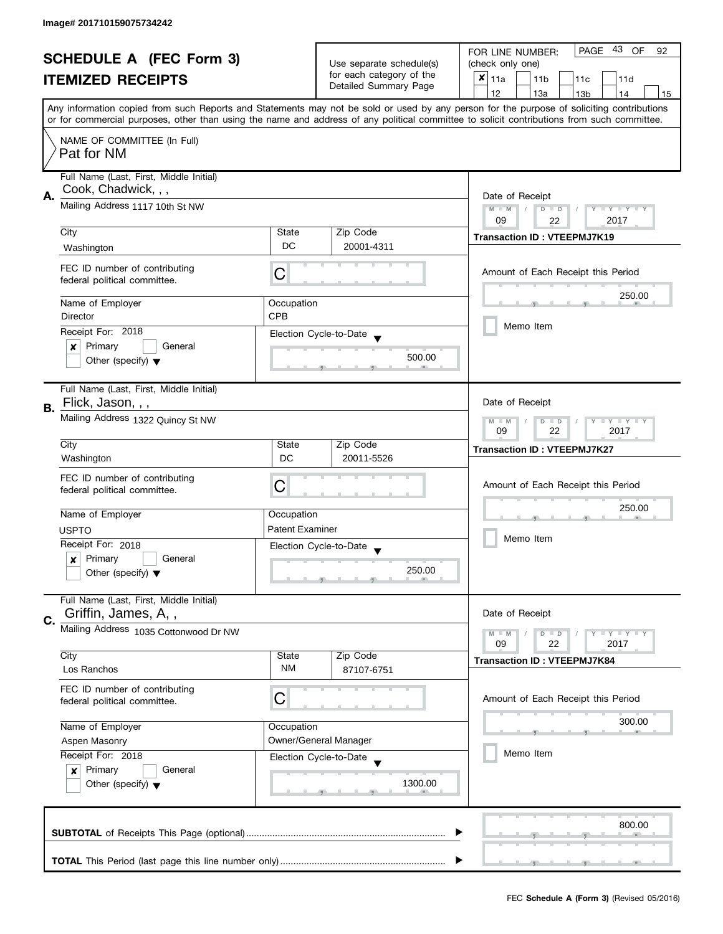| <b>SCHEDULE A (FEC Form 3)</b> |                                                               | Use separate schedule(s)                       | PAGE 43 OF<br>FOR LINE NUMBER:<br>92              |                                                                                                                                            |  |
|--------------------------------|---------------------------------------------------------------|------------------------------------------------|---------------------------------------------------|--------------------------------------------------------------------------------------------------------------------------------------------|--|
|                                |                                                               |                                                | (check only one)                                  |                                                                                                                                            |  |
|                                | <b>ITEMIZED RECEIPTS</b>                                      |                                                | for each category of the<br>Detailed Summary Page | $x _{11a}$<br>11 <sub>b</sub><br>11c<br>11d                                                                                                |  |
|                                |                                                               |                                                |                                                   | 12<br>13a<br>13 <sub>b</sub><br>14<br>15                                                                                                   |  |
|                                |                                                               |                                                |                                                   | Any information copied from such Reports and Statements may not be sold or used by any person for the purpose of soliciting contributions  |  |
|                                |                                                               |                                                |                                                   | or for commercial purposes, other than using the name and address of any political committee to solicit contributions from such committee. |  |
|                                | NAME OF COMMITTEE (In Full)                                   |                                                |                                                   |                                                                                                                                            |  |
|                                | Pat for NM                                                    |                                                |                                                   |                                                                                                                                            |  |
|                                |                                                               |                                                |                                                   |                                                                                                                                            |  |
|                                | Full Name (Last, First, Middle Initial)                       |                                                |                                                   |                                                                                                                                            |  |
| А.                             | Cook, Chadwick, , ,                                           | Date of Receipt                                |                                                   |                                                                                                                                            |  |
|                                | Mailing Address 1117 10th St NW                               | $M - M$<br>$\sqrt{2}$<br>$D$ $D$<br>Y FY FY FY |                                                   |                                                                                                                                            |  |
|                                |                                                               |                                                |                                                   | 09<br>2017<br>22                                                                                                                           |  |
|                                | City                                                          | State                                          | Zip Code                                          | <b>Transaction ID: VTEEPMJ7K19</b>                                                                                                         |  |
|                                | Washington                                                    | DC                                             | 20001-4311                                        |                                                                                                                                            |  |
|                                |                                                               |                                                |                                                   |                                                                                                                                            |  |
|                                | FEC ID number of contributing<br>federal political committee. | С                                              |                                                   | Amount of Each Receipt this Period                                                                                                         |  |
|                                |                                                               |                                                |                                                   |                                                                                                                                            |  |
|                                | Name of Employer                                              | Occupation                                     |                                                   | 250.00                                                                                                                                     |  |
|                                | Director                                                      | <b>CPB</b>                                     |                                                   |                                                                                                                                            |  |
|                                | Receipt For: 2018                                             |                                                | Election Cycle-to-Date                            | Memo Item                                                                                                                                  |  |
|                                | Primary<br>$\pmb{\times}$<br>General                          |                                                |                                                   |                                                                                                                                            |  |
|                                | Other (specify) $\blacktriangledown$                          |                                                | 500.00                                            |                                                                                                                                            |  |
|                                |                                                               |                                                |                                                   |                                                                                                                                            |  |
|                                | Full Name (Last, First, Middle Initial)                       |                                                |                                                   |                                                                                                                                            |  |
| В.                             | Flick, Jason, , ,                                             |                                                |                                                   | Date of Receipt                                                                                                                            |  |
|                                | Mailing Address 1322 Quincy St NW                             |                                                |                                                   | $Y = Y + Y$<br>$M - M$<br>D<br>$\Box$                                                                                                      |  |
|                                |                                                               |                                                |                                                   | 22<br>2017<br>09                                                                                                                           |  |
|                                | City                                                          | State                                          | Zip Code                                          | <b>Transaction ID: VTEEPMJ7K27</b>                                                                                                         |  |
|                                | Washington                                                    | <b>DC</b>                                      | 20011-5526                                        |                                                                                                                                            |  |
|                                | FEC ID number of contributing                                 |                                                |                                                   |                                                                                                                                            |  |
|                                | federal political committee.                                  | С                                              |                                                   | Amount of Each Receipt this Period                                                                                                         |  |
|                                |                                                               |                                                |                                                   | 250.00                                                                                                                                     |  |
|                                | Name of Employer                                              | Occupation                                     |                                                   |                                                                                                                                            |  |
|                                | <b>USPTO</b>                                                  | <b>Patent Examiner</b>                         |                                                   |                                                                                                                                            |  |
|                                | Receipt For: 2018                                             |                                                | Election Cycle-to-Date                            | Memo Item                                                                                                                                  |  |
|                                | Primary<br>General<br>x                                       |                                                |                                                   |                                                                                                                                            |  |
|                                | Other (specify) $\blacktriangledown$                          |                                                | 250.00                                            |                                                                                                                                            |  |
|                                |                                                               |                                                |                                                   |                                                                                                                                            |  |
|                                | Full Name (Last, First, Middle Initial)                       |                                                |                                                   |                                                                                                                                            |  |
| C.                             | Griffin, James, A,,                                           |                                                |                                                   | Date of Receipt                                                                                                                            |  |
|                                | Mailing Address 1035 Cottonwood Dr NW                         |                                                |                                                   | $M - M$<br>$\bot$ $\gamma$ $\bot$ $\gamma$ $\bot$ $\gamma$<br>$\blacksquare$                                                               |  |
|                                |                                                               |                                                |                                                   | 09<br>22<br>2017                                                                                                                           |  |
|                                | City                                                          | State                                          | Zip Code                                          | <b>Transaction ID: VTEEPMJ7K84</b>                                                                                                         |  |
|                                | Los Ranchos                                                   | NM                                             | 87107-6751                                        |                                                                                                                                            |  |
|                                | FEC ID number of contributing                                 |                                                |                                                   |                                                                                                                                            |  |
|                                | federal political committee.                                  | C                                              |                                                   | Amount of Each Receipt this Period                                                                                                         |  |
|                                | Name of Employer                                              |                                                |                                                   | 300.00                                                                                                                                     |  |
|                                | Aspen Masonry                                                 | Occupation                                     | Owner/General Manager                             |                                                                                                                                            |  |
|                                | Receipt For: 2018                                             |                                                |                                                   | Memo Item                                                                                                                                  |  |
|                                | Primary<br>General                                            |                                                | Election Cycle-to-Date                            |                                                                                                                                            |  |
|                                | $\boldsymbol{x}$<br>Other (specify) $\blacktriangledown$      |                                                | 1300.00                                           |                                                                                                                                            |  |
|                                |                                                               |                                                |                                                   |                                                                                                                                            |  |
|                                |                                                               |                                                |                                                   |                                                                                                                                            |  |
|                                |                                                               |                                                |                                                   | 800.00                                                                                                                                     |  |
|                                |                                                               |                                                |                                                   |                                                                                                                                            |  |
|                                |                                                               |                                                |                                                   |                                                                                                                                            |  |
|                                |                                                               |                                                |                                                   |                                                                                                                                            |  |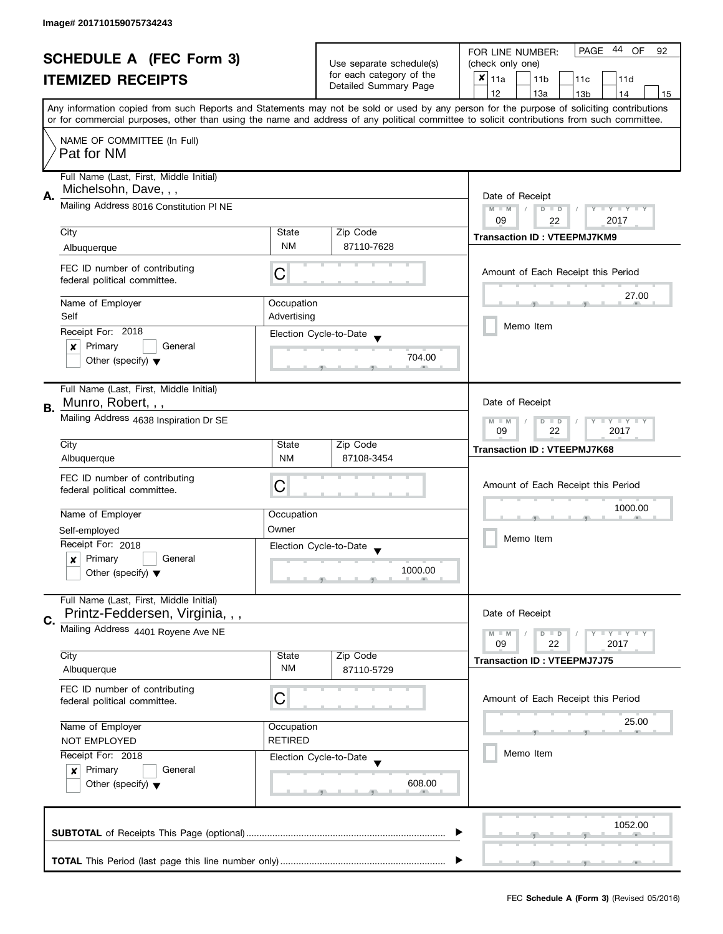| <b>SCHEDULE A (FEC Form 3)</b> |                                         | Use separate schedule(s)                  | 44 OF<br><b>PAGE</b><br>FOR LINE NUMBER:<br>92    |                                                                                                                                            |  |
|--------------------------------|-----------------------------------------|-------------------------------------------|---------------------------------------------------|--------------------------------------------------------------------------------------------------------------------------------------------|--|
|                                |                                         |                                           | (check only one)                                  |                                                                                                                                            |  |
|                                | <b>ITEMIZED RECEIPTS</b>                |                                           | for each category of the<br>Detailed Summary Page | $x _{11a}$<br>11 <sub>b</sub><br>11c<br>11d                                                                                                |  |
|                                |                                         |                                           |                                                   | 12<br>13a<br>13 <sub>b</sub><br>14<br>15                                                                                                   |  |
|                                |                                         |                                           |                                                   | Any information copied from such Reports and Statements may not be sold or used by any person for the purpose of soliciting contributions  |  |
|                                |                                         |                                           |                                                   | or for commercial purposes, other than using the name and address of any political committee to solicit contributions from such committee. |  |
|                                | NAME OF COMMITTEE (In Full)             |                                           |                                                   |                                                                                                                                            |  |
|                                | Pat for NM                              |                                           |                                                   |                                                                                                                                            |  |
|                                | Full Name (Last, First, Middle Initial) |                                           |                                                   |                                                                                                                                            |  |
| Α.                             | Michelsohn, Dave, , ,                   |                                           |                                                   | Date of Receipt                                                                                                                            |  |
|                                | Mailing Address 8016 Constitution PI NE | $M - M$<br>$D$ $D$<br>Ÿ<br>$\blacksquare$ |                                                   |                                                                                                                                            |  |
|                                |                                         |                                           |                                                   | 09<br>2017<br>22                                                                                                                           |  |
|                                | City                                    | State                                     | Zip Code                                          | <b>Transaction ID: VTEEPMJ7KM9</b>                                                                                                         |  |
|                                | Albuquerque                             | <b>NM</b>                                 | 87110-7628                                        |                                                                                                                                            |  |
|                                | FEC ID number of contributing           | C                                         |                                                   | Amount of Each Receipt this Period                                                                                                         |  |
|                                | federal political committee.            |                                           |                                                   |                                                                                                                                            |  |
|                                | Name of Employer                        | Occupation                                |                                                   | 27.00                                                                                                                                      |  |
|                                | Self                                    | Advertising                               |                                                   |                                                                                                                                            |  |
|                                | Receipt For: 2018                       |                                           | Election Cycle-to-Date                            | Memo Item                                                                                                                                  |  |
|                                | Primary<br>General<br>×                 |                                           |                                                   |                                                                                                                                            |  |
|                                | Other (specify) $\blacktriangledown$    |                                           | 704.00                                            |                                                                                                                                            |  |
|                                |                                         |                                           |                                                   |                                                                                                                                            |  |
|                                | Full Name (Last, First, Middle Initial) |                                           |                                                   |                                                                                                                                            |  |
| В.                             | Munro, Robert, , ,                      |                                           |                                                   |                                                                                                                                            |  |
|                                | Mailing Address 4638 Inspiration Dr SE  |                                           |                                                   | Y LY LY<br>$M - M$<br>$\overline{D}$<br>$\Box$                                                                                             |  |
|                                |                                         |                                           |                                                   | 09<br>22<br>2017                                                                                                                           |  |
|                                | City                                    | State<br><b>NM</b>                        | Zip Code                                          | <b>Transaction ID: VTEEPMJ7K68</b>                                                                                                         |  |
|                                | Albuquerque                             |                                           | 87108-3454                                        |                                                                                                                                            |  |
|                                | FEC ID number of contributing           | C                                         |                                                   | Amount of Each Receipt this Period                                                                                                         |  |
|                                | federal political committee.            |                                           |                                                   |                                                                                                                                            |  |
|                                | Name of Employer                        | Occupation                                |                                                   | 1000.00                                                                                                                                    |  |
|                                | Self-employed                           | Owner                                     |                                                   |                                                                                                                                            |  |
|                                | Receipt For: 2018                       |                                           | Election Cycle-to-Date                            | Memo Item                                                                                                                                  |  |
|                                | Primary<br>General<br>x                 |                                           |                                                   |                                                                                                                                            |  |
|                                | Other (specify) $\blacktriangledown$    |                                           | 1000.00                                           |                                                                                                                                            |  |
|                                |                                         |                                           |                                                   |                                                                                                                                            |  |
|                                | Full Name (Last, First, Middle Initial) |                                           |                                                   |                                                                                                                                            |  |
| C.                             | Printz-Feddersen, Virginia, , ,         |                                           |                                                   | Date of Receipt                                                                                                                            |  |
|                                | Mailing Address 4401 Royene Ave NE      |                                           |                                                   | $M - M$<br>$Y \perp Y \perp Y$<br>$D$ $D$<br>22<br>09<br>2017                                                                              |  |
|                                | City                                    | State                                     | Zip Code                                          |                                                                                                                                            |  |
|                                | Albuquerque                             | <b>NM</b>                                 | 87110-5729                                        | <b>Transaction ID: VTEEPMJ7J75</b>                                                                                                         |  |
|                                | FEC ID number of contributing           |                                           |                                                   |                                                                                                                                            |  |
|                                | federal political committee.            | С                                         |                                                   | Amount of Each Receipt this Period                                                                                                         |  |
|                                |                                         |                                           |                                                   | 25.00                                                                                                                                      |  |
|                                | Name of Employer                        | Occupation                                |                                                   |                                                                                                                                            |  |
|                                | <b>RETIRED</b><br><b>NOT EMPLOYED</b>   |                                           |                                                   |                                                                                                                                            |  |
|                                | Receipt For: 2018                       |                                           | Election Cycle-to-Date                            | Memo Item                                                                                                                                  |  |
|                                | Primary<br>General<br>$\boldsymbol{x}$  |                                           | 608.00                                            |                                                                                                                                            |  |
|                                | Other (specify) $\blacktriangledown$    |                                           |                                                   |                                                                                                                                            |  |
|                                |                                         |                                           |                                                   |                                                                                                                                            |  |
|                                |                                         |                                           |                                                   | 1052.00                                                                                                                                    |  |
|                                |                                         |                                           |                                                   |                                                                                                                                            |  |
|                                |                                         |                                           |                                                   |                                                                                                                                            |  |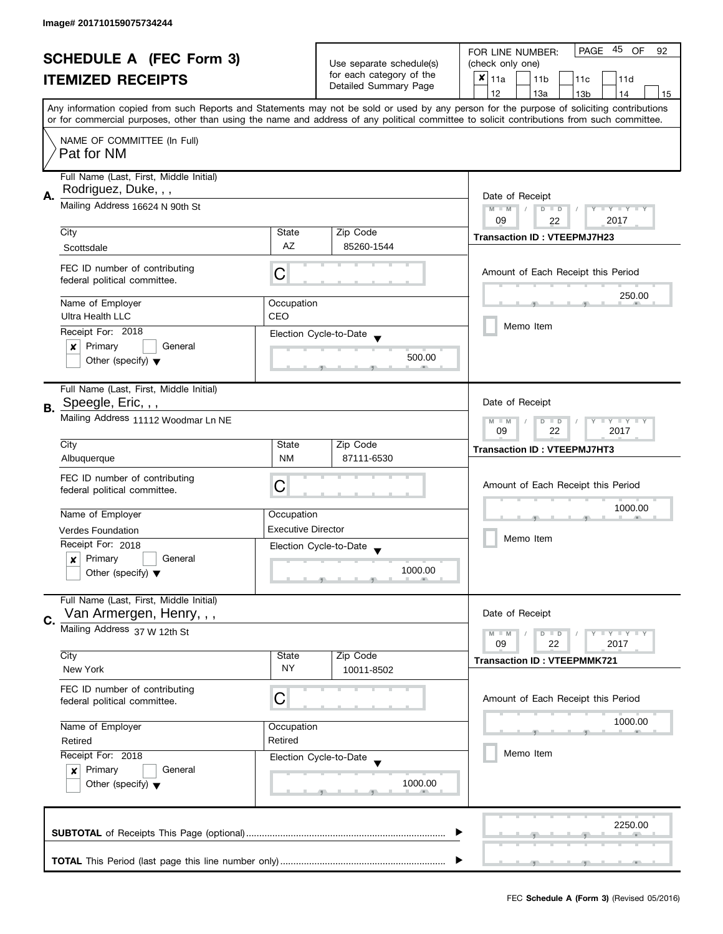| <b>SCHEDULE A (FEC Form 3)</b> |                                                                     |                                                              | Use separate schedule(s)<br>for each category of the | PAGE 45 OF<br>FOR LINE NUMBER:<br>92<br>(check only one)                                                                                                                                                                                                                                |  |
|--------------------------------|---------------------------------------------------------------------|--------------------------------------------------------------|------------------------------------------------------|-----------------------------------------------------------------------------------------------------------------------------------------------------------------------------------------------------------------------------------------------------------------------------------------|--|
|                                |                                                                     |                                                              |                                                      |                                                                                                                                                                                                                                                                                         |  |
|                                | <b>ITEMIZED RECEIPTS</b>                                            |                                                              | Detailed Summary Page                                | $x _{11a}$<br>11 <sub>b</sub><br>11c<br>11d                                                                                                                                                                                                                                             |  |
|                                |                                                                     |                                                              |                                                      | 12<br>13a<br>13 <sub>b</sub><br>14<br>15                                                                                                                                                                                                                                                |  |
|                                |                                                                     |                                                              |                                                      | Any information copied from such Reports and Statements may not be sold or used by any person for the purpose of soliciting contributions<br>or for commercial purposes, other than using the name and address of any political committee to solicit contributions from such committee. |  |
|                                | NAME OF COMMITTEE (In Full)                                         |                                                              |                                                      |                                                                                                                                                                                                                                                                                         |  |
|                                | Pat for NM                                                          |                                                              |                                                      |                                                                                                                                                                                                                                                                                         |  |
|                                | Full Name (Last, First, Middle Initial)<br>Rodriguez, Duke, , ,     |                                                              |                                                      |                                                                                                                                                                                                                                                                                         |  |
| А.                             | Mailing Address 16624 N 90th St                                     | Date of Receipt<br>$M - M$<br>$D$ $D$<br>Y I Y I Y I Y<br>09 |                                                      |                                                                                                                                                                                                                                                                                         |  |
|                                | City                                                                | State                                                        | Zip Code                                             | 2017<br>22                                                                                                                                                                                                                                                                              |  |
|                                | Scottsdale                                                          | <b>AZ</b>                                                    | 85260-1544                                           | <b>Transaction ID: VTEEPMJ7H23</b>                                                                                                                                                                                                                                                      |  |
|                                |                                                                     |                                                              |                                                      |                                                                                                                                                                                                                                                                                         |  |
|                                | FEC ID number of contributing<br>federal political committee.       | C                                                            |                                                      | Amount of Each Receipt this Period                                                                                                                                                                                                                                                      |  |
|                                | Name of Employer                                                    | Occupation                                                   |                                                      | 250.00                                                                                                                                                                                                                                                                                  |  |
|                                | Ultra Health LLC                                                    | CEO                                                          |                                                      |                                                                                                                                                                                                                                                                                         |  |
|                                | Receipt For: 2018                                                   |                                                              |                                                      | Memo Item                                                                                                                                                                                                                                                                               |  |
|                                | Primary<br>General<br>×                                             |                                                              | Election Cycle-to-Date                               |                                                                                                                                                                                                                                                                                         |  |
|                                | Other (specify) $\blacktriangledown$                                |                                                              | 500.00                                               |                                                                                                                                                                                                                                                                                         |  |
|                                | Full Name (Last, First, Middle Initial)                             |                                                              |                                                      |                                                                                                                                                                                                                                                                                         |  |
| В.                             | Speegle, Eric, , ,                                                  |                                                              |                                                      | Date of Receipt                                                                                                                                                                                                                                                                         |  |
|                                | Mailing Address 11112 Woodmar Ln NE                                 |                                                              |                                                      | Y LY LY<br>$M - M$<br>$D$ $D$<br>09<br>22<br>2017                                                                                                                                                                                                                                       |  |
|                                | City                                                                | State                                                        | Zip Code                                             | <b>Transaction ID: VTEEPMJ7HT3</b>                                                                                                                                                                                                                                                      |  |
|                                | Albuquerque                                                         | <b>NM</b>                                                    | 87111-6530                                           |                                                                                                                                                                                                                                                                                         |  |
|                                | FEC ID number of contributing                                       |                                                              |                                                      |                                                                                                                                                                                                                                                                                         |  |
|                                | federal political committee.                                        | С                                                            |                                                      | Amount of Each Receipt this Period                                                                                                                                                                                                                                                      |  |
|                                |                                                                     |                                                              |                                                      |                                                                                                                                                                                                                                                                                         |  |
|                                | Name of Employer                                                    | Occupation                                                   |                                                      | 1000.00                                                                                                                                                                                                                                                                                 |  |
|                                | <b>Verdes Foundation</b>                                            | <b>Executive Director</b>                                    |                                                      |                                                                                                                                                                                                                                                                                         |  |
|                                | Receipt For: 2018                                                   |                                                              | Election Cycle-to-Date                               | Memo Item                                                                                                                                                                                                                                                                               |  |
|                                | Primary<br>General<br>x                                             |                                                              |                                                      |                                                                                                                                                                                                                                                                                         |  |
|                                | Other (specify) $\blacktriangledown$                                |                                                              | 1000.00                                              |                                                                                                                                                                                                                                                                                         |  |
|                                | Full Name (Last, First, Middle Initial)<br>Van Armergen, Henry, , , |                                                              |                                                      | Date of Receipt                                                                                                                                                                                                                                                                         |  |
| C.                             | Mailing Address 37 W 12th St                                        |                                                              |                                                      |                                                                                                                                                                                                                                                                                         |  |
|                                |                                                                     |                                                              |                                                      | $M - M$<br>$Y \perp Y \perp Y$<br>$D$ $D$<br>22<br>09<br>2017                                                                                                                                                                                                                           |  |
|                                | City                                                                | State                                                        | Zip Code                                             | <b>Transaction ID: VTEEPMMK721</b>                                                                                                                                                                                                                                                      |  |
|                                | New York                                                            | NY                                                           | 10011-8502                                           |                                                                                                                                                                                                                                                                                         |  |
|                                | FEC ID number of contributing<br>federal political committee.       | С                                                            |                                                      | Amount of Each Receipt this Period                                                                                                                                                                                                                                                      |  |
|                                |                                                                     |                                                              |                                                      |                                                                                                                                                                                                                                                                                         |  |
|                                | Name of Employer                                                    | Occupation                                                   |                                                      | 1000.00                                                                                                                                                                                                                                                                                 |  |
|                                | Retired                                                             | Retired                                                      |                                                      |                                                                                                                                                                                                                                                                                         |  |
|                                | Receipt For: 2018                                                   |                                                              | Election Cycle-to-Date                               | Memo Item                                                                                                                                                                                                                                                                               |  |
|                                | Primary<br>General<br>$\boldsymbol{x}$                              |                                                              |                                                      |                                                                                                                                                                                                                                                                                         |  |
|                                | Other (specify) $\blacktriangledown$                                |                                                              | 1000.00                                              |                                                                                                                                                                                                                                                                                         |  |
|                                |                                                                     |                                                              |                                                      |                                                                                                                                                                                                                                                                                         |  |
|                                |                                                                     |                                                              |                                                      | 2250.00                                                                                                                                                                                                                                                                                 |  |
|                                |                                                                     |                                                              |                                                      |                                                                                                                                                                                                                                                                                         |  |
|                                |                                                                     |                                                              |                                                      |                                                                                                                                                                                                                                                                                         |  |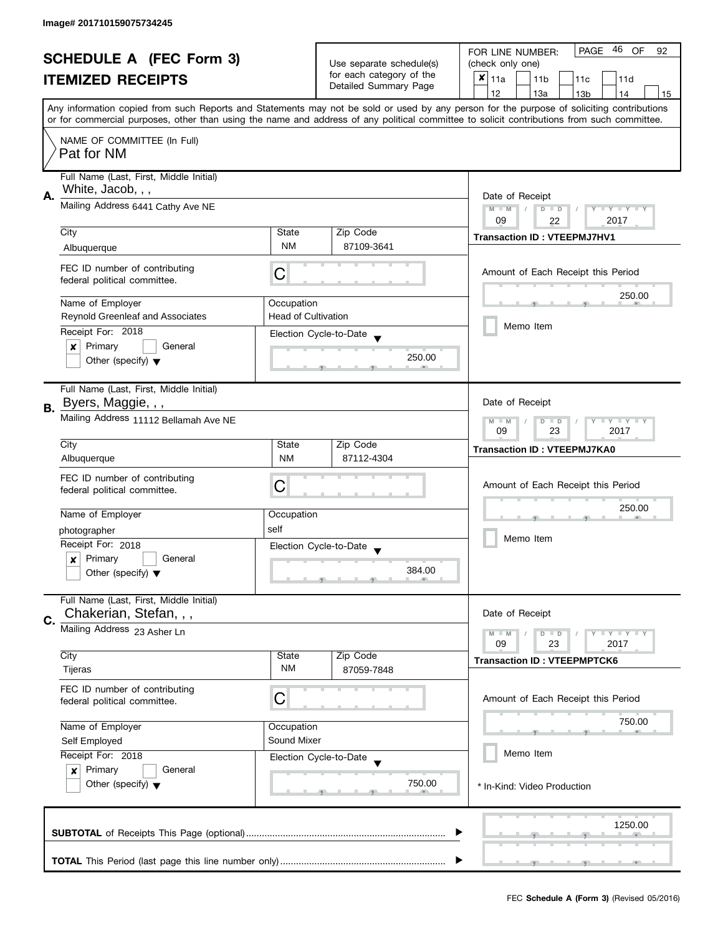| <b>SCHEDULE A (FEC Form 3)</b> |                                                                   |                                                                            |                                                                               | 46<br><b>PAGE</b><br>OF<br>FOR LINE NUMBER:<br>92                                                                                                                                                                                                                                       |  |
|--------------------------------|-------------------------------------------------------------------|----------------------------------------------------------------------------|-------------------------------------------------------------------------------|-----------------------------------------------------------------------------------------------------------------------------------------------------------------------------------------------------------------------------------------------------------------------------------------|--|
|                                |                                                                   |                                                                            | Use separate schedule(s)<br>for each category of the<br>Detailed Summary Page | (check only one)                                                                                                                                                                                                                                                                        |  |
|                                | <b>ITEMIZED RECEIPTS</b>                                          |                                                                            |                                                                               | $x _{11a}$<br>11 <sub>b</sub><br>11c<br>11d                                                                                                                                                                                                                                             |  |
|                                |                                                                   |                                                                            |                                                                               | 12<br>13a<br>13 <sub>b</sub><br>14<br>15                                                                                                                                                                                                                                                |  |
|                                |                                                                   |                                                                            |                                                                               | Any information copied from such Reports and Statements may not be sold or used by any person for the purpose of soliciting contributions<br>or for commercial purposes, other than using the name and address of any political committee to solicit contributions from such committee. |  |
|                                |                                                                   |                                                                            |                                                                               |                                                                                                                                                                                                                                                                                         |  |
|                                | NAME OF COMMITTEE (In Full)<br>Pat for NM                         |                                                                            |                                                                               |                                                                                                                                                                                                                                                                                         |  |
|                                | Full Name (Last, First, Middle Initial)<br>White, Jacob, , ,      |                                                                            |                                                                               |                                                                                                                                                                                                                                                                                         |  |
| А.                             | Mailing Address 6441 Cathy Ave NE                                 | Date of Receipt<br>$M - M$<br>$D$ $D$<br>Y I Y I Y I Y<br>09<br>2017<br>22 |                                                                               |                                                                                                                                                                                                                                                                                         |  |
|                                | City                                                              | State                                                                      | Zip Code                                                                      |                                                                                                                                                                                                                                                                                         |  |
|                                | Albuquerque                                                       | <b>NM</b>                                                                  | 87109-3641                                                                    | <b>Transaction ID: VTEEPMJ7HV1</b>                                                                                                                                                                                                                                                      |  |
|                                |                                                                   |                                                                            |                                                                               |                                                                                                                                                                                                                                                                                         |  |
|                                | FEC ID number of contributing<br>federal political committee.     | С                                                                          |                                                                               | Amount of Each Receipt this Period                                                                                                                                                                                                                                                      |  |
|                                | Name of Employer                                                  | Occupation                                                                 |                                                                               | 250.00                                                                                                                                                                                                                                                                                  |  |
|                                | Reynold Greenleaf and Associates                                  | <b>Head of Cultivation</b>                                                 |                                                                               |                                                                                                                                                                                                                                                                                         |  |
|                                | Receipt For: 2018                                                 |                                                                            | Election Cycle-to-Date                                                        | Memo Item                                                                                                                                                                                                                                                                               |  |
|                                | Primary<br>General<br>×                                           |                                                                            |                                                                               |                                                                                                                                                                                                                                                                                         |  |
|                                | Other (specify) $\blacktriangledown$                              |                                                                            | 250.00                                                                        |                                                                                                                                                                                                                                                                                         |  |
|                                | Full Name (Last, First, Middle Initial)                           |                                                                            |                                                                               |                                                                                                                                                                                                                                                                                         |  |
| В.                             | Byers, Maggie, , ,                                                |                                                                            |                                                                               | Date of Receipt                                                                                                                                                                                                                                                                         |  |
|                                | Mailing Address 11112 Bellamah Ave NE                             |                                                                            |                                                                               | $\mathbf{I}$ $\mathbf{Y}$ $\mathbf{I}$ $\mathbf{Y}$<br>$M - M$<br>$\overline{D}$<br>Y<br>$\Box$<br>09<br>23<br>2017                                                                                                                                                                     |  |
|                                | City                                                              | State                                                                      | Zip Code                                                                      | <b>Transaction ID: VTEEPMJ7KA0</b>                                                                                                                                                                                                                                                      |  |
|                                | Albuquerque                                                       | <b>NM</b>                                                                  | 87112-4304                                                                    |                                                                                                                                                                                                                                                                                         |  |
|                                | FEC ID number of contributing                                     |                                                                            |                                                                               |                                                                                                                                                                                                                                                                                         |  |
|                                | federal political committee.                                      | С                                                                          |                                                                               | Amount of Each Receipt this Period                                                                                                                                                                                                                                                      |  |
|                                |                                                                   |                                                                            |                                                                               | 250.00                                                                                                                                                                                                                                                                                  |  |
|                                | Name of Employer                                                  | Occupation                                                                 |                                                                               |                                                                                                                                                                                                                                                                                         |  |
|                                | photographer                                                      | self                                                                       |                                                                               | Memo Item                                                                                                                                                                                                                                                                               |  |
|                                | Receipt For: 2018                                                 |                                                                            | Election Cycle-to-Date                                                        |                                                                                                                                                                                                                                                                                         |  |
|                                | Primary<br>General<br>x                                           |                                                                            | 384.00                                                                        |                                                                                                                                                                                                                                                                                         |  |
|                                | Other (specify) $\blacktriangledown$                              |                                                                            |                                                                               |                                                                                                                                                                                                                                                                                         |  |
|                                | Full Name (Last, First, Middle Initial)<br>Chakerian, Stefan, , , |                                                                            |                                                                               | Date of Receipt                                                                                                                                                                                                                                                                         |  |
| C.                             | Mailing Address 23 Asher Ln                                       |                                                                            |                                                                               | $M - M$<br>$Y \perp Y \perp Y$<br>$D$ $D$                                                                                                                                                                                                                                               |  |
|                                |                                                                   |                                                                            |                                                                               | 09<br>23<br>2017                                                                                                                                                                                                                                                                        |  |
|                                | City                                                              | State                                                                      | Zip Code                                                                      | <b>Transaction ID: VTEEPMPTCK6</b>                                                                                                                                                                                                                                                      |  |
|                                | Tijeras                                                           | NM                                                                         | 87059-7848                                                                    |                                                                                                                                                                                                                                                                                         |  |
|                                | FEC ID number of contributing                                     |                                                                            |                                                                               |                                                                                                                                                                                                                                                                                         |  |
|                                | federal political committee.                                      | C                                                                          |                                                                               | Amount of Each Receipt this Period                                                                                                                                                                                                                                                      |  |
|                                | Name of Employer                                                  | Occupation                                                                 |                                                                               | 750.00                                                                                                                                                                                                                                                                                  |  |
|                                | Sound Mixer<br>Self Employed<br>Receipt For: 2018                 |                                                                            |                                                                               |                                                                                                                                                                                                                                                                                         |  |
|                                |                                                                   |                                                                            | Election Cycle-to-Date                                                        | Memo Item                                                                                                                                                                                                                                                                               |  |
|                                | Primary<br>General<br>$\boldsymbol{x}$                            |                                                                            |                                                                               |                                                                                                                                                                                                                                                                                         |  |
|                                | Other (specify) $\blacktriangledown$                              |                                                                            | 750.00                                                                        | * In-Kind: Video Production                                                                                                                                                                                                                                                             |  |
|                                |                                                                   |                                                                            |                                                                               |                                                                                                                                                                                                                                                                                         |  |
|                                |                                                                   |                                                                            |                                                                               |                                                                                                                                                                                                                                                                                         |  |
|                                |                                                                   |                                                                            |                                                                               | 1250.00                                                                                                                                                                                                                                                                                 |  |
|                                |                                                                   |                                                                            |                                                                               |                                                                                                                                                                                                                                                                                         |  |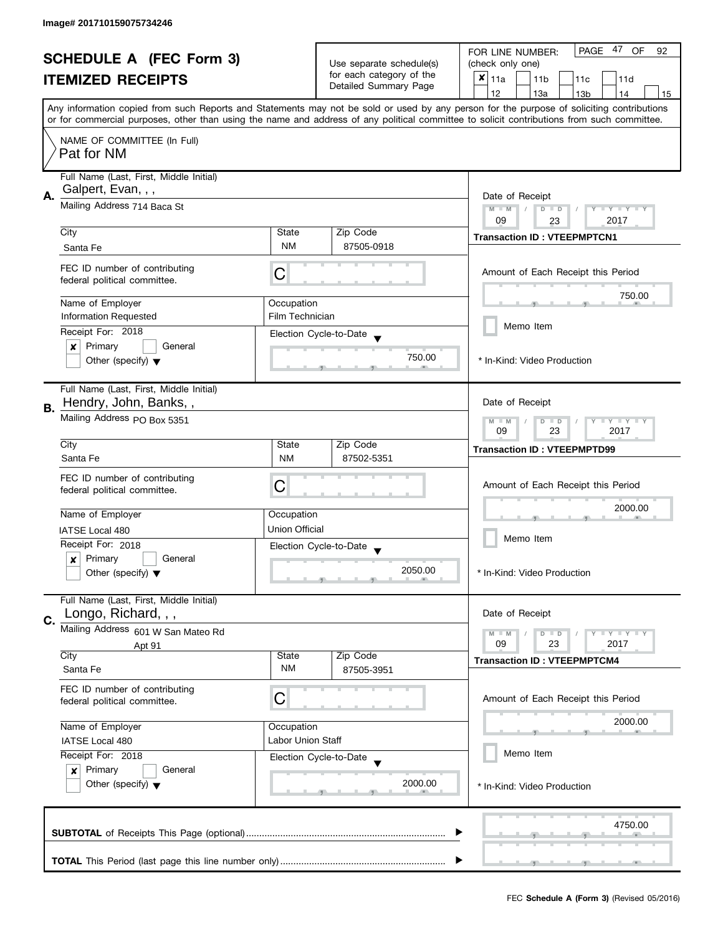| <b>SCHEDULE A (FEC Form 3)</b> |                                                               | Use separate schedule(s) | 47<br>PAGE<br>OF<br>FOR LINE NUMBER:<br>92         |                                                                                                                                                                                                                                                                                         |
|--------------------------------|---------------------------------------------------------------|--------------------------|----------------------------------------------------|-----------------------------------------------------------------------------------------------------------------------------------------------------------------------------------------------------------------------------------------------------------------------------------------|
|                                |                                                               |                          | (check only one)                                   |                                                                                                                                                                                                                                                                                         |
|                                | <b>ITEMIZED RECEIPTS</b>                                      |                          | for each category of the<br>Detailed Summary Page  | $x _{11a}$<br>11 <sub>b</sub><br>11c<br>11d                                                                                                                                                                                                                                             |
|                                |                                                               |                          |                                                    | 12<br>13a<br>13 <sub>b</sub><br>14<br>15                                                                                                                                                                                                                                                |
|                                |                                                               |                          |                                                    | Any information copied from such Reports and Statements may not be sold or used by any person for the purpose of soliciting contributions<br>or for commercial purposes, other than using the name and address of any political committee to solicit contributions from such committee. |
|                                | NAME OF COMMITTEE (In Full)                                   |                          |                                                    |                                                                                                                                                                                                                                                                                         |
|                                | Pat for NM                                                    |                          |                                                    |                                                                                                                                                                                                                                                                                         |
|                                | Full Name (Last, First, Middle Initial)<br>Galpert, Evan, , , |                          |                                                    |                                                                                                                                                                                                                                                                                         |
| Α.                             | Mailing Address 714 Baca St                                   | Date of Receipt          |                                                    |                                                                                                                                                                                                                                                                                         |
|                                |                                                               |                          |                                                    | $M - M$<br>Y I Y I Y I Y<br>$D$ $D$<br>2017<br>09<br>23                                                                                                                                                                                                                                 |
|                                | City                                                          | State                    | Zip Code                                           | <b>Transaction ID: VTEEPMPTCN1</b>                                                                                                                                                                                                                                                      |
|                                | Santa Fe                                                      | <b>NM</b>                | 87505-0918                                         |                                                                                                                                                                                                                                                                                         |
|                                |                                                               |                          |                                                    |                                                                                                                                                                                                                                                                                         |
|                                | FEC ID number of contributing<br>federal political committee. | С                        |                                                    | Amount of Each Receipt this Period                                                                                                                                                                                                                                                      |
|                                |                                                               |                          |                                                    | 750.00                                                                                                                                                                                                                                                                                  |
|                                | Name of Employer                                              | Occupation               |                                                    |                                                                                                                                                                                                                                                                                         |
|                                | <b>Information Requested</b>                                  | Film Technician          |                                                    |                                                                                                                                                                                                                                                                                         |
|                                | Receipt For: 2018                                             |                          | Election Cycle-to-Date                             | Memo Item                                                                                                                                                                                                                                                                               |
|                                | Primary<br>General<br>×                                       |                          |                                                    |                                                                                                                                                                                                                                                                                         |
|                                | Other (specify) $\blacktriangledown$                          |                          | 750.00                                             | * In-Kind: Video Production                                                                                                                                                                                                                                                             |
|                                | Full Name (Last, First, Middle Initial)                       |                          |                                                    |                                                                                                                                                                                                                                                                                         |
|                                | Hendry, John, Banks,,                                         |                          |                                                    | Date of Receipt                                                                                                                                                                                                                                                                         |
| В.                             | Mailing Address PO Box 5351                                   |                          |                                                    |                                                                                                                                                                                                                                                                                         |
|                                |                                                               |                          |                                                    | <b>LY LY LY</b><br>$M - M$<br>$D$ $D$<br>23<br>2017<br>09                                                                                                                                                                                                                               |
|                                | City                                                          | State                    | Zip Code                                           | <b>Transaction ID: VTEEPMPTD99</b>                                                                                                                                                                                                                                                      |
|                                | Santa Fe                                                      | <b>NM</b>                | 87502-5351                                         |                                                                                                                                                                                                                                                                                         |
|                                | FEC ID number of contributing                                 |                          |                                                    |                                                                                                                                                                                                                                                                                         |
|                                | federal political committee.                                  | С                        |                                                    | Amount of Each Receipt this Period                                                                                                                                                                                                                                                      |
|                                |                                                               |                          |                                                    | 2000.00                                                                                                                                                                                                                                                                                 |
|                                | Name of Employer                                              | Occupation               |                                                    |                                                                                                                                                                                                                                                                                         |
|                                | IATSE Local 480                                               | Union Official           |                                                    |                                                                                                                                                                                                                                                                                         |
|                                | Receipt For: 2018                                             |                          | Election Cycle-to-Date<br>$\overline{\phantom{a}}$ | Memo Item                                                                                                                                                                                                                                                                               |
|                                | Primary<br>General<br>x                                       |                          |                                                    |                                                                                                                                                                                                                                                                                         |
|                                | Other (specify) $\blacktriangledown$                          |                          | 2050.00                                            | * In-Kind: Video Production                                                                                                                                                                                                                                                             |
|                                |                                                               |                          |                                                    |                                                                                                                                                                                                                                                                                         |
|                                | Full Name (Last, First, Middle Initial)                       |                          |                                                    |                                                                                                                                                                                                                                                                                         |
| C.                             | Longo, Richard, , ,                                           |                          |                                                    | Date of Receipt                                                                                                                                                                                                                                                                         |
|                                | Mailing Address 601 W San Mateo Rd                            |                          |                                                    | <b>LEY LEY LEY</b><br>$M - M$<br>$D$ $D$                                                                                                                                                                                                                                                |
|                                | Apt 91<br>City                                                | State                    | Zip Code                                           | 09<br>23<br>2017                                                                                                                                                                                                                                                                        |
|                                | Santa Fe                                                      | ΝM                       | 87505-3951                                         | <b>Transaction ID: VTEEPMPTCM4</b>                                                                                                                                                                                                                                                      |
|                                | FEC ID number of contributing                                 |                          |                                                    |                                                                                                                                                                                                                                                                                         |
|                                | federal political committee.                                  | С                        |                                                    | Amount of Each Receipt this Period                                                                                                                                                                                                                                                      |
|                                |                                                               |                          |                                                    |                                                                                                                                                                                                                                                                                         |
|                                | Name of Employer                                              | Occupation               |                                                    | 2000.00                                                                                                                                                                                                                                                                                 |
|                                | IATSE Local 480                                               | Labor Union Staff        |                                                    |                                                                                                                                                                                                                                                                                         |
|                                | Receipt For: 2018                                             |                          | Election Cycle-to-Date                             | Memo Item                                                                                                                                                                                                                                                                               |
|                                | Primary<br>General<br>$\mathbf{x}$                            |                          |                                                    |                                                                                                                                                                                                                                                                                         |
|                                | Other (specify) $\blacktriangledown$                          |                          | 2000.00                                            | * In-Kind: Video Production                                                                                                                                                                                                                                                             |
|                                |                                                               |                          |                                                    |                                                                                                                                                                                                                                                                                         |
|                                |                                                               |                          |                                                    |                                                                                                                                                                                                                                                                                         |
|                                |                                                               |                          |                                                    | 4750.00                                                                                                                                                                                                                                                                                 |
|                                |                                                               |                          |                                                    |                                                                                                                                                                                                                                                                                         |
|                                |                                                               |                          |                                                    |                                                                                                                                                                                                                                                                                         |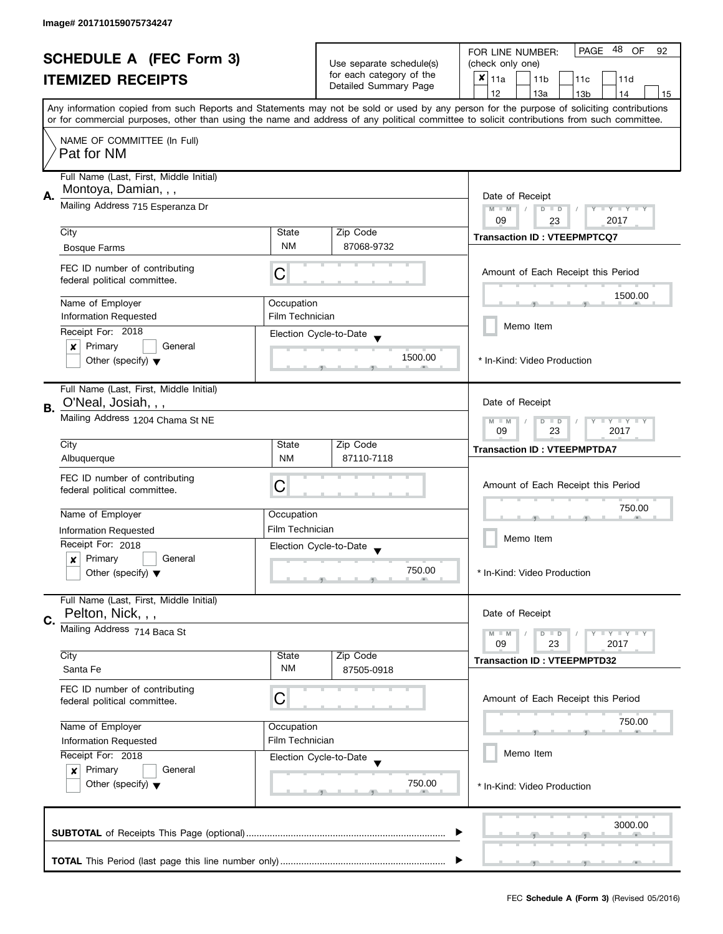| <b>SCHEDULE A (FEC Form 3)</b> |                                                                 |                                                                               | 48 OF<br>PAGE<br>FOR LINE NUMBER:<br>92   |                                                                                                                                                                                                                                                                                         |  |
|--------------------------------|-----------------------------------------------------------------|-------------------------------------------------------------------------------|-------------------------------------------|-----------------------------------------------------------------------------------------------------------------------------------------------------------------------------------------------------------------------------------------------------------------------------------------|--|
| <b>ITEMIZED RECEIPTS</b>       |                                                                 | Use separate schedule(s)<br>for each category of the<br>Detailed Summary Page | (check only one)                          |                                                                                                                                                                                                                                                                                         |  |
|                                |                                                                 |                                                                               | ×<br>11a<br>11 <sub>b</sub><br>11c<br>11d |                                                                                                                                                                                                                                                                                         |  |
|                                |                                                                 |                                                                               |                                           | 12<br>13a<br>13 <sub>b</sub><br>14<br>15                                                                                                                                                                                                                                                |  |
|                                |                                                                 |                                                                               |                                           | Any information copied from such Reports and Statements may not be sold or used by any person for the purpose of soliciting contributions<br>or for commercial purposes, other than using the name and address of any political committee to solicit contributions from such committee. |  |
|                                | NAME OF COMMITTEE (In Full)<br>Pat for NM                       |                                                                               |                                           |                                                                                                                                                                                                                                                                                         |  |
|                                |                                                                 |                                                                               |                                           |                                                                                                                                                                                                                                                                                         |  |
|                                | Full Name (Last, First, Middle Initial)<br>Montoya, Damian, , , |                                                                               |                                           |                                                                                                                                                                                                                                                                                         |  |
| А.                             |                                                                 | Date of Receipt                                                               |                                           |                                                                                                                                                                                                                                                                                         |  |
|                                | Mailing Address 715 Esperanza Dr                                |                                                                               |                                           | $M - M$<br>Y FY FY FY<br>$D$ $D$                                                                                                                                                                                                                                                        |  |
|                                | City                                                            | State                                                                         | Zip Code                                  | 2017<br>09<br>23                                                                                                                                                                                                                                                                        |  |
|                                |                                                                 | <b>NM</b>                                                                     | 87068-9732                                | <b>Transaction ID: VTEEPMPTCQ7</b>                                                                                                                                                                                                                                                      |  |
|                                | <b>Bosque Farms</b>                                             |                                                                               |                                           |                                                                                                                                                                                                                                                                                         |  |
|                                | FEC ID number of contributing<br>federal political committee.   | С                                                                             |                                           | Amount of Each Receipt this Period                                                                                                                                                                                                                                                      |  |
|                                | Name of Employer                                                | Occupation                                                                    |                                           | 1500.00                                                                                                                                                                                                                                                                                 |  |
|                                | <b>Information Requested</b>                                    | Film Technician                                                               |                                           |                                                                                                                                                                                                                                                                                         |  |
|                                | Receipt For: 2018                                               |                                                                               |                                           | Memo Item                                                                                                                                                                                                                                                                               |  |
|                                | Primary<br>General<br>×                                         |                                                                               | Election Cycle-to-Date                    |                                                                                                                                                                                                                                                                                         |  |
|                                | Other (specify) $\blacktriangledown$                            |                                                                               | 1500.00                                   | * In-Kind: Video Production                                                                                                                                                                                                                                                             |  |
|                                | Full Name (Last, First, Middle Initial)<br>O'Neal, Josiah, , ,  |                                                                               |                                           | Date of Receipt                                                                                                                                                                                                                                                                         |  |
| В.                             | Mailing Address 1204 Chama St NE                                |                                                                               |                                           |                                                                                                                                                                                                                                                                                         |  |
|                                |                                                                 |                                                                               |                                           | <b>LYLYLY</b><br>$M - M$<br>$D$ $D$<br>23<br>2017<br>09                                                                                                                                                                                                                                 |  |
|                                | City                                                            | State                                                                         | Zip Code                                  |                                                                                                                                                                                                                                                                                         |  |
|                                | Albuquerque                                                     | <b>NM</b>                                                                     | 87110-7118                                | <b>Transaction ID: VTEEPMPTDA7</b>                                                                                                                                                                                                                                                      |  |
|                                |                                                                 |                                                                               |                                           |                                                                                                                                                                                                                                                                                         |  |
|                                | FEC ID number of contributing<br>federal political committee.   | С                                                                             |                                           | Amount of Each Receipt this Period                                                                                                                                                                                                                                                      |  |
|                                |                                                                 |                                                                               |                                           |                                                                                                                                                                                                                                                                                         |  |
|                                | Name of Employer                                                | Occupation                                                                    |                                           | 750.00                                                                                                                                                                                                                                                                                  |  |
|                                | <b>Information Requested</b>                                    | Film Technician                                                               |                                           |                                                                                                                                                                                                                                                                                         |  |
|                                | Receipt For: 2018                                               |                                                                               | Election Cycle-to-Date                    | Memo Item                                                                                                                                                                                                                                                                               |  |
|                                | Primary<br>General<br>$\boldsymbol{x}$                          |                                                                               | $\overline{\mathbf{v}}$                   |                                                                                                                                                                                                                                                                                         |  |
|                                | Other (specify) $\blacktriangledown$                            |                                                                               | 750.00                                    | * In-Kind: Video Production                                                                                                                                                                                                                                                             |  |
|                                | Full Name (Last, First, Middle Initial)                         |                                                                               |                                           |                                                                                                                                                                                                                                                                                         |  |
| C.                             | Pelton, Nick, , ,                                               |                                                                               |                                           | Date of Receipt                                                                                                                                                                                                                                                                         |  |
|                                | Mailing Address 714 Baca St                                     |                                                                               |                                           | <b>LEY LEY LEY</b><br>$M - M$<br>$D$ $D$                                                                                                                                                                                                                                                |  |
|                                | City                                                            | State                                                                         | Zip Code                                  | 09<br>23<br>2017                                                                                                                                                                                                                                                                        |  |
|                                | Santa Fe                                                        | ΝM                                                                            | 87505-0918                                | <b>Transaction ID: VTEEPMPTD32</b>                                                                                                                                                                                                                                                      |  |
|                                | FEC ID number of contributing                                   |                                                                               |                                           |                                                                                                                                                                                                                                                                                         |  |
|                                | federal political committee.                                    | C                                                                             |                                           | Amount of Each Receipt this Period                                                                                                                                                                                                                                                      |  |
|                                |                                                                 |                                                                               |                                           |                                                                                                                                                                                                                                                                                         |  |
|                                | Name of Employer                                                | Occupation                                                                    |                                           | 750.00                                                                                                                                                                                                                                                                                  |  |
|                                | Information Requested                                           | Film Technician                                                               |                                           |                                                                                                                                                                                                                                                                                         |  |
|                                | Receipt For: 2018                                               |                                                                               | Election Cycle-to-Date                    | Memo Item                                                                                                                                                                                                                                                                               |  |
|                                | Primary<br>General<br>$\boldsymbol{x}$                          |                                                                               |                                           |                                                                                                                                                                                                                                                                                         |  |
|                                | Other (specify) $\blacktriangledown$                            |                                                                               | 750.00                                    | * In-Kind: Video Production                                                                                                                                                                                                                                                             |  |
|                                |                                                                 |                                                                               |                                           |                                                                                                                                                                                                                                                                                         |  |
|                                |                                                                 |                                                                               |                                           | 3000.00                                                                                                                                                                                                                                                                                 |  |
|                                |                                                                 |                                                                               |                                           |                                                                                                                                                                                                                                                                                         |  |
|                                |                                                                 |                                                                               |                                           |                                                                                                                                                                                                                                                                                         |  |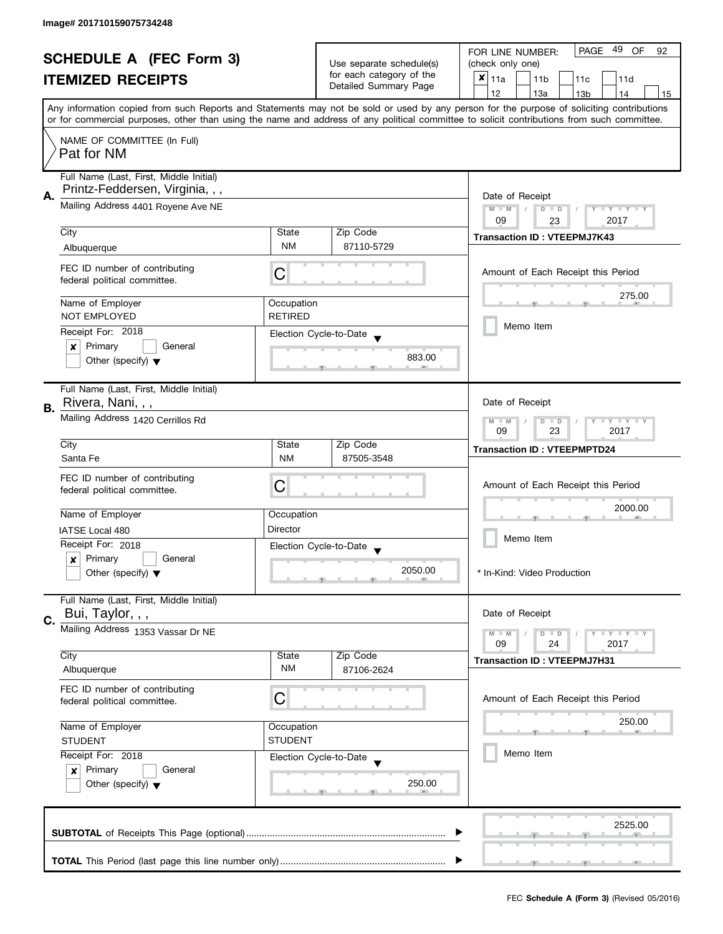| <b>SCHEDULE A (FEC Form 3)</b> |                                                                    |                                                                    | PAGE 49<br>OF<br>FOR LINE NUMBER:<br>92 |                                                                                                                                            |  |
|--------------------------------|--------------------------------------------------------------------|--------------------------------------------------------------------|-----------------------------------------|--------------------------------------------------------------------------------------------------------------------------------------------|--|
|                                |                                                                    |                                                                    | Use separate schedule(s)                | (check only one)                                                                                                                           |  |
|                                | <b>ITEMIZED RECEIPTS</b>                                           |                                                                    | for each category of the                | $x _{11a}$<br>11 <sub>b</sub><br>11c<br>11d                                                                                                |  |
|                                |                                                                    |                                                                    | Detailed Summary Page                   | 12<br>13a<br>13 <sub>b</sub><br>14<br>15                                                                                                   |  |
|                                |                                                                    |                                                                    |                                         | Any information copied from such Reports and Statements may not be sold or used by any person for the purpose of soliciting contributions  |  |
|                                |                                                                    |                                                                    |                                         | or for commercial purposes, other than using the name and address of any political committee to solicit contributions from such committee. |  |
|                                | NAME OF COMMITTEE (In Full)                                        |                                                                    |                                         |                                                                                                                                            |  |
|                                | Pat for NM                                                         |                                                                    |                                         |                                                                                                                                            |  |
|                                |                                                                    |                                                                    |                                         |                                                                                                                                            |  |
|                                | Full Name (Last, First, Middle Initial)                            |                                                                    |                                         |                                                                                                                                            |  |
| А.                             | Printz-Feddersen, Virginia, , ,                                    | Date of Receipt                                                    |                                         |                                                                                                                                            |  |
|                                | Mailing Address 4401 Royene Ave NE                                 |                                                                    |                                         | $M - M$<br>$D$ $D$<br>Y I Y I Y I Y                                                                                                        |  |
|                                |                                                                    |                                                                    |                                         | 09<br>2017<br>23                                                                                                                           |  |
|                                | City                                                               | State                                                              | Zip Code                                | <b>Transaction ID: VTEEPMJ7K43</b>                                                                                                         |  |
|                                | Albuquerque                                                        | <b>NM</b>                                                          | 87110-5729                              |                                                                                                                                            |  |
|                                |                                                                    |                                                                    |                                         |                                                                                                                                            |  |
|                                | FEC ID number of contributing<br>federal political committee.      | C                                                                  |                                         | Amount of Each Receipt this Period                                                                                                         |  |
|                                |                                                                    |                                                                    |                                         |                                                                                                                                            |  |
|                                | Name of Employer                                                   | Occupation                                                         |                                         | 275.00                                                                                                                                     |  |
|                                | <b>NOT EMPLOYED</b>                                                | <b>RETIRED</b>                                                     |                                         |                                                                                                                                            |  |
|                                | Receipt For: 2018                                                  |                                                                    | Election Cycle-to-Date                  | Memo Item                                                                                                                                  |  |
|                                | Primary<br>General<br>$\boldsymbol{x}$                             |                                                                    |                                         |                                                                                                                                            |  |
|                                | Other (specify) $\blacktriangledown$                               |                                                                    | 883.00                                  |                                                                                                                                            |  |
|                                |                                                                    |                                                                    |                                         |                                                                                                                                            |  |
|                                | Full Name (Last, First, Middle Initial)                            |                                                                    |                                         |                                                                                                                                            |  |
|                                | Rivera, Nani, , ,                                                  |                                                                    |                                         | Date of Receipt                                                                                                                            |  |
| В.                             | Mailing Address 1420 Cerrillos Rd                                  |                                                                    |                                         |                                                                                                                                            |  |
|                                |                                                                    | Y LY LY<br>$M - M$<br>$\overline{D}$<br>$\Box$<br>09<br>23<br>2017 |                                         |                                                                                                                                            |  |
|                                | City                                                               | Zip Code<br>State                                                  |                                         |                                                                                                                                            |  |
|                                | Santa Fe                                                           | <b>NM</b>                                                          | 87505-3548                              | <b>Transaction ID: VTEEPMPTD24</b>                                                                                                         |  |
|                                |                                                                    |                                                                    |                                         |                                                                                                                                            |  |
|                                | FEC ID number of contributing                                      | C                                                                  |                                         | Amount of Each Receipt this Period                                                                                                         |  |
|                                | federal political committee.                                       |                                                                    |                                         |                                                                                                                                            |  |
|                                | Name of Employer                                                   | Occupation                                                         |                                         | 2000.00                                                                                                                                    |  |
|                                | IATSE Local 480                                                    | Director                                                           |                                         |                                                                                                                                            |  |
|                                | Receipt For: 2018                                                  |                                                                    |                                         | Memo Item                                                                                                                                  |  |
|                                | Primary<br>General<br>x                                            |                                                                    | Election Cycle-to-Date                  |                                                                                                                                            |  |
|                                | Other (specify) $\blacktriangledown$                               |                                                                    | 2050.00                                 | * In-Kind: Video Production                                                                                                                |  |
|                                |                                                                    |                                                                    |                                         |                                                                                                                                            |  |
|                                | Full Name (Last, First, Middle Initial)                            |                                                                    |                                         |                                                                                                                                            |  |
| C.                             | Bui, Taylor, , ,                                                   |                                                                    |                                         | Date of Receipt                                                                                                                            |  |
|                                | Mailing Address 1353 Vassar Dr NE                                  |                                                                    |                                         | $M - M$<br>$Y - Y - Y$<br>$D$ $D$                                                                                                          |  |
|                                |                                                                    |                                                                    |                                         | 24<br>2017<br>09                                                                                                                           |  |
|                                | City                                                               | State                                                              | Zip Code                                | <b>Transaction ID: VTEEPMJ7H31</b>                                                                                                         |  |
|                                | Albuquerque                                                        | ΝM                                                                 | 87106-2624                              |                                                                                                                                            |  |
|                                | FEC ID number of contributing                                      |                                                                    |                                         |                                                                                                                                            |  |
|                                | federal political committee.                                       | С                                                                  |                                         | Amount of Each Receipt this Period                                                                                                         |  |
|                                |                                                                    |                                                                    |                                         |                                                                                                                                            |  |
|                                | Name of Employer<br>Occupation<br><b>STUDENT</b><br><b>STUDENT</b> |                                                                    |                                         | 250.00                                                                                                                                     |  |
|                                |                                                                    |                                                                    |                                         |                                                                                                                                            |  |
|                                | Receipt For: 2018                                                  |                                                                    | Election Cycle-to-Date                  | Memo Item                                                                                                                                  |  |
|                                | Primary<br>General<br>$\mathbf{x}$                                 |                                                                    |                                         |                                                                                                                                            |  |
|                                | Other (specify) $\blacktriangledown$                               |                                                                    | 250.00                                  |                                                                                                                                            |  |
|                                |                                                                    |                                                                    |                                         |                                                                                                                                            |  |
|                                |                                                                    |                                                                    |                                         |                                                                                                                                            |  |
|                                |                                                                    |                                                                    |                                         | 2525.00                                                                                                                                    |  |
|                                |                                                                    |                                                                    |                                         |                                                                                                                                            |  |
|                                |                                                                    |                                                                    |                                         |                                                                                                                                            |  |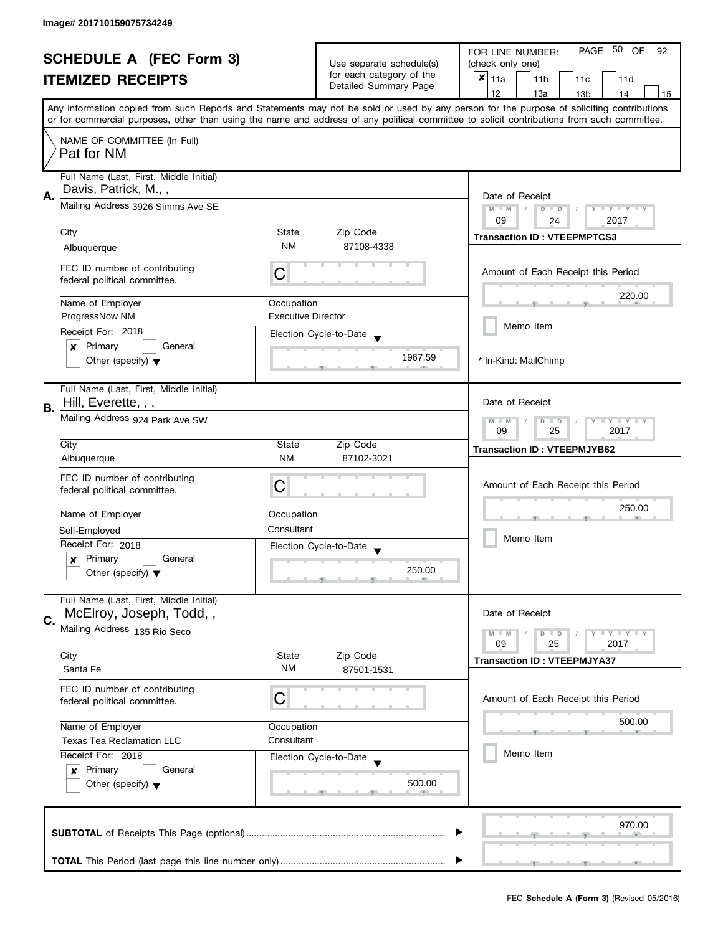|                                                            |                                                                                                                               |                                                                                          |                          | PAGE 50<br><b>OF</b><br>FOR LINE NUMBER:<br>92                                                                                                                                                                                                                                          |
|------------------------------------------------------------|-------------------------------------------------------------------------------------------------------------------------------|------------------------------------------------------------------------------------------|--------------------------|-----------------------------------------------------------------------------------------------------------------------------------------------------------------------------------------------------------------------------------------------------------------------------------------|
| <b>SCHEDULE A (FEC Form 3)</b><br><b>ITEMIZED RECEIPTS</b> |                                                                                                                               |                                                                                          | Use separate schedule(s) | (check only one)                                                                                                                                                                                                                                                                        |
|                                                            |                                                                                                                               |                                                                                          | for each category of the | $x _{11a}$<br>11 <sub>b</sub><br>11c<br>11d                                                                                                                                                                                                                                             |
|                                                            |                                                                                                                               |                                                                                          | Detailed Summary Page    | 12<br>13a<br>13 <sub>b</sub><br>14<br>15                                                                                                                                                                                                                                                |
|                                                            |                                                                                                                               |                                                                                          |                          | Any information copied from such Reports and Statements may not be sold or used by any person for the purpose of soliciting contributions<br>or for commercial purposes, other than using the name and address of any political committee to solicit contributions from such committee. |
|                                                            |                                                                                                                               |                                                                                          |                          |                                                                                                                                                                                                                                                                                         |
|                                                            | NAME OF COMMITTEE (In Full)<br>Pat for NM                                                                                     |                                                                                          |                          |                                                                                                                                                                                                                                                                                         |
|                                                            | Full Name (Last, First, Middle Initial)<br>Davis, Patrick, M.,,                                                               |                                                                                          |                          |                                                                                                                                                                                                                                                                                         |
| Α.                                                         | Mailing Address 3926 Simms Ave SE                                                                                             | Date of Receipt<br>$M - M$<br>Y I Y I Y I Y<br>$\sqrt{2}$<br>$D$ $D$<br>09<br>2017<br>24 |                          |                                                                                                                                                                                                                                                                                         |
|                                                            | City                                                                                                                          | State                                                                                    | Zip Code                 |                                                                                                                                                                                                                                                                                         |
|                                                            | Albuquerque                                                                                                                   | <b>NM</b>                                                                                | 87108-4338               | <b>Transaction ID: VTEEPMPTCS3</b>                                                                                                                                                                                                                                                      |
|                                                            | FEC ID number of contributing<br>federal political committee.                                                                 | С                                                                                        |                          | Amount of Each Receipt this Period                                                                                                                                                                                                                                                      |
|                                                            | Name of Employer                                                                                                              | Occupation                                                                               |                          | 220.00                                                                                                                                                                                                                                                                                  |
|                                                            | ProgressNow NM                                                                                                                | <b>Executive Director</b>                                                                |                          |                                                                                                                                                                                                                                                                                         |
|                                                            | Receipt For: 2018                                                                                                             |                                                                                          | Election Cycle-to-Date   | Memo Item                                                                                                                                                                                                                                                                               |
|                                                            | Primary<br>General<br>$\boldsymbol{x}$                                                                                        |                                                                                          |                          |                                                                                                                                                                                                                                                                                         |
|                                                            | Other (specify) $\blacktriangledown$                                                                                          |                                                                                          | 1967.59                  | * In-Kind: MailChimp                                                                                                                                                                                                                                                                    |
| В.                                                         | Full Name (Last, First, Middle Initial)<br>Hill, Everette, , ,                                                                |                                                                                          |                          | Date of Receipt                                                                                                                                                                                                                                                                         |
|                                                            | Mailing Address 924 Park Ave SW                                                                                               |                                                                                          |                          | $Y = Y + Y$<br>$M - M$<br>D<br>$\Box$<br>09<br>2017<br>25                                                                                                                                                                                                                               |
|                                                            | City                                                                                                                          | State                                                                                    | Zip Code                 | <b>Transaction ID: VTEEPMJYB62</b>                                                                                                                                                                                                                                                      |
|                                                            | Albuquerque                                                                                                                   | <b>NM</b>                                                                                | 87102-3021               |                                                                                                                                                                                                                                                                                         |
|                                                            | FEC ID number of contributing                                                                                                 | C                                                                                        |                          | Amount of Each Receipt this Period                                                                                                                                                                                                                                                      |
|                                                            | federal political committee.                                                                                                  |                                                                                          |                          |                                                                                                                                                                                                                                                                                         |
|                                                            | Name of Employer                                                                                                              | Occupation                                                                               |                          | 250.00                                                                                                                                                                                                                                                                                  |
|                                                            | Self-Employed                                                                                                                 | Consultant                                                                               |                          |                                                                                                                                                                                                                                                                                         |
|                                                            | Receipt For: 2018                                                                                                             |                                                                                          | Election Cycle-to-Date   | Memo Item                                                                                                                                                                                                                                                                               |
|                                                            | Primary<br>General<br>x                                                                                                       |                                                                                          |                          |                                                                                                                                                                                                                                                                                         |
|                                                            | Other (specify) $\blacktriangledown$                                                                                          |                                                                                          | 250.00                   |                                                                                                                                                                                                                                                                                         |
|                                                            | Full Name (Last, First, Middle Initial)<br>McElroy, Joseph, Todd,,                                                            |                                                                                          |                          | Date of Receipt                                                                                                                                                                                                                                                                         |
| C.                                                         | Mailing Address 135 Rio Seco                                                                                                  |                                                                                          |                          |                                                                                                                                                                                                                                                                                         |
|                                                            |                                                                                                                               |                                                                                          |                          | $M - M$<br>$Y \perp Y \perp Y$<br>$\overline{D}$<br>$\Box$<br>09<br>2017<br>25                                                                                                                                                                                                          |
|                                                            | City                                                                                                                          | State                                                                                    | Zip Code                 | <b>Transaction ID: VTEEPMJYA37</b>                                                                                                                                                                                                                                                      |
|                                                            | Santa Fe                                                                                                                      | <b>NM</b>                                                                                | 87501-1531               |                                                                                                                                                                                                                                                                                         |
|                                                            | FEC ID number of contributing                                                                                                 | C                                                                                        |                          | Amount of Each Receipt this Period                                                                                                                                                                                                                                                      |
|                                                            | federal political committee.                                                                                                  |                                                                                          |                          |                                                                                                                                                                                                                                                                                         |
|                                                            | Name of Employer                                                                                                              | Occupation                                                                               |                          | 500.00                                                                                                                                                                                                                                                                                  |
|                                                            | <b>Texas Tea Reclamation LLC</b>                                                                                              | Consultant                                                                               |                          |                                                                                                                                                                                                                                                                                         |
|                                                            | Receipt For: 2018<br>Election Cycle-to-Date<br>Primary<br>General<br>$\boldsymbol{x}$<br>Other (specify) $\blacktriangledown$ |                                                                                          |                          | Memo Item                                                                                                                                                                                                                                                                               |
|                                                            |                                                                                                                               |                                                                                          |                          |                                                                                                                                                                                                                                                                                         |
|                                                            |                                                                                                                               |                                                                                          | 500.00                   |                                                                                                                                                                                                                                                                                         |
|                                                            |                                                                                                                               |                                                                                          |                          |                                                                                                                                                                                                                                                                                         |
|                                                            |                                                                                                                               |                                                                                          |                          | 970.00                                                                                                                                                                                                                                                                                  |
|                                                            |                                                                                                                               |                                                                                          |                          |                                                                                                                                                                                                                                                                                         |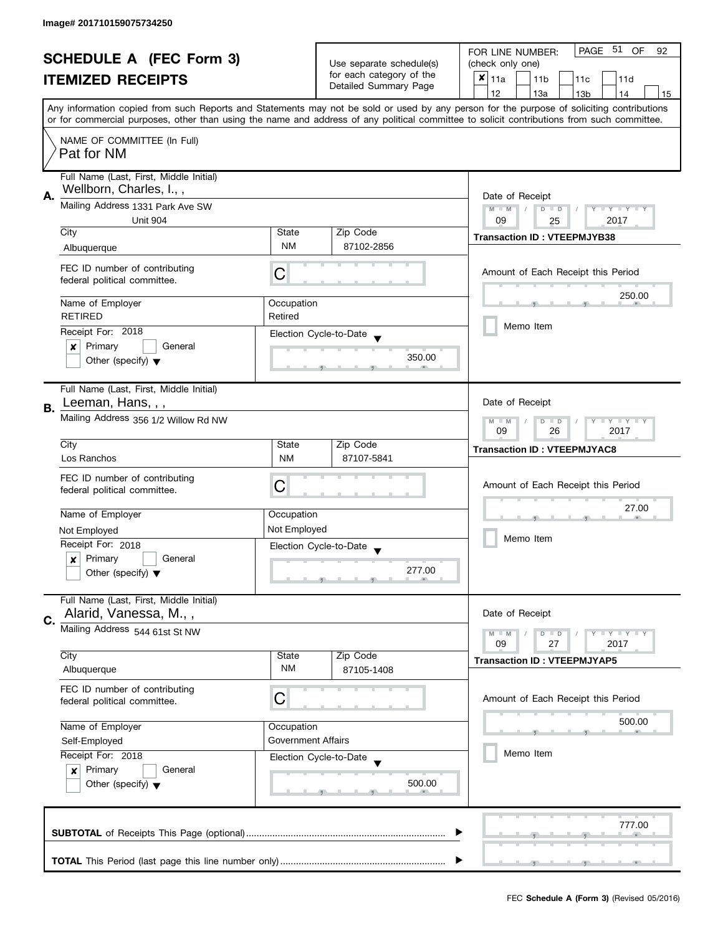| <b>SCHEDULE A (FEC Form 3)</b> |                                                                                                                             |                  | PAGE 51 OF<br>FOR LINE NUMBER:<br>92              |                                                                                                                                                                                                                                                                                         |  |
|--------------------------------|-----------------------------------------------------------------------------------------------------------------------------|------------------|---------------------------------------------------|-----------------------------------------------------------------------------------------------------------------------------------------------------------------------------------------------------------------------------------------------------------------------------------------|--|
|                                |                                                                                                                             |                  | Use separate schedule(s)                          | (check only one)                                                                                                                                                                                                                                                                        |  |
|                                | <b>ITEMIZED RECEIPTS</b>                                                                                                    |                  | for each category of the<br>Detailed Summary Page | $x _{11a}$<br>11 <sub>b</sub><br>11c<br>11d                                                                                                                                                                                                                                             |  |
|                                |                                                                                                                             |                  |                                                   | 12<br>13a<br>14<br>13 <sub>b</sub><br>15                                                                                                                                                                                                                                                |  |
|                                |                                                                                                                             |                  |                                                   | Any information copied from such Reports and Statements may not be sold or used by any person for the purpose of soliciting contributions<br>or for commercial purposes, other than using the name and address of any political committee to solicit contributions from such committee. |  |
|                                |                                                                                                                             |                  |                                                   |                                                                                                                                                                                                                                                                                         |  |
|                                | NAME OF COMMITTEE (In Full)<br>Pat for NM                                                                                   |                  |                                                   |                                                                                                                                                                                                                                                                                         |  |
|                                | Full Name (Last, First, Middle Initial)                                                                                     |                  |                                                   |                                                                                                                                                                                                                                                                                         |  |
|                                | Wellborn, Charles, I.,,                                                                                                     |                  |                                                   |                                                                                                                                                                                                                                                                                         |  |
| А.                             | Mailing Address 1331 Park Ave SW                                                                                            | Date of Receipt  |                                                   |                                                                                                                                                                                                                                                                                         |  |
|                                | <b>Unit 904</b>                                                                                                             |                  |                                                   | $M - M$<br>$D$ $D$<br>Y FY FY FY<br>09<br>2017                                                                                                                                                                                                                                          |  |
|                                | City                                                                                                                        | State            | Zip Code                                          | 25                                                                                                                                                                                                                                                                                      |  |
|                                | Albuquerque                                                                                                                 | <b>NM</b>        | 87102-2856                                        | <b>Transaction ID: VTEEPMJYB38</b>                                                                                                                                                                                                                                                      |  |
|                                |                                                                                                                             |                  |                                                   |                                                                                                                                                                                                                                                                                         |  |
|                                | FEC ID number of contributing                                                                                               | С                |                                                   | Amount of Each Receipt this Period                                                                                                                                                                                                                                                      |  |
|                                | federal political committee.                                                                                                |                  |                                                   |                                                                                                                                                                                                                                                                                         |  |
|                                | Name of Employer                                                                                                            | Occupation       |                                                   | 250.00                                                                                                                                                                                                                                                                                  |  |
|                                | <b>RETIRED</b>                                                                                                              | Retired          |                                                   |                                                                                                                                                                                                                                                                                         |  |
|                                | Receipt For: 2018                                                                                                           |                  | Election Cycle-to-Date                            | Memo Item                                                                                                                                                                                                                                                                               |  |
|                                | $\boldsymbol{x}$<br>Primary<br>General                                                                                      |                  |                                                   |                                                                                                                                                                                                                                                                                         |  |
|                                | Other (specify) $\blacktriangledown$                                                                                        |                  | 350.00                                            |                                                                                                                                                                                                                                                                                         |  |
|                                |                                                                                                                             |                  |                                                   |                                                                                                                                                                                                                                                                                         |  |
|                                | Full Name (Last, First, Middle Initial)                                                                                     |                  |                                                   |                                                                                                                                                                                                                                                                                         |  |
| <b>B.</b>                      | Leeman, Hans, , ,                                                                                                           |                  |                                                   | Date of Receipt                                                                                                                                                                                                                                                                         |  |
|                                | Mailing Address 356 1/2 Willow Rd NW                                                                                        |                  |                                                   | <b>LY LY LY</b><br>$M - M$<br>$D$ $D$                                                                                                                                                                                                                                                   |  |
|                                |                                                                                                                             | 09<br>26<br>2017 |                                                   |                                                                                                                                                                                                                                                                                         |  |
|                                | City                                                                                                                        | State            | Zip Code                                          | <b>Transaction ID: VTEEPMJYAC8</b>                                                                                                                                                                                                                                                      |  |
|                                | Los Ranchos                                                                                                                 | <b>NM</b>        | 87107-5841                                        |                                                                                                                                                                                                                                                                                         |  |
|                                | FEC ID number of contributing                                                                                               |                  |                                                   |                                                                                                                                                                                                                                                                                         |  |
|                                | federal political committee.                                                                                                | С                |                                                   | Amount of Each Receipt this Period                                                                                                                                                                                                                                                      |  |
|                                |                                                                                                                             |                  |                                                   | 27.00                                                                                                                                                                                                                                                                                   |  |
|                                | Name of Employer                                                                                                            | Occupation       |                                                   |                                                                                                                                                                                                                                                                                         |  |
|                                | Not Employed                                                                                                                | Not Employed     |                                                   | Memo Item                                                                                                                                                                                                                                                                               |  |
|                                | Receipt For: 2018                                                                                                           |                  | Election Cycle-to-Date                            |                                                                                                                                                                                                                                                                                         |  |
|                                | Primary<br>General<br>$\boldsymbol{x}$                                                                                      |                  |                                                   |                                                                                                                                                                                                                                                                                         |  |
|                                | Other (specify) $\blacktriangledown$                                                                                        |                  | 277.00                                            |                                                                                                                                                                                                                                                                                         |  |
|                                | Full Name (Last, First, Middle Initial)                                                                                     |                  |                                                   |                                                                                                                                                                                                                                                                                         |  |
| C.                             | Alarid, Vanessa, M.,,                                                                                                       |                  |                                                   | Date of Receipt                                                                                                                                                                                                                                                                         |  |
|                                | Mailing Address 544 61st St NW                                                                                              |                  |                                                   | <b>LYLYLY</b><br>$M - M$<br>$D$ $D$                                                                                                                                                                                                                                                     |  |
|                                |                                                                                                                             |                  |                                                   | 09<br>27<br>2017                                                                                                                                                                                                                                                                        |  |
|                                | City                                                                                                                        | State            | Zip Code                                          | <b>Transaction ID: VTEEPMJYAP5</b>                                                                                                                                                                                                                                                      |  |
|                                | Albuquerque                                                                                                                 | ΝM               | 87105-1408                                        |                                                                                                                                                                                                                                                                                         |  |
|                                | FEC ID number of contributing                                                                                               |                  |                                                   |                                                                                                                                                                                                                                                                                         |  |
|                                | federal political committee.                                                                                                | C                |                                                   | Amount of Each Receipt this Period                                                                                                                                                                                                                                                      |  |
|                                |                                                                                                                             |                  |                                                   | 500.00                                                                                                                                                                                                                                                                                  |  |
|                                | Name of Employer<br>Occupation<br><b>Government Affairs</b><br>Self-Employed<br>Receipt For: 2018<br>Election Cycle-to-Date |                  |                                                   |                                                                                                                                                                                                                                                                                         |  |
|                                |                                                                                                                             |                  |                                                   | Memo Item                                                                                                                                                                                                                                                                               |  |
|                                |                                                                                                                             |                  |                                                   |                                                                                                                                                                                                                                                                                         |  |
|                                | Primary<br>General<br>$\boldsymbol{x}$                                                                                      |                  |                                                   |                                                                                                                                                                                                                                                                                         |  |
|                                | Other (specify) $\blacktriangledown$                                                                                        |                  | 500.00                                            |                                                                                                                                                                                                                                                                                         |  |
|                                |                                                                                                                             |                  |                                                   |                                                                                                                                                                                                                                                                                         |  |
|                                |                                                                                                                             |                  |                                                   | 777.00                                                                                                                                                                                                                                                                                  |  |
|                                |                                                                                                                             |                  |                                                   |                                                                                                                                                                                                                                                                                         |  |
|                                |                                                                                                                             |                  |                                                   |                                                                                                                                                                                                                                                                                         |  |
|                                |                                                                                                                             |                  |                                                   |                                                                                                                                                                                                                                                                                         |  |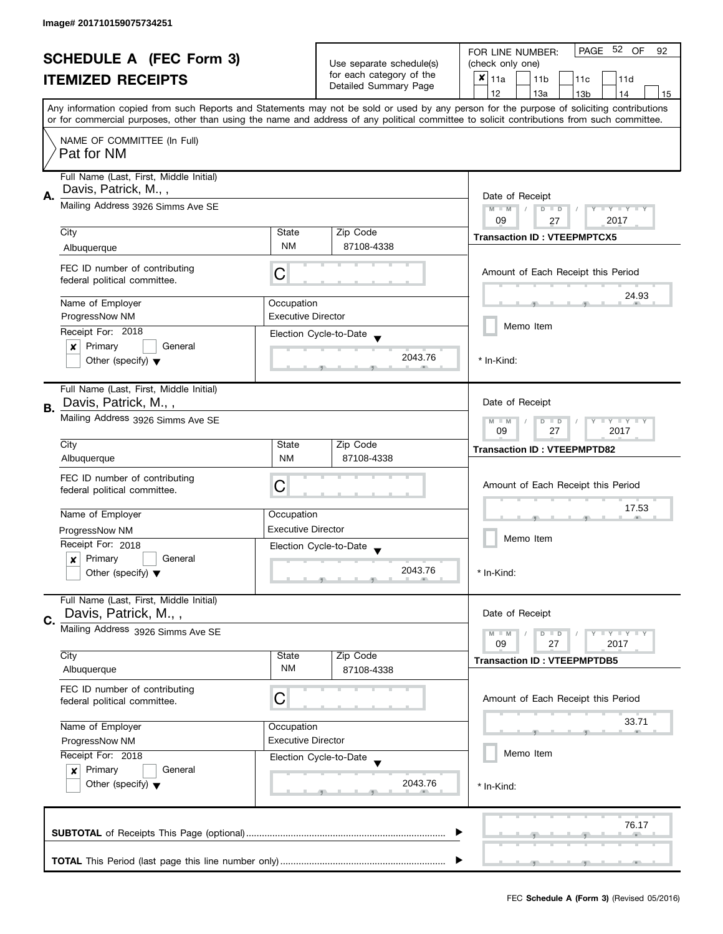| <b>SCHEDULE A (FEC Form 3)</b> |                                                                 |                                         | 52 OF<br>PAGE<br>FOR LINE NUMBER:<br>92           |                                                                                                                                                                                                                                                                                         |
|--------------------------------|-----------------------------------------------------------------|-----------------------------------------|---------------------------------------------------|-----------------------------------------------------------------------------------------------------------------------------------------------------------------------------------------------------------------------------------------------------------------------------------------|
|                                |                                                                 | Use separate schedule(s)                | (check only one)                                  |                                                                                                                                                                                                                                                                                         |
|                                | <b>ITEMIZED RECEIPTS</b>                                        |                                         | for each category of the<br>Detailed Summary Page | $x _{11a}$<br>11 <sub>b</sub><br>11c<br>11d                                                                                                                                                                                                                                             |
|                                |                                                                 |                                         |                                                   | 12<br>13a<br>13 <sub>b</sub><br>14<br>15                                                                                                                                                                                                                                                |
|                                |                                                                 |                                         |                                                   | Any information copied from such Reports and Statements may not be sold or used by any person for the purpose of soliciting contributions<br>or for commercial purposes, other than using the name and address of any political committee to solicit contributions from such committee. |
|                                |                                                                 |                                         |                                                   |                                                                                                                                                                                                                                                                                         |
|                                | NAME OF COMMITTEE (In Full)<br>Pat for NM                       |                                         |                                                   |                                                                                                                                                                                                                                                                                         |
|                                | Full Name (Last, First, Middle Initial)<br>Davis, Patrick, M.,, |                                         |                                                   |                                                                                                                                                                                                                                                                                         |
| А.                             | Mailing Address 3926 Simms Ave SE                               |                                         |                                                   | Date of Receipt<br>$M - M$<br>$Y = Y = Y + Y$<br>$D$ $D$<br>09<br>2017<br>27                                                                                                                                                                                                            |
|                                | City                                                            | State                                   | Zip Code                                          | <b>Transaction ID: VTEEPMPTCX5</b>                                                                                                                                                                                                                                                      |
|                                | Albuquerque                                                     | <b>NM</b>                               | 87108-4338                                        |                                                                                                                                                                                                                                                                                         |
|                                | FEC ID number of contributing<br>federal political committee.   | С                                       |                                                   | Amount of Each Receipt this Period                                                                                                                                                                                                                                                      |
|                                | Name of Employer                                                | Occupation                              |                                                   | 24.93                                                                                                                                                                                                                                                                                   |
|                                | ProgressNow NM                                                  | <b>Executive Director</b>               |                                                   |                                                                                                                                                                                                                                                                                         |
|                                | Receipt For: 2018                                               |                                         | Election Cycle-to-Date                            | Memo Item                                                                                                                                                                                                                                                                               |
|                                | Primary<br>General<br>×                                         |                                         |                                                   |                                                                                                                                                                                                                                                                                         |
|                                | Other (specify) $\blacktriangledown$                            |                                         | 2043.76                                           | * In-Kind:                                                                                                                                                                                                                                                                              |
| <b>B.</b>                      | Full Name (Last, First, Middle Initial)<br>Davis, Patrick, M.,, |                                         |                                                   | Date of Receipt                                                                                                                                                                                                                                                                         |
|                                | Mailing Address 3926 Simms Ave SE                               |                                         |                                                   | <b>LYLYLY</b><br>$M - M$<br>$\Box$<br>D<br>27<br>2017<br>09                                                                                                                                                                                                                             |
|                                | City                                                            | State                                   | Zip Code                                          | <b>Transaction ID: VTEEPMPTD82</b>                                                                                                                                                                                                                                                      |
|                                | Albuquerque                                                     | <b>NM</b>                               | 87108-4338                                        |                                                                                                                                                                                                                                                                                         |
|                                | FEC ID number of contributing                                   |                                         |                                                   |                                                                                                                                                                                                                                                                                         |
|                                | federal political committee.                                    | С                                       |                                                   | Amount of Each Receipt this Period                                                                                                                                                                                                                                                      |
|                                |                                                                 |                                         |                                                   | 17.53                                                                                                                                                                                                                                                                                   |
|                                | Name of Employer                                                | Occupation<br><b>Executive Director</b> |                                                   |                                                                                                                                                                                                                                                                                         |
|                                | ProgressNow NM                                                  |                                         |                                                   | Memo Item                                                                                                                                                                                                                                                                               |
|                                | Receipt For: 2018<br>Primary<br>General                         |                                         | Election Cycle-to-Date<br>$\blacktriangledown$    |                                                                                                                                                                                                                                                                                         |
|                                | $\boldsymbol{x}$<br>Other (specify) $\blacktriangledown$        |                                         | 2043.76                                           | * In-Kind:                                                                                                                                                                                                                                                                              |
|                                | Full Name (Last, First, Middle Initial)<br>Davis, Patrick, M.,, |                                         |                                                   | Date of Receipt                                                                                                                                                                                                                                                                         |
| C.                             | Mailing Address 3926 Simms Ave SE                               |                                         |                                                   |                                                                                                                                                                                                                                                                                         |
|                                |                                                                 |                                         |                                                   | $\blacksquare \blacksquare Y \blacksquare \blacksquare Y \blacksquare \blacksquare Y$<br>$M - M$<br>$D$ $D$<br>09<br>27<br>2017                                                                                                                                                         |
|                                | City                                                            | State                                   | Zip Code                                          | <b>Transaction ID: VTEEPMPTDB5</b>                                                                                                                                                                                                                                                      |
|                                | Albuquerque                                                     | ΝM                                      | 87108-4338                                        |                                                                                                                                                                                                                                                                                         |
|                                | FEC ID number of contributing<br>federal political committee.   | С                                       |                                                   | Amount of Each Receipt this Period                                                                                                                                                                                                                                                      |
|                                | Name of Employer                                                | Occupation                              |                                                   | 33.71                                                                                                                                                                                                                                                                                   |
|                                | <b>Executive Director</b><br>ProgressNow NM                     |                                         |                                                   |                                                                                                                                                                                                                                                                                         |
|                                | Receipt For: 2018                                               |                                         | Election Cycle-to-Date                            | Memo Item                                                                                                                                                                                                                                                                               |
|                                | Primary<br>General<br>$\boldsymbol{x}$                          |                                         |                                                   |                                                                                                                                                                                                                                                                                         |
|                                | Other (specify) $\blacktriangledown$                            |                                         | 2043.76                                           | * In-Kind:                                                                                                                                                                                                                                                                              |
|                                |                                                                 |                                         |                                                   | 76.17                                                                                                                                                                                                                                                                                   |
|                                |                                                                 |                                         |                                                   |                                                                                                                                                                                                                                                                                         |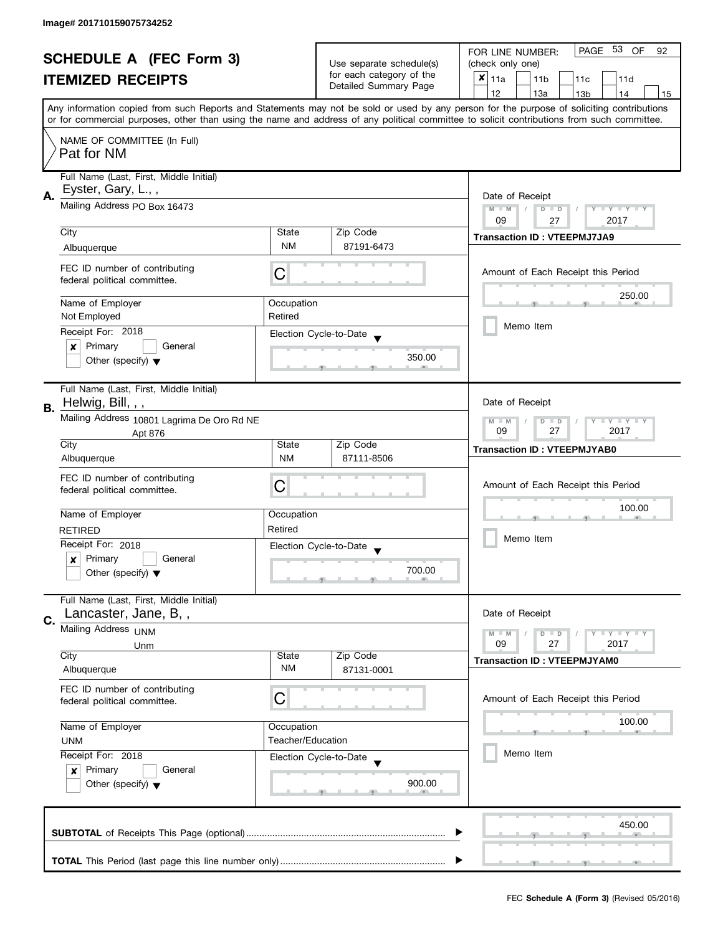| <b>SCHEDULE A (FEC Form 3)</b> |                                                               |                                                                   |                                                                    | PAGE 53 OF<br>FOR LINE NUMBER:<br>92                                                                                                                                                                                                                                                    |  |
|--------------------------------|---------------------------------------------------------------|-------------------------------------------------------------------|--------------------------------------------------------------------|-----------------------------------------------------------------------------------------------------------------------------------------------------------------------------------------------------------------------------------------------------------------------------------------|--|
|                                |                                                               |                                                                   | Use separate schedule(s)                                           | (check only one)                                                                                                                                                                                                                                                                        |  |
|                                | <b>ITEMIZED RECEIPTS</b>                                      |                                                                   | for each category of the<br>Detailed Summary Page                  | $x _{11a}$<br>11 <sub>b</sub><br>11c<br>11d                                                                                                                                                                                                                                             |  |
|                                |                                                               |                                                                   |                                                                    | 12<br>13a<br>13 <sub>b</sub><br>14<br>15                                                                                                                                                                                                                                                |  |
|                                |                                                               |                                                                   |                                                                    | Any information copied from such Reports and Statements may not be sold or used by any person for the purpose of soliciting contributions<br>or for commercial purposes, other than using the name and address of any political committee to solicit contributions from such committee. |  |
|                                |                                                               |                                                                   |                                                                    |                                                                                                                                                                                                                                                                                         |  |
|                                | NAME OF COMMITTEE (In Full)<br>Pat for NM                     |                                                                   |                                                                    |                                                                                                                                                                                                                                                                                         |  |
|                                | Full Name (Last, First, Middle Initial)<br>Eyster, Gary, L.,, |                                                                   |                                                                    |                                                                                                                                                                                                                                                                                         |  |
| А.                             | Mailing Address PO Box 16473                                  | Date of Receipt<br>$M - M$<br>$D$ $D$<br>Y FY FY FY<br>09<br>2017 |                                                                    |                                                                                                                                                                                                                                                                                         |  |
|                                | City                                                          | State                                                             | Zip Code                                                           | 27                                                                                                                                                                                                                                                                                      |  |
|                                | Albuquerque                                                   | <b>NM</b>                                                         | 87191-6473                                                         | <b>Transaction ID: VTEEPMJ7JA9</b>                                                                                                                                                                                                                                                      |  |
|                                |                                                               |                                                                   |                                                                    |                                                                                                                                                                                                                                                                                         |  |
|                                | FEC ID number of contributing<br>federal political committee. | С                                                                 |                                                                    | Amount of Each Receipt this Period                                                                                                                                                                                                                                                      |  |
|                                | Name of Employer                                              | Occupation                                                        |                                                                    | 250.00                                                                                                                                                                                                                                                                                  |  |
|                                | Not Employed                                                  | Retired                                                           |                                                                    |                                                                                                                                                                                                                                                                                         |  |
|                                | Receipt For: 2018                                             |                                                                   |                                                                    | Memo Item                                                                                                                                                                                                                                                                               |  |
|                                | General                                                       |                                                                   | Election Cycle-to-Date                                             |                                                                                                                                                                                                                                                                                         |  |
|                                | Primary<br>×<br>Other (specify) $\blacktriangledown$          |                                                                   | 350.00                                                             |                                                                                                                                                                                                                                                                                         |  |
|                                | Full Name (Last, First, Middle Initial)<br>Helwig, Bill, , ,  |                                                                   |                                                                    | Date of Receipt                                                                                                                                                                                                                                                                         |  |
| В.                             |                                                               |                                                                   |                                                                    |                                                                                                                                                                                                                                                                                         |  |
|                                | Mailing Address 10801 Lagrima De Oro Rd NE<br>Apt 876<br>City | State                                                             | Y LY LY<br>$M - M$<br>$\overline{D}$<br>$\Box$<br>09<br>27<br>2017 |                                                                                                                                                                                                                                                                                         |  |
|                                | Albuquerque                                                   | <b>NM</b>                                                         | Zip Code<br>87111-8506                                             | <b>Transaction ID: VTEEPMJYAB0</b>                                                                                                                                                                                                                                                      |  |
|                                |                                                               |                                                                   |                                                                    |                                                                                                                                                                                                                                                                                         |  |
|                                | FEC ID number of contributing                                 | С                                                                 |                                                                    | Amount of Each Receipt this Period                                                                                                                                                                                                                                                      |  |
|                                | federal political committee.                                  |                                                                   |                                                                    |                                                                                                                                                                                                                                                                                         |  |
|                                |                                                               |                                                                   |                                                                    | 100.00                                                                                                                                                                                                                                                                                  |  |
|                                | Name of Employer                                              | Occupation                                                        |                                                                    |                                                                                                                                                                                                                                                                                         |  |
|                                | <b>RETIRED</b>                                                | Retired                                                           |                                                                    | Memo Item                                                                                                                                                                                                                                                                               |  |
|                                | Receipt For: 2018                                             |                                                                   | Election Cycle-to-Date                                             |                                                                                                                                                                                                                                                                                         |  |
|                                | Primary<br>General<br>x                                       |                                                                   |                                                                    |                                                                                                                                                                                                                                                                                         |  |
|                                | Other (specify) $\blacktriangledown$                          |                                                                   | 700.00                                                             |                                                                                                                                                                                                                                                                                         |  |
|                                | Full Name (Last, First, Middle Initial)                       |                                                                   |                                                                    |                                                                                                                                                                                                                                                                                         |  |
| C.                             | Lancaster, Jane, B,,                                          |                                                                   |                                                                    | Date of Receipt                                                                                                                                                                                                                                                                         |  |
|                                | Mailing Address UNM                                           |                                                                   |                                                                    | $M - M$<br>$Y \perp Y \perp Y$<br>$D$ $D$                                                                                                                                                                                                                                               |  |
|                                | Unm                                                           |                                                                   |                                                                    | 09<br>27<br>2017                                                                                                                                                                                                                                                                        |  |
|                                | City                                                          | State                                                             | Zip Code                                                           | <b>Transaction ID: VTEEPMJYAM0</b>                                                                                                                                                                                                                                                      |  |
|                                | Albuquerque                                                   | NM                                                                | 87131-0001                                                         |                                                                                                                                                                                                                                                                                         |  |
|                                | FEC ID number of contributing                                 | С                                                                 |                                                                    | Amount of Each Receipt this Period                                                                                                                                                                                                                                                      |  |
|                                | federal political committee.                                  |                                                                   |                                                                    |                                                                                                                                                                                                                                                                                         |  |
|                                |                                                               |                                                                   |                                                                    | 100.00                                                                                                                                                                                                                                                                                  |  |
|                                | Name of Employer                                              | Occupation<br>Teacher/Education                                   |                                                                    |                                                                                                                                                                                                                                                                                         |  |
|                                | <b>UNM</b>                                                    |                                                                   |                                                                    | Memo Item                                                                                                                                                                                                                                                                               |  |
|                                | Receipt For: 2018                                             |                                                                   | Election Cycle-to-Date                                             |                                                                                                                                                                                                                                                                                         |  |
|                                | Primary<br>General<br>$\boldsymbol{x}$                        |                                                                   |                                                                    |                                                                                                                                                                                                                                                                                         |  |
|                                | Other (specify) $\blacktriangledown$                          |                                                                   | 900.00                                                             |                                                                                                                                                                                                                                                                                         |  |
|                                |                                                               |                                                                   |                                                                    |                                                                                                                                                                                                                                                                                         |  |
|                                |                                                               |                                                                   |                                                                    | 450.00                                                                                                                                                                                                                                                                                  |  |
|                                |                                                               |                                                                   |                                                                    |                                                                                                                                                                                                                                                                                         |  |
|                                |                                                               |                                                                   |                                                                    |                                                                                                                                                                                                                                                                                         |  |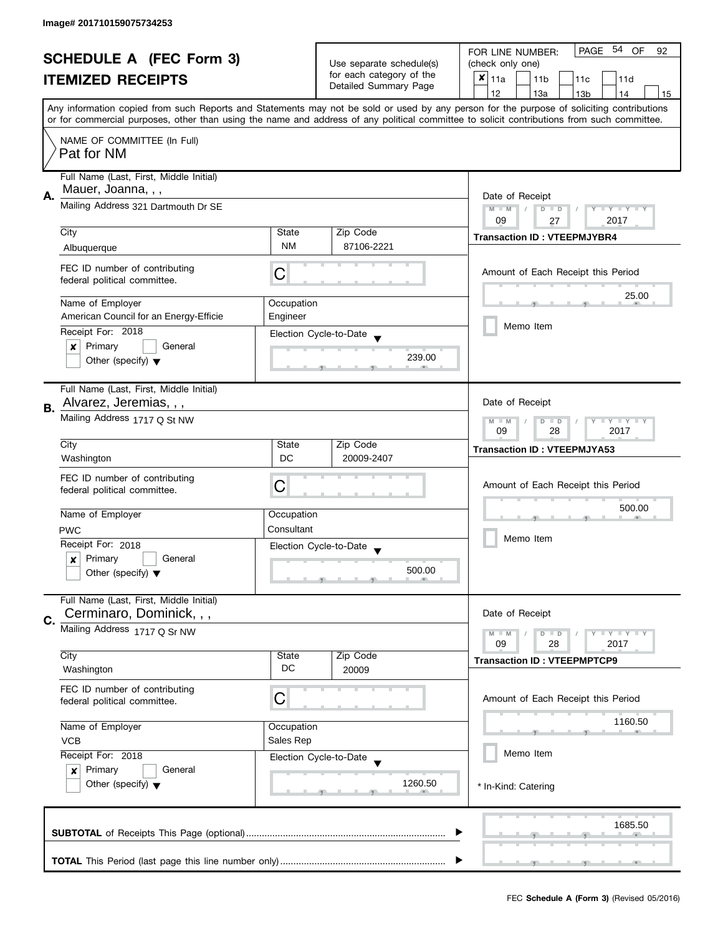| <b>SCHEDULE A (FEC Form 3)</b> |                                                               |                                                   | PAGE 54 OF<br>FOR LINE NUMBER:<br>92              |                                                                                                                                            |  |  |
|--------------------------------|---------------------------------------------------------------|---------------------------------------------------|---------------------------------------------------|--------------------------------------------------------------------------------------------------------------------------------------------|--|--|
|                                |                                                               |                                                   | Use separate schedule(s)                          | (check only one)                                                                                                                           |  |  |
|                                | <b>ITEMIZED RECEIPTS</b>                                      |                                                   | for each category of the<br>Detailed Summary Page | $x _{11a}$<br>11 <sub>b</sub><br>11c<br>11d                                                                                                |  |  |
|                                |                                                               |                                                   |                                                   | 12<br>13a<br>14<br>13 <sub>b</sub><br>15                                                                                                   |  |  |
|                                |                                                               |                                                   |                                                   | Any information copied from such Reports and Statements may not be sold or used by any person for the purpose of soliciting contributions  |  |  |
|                                |                                                               |                                                   |                                                   | or for commercial purposes, other than using the name and address of any political committee to solicit contributions from such committee. |  |  |
|                                | NAME OF COMMITTEE (In Full)                                   |                                                   |                                                   |                                                                                                                                            |  |  |
|                                | Pat for NM                                                    |                                                   |                                                   |                                                                                                                                            |  |  |
|                                |                                                               |                                                   |                                                   |                                                                                                                                            |  |  |
|                                | Full Name (Last, First, Middle Initial)                       |                                                   |                                                   |                                                                                                                                            |  |  |
| А.                             | Mauer, Joanna, , ,                                            |                                                   |                                                   | Date of Receipt                                                                                                                            |  |  |
|                                | Mailing Address 321 Dartmouth Dr SE                           |                                                   |                                                   | $M - M$<br>$D$ $D$<br>Y FY FY FY                                                                                                           |  |  |
|                                |                                                               |                                                   |                                                   | 09<br>2017<br>27                                                                                                                           |  |  |
|                                | City                                                          | State                                             | Zip Code                                          | <b>Transaction ID: VTEEPMJYBR4</b>                                                                                                         |  |  |
|                                | Albuquerque                                                   | <b>NM</b>                                         | 87106-2221                                        |                                                                                                                                            |  |  |
|                                |                                                               |                                                   |                                                   |                                                                                                                                            |  |  |
|                                | FEC ID number of contributing<br>federal political committee. | С                                                 |                                                   | Amount of Each Receipt this Period                                                                                                         |  |  |
|                                |                                                               |                                                   |                                                   |                                                                                                                                            |  |  |
|                                | Name of Employer                                              | Occupation                                        |                                                   | 25.00                                                                                                                                      |  |  |
|                                | American Council for an Energy-Efficie                        | Engineer                                          |                                                   |                                                                                                                                            |  |  |
|                                | Receipt For: 2018                                             |                                                   | Election Cycle-to-Date                            | Memo Item                                                                                                                                  |  |  |
|                                | $\pmb{\times}$<br>Primary<br>General                          |                                                   |                                                   |                                                                                                                                            |  |  |
|                                | Other (specify) $\blacktriangledown$                          |                                                   | 239.00                                            |                                                                                                                                            |  |  |
|                                |                                                               |                                                   |                                                   |                                                                                                                                            |  |  |
|                                | Full Name (Last, First, Middle Initial)                       |                                                   |                                                   |                                                                                                                                            |  |  |
|                                | Alvarez, Jeremias, , ,                                        |                                                   |                                                   | Date of Receipt                                                                                                                            |  |  |
| В.                             | Mailing Address 1717 Q St NW                                  |                                                   |                                                   |                                                                                                                                            |  |  |
|                                |                                                               | Y LY LY<br>$M - M$<br>$D$ $D$<br>09<br>28<br>2017 |                                                   |                                                                                                                                            |  |  |
|                                | City                                                          | State                                             | Zip Code                                          |                                                                                                                                            |  |  |
|                                | Washington                                                    | DC                                                | 20009-2407                                        | <b>Transaction ID: VTEEPMJYA53</b>                                                                                                         |  |  |
|                                |                                                               |                                                   |                                                   |                                                                                                                                            |  |  |
|                                | FEC ID number of contributing                                 | C                                                 |                                                   | Amount of Each Receipt this Period                                                                                                         |  |  |
|                                | federal political committee.                                  |                                                   |                                                   |                                                                                                                                            |  |  |
|                                | Name of Employer                                              | Occupation                                        |                                                   | 500.00                                                                                                                                     |  |  |
|                                | <b>PWC</b>                                                    | Consultant                                        |                                                   |                                                                                                                                            |  |  |
|                                | Receipt For: 2018                                             |                                                   |                                                   | Memo Item                                                                                                                                  |  |  |
|                                | Primary<br>General<br>$\boldsymbol{x}$                        |                                                   | Election Cycle-to-Date                            |                                                                                                                                            |  |  |
|                                | Other (specify) $\blacktriangledown$                          |                                                   | 500.00                                            |                                                                                                                                            |  |  |
|                                |                                                               |                                                   |                                                   |                                                                                                                                            |  |  |
|                                | Full Name (Last, First, Middle Initial)                       |                                                   |                                                   |                                                                                                                                            |  |  |
|                                | Cerminaro, Dominick, , ,                                      |                                                   |                                                   | Date of Receipt                                                                                                                            |  |  |
| C.                             | Mailing Address 1717 Q Sr NW                                  |                                                   |                                                   | <b>LYLYLY</b><br>$M - M$                                                                                                                   |  |  |
|                                |                                                               |                                                   |                                                   | $D$ $D$<br>09<br>28<br>2017                                                                                                                |  |  |
|                                | City                                                          | State                                             | Zip Code                                          | <b>Transaction ID: VTEEPMPTCP9</b>                                                                                                         |  |  |
|                                | Washington                                                    | DC                                                | 20009                                             |                                                                                                                                            |  |  |
|                                | FEC ID number of contributing                                 |                                                   |                                                   |                                                                                                                                            |  |  |
|                                | federal political committee.                                  | C                                                 |                                                   | Amount of Each Receipt this Period                                                                                                         |  |  |
|                                |                                                               |                                                   |                                                   |                                                                                                                                            |  |  |
|                                | Name of Employer                                              | Occupation                                        |                                                   | 1160.50                                                                                                                                    |  |  |
|                                | Sales Rep<br><b>VCB</b>                                       |                                                   |                                                   |                                                                                                                                            |  |  |
|                                | Receipt For: 2018                                             |                                                   | Election Cycle-to-Date                            | Memo Item                                                                                                                                  |  |  |
|                                | Primary<br>General<br>$\boldsymbol{x}$                        |                                                   |                                                   |                                                                                                                                            |  |  |
|                                | Other (specify) $\blacktriangledown$                          |                                                   | 1260.50                                           | * In-Kind: Catering                                                                                                                        |  |  |
|                                |                                                               |                                                   |                                                   |                                                                                                                                            |  |  |
|                                |                                                               |                                                   |                                                   |                                                                                                                                            |  |  |
|                                |                                                               |                                                   |                                                   | 1685.50                                                                                                                                    |  |  |
|                                |                                                               |                                                   |                                                   |                                                                                                                                            |  |  |
|                                |                                                               |                                                   |                                                   |                                                                                                                                            |  |  |
|                                |                                                               |                                                   |                                                   |                                                                                                                                            |  |  |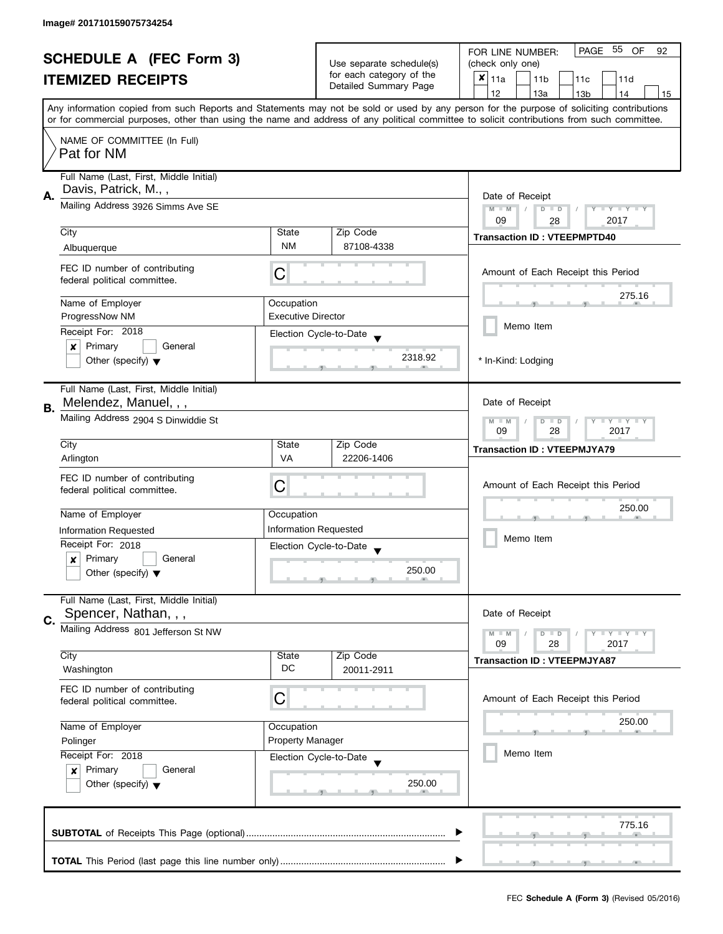| <b>SCHEDULE A (FEC Form 3)</b> |                                                                                    |                                         | PAGE 55<br>OF<br>FOR LINE NUMBER:<br>92           |                                                                                                                                                                                                                                                                                         |  |
|--------------------------------|------------------------------------------------------------------------------------|-----------------------------------------|---------------------------------------------------|-----------------------------------------------------------------------------------------------------------------------------------------------------------------------------------------------------------------------------------------------------------------------------------------|--|
|                                |                                                                                    | Use separate schedule(s)                | (check only one)                                  |                                                                                                                                                                                                                                                                                         |  |
|                                | <b>ITEMIZED RECEIPTS</b>                                                           |                                         | for each category of the<br>Detailed Summary Page | $x _{11a}$<br>11 <sub>b</sub><br>11 <sub>c</sub><br>11d                                                                                                                                                                                                                                 |  |
|                                |                                                                                    |                                         |                                                   | 12<br>13a<br>13 <sub>b</sub><br>14<br>15                                                                                                                                                                                                                                                |  |
|                                |                                                                                    |                                         |                                                   | Any information copied from such Reports and Statements may not be sold or used by any person for the purpose of soliciting contributions<br>or for commercial purposes, other than using the name and address of any political committee to solicit contributions from such committee. |  |
|                                |                                                                                    |                                         |                                                   |                                                                                                                                                                                                                                                                                         |  |
|                                | NAME OF COMMITTEE (In Full)<br>Pat for NM                                          |                                         |                                                   |                                                                                                                                                                                                                                                                                         |  |
|                                | Full Name (Last, First, Middle Initial)                                            |                                         |                                                   |                                                                                                                                                                                                                                                                                         |  |
| А.                             | Davis, Patrick, M.,,                                                               |                                         |                                                   | Date of Receipt                                                                                                                                                                                                                                                                         |  |
|                                | Mailing Address 3926 Simms Ave SE                                                  |                                         |                                                   | $M - M$<br>$D$ $D$<br>Y FY FY FY                                                                                                                                                                                                                                                        |  |
|                                |                                                                                    |                                         |                                                   | 09<br>2017<br>28                                                                                                                                                                                                                                                                        |  |
|                                | City                                                                               | State<br><b>NM</b>                      | Zip Code                                          | <b>Transaction ID: VTEEPMPTD40</b>                                                                                                                                                                                                                                                      |  |
|                                | Albuquerque                                                                        |                                         | 87108-4338                                        |                                                                                                                                                                                                                                                                                         |  |
|                                | FEC ID number of contributing<br>federal political committee.                      | C                                       |                                                   | Amount of Each Receipt this Period                                                                                                                                                                                                                                                      |  |
|                                |                                                                                    |                                         |                                                   | 275.16                                                                                                                                                                                                                                                                                  |  |
|                                | Name of Employer<br>ProgressNow NM                                                 | Occupation<br><b>Executive Director</b> |                                                   |                                                                                                                                                                                                                                                                                         |  |
|                                | Receipt For: 2018                                                                  |                                         |                                                   | Memo Item                                                                                                                                                                                                                                                                               |  |
|                                | Primary<br>General<br>×                                                            |                                         | Election Cycle-to-Date                            |                                                                                                                                                                                                                                                                                         |  |
|                                | Other (specify) $\blacktriangledown$                                               |                                         | 2318.92                                           | * In-Kind: Lodging                                                                                                                                                                                                                                                                      |  |
|                                |                                                                                    |                                         |                                                   |                                                                                                                                                                                                                                                                                         |  |
|                                | Full Name (Last, First, Middle Initial)<br>Melendez, Manuel, , ,                   |                                         |                                                   | Date of Receipt                                                                                                                                                                                                                                                                         |  |
| В.                             | Mailing Address 2904 S Dinwiddie St                                                |                                         |                                                   | $Y = Y + Y$<br>$M - M$<br>$D$ $D$                                                                                                                                                                                                                                                       |  |
|                                |                                                                                    |                                         |                                                   | 09<br>28<br>2017                                                                                                                                                                                                                                                                        |  |
|                                | City                                                                               | State                                   | Zip Code                                          | <b>Transaction ID: VTEEPMJYA79</b>                                                                                                                                                                                                                                                      |  |
|                                | Arlington                                                                          | <b>VA</b>                               | 22206-1406                                        |                                                                                                                                                                                                                                                                                         |  |
|                                | FEC ID number of contributing                                                      | C                                       |                                                   | Amount of Each Receipt this Period                                                                                                                                                                                                                                                      |  |
|                                | federal political committee.                                                       |                                         |                                                   |                                                                                                                                                                                                                                                                                         |  |
|                                | Name of Employer                                                                   | Occupation                              |                                                   | 250.00                                                                                                                                                                                                                                                                                  |  |
|                                | <b>Information Requested</b>                                                       |                                         | <b>Information Requested</b>                      |                                                                                                                                                                                                                                                                                         |  |
|                                | Receipt For: 2018                                                                  |                                         | Election Cycle-to-Date                            | Memo Item                                                                                                                                                                                                                                                                               |  |
|                                | Primary<br>General<br>x                                                            |                                         |                                                   |                                                                                                                                                                                                                                                                                         |  |
|                                | Other (specify) $\blacktriangledown$                                               |                                         | 250.00                                            |                                                                                                                                                                                                                                                                                         |  |
|                                | Full Name (Last, First, Middle Initial)                                            |                                         |                                                   |                                                                                                                                                                                                                                                                                         |  |
| C.                             | Spencer, Nathan, , ,<br>Mailing Address 801 Jefferson St NW                        |                                         |                                                   | Date of Receipt                                                                                                                                                                                                                                                                         |  |
|                                |                                                                                    |                                         |                                                   | $Y = Y = Y$<br>$M - M$<br>$D$ $D$<br>09<br>2017<br>28                                                                                                                                                                                                                                   |  |
|                                | City                                                                               | State                                   | Zip Code                                          | <b>Transaction ID: VTEEPMJYA87</b>                                                                                                                                                                                                                                                      |  |
|                                | Washington                                                                         | DC                                      | 20011-2911                                        |                                                                                                                                                                                                                                                                                         |  |
|                                | FEC ID number of contributing                                                      | С                                       |                                                   | Amount of Each Receipt this Period                                                                                                                                                                                                                                                      |  |
|                                | federal political committee.                                                       |                                         |                                                   |                                                                                                                                                                                                                                                                                         |  |
|                                | Name of Employer                                                                   | Occupation                              |                                                   | 250.00                                                                                                                                                                                                                                                                                  |  |
|                                | <b>Property Manager</b><br>Polinger<br>Receipt For: 2018<br>Election Cycle-to-Date |                                         |                                                   |                                                                                                                                                                                                                                                                                         |  |
|                                |                                                                                    |                                         |                                                   | Memo Item                                                                                                                                                                                                                                                                               |  |
|                                | Primary<br>General<br>$\boldsymbol{x}$                                             |                                         |                                                   |                                                                                                                                                                                                                                                                                         |  |
|                                | Other (specify) $\blacktriangledown$                                               |                                         | 250.00                                            |                                                                                                                                                                                                                                                                                         |  |
|                                |                                                                                    |                                         |                                                   |                                                                                                                                                                                                                                                                                         |  |
|                                |                                                                                    |                                         |                                                   | 775.16                                                                                                                                                                                                                                                                                  |  |
|                                |                                                                                    |                                         |                                                   |                                                                                                                                                                                                                                                                                         |  |
|                                |                                                                                    |                                         |                                                   |                                                                                                                                                                                                                                                                                         |  |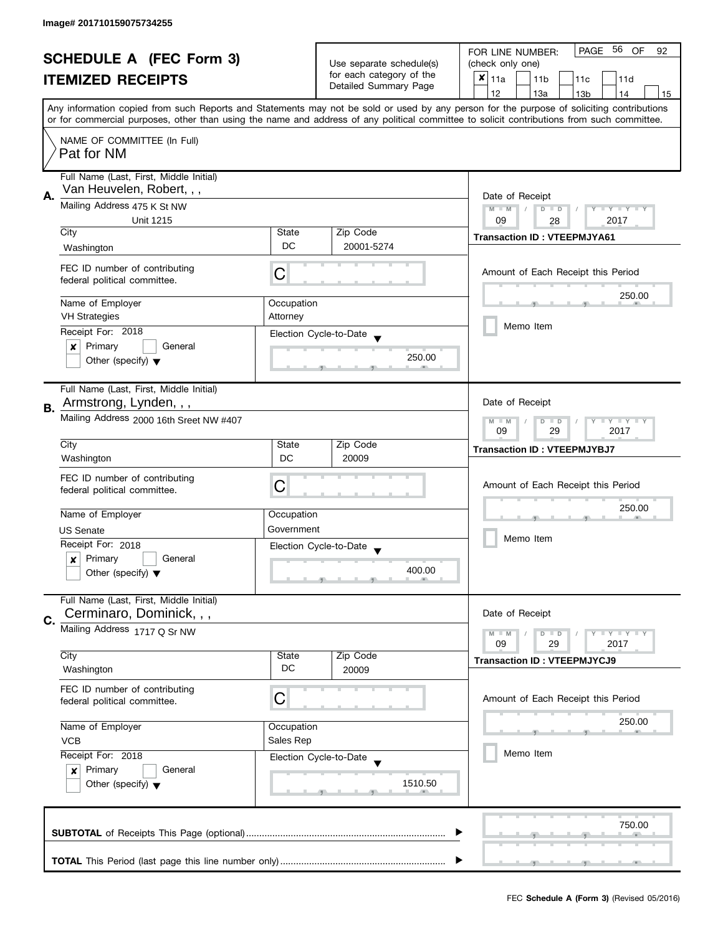| <b>SCHEDULE A (FEC Form 3)</b> |                                                               |                                                   | PAGE<br>-56<br>OF<br>FOR LINE NUMBER:<br>92          |                                                                                                                                            |  |
|--------------------------------|---------------------------------------------------------------|---------------------------------------------------|------------------------------------------------------|--------------------------------------------------------------------------------------------------------------------------------------------|--|
|                                |                                                               |                                                   | Use separate schedule(s)<br>for each category of the | (check only one)                                                                                                                           |  |
|                                | <b>ITEMIZED RECEIPTS</b>                                      |                                                   |                                                      | $x _{11a}$<br>11 <sub>b</sub><br>11c<br>11d                                                                                                |  |
|                                |                                                               |                                                   | Detailed Summary Page                                | 12<br>13a<br>14<br>13 <sub>b</sub><br>15                                                                                                   |  |
|                                |                                                               |                                                   |                                                      | Any information copied from such Reports and Statements may not be sold or used by any person for the purpose of soliciting contributions  |  |
|                                |                                                               |                                                   |                                                      | or for commercial purposes, other than using the name and address of any political committee to solicit contributions from such committee. |  |
|                                | NAME OF COMMITTEE (In Full)                                   |                                                   |                                                      |                                                                                                                                            |  |
|                                | Pat for NM                                                    |                                                   |                                                      |                                                                                                                                            |  |
|                                |                                                               |                                                   |                                                      |                                                                                                                                            |  |
|                                | Full Name (Last, First, Middle Initial)                       |                                                   |                                                      |                                                                                                                                            |  |
|                                | Van Heuvelen, Robert, , ,                                     |                                                   |                                                      |                                                                                                                                            |  |
| Α.                             | Mailing Address 475 K St NW                                   |                                                   |                                                      | Date of Receipt<br>$M - M$<br>Y I Y I Y I Y<br>$D$ $D$                                                                                     |  |
|                                | Unit 1215                                                     |                                                   |                                                      | 09<br>2017<br>28                                                                                                                           |  |
|                                | City                                                          | State                                             | Zip Code                                             |                                                                                                                                            |  |
|                                | Washington                                                    | DC                                                | 20001-5274                                           | <b>Transaction ID: VTEEPMJYA61</b>                                                                                                         |  |
|                                |                                                               |                                                   |                                                      |                                                                                                                                            |  |
|                                | FEC ID number of contributing                                 | С                                                 |                                                      | Amount of Each Receipt this Period                                                                                                         |  |
|                                | federal political committee.                                  |                                                   |                                                      |                                                                                                                                            |  |
|                                | Name of Employer                                              | Occupation                                        |                                                      | 250.00                                                                                                                                     |  |
|                                | <b>VH Strategies</b>                                          | Attorney                                          |                                                      |                                                                                                                                            |  |
|                                | Receipt For: 2018                                             |                                                   | Election Cycle-to-Date                               | Memo Item                                                                                                                                  |  |
|                                | Primary<br>General<br>×                                       |                                                   |                                                      |                                                                                                                                            |  |
|                                | Other (specify) $\blacktriangledown$                          |                                                   | 250.00                                               |                                                                                                                                            |  |
|                                |                                                               |                                                   |                                                      |                                                                                                                                            |  |
|                                | Full Name (Last, First, Middle Initial)                       |                                                   |                                                      |                                                                                                                                            |  |
|                                | Armstrong, Lynden, , ,                                        |                                                   |                                                      | Date of Receipt                                                                                                                            |  |
| В.                             | Mailing Address 2000 16th Sreet NW #407                       |                                                   |                                                      |                                                                                                                                            |  |
|                                |                                                               | Y LY LY<br>$M - M$<br>$D$ $D$<br>29<br>2017<br>09 |                                                      |                                                                                                                                            |  |
|                                | City                                                          | State                                             | Zip Code                                             |                                                                                                                                            |  |
|                                | Washington                                                    | DC                                                | 20009                                                | <b>Transaction ID: VTEEPMJYBJ7</b>                                                                                                         |  |
|                                |                                                               |                                                   |                                                      |                                                                                                                                            |  |
|                                | FEC ID number of contributing<br>federal political committee. | C                                                 |                                                      | Amount of Each Receipt this Period                                                                                                         |  |
|                                |                                                               |                                                   |                                                      |                                                                                                                                            |  |
|                                | Name of Employer                                              | Occupation                                        |                                                      | 250.00                                                                                                                                     |  |
|                                | <b>US Senate</b>                                              | Government                                        |                                                      |                                                                                                                                            |  |
|                                | Receipt For: 2018                                             |                                                   | Election Cycle-to-Date                               | Memo Item                                                                                                                                  |  |
|                                | Primary<br>General<br>$\boldsymbol{x}$                        |                                                   |                                                      |                                                                                                                                            |  |
|                                | Other (specify) $\blacktriangledown$                          |                                                   | 400.00                                               |                                                                                                                                            |  |
|                                |                                                               |                                                   |                                                      |                                                                                                                                            |  |
|                                | Full Name (Last, First, Middle Initial)                       |                                                   |                                                      |                                                                                                                                            |  |
| C.                             | Cerminaro, Dominick, , ,                                      |                                                   |                                                      | Date of Receipt                                                                                                                            |  |
|                                | Mailing Address 1717 Q Sr NW                                  |                                                   |                                                      | $M - M$<br>$\bot$ $\gamma$ $\bot$ $\gamma$ $\bot$ $\gamma$<br>$D$ $D$                                                                      |  |
|                                |                                                               |                                                   |                                                      | 09<br>29<br>2017                                                                                                                           |  |
|                                | City                                                          | State                                             | Zip Code                                             | <b>Transaction ID: VTEEPMJYCJ9</b>                                                                                                         |  |
|                                | Washington                                                    | DC                                                | 20009                                                |                                                                                                                                            |  |
|                                | FEC ID number of contributing                                 |                                                   |                                                      |                                                                                                                                            |  |
|                                | federal political committee.                                  | С                                                 |                                                      | Amount of Each Receipt this Period                                                                                                         |  |
|                                |                                                               |                                                   |                                                      | 250.00                                                                                                                                     |  |
|                                | Name of Employer<br>Occupation<br>Sales Rep<br><b>VCB</b>     |                                                   |                                                      |                                                                                                                                            |  |
|                                |                                                               |                                                   |                                                      |                                                                                                                                            |  |
|                                | Receipt For: 2018                                             |                                                   | Election Cycle-to-Date                               | Memo Item                                                                                                                                  |  |
|                                | Primary<br>General<br>$\boldsymbol{x}$                        |                                                   |                                                      |                                                                                                                                            |  |
|                                | Other (specify) $\blacktriangledown$                          |                                                   | 1510.50                                              |                                                                                                                                            |  |
|                                |                                                               |                                                   |                                                      |                                                                                                                                            |  |
|                                |                                                               |                                                   |                                                      |                                                                                                                                            |  |
|                                |                                                               |                                                   |                                                      | 750.00                                                                                                                                     |  |
|                                |                                                               |                                                   |                                                      |                                                                                                                                            |  |
|                                |                                                               |                                                   |                                                      |                                                                                                                                            |  |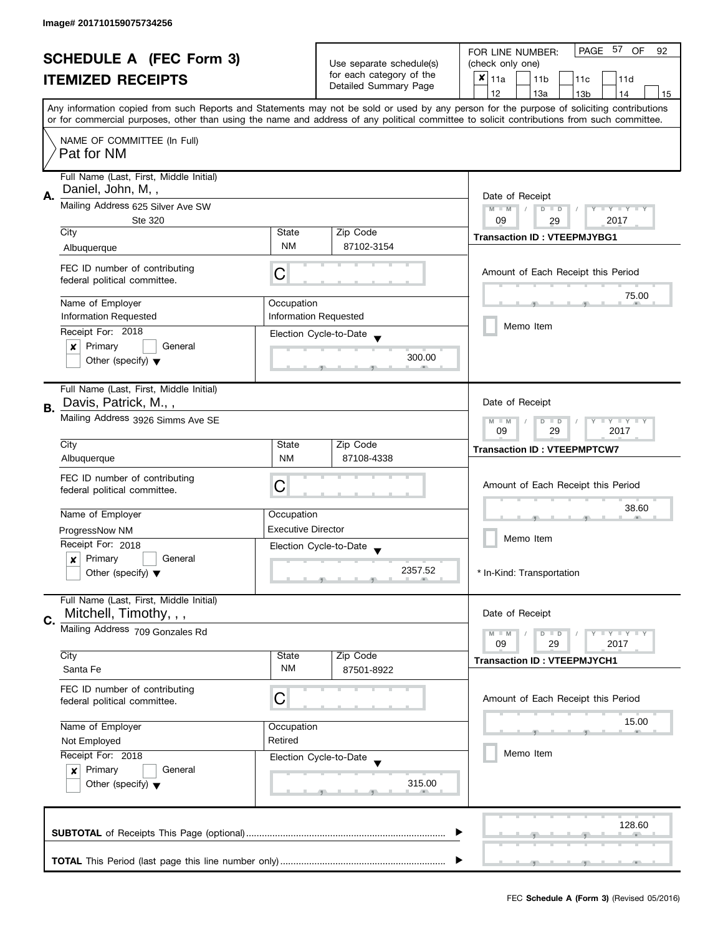| <b>SCHEDULE A (FEC Form 3)</b> |                                                              |                                                           |                                                      | PAGE 57<br>OF<br>FOR LINE NUMBER:<br>92                                                                                                                                                                                                                                                 |  |
|--------------------------------|--------------------------------------------------------------|-----------------------------------------------------------|------------------------------------------------------|-----------------------------------------------------------------------------------------------------------------------------------------------------------------------------------------------------------------------------------------------------------------------------------------|--|
|                                |                                                              |                                                           | Use separate schedule(s)<br>for each category of the | (check only one)                                                                                                                                                                                                                                                                        |  |
|                                | <b>ITEMIZED RECEIPTS</b>                                     |                                                           | Detailed Summary Page                                | ×<br>l 11a<br>11 <sub>b</sub><br>11c<br>11d                                                                                                                                                                                                                                             |  |
|                                |                                                              |                                                           |                                                      | 12<br>13a<br>13 <sub>b</sub><br>14<br>15                                                                                                                                                                                                                                                |  |
|                                |                                                              |                                                           |                                                      | Any information copied from such Reports and Statements may not be sold or used by any person for the purpose of soliciting contributions<br>or for commercial purposes, other than using the name and address of any political committee to solicit contributions from such committee. |  |
|                                | NAME OF COMMITTEE (In Full)                                  |                                                           |                                                      |                                                                                                                                                                                                                                                                                         |  |
|                                | Pat for NM                                                   |                                                           |                                                      |                                                                                                                                                                                                                                                                                         |  |
|                                | Full Name (Last, First, Middle Initial)<br>Daniel, John, M,, |                                                           |                                                      |                                                                                                                                                                                                                                                                                         |  |
| А.                             | Mailing Address 625 Silver Ave SW                            | Date of Receipt<br>$M - M$<br>$D$ $D$<br><b>LY LY LY</b>  |                                                      |                                                                                                                                                                                                                                                                                         |  |
|                                | Ste 320                                                      |                                                           |                                                      | 09<br>2017<br>29                                                                                                                                                                                                                                                                        |  |
|                                | City                                                         | State                                                     | Zip Code                                             | <b>Transaction ID: VTEEPMJYBG1</b>                                                                                                                                                                                                                                                      |  |
|                                | Albuquerque                                                  | <b>NM</b>                                                 | 87102-3154                                           |                                                                                                                                                                                                                                                                                         |  |
|                                | FEC ID number of contributing                                |                                                           |                                                      |                                                                                                                                                                                                                                                                                         |  |
|                                | federal political committee.                                 | C                                                         |                                                      | Amount of Each Receipt this Period                                                                                                                                                                                                                                                      |  |
|                                |                                                              |                                                           |                                                      | 75.00                                                                                                                                                                                                                                                                                   |  |
|                                | Name of Employer                                             | Occupation                                                |                                                      |                                                                                                                                                                                                                                                                                         |  |
|                                | <b>Information Requested</b><br>Receipt For: 2018            |                                                           | <b>Information Requested</b>                         | Memo Item                                                                                                                                                                                                                                                                               |  |
|                                | Primary<br>General<br>×                                      |                                                           | Election Cycle-to-Date                               |                                                                                                                                                                                                                                                                                         |  |
|                                | Other (specify) $\blacktriangledown$                         |                                                           | 300.00                                               |                                                                                                                                                                                                                                                                                         |  |
|                                |                                                              |                                                           |                                                      |                                                                                                                                                                                                                                                                                         |  |
|                                | Full Name (Last, First, Middle Initial)                      |                                                           |                                                      |                                                                                                                                                                                                                                                                                         |  |
| В.                             | Davis, Patrick, M.,,                                         |                                                           |                                                      | Date of Receipt                                                                                                                                                                                                                                                                         |  |
|                                | Mailing Address 3926 Simms Ave SE                            | $Y = Y + Y$<br>$M - M$<br>D<br>$\Box$<br>09<br>29<br>2017 |                                                      |                                                                                                                                                                                                                                                                                         |  |
|                                | City                                                         | State                                                     | Zip Code                                             |                                                                                                                                                                                                                                                                                         |  |
|                                | Albuquerque                                                  | <b>NM</b>                                                 | 87108-4338                                           | <b>Transaction ID: VTEEPMPTCW7</b>                                                                                                                                                                                                                                                      |  |
|                                | FEC ID number of contributing                                |                                                           |                                                      |                                                                                                                                                                                                                                                                                         |  |
|                                | federal political committee.                                 | С                                                         |                                                      | Amount of Each Receipt this Period                                                                                                                                                                                                                                                      |  |
|                                |                                                              |                                                           |                                                      | 38.60                                                                                                                                                                                                                                                                                   |  |
|                                | Name of Employer                                             | Occupation                                                |                                                      |                                                                                                                                                                                                                                                                                         |  |
|                                | ProgressNow NM                                               | <b>Executive Director</b>                                 |                                                      | Memo Item                                                                                                                                                                                                                                                                               |  |
|                                | Receipt For: 2018                                            |                                                           | Election Cycle-to-Date                               |                                                                                                                                                                                                                                                                                         |  |
|                                | Primary<br>General<br>x                                      |                                                           | 2357.52                                              | * In-Kind: Transportation                                                                                                                                                                                                                                                               |  |
|                                | Other (specify) $\blacktriangledown$                         |                                                           |                                                      |                                                                                                                                                                                                                                                                                         |  |
|                                | Full Name (Last, First, Middle Initial)                      |                                                           |                                                      |                                                                                                                                                                                                                                                                                         |  |
| C.                             | Mitchell, Timothy, , ,                                       |                                                           |                                                      | Date of Receipt                                                                                                                                                                                                                                                                         |  |
|                                | Mailing Address 709 Gonzales Rd                              |                                                           |                                                      | $M - M$<br>$- Y + Y + Y$<br>$D$ $D$                                                                                                                                                                                                                                                     |  |
|                                |                                                              |                                                           |                                                      | 09<br>29<br>2017                                                                                                                                                                                                                                                                        |  |
|                                | City                                                         | State<br><b>NM</b>                                        | Zip Code                                             | <b>Transaction ID: VTEEPMJYCH1</b>                                                                                                                                                                                                                                                      |  |
|                                | Santa Fe                                                     |                                                           | 87501-8922                                           |                                                                                                                                                                                                                                                                                         |  |
|                                | FEC ID number of contributing                                | C                                                         |                                                      | Amount of Each Receipt this Period                                                                                                                                                                                                                                                      |  |
|                                | federal political committee.                                 |                                                           |                                                      |                                                                                                                                                                                                                                                                                         |  |
|                                | Name of Employer                                             | Occupation                                                |                                                      | 15.00                                                                                                                                                                                                                                                                                   |  |
|                                | Not Employed                                                 | Retired                                                   |                                                      |                                                                                                                                                                                                                                                                                         |  |
|                                | Receipt For: 2018                                            |                                                           | Election Cycle-to-Date                               | Memo Item                                                                                                                                                                                                                                                                               |  |
|                                | Primary<br>General<br>$\boldsymbol{x}$                       |                                                           |                                                      |                                                                                                                                                                                                                                                                                         |  |
|                                | Other (specify) $\blacktriangledown$                         |                                                           | 315.00                                               |                                                                                                                                                                                                                                                                                         |  |
|                                |                                                              |                                                           |                                                      |                                                                                                                                                                                                                                                                                         |  |
|                                |                                                              |                                                           |                                                      | 128.60                                                                                                                                                                                                                                                                                  |  |
|                                |                                                              |                                                           |                                                      |                                                                                                                                                                                                                                                                                         |  |
|                                |                                                              |                                                           |                                                      |                                                                                                                                                                                                                                                                                         |  |
|                                |                                                              |                                                           |                                                      |                                                                                                                                                                                                                                                                                         |  |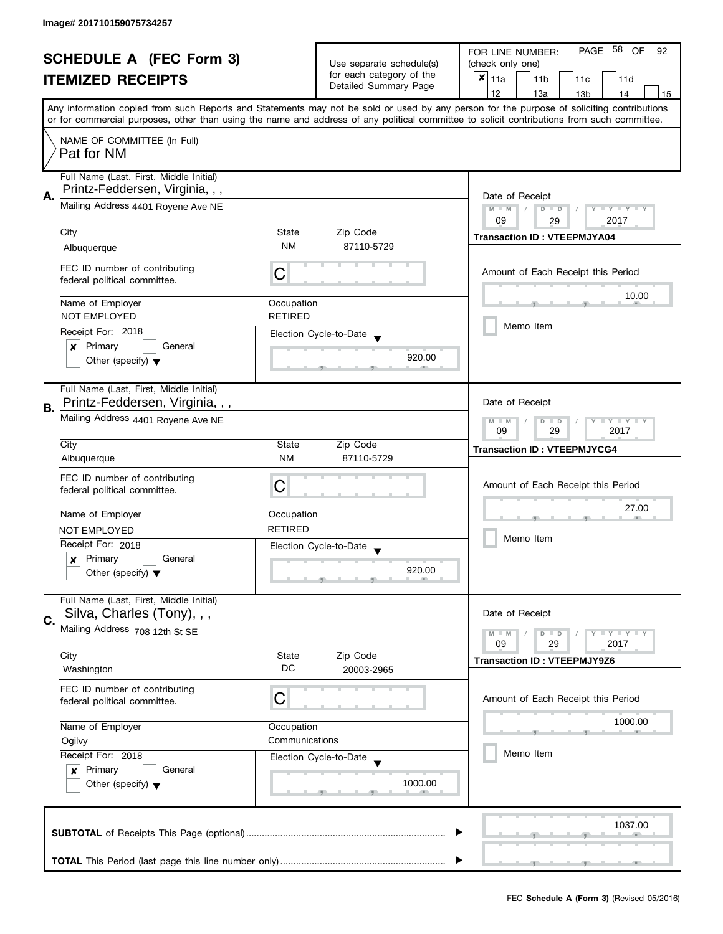| <b>SCHEDULE A (FEC Form 3)</b> |                                                                            |                                                                         |                                                   | PAGE 58 OF<br>FOR LINE NUMBER:<br>92                                                                                                       |
|--------------------------------|----------------------------------------------------------------------------|-------------------------------------------------------------------------|---------------------------------------------------|--------------------------------------------------------------------------------------------------------------------------------------------|
|                                |                                                                            |                                                                         | Use separate schedule(s)                          | (check only one)                                                                                                                           |
|                                | <b>ITEMIZED RECEIPTS</b>                                                   |                                                                         | for each category of the                          | ×<br>11a<br>11 <sub>b</sub><br>11c<br>11d                                                                                                  |
|                                |                                                                            |                                                                         | Detailed Summary Page                             | 12<br>13a<br>13 <sub>b</sub><br>14<br>15                                                                                                   |
|                                |                                                                            |                                                                         |                                                   | Any information copied from such Reports and Statements may not be sold or used by any person for the purpose of soliciting contributions  |
|                                |                                                                            |                                                                         |                                                   | or for commercial purposes, other than using the name and address of any political committee to solicit contributions from such committee. |
|                                | NAME OF COMMITTEE (In Full)<br>Pat for NM                                  |                                                                         |                                                   |                                                                                                                                            |
|                                | Full Name (Last, First, Middle Initial)<br>Printz-Feddersen, Virginia, , , |                                                                         |                                                   |                                                                                                                                            |
| А.                             | Mailing Address 4401 Royene Ave NE                                         | Date of Receipt<br>$M - M$<br>Y FY FY FY<br>$D$ $D$<br>2017<br>09<br>29 |                                                   |                                                                                                                                            |
|                                | City                                                                       | State                                                                   | Zip Code                                          |                                                                                                                                            |
|                                | Albuquerque                                                                | <b>NM</b>                                                               | 87110-5729                                        | <b>Transaction ID: VTEEPMJYA04</b>                                                                                                         |
|                                |                                                                            |                                                                         |                                                   |                                                                                                                                            |
|                                | FEC ID number of contributing<br>federal political committee.              | С                                                                       |                                                   | Amount of Each Receipt this Period                                                                                                         |
|                                | Name of Employer                                                           | Occupation                                                              |                                                   | 10.00                                                                                                                                      |
|                                | <b>NOT EMPLOYED</b>                                                        | <b>RETIRED</b>                                                          |                                                   |                                                                                                                                            |
|                                | Receipt For: 2018                                                          |                                                                         | Election Cycle-to-Date                            | Memo Item                                                                                                                                  |
|                                | Primary<br>General<br>×                                                    |                                                                         |                                                   |                                                                                                                                            |
|                                | Other (specify) $\blacktriangledown$                                       |                                                                         | 920.00                                            |                                                                                                                                            |
|                                | Full Name (Last, First, Middle Initial)                                    |                                                                         |                                                   |                                                                                                                                            |
|                                | Printz-Feddersen, Virginia, , ,                                            |                                                                         |                                                   | Date of Receipt                                                                                                                            |
| В.                             | Mailing Address 4401 Royene Ave NE                                         |                                                                         |                                                   | $Y = Y + Y$<br>$M - M$<br>$D$ $D$<br>2017<br>09<br>29                                                                                      |
|                                | City                                                                       | State                                                                   | Zip Code                                          |                                                                                                                                            |
|                                | Albuquerque                                                                | <b>NM</b>                                                               | 87110-5729                                        | <b>Transaction ID: VTEEPMJYCG4</b>                                                                                                         |
|                                |                                                                            |                                                                         |                                                   |                                                                                                                                            |
|                                | FEC ID number of contributing                                              | C                                                                       |                                                   | Amount of Each Receipt this Period                                                                                                         |
|                                | federal political committee.                                               |                                                                         |                                                   |                                                                                                                                            |
|                                | Name of Employer                                                           | Occupation                                                              |                                                   | 27.00                                                                                                                                      |
|                                | NOT EMPLOYED                                                               | <b>RETIRED</b>                                                          |                                                   |                                                                                                                                            |
|                                | Receipt For: 2018                                                          |                                                                         |                                                   | Memo Item                                                                                                                                  |
|                                | Primary<br>General                                                         |                                                                         | Election Cycle-to-Date<br>$\overline{\mathbf{v}}$ |                                                                                                                                            |
|                                | $\boldsymbol{x}$<br>Other (specify) $\blacktriangledown$                   |                                                                         | 920.00                                            |                                                                                                                                            |
|                                |                                                                            |                                                                         |                                                   |                                                                                                                                            |
|                                | Full Name (Last, First, Middle Initial)                                    |                                                                         |                                                   |                                                                                                                                            |
| C.                             | Silva, Charles (Tony), , ,                                                 |                                                                         |                                                   | Date of Receipt                                                                                                                            |
|                                | Mailing Address 708 12th St SE                                             |                                                                         |                                                   | <b>LYLY LY</b><br>$M - M$<br>$D$ $D$<br>09<br>29<br>2017                                                                                   |
|                                | City                                                                       | State                                                                   | Zip Code                                          |                                                                                                                                            |
|                                | Washington                                                                 | DC                                                                      | 20003-2965                                        | <b>Transaction ID: VTEEPMJY9Z6</b>                                                                                                         |
|                                | FEC ID number of contributing                                              |                                                                         |                                                   |                                                                                                                                            |
|                                | federal political committee.                                               | C                                                                       |                                                   | Amount of Each Receipt this Period                                                                                                         |
|                                |                                                                            |                                                                         |                                                   | 1000.00                                                                                                                                    |
|                                | Name of Employer                                                           | Occupation                                                              |                                                   |                                                                                                                                            |
|                                | Communications<br>Ogilvy<br>Receipt For: 2018<br>Election Cycle-to-Date    |                                                                         |                                                   |                                                                                                                                            |
|                                |                                                                            |                                                                         |                                                   | Memo Item                                                                                                                                  |
|                                | Primary<br>General<br>$\boldsymbol{x}$                                     |                                                                         |                                                   |                                                                                                                                            |
|                                | Other (specify) $\blacktriangledown$                                       |                                                                         | 1000.00                                           |                                                                                                                                            |
|                                |                                                                            |                                                                         |                                                   |                                                                                                                                            |
|                                |                                                                            |                                                                         |                                                   | 1037.00                                                                                                                                    |
|                                |                                                                            |                                                                         |                                                   |                                                                                                                                            |
|                                |                                                                            |                                                                         |                                                   |                                                                                                                                            |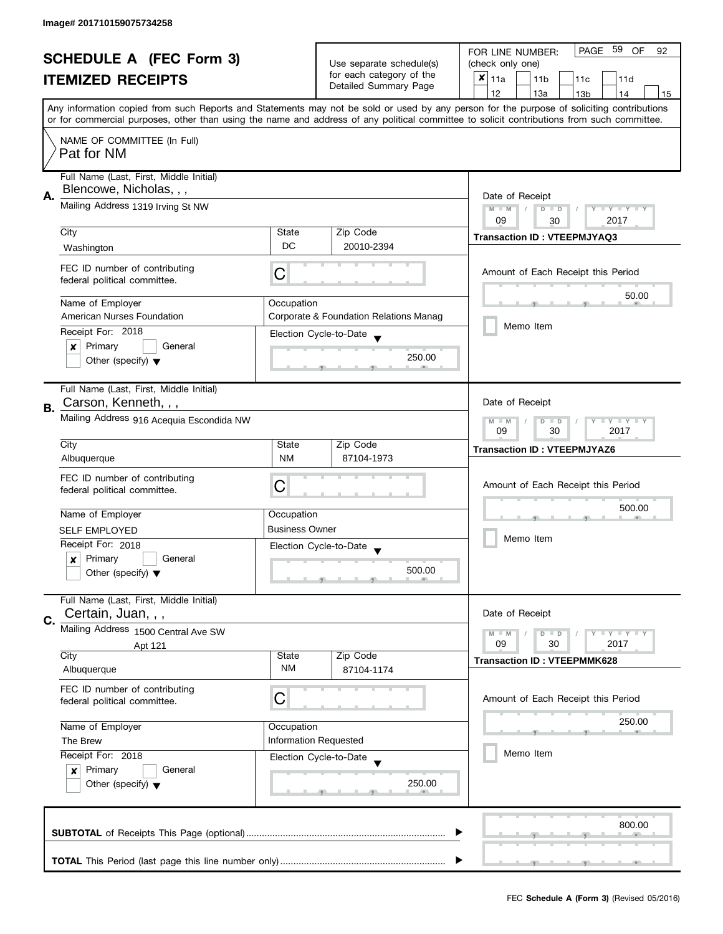| <b>SCHEDULE A (FEC Form 3)</b> |                                                                                |                       |                                                                          | PAGE<br>59<br>OF<br>FOR LINE NUMBER:<br>92                                                                                                                                                                                                                                              |  |  |
|--------------------------------|--------------------------------------------------------------------------------|-----------------------|--------------------------------------------------------------------------|-----------------------------------------------------------------------------------------------------------------------------------------------------------------------------------------------------------------------------------------------------------------------------------------|--|--|
|                                |                                                                                |                       | Use separate schedule(s)                                                 | (check only one)                                                                                                                                                                                                                                                                        |  |  |
|                                | <b>ITEMIZED RECEIPTS</b>                                                       |                       | for each category of the<br>Detailed Summary Page                        | $x _{11a}$<br>11 <sub>b</sub><br>11c<br>11d                                                                                                                                                                                                                                             |  |  |
|                                |                                                                                |                       |                                                                          | 12<br>13a<br>13 <sub>b</sub><br>14<br>15                                                                                                                                                                                                                                                |  |  |
|                                |                                                                                |                       |                                                                          | Any information copied from such Reports and Statements may not be sold or used by any person for the purpose of soliciting contributions<br>or for commercial purposes, other than using the name and address of any political committee to solicit contributions from such committee. |  |  |
|                                | NAME OF COMMITTEE (In Full)<br>Pat for NM                                      |                       |                                                                          |                                                                                                                                                                                                                                                                                         |  |  |
|                                | Full Name (Last, First, Middle Initial)<br>Blencowe, Nicholas, , ,             |                       |                                                                          |                                                                                                                                                                                                                                                                                         |  |  |
| А.                             | Mailing Address 1319 Irving St NW                                              |                       |                                                                          | Date of Receipt<br>$M - M$<br>$D$ $D$<br><b>LY LY LY</b><br>09<br>2017<br>30                                                                                                                                                                                                            |  |  |
|                                | City                                                                           | State                 | Zip Code                                                                 |                                                                                                                                                                                                                                                                                         |  |  |
|                                | Washington                                                                     | DC                    | 20010-2394                                                               | <b>Transaction ID: VTEEPMJYAQ3</b>                                                                                                                                                                                                                                                      |  |  |
|                                | FEC ID number of contributing<br>federal political committee.                  | С                     |                                                                          | Amount of Each Receipt this Period                                                                                                                                                                                                                                                      |  |  |
|                                | Name of Employer                                                               | Occupation            |                                                                          | 50.00                                                                                                                                                                                                                                                                                   |  |  |
|                                | American Nurses Foundation                                                     |                       | Corporate & Foundation Relations Manag                                   |                                                                                                                                                                                                                                                                                         |  |  |
|                                | Receipt For: 2018                                                              |                       |                                                                          | Memo Item                                                                                                                                                                                                                                                                               |  |  |
|                                | Primary<br>General<br>×                                                        |                       | Election Cycle-to-Date                                                   |                                                                                                                                                                                                                                                                                         |  |  |
|                                | Other (specify) $\blacktriangledown$                                           |                       | 250.00                                                                   |                                                                                                                                                                                                                                                                                         |  |  |
| В.                             | Full Name (Last, First, Middle Initial)<br>Carson, Kenneth, , ,                |                       |                                                                          | Date of Receipt                                                                                                                                                                                                                                                                         |  |  |
|                                | Mailing Address 916 Acequia Escondida NW                                       |                       | $\bot$ Y $\bot$ Y $\bot$ Y<br>$M - M$<br>D<br>$\Box$<br>09<br>30<br>2017 |                                                                                                                                                                                                                                                                                         |  |  |
|                                | City                                                                           | State                 | Zip Code                                                                 | <b>Transaction ID: VTEEPMJYAZ6</b>                                                                                                                                                                                                                                                      |  |  |
|                                | Albuquerque                                                                    | NM                    | 87104-1973                                                               |                                                                                                                                                                                                                                                                                         |  |  |
|                                | FEC ID number of contributing<br>federal political committee.                  | C                     |                                                                          | Amount of Each Receipt this Period                                                                                                                                                                                                                                                      |  |  |
|                                | Name of Employer                                                               | Occupation            |                                                                          | 500.00                                                                                                                                                                                                                                                                                  |  |  |
|                                | <b>SELF EMPLOYED</b>                                                           | <b>Business Owner</b> |                                                                          |                                                                                                                                                                                                                                                                                         |  |  |
|                                | Receipt For: 2018                                                              |                       |                                                                          | Memo Item                                                                                                                                                                                                                                                                               |  |  |
|                                | Primary<br>General<br>$\boldsymbol{x}$                                         |                       | Election Cycle-to-Date                                                   |                                                                                                                                                                                                                                                                                         |  |  |
|                                | Other (specify) $\blacktriangledown$                                           |                       | 500.00                                                                   |                                                                                                                                                                                                                                                                                         |  |  |
| C.                             | Full Name (Last, First, Middle Initial)<br>Certain, Juan, , ,                  |                       |                                                                          | Date of Receipt                                                                                                                                                                                                                                                                         |  |  |
|                                | Mailing Address 1500 Central Ave SW                                            |                       |                                                                          | $M - M$<br>$ \gamma$ $ \gamma$ $ \gamma$<br>$D$ $D$                                                                                                                                                                                                                                     |  |  |
|                                | Apt 121                                                                        |                       |                                                                          | 09<br>30<br>2017                                                                                                                                                                                                                                                                        |  |  |
|                                | City<br>Albuquerque                                                            | State<br><b>NM</b>    | Zip Code<br>87104-1174                                                   | <b>Transaction ID: VTEEPMMK628</b>                                                                                                                                                                                                                                                      |  |  |
|                                | FEC ID number of contributing<br>federal political committee.                  | С                     |                                                                          | Amount of Each Receipt this Period                                                                                                                                                                                                                                                      |  |  |
|                                | Name of Employer                                                               | Occupation            |                                                                          | 250.00                                                                                                                                                                                                                                                                                  |  |  |
|                                | The Brew                                                                       | Information Requested |                                                                          |                                                                                                                                                                                                                                                                                         |  |  |
|                                | Receipt For: 2018                                                              |                       |                                                                          | Memo Item                                                                                                                                                                                                                                                                               |  |  |
|                                | Primary<br>General<br>$\boldsymbol{x}$<br>Other (specify) $\blacktriangledown$ |                       | Election Cycle-to-Date<br>250.00                                         |                                                                                                                                                                                                                                                                                         |  |  |
|                                |                                                                                |                       |                                                                          | 800.00                                                                                                                                                                                                                                                                                  |  |  |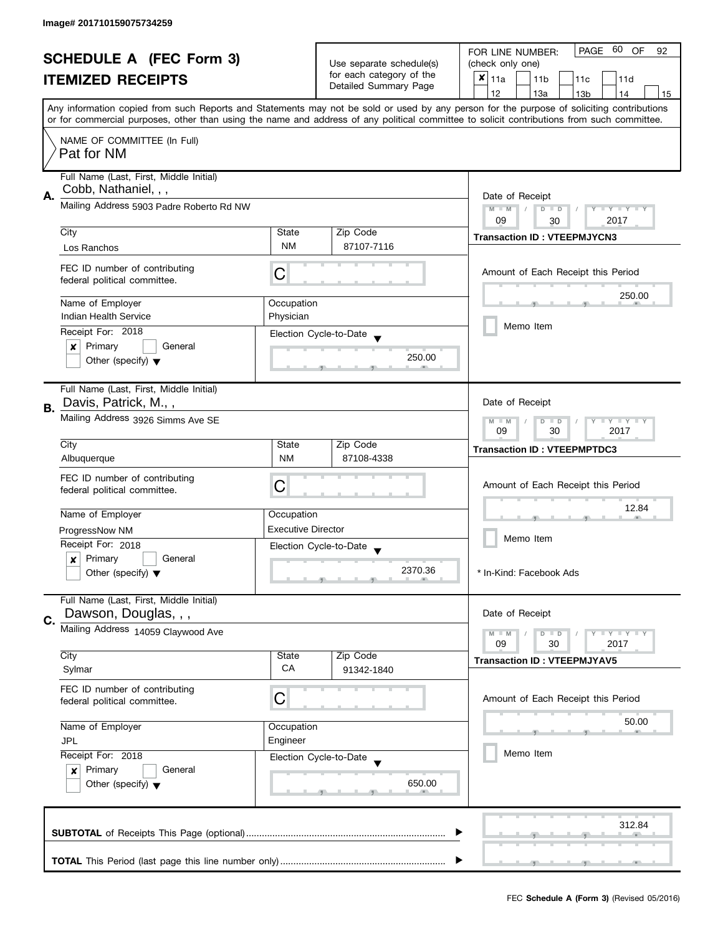| <b>SCHEDULE A (FEC Form 3)</b> |                                          |                           | PAGE 60 OF<br>FOR LINE NUMBER:<br>92 |                                                                                                                                            |  |  |
|--------------------------------|------------------------------------------|---------------------------|--------------------------------------|--------------------------------------------------------------------------------------------------------------------------------------------|--|--|
|                                |                                          | Use separate schedule(s)  | (check only one)                     |                                                                                                                                            |  |  |
|                                | <b>ITEMIZED RECEIPTS</b>                 |                           | for each category of the             | $x _{11a}$<br>11 <sub>b</sub><br>11c<br>11d                                                                                                |  |  |
|                                |                                          |                           | Detailed Summary Page                | 12<br>13a<br>13 <sub>b</sub><br>14<br>15                                                                                                   |  |  |
|                                |                                          |                           |                                      | Any information copied from such Reports and Statements may not be sold or used by any person for the purpose of soliciting contributions  |  |  |
|                                |                                          |                           |                                      | or for commercial purposes, other than using the name and address of any political committee to solicit contributions from such committee. |  |  |
|                                | NAME OF COMMITTEE (In Full)              |                           |                                      |                                                                                                                                            |  |  |
|                                | Pat for NM                               |                           |                                      |                                                                                                                                            |  |  |
|                                |                                          |                           |                                      |                                                                                                                                            |  |  |
|                                | Full Name (Last, First, Middle Initial)  |                           |                                      |                                                                                                                                            |  |  |
| Α.                             | Cobb, Nathaniel, , ,                     | Date of Receipt           |                                      |                                                                                                                                            |  |  |
|                                | Mailing Address 5903 Padre Roberto Rd NW |                           |                                      | $M - M$<br>$\sqrt{2}$<br>$D$ $D$<br>Y I Y I Y I Y                                                                                          |  |  |
|                                |                                          |                           |                                      | 09<br>2017<br>30                                                                                                                           |  |  |
|                                | City                                     | State                     | Zip Code                             | <b>Transaction ID: VTEEPMJYCN3</b>                                                                                                         |  |  |
|                                | Los Ranchos                              | <b>NM</b>                 | 87107-7116                           |                                                                                                                                            |  |  |
|                                | FEC ID number of contributing            |                           |                                      |                                                                                                                                            |  |  |
|                                | federal political committee.             | C                         |                                      | Amount of Each Receipt this Period                                                                                                         |  |  |
|                                |                                          |                           |                                      | 250.00                                                                                                                                     |  |  |
|                                | Name of Employer                         | Occupation                |                                      |                                                                                                                                            |  |  |
|                                | <b>Indian Health Service</b>             | Physician                 |                                      | Memo Item                                                                                                                                  |  |  |
|                                | Receipt For: 2018                        |                           | Election Cycle-to-Date               |                                                                                                                                            |  |  |
|                                | Primary<br>General<br>×                  |                           |                                      |                                                                                                                                            |  |  |
|                                | Other (specify) $\blacktriangledown$     |                           | 250.00                               |                                                                                                                                            |  |  |
|                                |                                          |                           |                                      |                                                                                                                                            |  |  |
|                                | Full Name (Last, First, Middle Initial)  |                           |                                      |                                                                                                                                            |  |  |
| В.                             | Davis, Patrick, M.,,                     |                           |                                      | Date of Receipt                                                                                                                            |  |  |
|                                | Mailing Address 3926 Simms Ave SE        |                           |                                      | $Y = Y + Y$<br>$M - M$<br>D<br>$\Box$                                                                                                      |  |  |
|                                |                                          |                           |                                      | 2017<br>09<br>30                                                                                                                           |  |  |
|                                | City                                     | State                     | Zip Code                             | <b>Transaction ID: VTEEPMPTDC3</b>                                                                                                         |  |  |
|                                | Albuquerque                              | <b>NM</b>                 | 87108-4338                           |                                                                                                                                            |  |  |
|                                | FEC ID number of contributing            |                           |                                      |                                                                                                                                            |  |  |
|                                | federal political committee.             | C                         |                                      | Amount of Each Receipt this Period                                                                                                         |  |  |
|                                |                                          |                           |                                      | 12.84                                                                                                                                      |  |  |
|                                | Name of Employer                         | Occupation                |                                      |                                                                                                                                            |  |  |
|                                | ProgressNow NM                           | <b>Executive Director</b> |                                      | Memo Item                                                                                                                                  |  |  |
|                                | Receipt For: 2018                        | Election Cycle-to-Date    |                                      |                                                                                                                                            |  |  |
|                                | Primary<br>General<br>x                  |                           | 2370.36                              |                                                                                                                                            |  |  |
|                                | Other (specify) $\blacktriangledown$     |                           |                                      | * In-Kind: Facebook Ads                                                                                                                    |  |  |
|                                | Full Name (Last, First, Middle Initial)  |                           |                                      |                                                                                                                                            |  |  |
|                                | Dawson, Douglas, , ,                     |                           |                                      | Date of Receipt                                                                                                                            |  |  |
| C.                             | Mailing Address 14059 Claywood Ave       |                           |                                      |                                                                                                                                            |  |  |
|                                |                                          |                           |                                      | $M - M$<br>$\bot$ $\gamma$ $\bot$ $\gamma$ $\bot$ $\gamma$<br>D<br>$\blacksquare$<br>09<br>30<br>2017                                      |  |  |
|                                | City                                     | State                     | Zip Code                             | <b>Transaction ID: VTEEPMJYAV5</b>                                                                                                         |  |  |
|                                | Sylmar                                   | CA                        | 91342-1840                           |                                                                                                                                            |  |  |
|                                | FEC ID number of contributing            |                           |                                      |                                                                                                                                            |  |  |
|                                | federal political committee.             | C                         |                                      | Amount of Each Receipt this Period                                                                                                         |  |  |
|                                |                                          |                           |                                      |                                                                                                                                            |  |  |
|                                | Name of Employer<br>Occupation           |                           |                                      | 50.00                                                                                                                                      |  |  |
|                                | <b>JPL</b>                               | Engineer                  |                                      |                                                                                                                                            |  |  |
|                                | Receipt For: 2018                        | Election Cycle-to-Date    |                                      | Memo Item                                                                                                                                  |  |  |
|                                | Primary<br>General<br>$\boldsymbol{x}$   |                           |                                      |                                                                                                                                            |  |  |
|                                | Other (specify) $\blacktriangledown$     |                           | 650.00                               |                                                                                                                                            |  |  |
|                                |                                          |                           |                                      |                                                                                                                                            |  |  |
|                                |                                          |                           |                                      |                                                                                                                                            |  |  |
|                                |                                          |                           |                                      | 312.84                                                                                                                                     |  |  |
|                                |                                          |                           |                                      |                                                                                                                                            |  |  |
|                                |                                          |                           |                                      |                                                                                                                                            |  |  |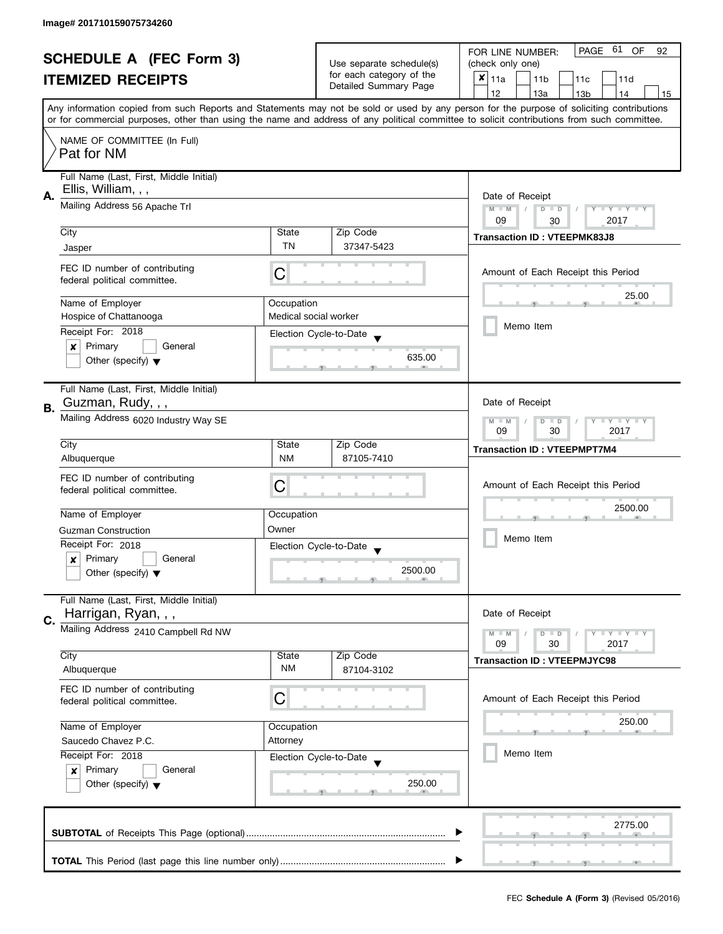| <b>SCHEDULE A (FEC Form 3)</b><br><b>ITEMIZED RECEIPTS</b> |                                                          |                                                   | PAGE 61 OF<br>FOR LINE NUMBER:<br>92        |                                                                                                                                            |  |  |
|------------------------------------------------------------|----------------------------------------------------------|---------------------------------------------------|---------------------------------------------|--------------------------------------------------------------------------------------------------------------------------------------------|--|--|
|                                                            |                                                          | Use separate schedule(s)                          | (check only one)                            |                                                                                                                                            |  |  |
|                                                            |                                                          | for each category of the<br>Detailed Summary Page | $x _{11a}$<br>11 <sub>b</sub><br>11c<br>11d |                                                                                                                                            |  |  |
|                                                            |                                                          |                                                   | 12<br>13a<br>13 <sub>b</sub><br>14<br>15    |                                                                                                                                            |  |  |
|                                                            |                                                          |                                                   |                                             | Any information copied from such Reports and Statements may not be sold or used by any person for the purpose of soliciting contributions  |  |  |
|                                                            |                                                          |                                                   |                                             | or for commercial purposes, other than using the name and address of any political committee to solicit contributions from such committee. |  |  |
|                                                            | NAME OF COMMITTEE (In Full)                              |                                                   |                                             |                                                                                                                                            |  |  |
|                                                            | Pat for NM                                               |                                                   |                                             |                                                                                                                                            |  |  |
|                                                            |                                                          |                                                   |                                             |                                                                                                                                            |  |  |
|                                                            | Full Name (Last, First, Middle Initial)                  |                                                   |                                             |                                                                                                                                            |  |  |
| Α.                                                         | Ellis, William, , ,                                      |                                                   |                                             | Date of Receipt                                                                                                                            |  |  |
|                                                            | Mailing Address 56 Apache Trl                            |                                                   |                                             | $M - M$<br>$\sqrt{ }$<br>$D$ $D$<br>Y I Y I Y I Y                                                                                          |  |  |
|                                                            |                                                          |                                                   |                                             | 09<br>2017<br>30                                                                                                                           |  |  |
|                                                            | City                                                     | State                                             | Zip Code                                    | <b>Transaction ID: VTEEPMK83J8</b>                                                                                                         |  |  |
|                                                            | Jasper                                                   | <b>TN</b>                                         | 37347-5423                                  |                                                                                                                                            |  |  |
|                                                            | FEC ID number of contributing                            |                                                   |                                             |                                                                                                                                            |  |  |
|                                                            | federal political committee.                             | C                                                 |                                             | Amount of Each Receipt this Period                                                                                                         |  |  |
|                                                            |                                                          |                                                   |                                             | 25.00                                                                                                                                      |  |  |
|                                                            | Name of Employer                                         | Occupation                                        |                                             |                                                                                                                                            |  |  |
|                                                            | Hospice of Chattanooga                                   | Medical social worker                             |                                             | Memo Item                                                                                                                                  |  |  |
|                                                            | Receipt For: 2018                                        |                                                   | Election Cycle-to-Date                      |                                                                                                                                            |  |  |
|                                                            | Primary<br>General<br>×                                  |                                                   |                                             |                                                                                                                                            |  |  |
|                                                            | Other (specify) $\blacktriangledown$                     |                                                   | 635.00                                      |                                                                                                                                            |  |  |
|                                                            |                                                          |                                                   |                                             |                                                                                                                                            |  |  |
|                                                            | Full Name (Last, First, Middle Initial)                  |                                                   |                                             |                                                                                                                                            |  |  |
| В.                                                         | Guzman, Rudy, , ,                                        |                                                   |                                             | Date of Receipt                                                                                                                            |  |  |
|                                                            | Mailing Address 6020 Industry Way SE                     | $Y = Y + Y$<br>$M - M$<br>D<br>$\Box$             |                                             |                                                                                                                                            |  |  |
|                                                            |                                                          | 2017<br>09<br>30                                  |                                             |                                                                                                                                            |  |  |
|                                                            | City                                                     | State                                             | Zip Code                                    | <b>Transaction ID: VTEEPMPT7M4</b>                                                                                                         |  |  |
|                                                            | Albuquerque                                              | <b>NM</b>                                         | 87105-7410                                  |                                                                                                                                            |  |  |
|                                                            | FEC ID number of contributing                            |                                                   |                                             |                                                                                                                                            |  |  |
|                                                            | federal political committee.                             | C                                                 |                                             | Amount of Each Receipt this Period                                                                                                         |  |  |
|                                                            |                                                          |                                                   |                                             | 2500.00                                                                                                                                    |  |  |
|                                                            | Name of Employer                                         | Occupation                                        |                                             |                                                                                                                                            |  |  |
|                                                            | <b>Guzman Construction</b>                               | Owner                                             |                                             | Memo Item                                                                                                                                  |  |  |
|                                                            | Receipt For: 2018                                        |                                                   | Election Cycle-to-Date                      |                                                                                                                                            |  |  |
|                                                            | Primary<br>General<br>x                                  |                                                   |                                             |                                                                                                                                            |  |  |
|                                                            | Other (specify) $\blacktriangledown$                     |                                                   | 2500.00                                     |                                                                                                                                            |  |  |
|                                                            |                                                          |                                                   |                                             |                                                                                                                                            |  |  |
|                                                            | Full Name (Last, First, Middle Initial)                  |                                                   |                                             |                                                                                                                                            |  |  |
| C.                                                         | Harrigan, Ryan, , ,                                      |                                                   |                                             | Date of Receipt                                                                                                                            |  |  |
|                                                            | Mailing Address 2410 Campbell Rd NW                      |                                                   |                                             | $M - M$<br>$\bot$ $\gamma$ $\bot$ $\gamma$ $\bot$ $\gamma$<br>D<br>$\blacksquare$                                                          |  |  |
|                                                            |                                                          |                                                   |                                             | 09<br>30<br>2017                                                                                                                           |  |  |
|                                                            | City                                                     | State<br><b>NM</b>                                | Zip Code<br>87104-3102                      | <b>Transaction ID: VTEEPMJYC98</b>                                                                                                         |  |  |
|                                                            | Albuquerque                                              |                                                   |                                             |                                                                                                                                            |  |  |
|                                                            | FEC ID number of contributing                            | C                                                 |                                             | Amount of Each Receipt this Period                                                                                                         |  |  |
|                                                            | federal political committee.                             |                                                   |                                             |                                                                                                                                            |  |  |
|                                                            | Name of Employer                                         | Occupation                                        |                                             | 250.00                                                                                                                                     |  |  |
|                                                            | Saucedo Chavez P.C.<br>Attorney                          |                                                   |                                             |                                                                                                                                            |  |  |
|                                                            | Receipt For: 2018                                        |                                                   |                                             | Memo Item                                                                                                                                  |  |  |
|                                                            | Primary<br>General                                       | Election Cycle-to-Date                            |                                             |                                                                                                                                            |  |  |
|                                                            | $\boldsymbol{x}$<br>Other (specify) $\blacktriangledown$ |                                                   | 250.00                                      |                                                                                                                                            |  |  |
|                                                            |                                                          |                                                   |                                             |                                                                                                                                            |  |  |
|                                                            |                                                          |                                                   |                                             |                                                                                                                                            |  |  |
|                                                            |                                                          |                                                   |                                             | 2775.00                                                                                                                                    |  |  |
|                                                            |                                                          |                                                   |                                             |                                                                                                                                            |  |  |
|                                                            |                                                          |                                                   |                                             |                                                                                                                                            |  |  |
|                                                            |                                                          |                                                   |                                             |                                                                                                                                            |  |  |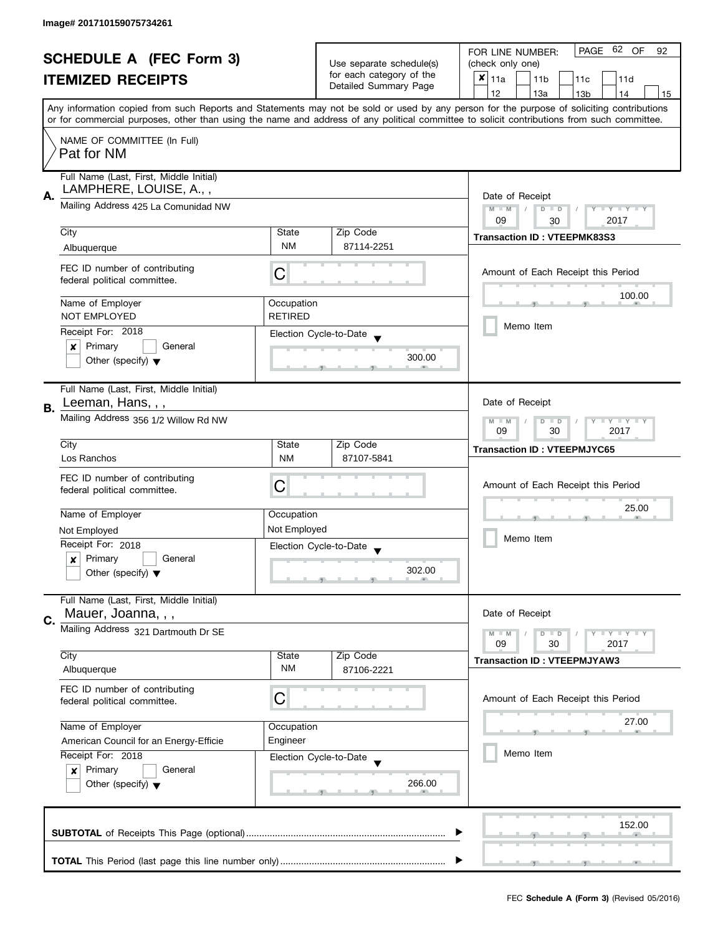| <b>SCHEDULE A (FEC Form 3)</b> |                                                                 |                                         | Use separate schedule(s)                 | PAGE 62 OF<br>FOR LINE NUMBER:<br>92<br>(check only one)                                                                                   |  |  |  |  |  |
|--------------------------------|-----------------------------------------------------------------|-----------------------------------------|------------------------------------------|--------------------------------------------------------------------------------------------------------------------------------------------|--|--|--|--|--|
| <b>ITEMIZED RECEIPTS</b>       |                                                                 |                                         | for each category of the                 | ×<br>11a<br>11 <sub>b</sub><br>11c<br>11d                                                                                                  |  |  |  |  |  |
|                                |                                                                 | Detailed Summary Page                   | 12<br>13a<br>14<br>13 <sub>b</sub><br>15 |                                                                                                                                            |  |  |  |  |  |
|                                |                                                                 |                                         |                                          | Any information copied from such Reports and Statements may not be sold or used by any person for the purpose of soliciting contributions  |  |  |  |  |  |
|                                |                                                                 |                                         |                                          | or for commercial purposes, other than using the name and address of any political committee to solicit contributions from such committee. |  |  |  |  |  |
|                                | NAME OF COMMITTEE (In Full)                                     |                                         |                                          |                                                                                                                                            |  |  |  |  |  |
|                                | Pat for NM                                                      |                                         |                                          |                                                                                                                                            |  |  |  |  |  |
|                                |                                                                 |                                         |                                          |                                                                                                                                            |  |  |  |  |  |
|                                |                                                                 | Full Name (Last, First, Middle Initial) |                                          |                                                                                                                                            |  |  |  |  |  |
| А.                             | LAMPHERE, LOUISE, A.,,                                          | Date of Receipt                         |                                          |                                                                                                                                            |  |  |  |  |  |
|                                | Mailing Address 425 La Comunidad NW                             | $M - M$<br>$D$ $D$<br>Y FY FY FY        |                                          |                                                                                                                                            |  |  |  |  |  |
|                                | City                                                            | State                                   | Zip Code                                 | 09<br>2017<br>30                                                                                                                           |  |  |  |  |  |
|                                | Albuquerque                                                     | <b>NM</b>                               | 87114-2251                               | <b>Transaction ID: VTEEPMK83S3</b>                                                                                                         |  |  |  |  |  |
|                                |                                                                 |                                         |                                          |                                                                                                                                            |  |  |  |  |  |
|                                | FEC ID number of contributing<br>federal political committee.   | C                                       |                                          | Amount of Each Receipt this Period                                                                                                         |  |  |  |  |  |
|                                |                                                                 |                                         |                                          | 100.00                                                                                                                                     |  |  |  |  |  |
|                                | Name of Employer                                                | Occupation                              |                                          |                                                                                                                                            |  |  |  |  |  |
|                                | <b>NOT EMPLOYED</b>                                             | <b>RETIRED</b>                          |                                          | Memo Item                                                                                                                                  |  |  |  |  |  |
|                                | Receipt For: 2018                                               |                                         | Election Cycle-to-Date                   |                                                                                                                                            |  |  |  |  |  |
|                                | Primary<br>General<br>x<br>Other (specify) $\blacktriangledown$ |                                         | 300.00                                   |                                                                                                                                            |  |  |  |  |  |
|                                |                                                                 |                                         |                                          |                                                                                                                                            |  |  |  |  |  |
|                                | Full Name (Last, First, Middle Initial)                         |                                         |                                          |                                                                                                                                            |  |  |  |  |  |
| <b>B.</b>                      | Leeman, Hans, , ,                                               |                                         |                                          | Date of Receipt                                                                                                                            |  |  |  |  |  |
|                                | Mailing Address 356 1/2 Willow Rd NW                            | $Y - Y - Y$<br>$M - M$<br>D<br>$\Box$   |                                          |                                                                                                                                            |  |  |  |  |  |
|                                |                                                                 |                                         | 09<br>30<br>2017                         |                                                                                                                                            |  |  |  |  |  |
|                                | City                                                            | State                                   | Zip Code                                 | <b>Transaction ID: VTEEPMJYC65</b>                                                                                                         |  |  |  |  |  |
|                                | Los Ranchos                                                     | <b>NM</b>                               | 87107-5841                               |                                                                                                                                            |  |  |  |  |  |
|                                | FEC ID number of contributing                                   | C                                       |                                          | Amount of Each Receipt this Period                                                                                                         |  |  |  |  |  |
|                                | federal political committee.                                    |                                         |                                          |                                                                                                                                            |  |  |  |  |  |
|                                | Name of Employer                                                | Occupation                              |                                          | 25.00                                                                                                                                      |  |  |  |  |  |
|                                | Not Employed                                                    | Not Employed                            |                                          |                                                                                                                                            |  |  |  |  |  |
|                                | Receipt For: 2018                                               |                                         | Election Cycle-to-Date                   | Memo Item                                                                                                                                  |  |  |  |  |  |
|                                | Primary<br>General<br>$\boldsymbol{x}$                          |                                         |                                          |                                                                                                                                            |  |  |  |  |  |
|                                | Other (specify) $\blacktriangledown$                            |                                         | 302.00                                   |                                                                                                                                            |  |  |  |  |  |
|                                |                                                                 |                                         |                                          |                                                                                                                                            |  |  |  |  |  |
|                                | Full Name (Last, First, Middle Initial)<br>Mauer, Joanna, , ,   |                                         |                                          | Date of Receipt                                                                                                                            |  |  |  |  |  |
| C.                             | Mailing Address 321 Dartmouth Dr SE                             |                                         |                                          |                                                                                                                                            |  |  |  |  |  |
|                                |                                                                 |                                         |                                          | $M - M$<br>$\bot$ $\gamma$ $\bot$ $\gamma$ $\bot$ $\gamma$<br>$D$ $D$<br>09<br>30<br>2017                                                  |  |  |  |  |  |
|                                | City                                                            | State                                   | Zip Code                                 | <b>Transaction ID: VTEEPMJYAW3</b>                                                                                                         |  |  |  |  |  |
|                                | Albuquerque                                                     | ΝM                                      | 87106-2221                               |                                                                                                                                            |  |  |  |  |  |
|                                | FEC ID number of contributing                                   |                                         |                                          |                                                                                                                                            |  |  |  |  |  |
|                                | federal political committee.                                    | C                                       |                                          | Amount of Each Receipt this Period                                                                                                         |  |  |  |  |  |
|                                | Name of Employer                                                | Occupation                              |                                          | 27.00                                                                                                                                      |  |  |  |  |  |
|                                | American Council for an Energy-Efficie                          | Engineer                                |                                          |                                                                                                                                            |  |  |  |  |  |
|                                | Receipt For: 2018                                               |                                         | Election Cycle-to-Date                   | Memo Item                                                                                                                                  |  |  |  |  |  |
|                                | Primary<br>General<br>$\boldsymbol{x}$                          |                                         |                                          |                                                                                                                                            |  |  |  |  |  |
|                                | Other (specify) $\blacktriangledown$                            |                                         | 266.00                                   |                                                                                                                                            |  |  |  |  |  |
|                                |                                                                 |                                         |                                          |                                                                                                                                            |  |  |  |  |  |
|                                |                                                                 |                                         |                                          |                                                                                                                                            |  |  |  |  |  |
|                                |                                                                 |                                         |                                          | 152.00                                                                                                                                     |  |  |  |  |  |
|                                |                                                                 |                                         |                                          |                                                                                                                                            |  |  |  |  |  |
|                                |                                                                 |                                         |                                          |                                                                                                                                            |  |  |  |  |  |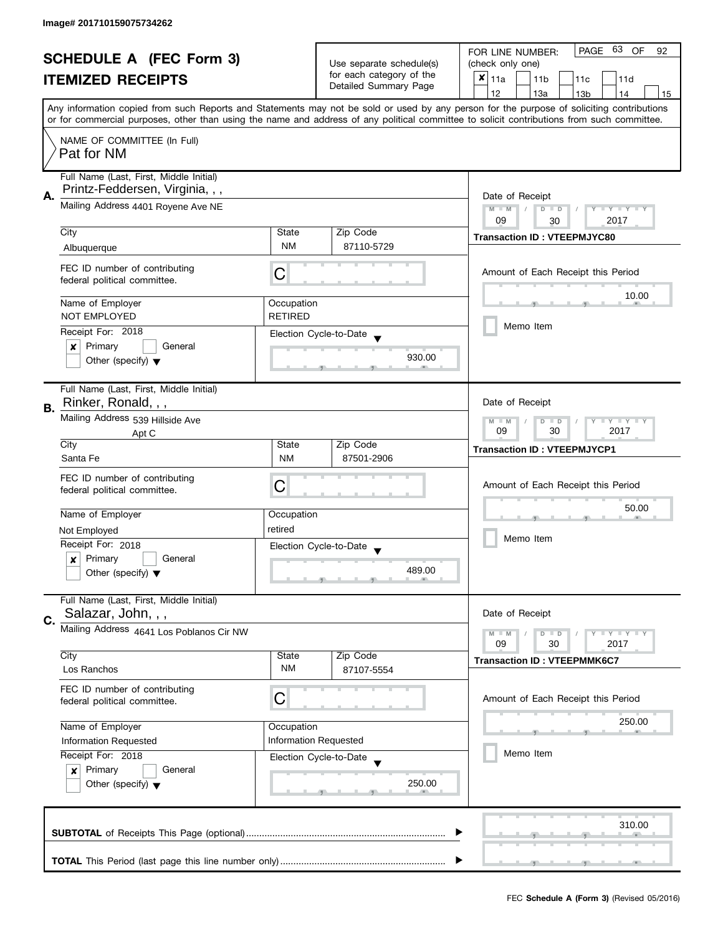| <b>SCHEDULE A (FEC Form 3)</b><br><b>ITEMIZED RECEIPTS</b> |                                                                            |                                                                                                                                                          | Use separate schedule(s)                 | PAGE 63 OF<br>FOR LINE NUMBER:<br>92<br>(check only one)                                                                                   |  |  |  |
|------------------------------------------------------------|----------------------------------------------------------------------------|----------------------------------------------------------------------------------------------------------------------------------------------------------|------------------------------------------|--------------------------------------------------------------------------------------------------------------------------------------------|--|--|--|
|                                                            |                                                                            |                                                                                                                                                          | for each category of the                 | ×<br>  11a<br>11 <sub>b</sub><br>11c<br>11d                                                                                                |  |  |  |
|                                                            |                                                                            | Detailed Summary Page                                                                                                                                    | 12<br>13a<br>13 <sub>b</sub><br>14<br>15 |                                                                                                                                            |  |  |  |
|                                                            |                                                                            |                                                                                                                                                          |                                          | Any information copied from such Reports and Statements may not be sold or used by any person for the purpose of soliciting contributions  |  |  |  |
|                                                            |                                                                            |                                                                                                                                                          |                                          | or for commercial purposes, other than using the name and address of any political committee to solicit contributions from such committee. |  |  |  |
|                                                            | NAME OF COMMITTEE (In Full)<br>Pat for NM                                  |                                                                                                                                                          |                                          |                                                                                                                                            |  |  |  |
|                                                            | Full Name (Last, First, Middle Initial)<br>Printz-Feddersen, Virginia, , , |                                                                                                                                                          |                                          |                                                                                                                                            |  |  |  |
| А.                                                         | Mailing Address 4401 Royene Ave NE                                         | Date of Receipt<br>$M - M$<br>$\sqrt{2}$<br>$D$ $D$<br>$\mathsf{I}$ $\mathsf{Y}$ $\mathsf{I}$ $\mathsf{Y}$ $\mathsf{I}$ $\mathsf{Y}$<br>09<br>2017<br>30 |                                          |                                                                                                                                            |  |  |  |
|                                                            | City                                                                       | State                                                                                                                                                    | Zip Code                                 |                                                                                                                                            |  |  |  |
|                                                            | Albuquerque                                                                | <b>NM</b>                                                                                                                                                | 87110-5729                               | <b>Transaction ID: VTEEPMJYC80</b>                                                                                                         |  |  |  |
|                                                            |                                                                            |                                                                                                                                                          |                                          |                                                                                                                                            |  |  |  |
|                                                            | FEC ID number of contributing<br>federal political committee.              | С                                                                                                                                                        |                                          | Amount of Each Receipt this Period                                                                                                         |  |  |  |
|                                                            | Name of Employer                                                           | Occupation                                                                                                                                               |                                          | 10.00                                                                                                                                      |  |  |  |
|                                                            | <b>NOT EMPLOYED</b>                                                        | <b>RETIRED</b>                                                                                                                                           |                                          |                                                                                                                                            |  |  |  |
|                                                            | Receipt For: 2018                                                          |                                                                                                                                                          | Election Cycle-to-Date                   | Memo Item                                                                                                                                  |  |  |  |
|                                                            | General<br>Primary<br>×                                                    |                                                                                                                                                          |                                          |                                                                                                                                            |  |  |  |
|                                                            | Other (specify) $\blacktriangledown$                                       |                                                                                                                                                          | 930.00                                   |                                                                                                                                            |  |  |  |
| В.                                                         | Full Name (Last, First, Middle Initial)<br>Rinker, Ronald, , ,             |                                                                                                                                                          |                                          | Date of Receipt                                                                                                                            |  |  |  |
|                                                            | Mailing Address 539 Hillside Ave<br>Apt C                                  |                                                                                                                                                          |                                          |                                                                                                                                            |  |  |  |
|                                                            | City                                                                       | State                                                                                                                                                    | Zip Code                                 | <b>Transaction ID: VTEEPMJYCP1</b>                                                                                                         |  |  |  |
|                                                            | Santa Fe                                                                   | <b>NM</b>                                                                                                                                                | 87501-2906                               |                                                                                                                                            |  |  |  |
|                                                            | FEC ID number of contributing<br>federal political committee.              | С                                                                                                                                                        |                                          | Amount of Each Receipt this Period                                                                                                         |  |  |  |
|                                                            |                                                                            |                                                                                                                                                          |                                          |                                                                                                                                            |  |  |  |
|                                                            | Name of Employer                                                           | Occupation                                                                                                                                               |                                          | 50.00                                                                                                                                      |  |  |  |
|                                                            | Not Employed                                                               | retired                                                                                                                                                  |                                          |                                                                                                                                            |  |  |  |
|                                                            | Receipt For: 2018                                                          |                                                                                                                                                          | Election Cycle-to-Date                   | Memo Item                                                                                                                                  |  |  |  |
|                                                            | Primary<br>General<br>x                                                    |                                                                                                                                                          |                                          |                                                                                                                                            |  |  |  |
|                                                            | Other (specify) $\blacktriangledown$                                       |                                                                                                                                                          | 489.00                                   |                                                                                                                                            |  |  |  |
|                                                            | Full Name (Last, First, Middle Initial)                                    |                                                                                                                                                          |                                          |                                                                                                                                            |  |  |  |
| C.                                                         | Salazar, John, , ,                                                         |                                                                                                                                                          |                                          | Date of Receipt                                                                                                                            |  |  |  |
|                                                            | Mailing Address 4641 Los Poblanos Cir NW                                   |                                                                                                                                                          |                                          | $M - M$<br>$-\gamma + \gamma - \gamma$<br>D<br>$\blacksquare$                                                                              |  |  |  |
|                                                            | City                                                                       | State                                                                                                                                                    | Zip Code                                 | 09<br>30<br>2017                                                                                                                           |  |  |  |
|                                                            | Los Ranchos                                                                | <b>NM</b>                                                                                                                                                | 87107-5554                               | <b>Transaction ID: VTEEPMMK6C7</b>                                                                                                         |  |  |  |
|                                                            | FEC ID number of contributing<br>federal political committee.              |                                                                                                                                                          |                                          | Amount of Each Receipt this Period                                                                                                         |  |  |  |
|                                                            | Name of Employer                                                           | Occupation                                                                                                                                               |                                          | 250.00                                                                                                                                     |  |  |  |
|                                                            | Information Requested                                                      |                                                                                                                                                          | Information Requested                    |                                                                                                                                            |  |  |  |
|                                                            | Receipt For: 2018                                                          |                                                                                                                                                          |                                          | Memo Item                                                                                                                                  |  |  |  |
|                                                            | Primary<br>General<br>$\boldsymbol{x}$                                     |                                                                                                                                                          | Election Cycle-to-Date                   |                                                                                                                                            |  |  |  |
|                                                            |                                                                            |                                                                                                                                                          | 250.00                                   |                                                                                                                                            |  |  |  |
|                                                            | Other (specify) $\blacktriangledown$                                       |                                                                                                                                                          |                                          |                                                                                                                                            |  |  |  |
|                                                            |                                                                            |                                                                                                                                                          |                                          | 310.00                                                                                                                                     |  |  |  |
|                                                            |                                                                            |                                                                                                                                                          |                                          |                                                                                                                                            |  |  |  |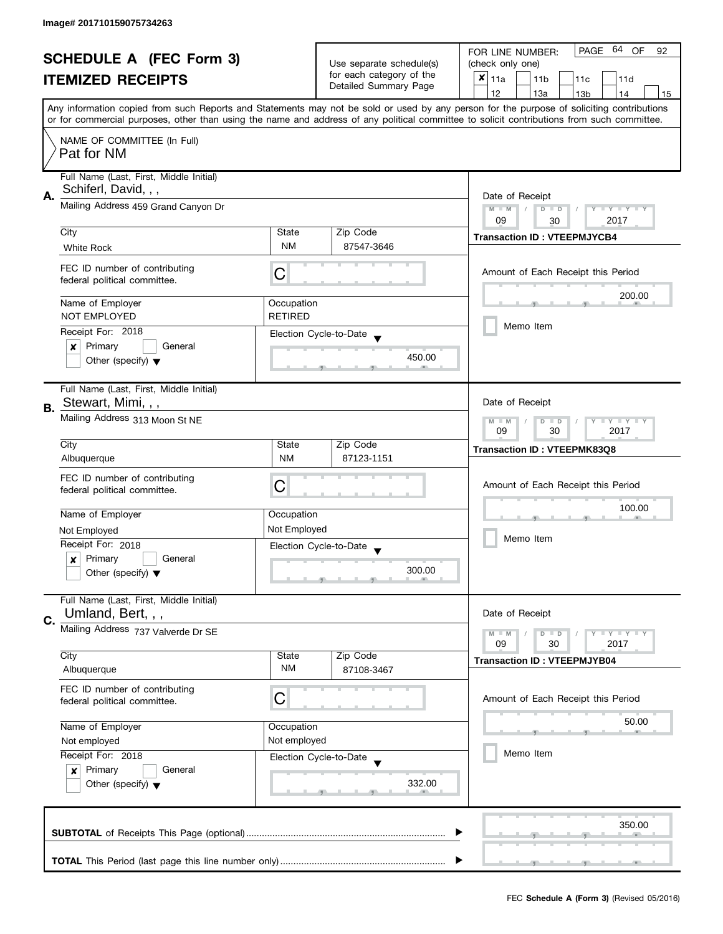| <b>SCHEDULE A (FEC Form 3)</b> |                                                               |                                                   | PAGE 64 OF<br>FOR LINE NUMBER:<br>92        |                                                                                                                                            |  |  |
|--------------------------------|---------------------------------------------------------------|---------------------------------------------------|---------------------------------------------|--------------------------------------------------------------------------------------------------------------------------------------------|--|--|
| <b>ITEMIZED RECEIPTS</b>       |                                                               | Use separate schedule(s)                          | (check only one)                            |                                                                                                                                            |  |  |
|                                |                                                               | for each category of the<br>Detailed Summary Page | $x _{11a}$<br>11 <sub>b</sub><br>11c<br>11d |                                                                                                                                            |  |  |
|                                |                                                               |                                                   | 12<br>13a<br>13 <sub>b</sub><br>14<br>15    |                                                                                                                                            |  |  |
|                                |                                                               |                                                   |                                             | Any information copied from such Reports and Statements may not be sold or used by any person for the purpose of soliciting contributions  |  |  |
|                                |                                                               |                                                   |                                             | or for commercial purposes, other than using the name and address of any political committee to solicit contributions from such committee. |  |  |
|                                | NAME OF COMMITTEE (In Full)                                   |                                                   |                                             |                                                                                                                                            |  |  |
|                                | Pat for NM                                                    |                                                   |                                             |                                                                                                                                            |  |  |
|                                | Full Name (Last, First, Middle Initial)                       |                                                   |                                             |                                                                                                                                            |  |  |
|                                | Schiferl, David, , ,                                          |                                                   |                                             |                                                                                                                                            |  |  |
| Α.                             | Mailing Address 459 Grand Canyon Dr                           | Date of Receipt                                   |                                             |                                                                                                                                            |  |  |
|                                |                                                               |                                                   |                                             | $M - M$<br>$D$ $D$<br>Y I Y I Y I Y<br>09<br>2017<br>30                                                                                    |  |  |
|                                | City                                                          | State                                             | Zip Code                                    |                                                                                                                                            |  |  |
|                                | <b>White Rock</b>                                             | <b>NM</b>                                         | 87547-3646                                  | <b>Transaction ID: VTEEPMJYCB4</b>                                                                                                         |  |  |
|                                |                                                               |                                                   |                                             |                                                                                                                                            |  |  |
|                                | FEC ID number of contributing                                 | C                                                 |                                             | Amount of Each Receipt this Period                                                                                                         |  |  |
|                                | federal political committee.                                  |                                                   |                                             |                                                                                                                                            |  |  |
|                                | Name of Employer                                              | Occupation                                        |                                             | 200.00                                                                                                                                     |  |  |
|                                | <b>NOT EMPLOYED</b>                                           | <b>RETIRED</b>                                    |                                             |                                                                                                                                            |  |  |
|                                | Receipt For: 2018                                             |                                                   | Election Cycle-to-Date                      | Memo Item                                                                                                                                  |  |  |
|                                | Primary<br>General<br>$\boldsymbol{x}$                        |                                                   |                                             |                                                                                                                                            |  |  |
|                                | Other (specify) $\blacktriangledown$                          |                                                   | 450.00                                      |                                                                                                                                            |  |  |
|                                |                                                               |                                                   |                                             |                                                                                                                                            |  |  |
|                                | Full Name (Last, First, Middle Initial)                       |                                                   |                                             |                                                                                                                                            |  |  |
| В.                             | Stewart, Mimi, , ,                                            |                                                   |                                             | Date of Receipt                                                                                                                            |  |  |
|                                | Mailing Address 313 Moon St NE                                | Y LY LY<br>$M - M$<br>$D$ $D$                     |                                             |                                                                                                                                            |  |  |
|                                |                                                               |                                                   | 09<br>30<br>2017                            |                                                                                                                                            |  |  |
|                                | City                                                          | State                                             | Zip Code                                    | Transaction ID: VTEEPMK83Q8                                                                                                                |  |  |
|                                | Albuquerque                                                   | <b>NM</b>                                         | 87123-1151                                  |                                                                                                                                            |  |  |
|                                | FEC ID number of contributing                                 | C                                                 |                                             | Amount of Each Receipt this Period                                                                                                         |  |  |
|                                | federal political committee.                                  |                                                   |                                             |                                                                                                                                            |  |  |
|                                | Name of Employer                                              | Occupation                                        |                                             | 100.00                                                                                                                                     |  |  |
|                                | Not Employed                                                  | Not Employed                                      |                                             | Memo Item                                                                                                                                  |  |  |
|                                | Receipt For: 2018                                             |                                                   | Election Cycle-to-Date                      |                                                                                                                                            |  |  |
|                                | Primary<br>General<br>x                                       |                                                   |                                             |                                                                                                                                            |  |  |
|                                | Other (specify) $\blacktriangledown$                          |                                                   | 300.00                                      |                                                                                                                                            |  |  |
|                                |                                                               |                                                   |                                             |                                                                                                                                            |  |  |
|                                | Full Name (Last, First, Middle Initial)                       |                                                   |                                             |                                                                                                                                            |  |  |
| C.                             | Umland, Bert, , ,                                             |                                                   |                                             | Date of Receipt                                                                                                                            |  |  |
|                                | Mailing Address 737 Valverde Dr SE                            |                                                   |                                             | $M - M$<br>$Y \perp Y \perp Y$<br>$D$ $D$                                                                                                  |  |  |
|                                | City                                                          | State                                             | Zip Code                                    | 09<br>30<br>2017                                                                                                                           |  |  |
|                                | Albuquerque                                                   | <b>NM</b>                                         | 87108-3467                                  | <b>Transaction ID: VTEEPMJYB04</b>                                                                                                         |  |  |
|                                |                                                               |                                                   |                                             |                                                                                                                                            |  |  |
|                                | FEC ID number of contributing<br>federal political committee. | С                                                 |                                             | Amount of Each Receipt this Period                                                                                                         |  |  |
|                                |                                                               |                                                   |                                             |                                                                                                                                            |  |  |
|                                | Name of Employer                                              | Occupation                                        |                                             | 50.00                                                                                                                                      |  |  |
|                                | Not employed                                                  | Not employed                                      |                                             |                                                                                                                                            |  |  |
|                                | Receipt For: 2018                                             |                                                   | Election Cycle-to-Date                      | Memo Item                                                                                                                                  |  |  |
|                                | Primary<br>General<br>$\boldsymbol{x}$                        |                                                   |                                             |                                                                                                                                            |  |  |
|                                | Other (specify) $\blacktriangledown$                          |                                                   | 332.00                                      |                                                                                                                                            |  |  |
|                                |                                                               |                                                   |                                             |                                                                                                                                            |  |  |
|                                |                                                               |                                                   |                                             |                                                                                                                                            |  |  |
|                                |                                                               |                                                   |                                             | 350.00                                                                                                                                     |  |  |
|                                |                                                               |                                                   |                                             |                                                                                                                                            |  |  |
|                                |                                                               |                                                   |                                             |                                                                                                                                            |  |  |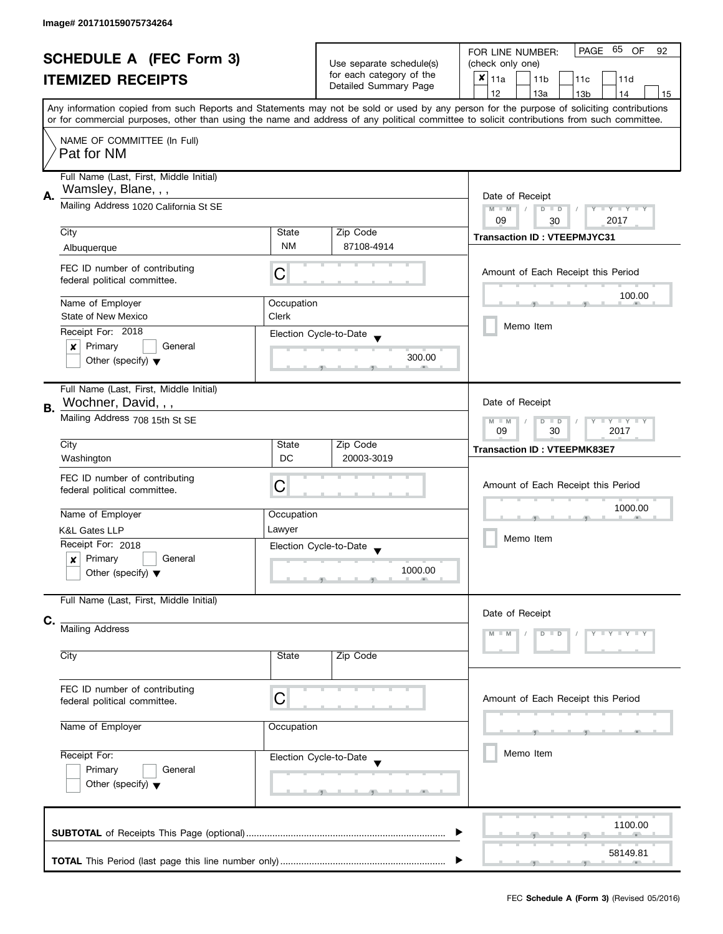| <b>SCHEDULE A (FEC Form 3)</b> |                                         |                                       | PAGE 65 OF<br>FOR LINE NUMBER:<br>92                    |                                                                                                                                            |  |  |
|--------------------------------|-----------------------------------------|---------------------------------------|---------------------------------------------------------|--------------------------------------------------------------------------------------------------------------------------------------------|--|--|
| <b>ITEMIZED RECEIPTS</b>       |                                         | Use separate schedule(s)              | (check only one)                                        |                                                                                                                                            |  |  |
|                                |                                         | for each category of the              | $x _{11a}$<br>11 <sub>b</sub><br>11 <sub>c</sub><br>11d |                                                                                                                                            |  |  |
|                                |                                         | Detailed Summary Page                 | 12<br>13a<br>13 <sub>b</sub><br>14<br>15                |                                                                                                                                            |  |  |
|                                |                                         |                                       |                                                         | Any information copied from such Reports and Statements may not be sold or used by any person for the purpose of soliciting contributions  |  |  |
|                                |                                         |                                       |                                                         | or for commercial purposes, other than using the name and address of any political committee to solicit contributions from such committee. |  |  |
|                                |                                         |                                       |                                                         |                                                                                                                                            |  |  |
|                                | NAME OF COMMITTEE (In Full)             |                                       |                                                         |                                                                                                                                            |  |  |
|                                | Pat for NM                              |                                       |                                                         |                                                                                                                                            |  |  |
|                                |                                         |                                       |                                                         |                                                                                                                                            |  |  |
|                                | Full Name (Last, First, Middle Initial) |                                       |                                                         |                                                                                                                                            |  |  |
| А.                             | Wamsley, Blane, , ,                     |                                       |                                                         | Date of Receipt                                                                                                                            |  |  |
|                                | Mailing Address 1020 California St SE   |                                       |                                                         | $M - M$<br>$\sqrt{ }$<br>$D$ $D$<br>Y FY FY FY                                                                                             |  |  |
|                                |                                         |                                       |                                                         | 09<br>2017<br>30                                                                                                                           |  |  |
|                                | City                                    | State                                 | Zip Code                                                | <b>Transaction ID: VTEEPMJYC31</b>                                                                                                         |  |  |
|                                | Albuquerque                             | <b>NM</b>                             | 87108-4914                                              |                                                                                                                                            |  |  |
|                                |                                         |                                       |                                                         |                                                                                                                                            |  |  |
|                                | FEC ID number of contributing           | С                                     |                                                         | Amount of Each Receipt this Period                                                                                                         |  |  |
|                                | federal political committee.            |                                       |                                                         |                                                                                                                                            |  |  |
|                                |                                         |                                       |                                                         | 100.00                                                                                                                                     |  |  |
|                                | Name of Employer                        | Occupation                            |                                                         |                                                                                                                                            |  |  |
|                                | State of New Mexico                     | Clerk                                 |                                                         | Memo Item                                                                                                                                  |  |  |
|                                | Receipt For: 2018                       |                                       | Election Cycle-to-Date                                  |                                                                                                                                            |  |  |
|                                | General<br>Primary<br>×                 |                                       |                                                         |                                                                                                                                            |  |  |
|                                | Other (specify) $\blacktriangledown$    |                                       | 300.00                                                  |                                                                                                                                            |  |  |
|                                |                                         |                                       |                                                         |                                                                                                                                            |  |  |
|                                | Full Name (Last, First, Middle Initial) |                                       |                                                         |                                                                                                                                            |  |  |
|                                | Wochner, David, , ,                     |                                       |                                                         | Date of Receipt                                                                                                                            |  |  |
| <b>B.</b>                      |                                         |                                       |                                                         |                                                                                                                                            |  |  |
|                                | Mailing Address 708 15th St SE          | $Y = Y + Y$<br>$M - M$<br>D<br>$\Box$ |                                                         |                                                                                                                                            |  |  |
|                                |                                         |                                       |                                                         | 2017<br>09<br>30                                                                                                                           |  |  |
|                                | City                                    | State                                 | Zip Code                                                | <b>Transaction ID: VTEEPMK83E7</b>                                                                                                         |  |  |
|                                | Washington                              | <b>DC</b>                             | 20003-3019                                              |                                                                                                                                            |  |  |
|                                | FEC ID number of contributing           |                                       |                                                         |                                                                                                                                            |  |  |
|                                | federal political committee.            | С                                     |                                                         | Amount of Each Receipt this Period                                                                                                         |  |  |
|                                |                                         |                                       |                                                         |                                                                                                                                            |  |  |
|                                | Name of Employer                        | Occupation                            |                                                         | 1000.00                                                                                                                                    |  |  |
|                                | <b>K&amp;L Gates LLP</b>                | Lawyer                                |                                                         |                                                                                                                                            |  |  |
|                                | Receipt For: 2018                       |                                       |                                                         | Memo Item                                                                                                                                  |  |  |
|                                | Primary                                 |                                       | Election Cycle-to-Date                                  |                                                                                                                                            |  |  |
|                                | General<br>x                            |                                       | 1000.00                                                 |                                                                                                                                            |  |  |
|                                | Other (specify) $\blacktriangledown$    |                                       |                                                         |                                                                                                                                            |  |  |
|                                |                                         |                                       |                                                         |                                                                                                                                            |  |  |
|                                | Full Name (Last, First, Middle Initial) |                                       |                                                         |                                                                                                                                            |  |  |
| C.                             |                                         |                                       |                                                         | Date of Receipt                                                                                                                            |  |  |
|                                | Mailing Address                         |                                       |                                                         | $Y + Y$                                                                                                                                    |  |  |
|                                |                                         |                                       |                                                         |                                                                                                                                            |  |  |
|                                | City                                    | State                                 | Zip Code                                                |                                                                                                                                            |  |  |
|                                |                                         |                                       |                                                         |                                                                                                                                            |  |  |
|                                |                                         |                                       |                                                         |                                                                                                                                            |  |  |
|                                | FEC ID number of contributing           | C                                     |                                                         | Amount of Each Receipt this Period                                                                                                         |  |  |
|                                | federal political committee.            |                                       |                                                         |                                                                                                                                            |  |  |
|                                | Name of Employer                        | Occupation                            |                                                         |                                                                                                                                            |  |  |
|                                |                                         |                                       |                                                         |                                                                                                                                            |  |  |
|                                |                                         |                                       |                                                         |                                                                                                                                            |  |  |
|                                | Receipt For:                            |                                       | Election Cycle-to-Date                                  | Memo Item                                                                                                                                  |  |  |
|                                | Primary<br>General                      |                                       |                                                         |                                                                                                                                            |  |  |
|                                | Other (specify) $\blacktriangledown$    |                                       |                                                         |                                                                                                                                            |  |  |
|                                |                                         |                                       | -91                                                     |                                                                                                                                            |  |  |
|                                |                                         |                                       |                                                         |                                                                                                                                            |  |  |
|                                |                                         |                                       |                                                         | 1100.00                                                                                                                                    |  |  |
|                                |                                         |                                       |                                                         |                                                                                                                                            |  |  |
|                                |                                         |                                       |                                                         | 58149.81                                                                                                                                   |  |  |
|                                |                                         |                                       |                                                         |                                                                                                                                            |  |  |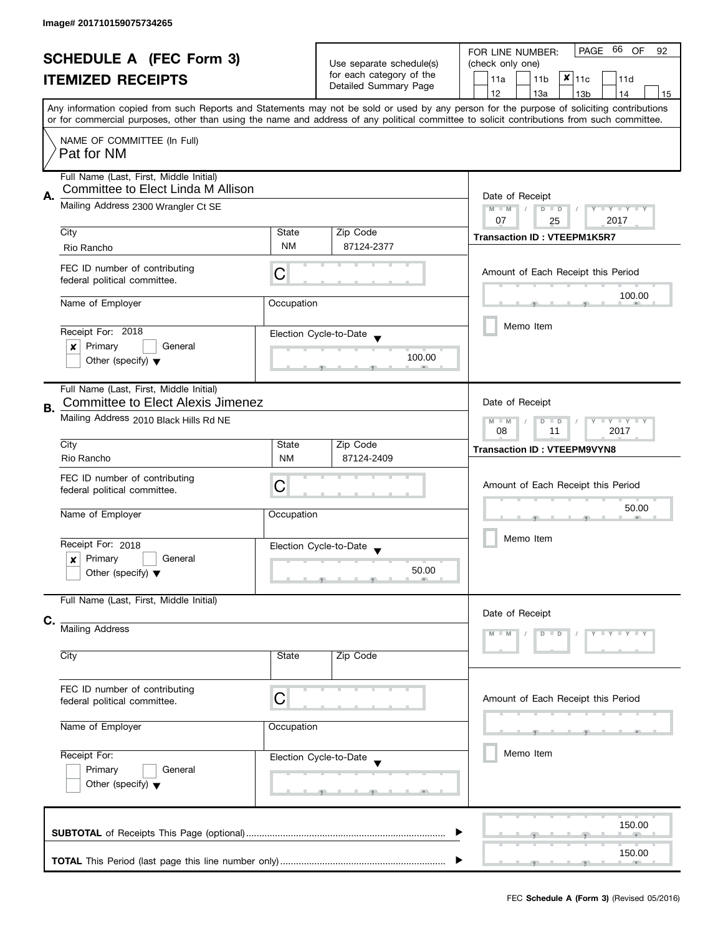| <b>SCHEDULE A (FEC Form 3)</b><br><b>ITEMIZED RECEIPTS</b> |                                                                                     |                                                                                                                                                    | Use separate schedule(s)<br>for each category of the | PAGE 66 OF<br>FOR LINE NUMBER:<br>92<br>(check only one)                                                                                                                                                                                                                                |  |  |  |
|------------------------------------------------------------|-------------------------------------------------------------------------------------|----------------------------------------------------------------------------------------------------------------------------------------------------|------------------------------------------------------|-----------------------------------------------------------------------------------------------------------------------------------------------------------------------------------------------------------------------------------------------------------------------------------------|--|--|--|
|                                                            |                                                                                     | Detailed Summary Page                                                                                                                              | $x _{11c}$<br>11a<br>11 <sub>b</sub><br>11d          |                                                                                                                                                                                                                                                                                         |  |  |  |
|                                                            |                                                                                     |                                                                                                                                                    |                                                      | 12<br>13a<br>13 <sub>b</sub><br>14<br>15                                                                                                                                                                                                                                                |  |  |  |
|                                                            |                                                                                     |                                                                                                                                                    |                                                      | Any information copied from such Reports and Statements may not be sold or used by any person for the purpose of soliciting contributions<br>or for commercial purposes, other than using the name and address of any political committee to solicit contributions from such committee. |  |  |  |
|                                                            | NAME OF COMMITTEE (In Full)<br>Pat for NM                                           |                                                                                                                                                    |                                                      |                                                                                                                                                                                                                                                                                         |  |  |  |
| А.                                                         | Full Name (Last, First, Middle Initial)<br>Committee to Elect Linda M Allison       |                                                                                                                                                    |                                                      | Date of Receipt                                                                                                                                                                                                                                                                         |  |  |  |
|                                                            | Mailing Address 2300 Wrangler Ct SE                                                 | $M - M$<br>$\sqrt{2}$<br>$D$ $D$<br>$\blacksquare \blacksquare Y \blacksquare \blacksquare Y \blacksquare \blacksquare Y$<br>v<br>07<br>2017<br>25 |                                                      |                                                                                                                                                                                                                                                                                         |  |  |  |
|                                                            | City<br>Rio Rancho                                                                  | State<br>NM                                                                                                                                        | Zip Code<br>87124-2377                               | <b>Transaction ID: VTEEPM1K5R7</b>                                                                                                                                                                                                                                                      |  |  |  |
|                                                            |                                                                                     |                                                                                                                                                    |                                                      |                                                                                                                                                                                                                                                                                         |  |  |  |
|                                                            | FEC ID number of contributing<br>federal political committee.                       | С                                                                                                                                                  |                                                      | Amount of Each Receipt this Period                                                                                                                                                                                                                                                      |  |  |  |
|                                                            | Name of Employer                                                                    | Occupation                                                                                                                                         |                                                      | 100.00                                                                                                                                                                                                                                                                                  |  |  |  |
|                                                            | Receipt For: 2018                                                                   |                                                                                                                                                    | Election Cycle-to-Date                               | Memo Item                                                                                                                                                                                                                                                                               |  |  |  |
|                                                            | Primary<br>General<br>×                                                             |                                                                                                                                                    |                                                      |                                                                                                                                                                                                                                                                                         |  |  |  |
|                                                            | Other (specify) $\blacktriangledown$                                                |                                                                                                                                                    | 100.00                                               |                                                                                                                                                                                                                                                                                         |  |  |  |
| В.                                                         | Full Name (Last, First, Middle Initial)<br><b>Committee to Elect Alexis Jimenez</b> | Date of Receipt                                                                                                                                    |                                                      |                                                                                                                                                                                                                                                                                         |  |  |  |
|                                                            | Mailing Address 2010 Black Hills Rd NE                                              | $Y = Y + Y$<br>M<br>D<br>$\Box$<br>$-M$<br>11<br>2017<br>08                                                                                        |                                                      |                                                                                                                                                                                                                                                                                         |  |  |  |
|                                                            | City<br>Rio Rancho                                                                  | State<br><b>NM</b>                                                                                                                                 | Zip Code<br>87124-2409                               | <b>Transaction ID: VTEEPM9VYN8</b>                                                                                                                                                                                                                                                      |  |  |  |
|                                                            | FEC ID number of contributing                                                       |                                                                                                                                                    |                                                      |                                                                                                                                                                                                                                                                                         |  |  |  |
|                                                            | federal political committee.                                                        | С                                                                                                                                                  |                                                      | Amount of Each Receipt this Period                                                                                                                                                                                                                                                      |  |  |  |
|                                                            | Name of Employer                                                                    | Occupation                                                                                                                                         |                                                      | 50.00                                                                                                                                                                                                                                                                                   |  |  |  |
|                                                            | Receipt For: 2018                                                                   |                                                                                                                                                    | Election Cycle-to-Date                               | Memo Item                                                                                                                                                                                                                                                                               |  |  |  |
|                                                            | Primary<br>General<br>x<br>Other (specify) $\blacktriangledown$                     |                                                                                                                                                    | 50.00                                                |                                                                                                                                                                                                                                                                                         |  |  |  |
|                                                            |                                                                                     |                                                                                                                                                    |                                                      |                                                                                                                                                                                                                                                                                         |  |  |  |
|                                                            | Full Name (Last, First, Middle Initial)                                             |                                                                                                                                                    |                                                      | Date of Receipt                                                                                                                                                                                                                                                                         |  |  |  |
| C.                                                         | Mailing Address                                                                     |                                                                                                                                                    |                                                      |                                                                                                                                                                                                                                                                                         |  |  |  |
|                                                            | City                                                                                | State                                                                                                                                              | Zip Code                                             |                                                                                                                                                                                                                                                                                         |  |  |  |
|                                                            | FEC ID number of contributing<br>federal political committee.                       | C                                                                                                                                                  |                                                      | Amount of Each Receipt this Period                                                                                                                                                                                                                                                      |  |  |  |
|                                                            | Name of Employer                                                                    | Occupation                                                                                                                                         |                                                      |                                                                                                                                                                                                                                                                                         |  |  |  |
|                                                            | Receipt For:                                                                        |                                                                                                                                                    | Election Cycle-to-Date                               | Memo Item                                                                                                                                                                                                                                                                               |  |  |  |
|                                                            | Primary<br>General                                                                  |                                                                                                                                                    |                                                      |                                                                                                                                                                                                                                                                                         |  |  |  |
|                                                            | Other (specify) $\blacktriangledown$                                                |                                                                                                                                                    | <b>g</b>                                             |                                                                                                                                                                                                                                                                                         |  |  |  |
|                                                            |                                                                                     |                                                                                                                                                    |                                                      | 150.00                                                                                                                                                                                                                                                                                  |  |  |  |
|                                                            |                                                                                     |                                                                                                                                                    |                                                      | 150.00                                                                                                                                                                                                                                                                                  |  |  |  |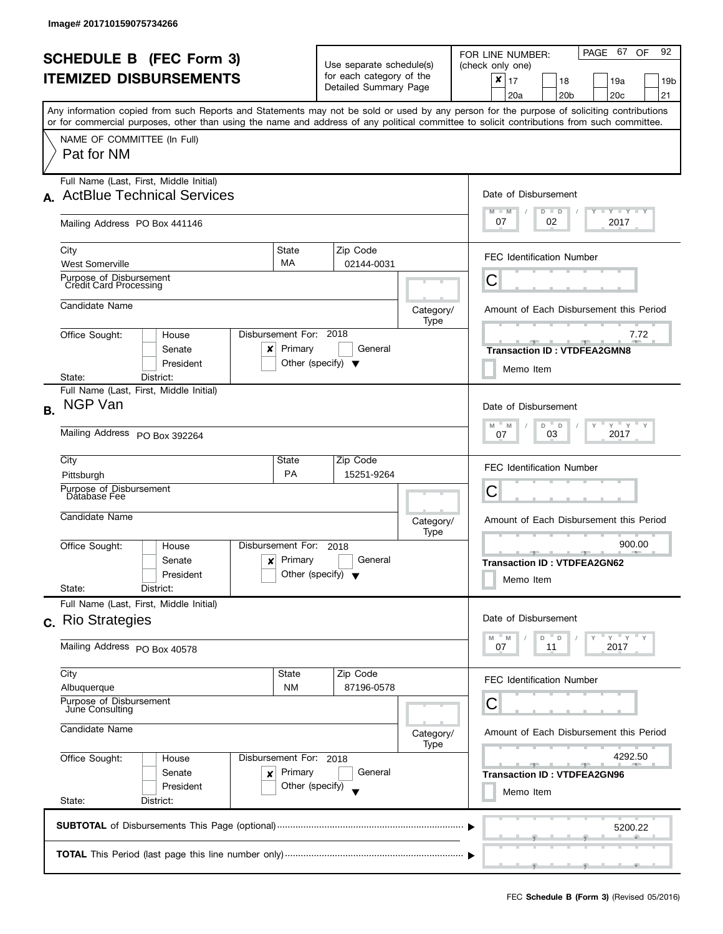| <b>SCHEDULE B (FEC Form 3)</b><br><b>ITEMIZED DISBURSEMENTS</b> |                                                                                                                                                                                                                                                                                                                                      |                                                                           | Use separate schedule(s)<br>for each category of the<br>Detailed Summary Page |                                                                                       | PAGE 67 OF<br>92<br>FOR LINE NUMBER:<br>(check only one)<br>$\boldsymbol{x}$<br>17<br>18<br>19a<br>19 <sub>b</sub><br>20a<br>20 <sub>b</sub><br>20 <sub>c</sub><br>21 |
|-----------------------------------------------------------------|--------------------------------------------------------------------------------------------------------------------------------------------------------------------------------------------------------------------------------------------------------------------------------------------------------------------------------------|---------------------------------------------------------------------------|-------------------------------------------------------------------------------|---------------------------------------------------------------------------------------|-----------------------------------------------------------------------------------------------------------------------------------------------------------------------|
|                                                                 | Any information copied from such Reports and Statements may not be sold or used by any person for the purpose of soliciting contributions<br>or for commercial purposes, other than using the name and address of any political committee to solicit contributions from such committee.<br>NAME OF COMMITTEE (In Full)<br>Pat for NM |                                                                           |                                                                               |                                                                                       |                                                                                                                                                                       |
| A.                                                              | Full Name (Last, First, Middle Initial)<br><b>ActBlue Technical Services</b><br>Mailing Address PO Box 441146                                                                                                                                                                                                                        |                                                                           |                                                                               |                                                                                       | Date of Disbursement<br>$M - M$<br>$T - Y = Y + Y$<br>$D$ $D$<br>07<br>02<br>2017                                                                                     |
|                                                                 | City<br><b>West Somerville</b><br>Purpose of Disbursement                                                                                                                                                                                                                                                                            | State<br>MA                                                               | Zip Code<br>02144-0031                                                        |                                                                                       | <b>FEC Identification Number</b>                                                                                                                                      |
|                                                                 | <b>Credit Card Processing</b><br>Candidate Name                                                                                                                                                                                                                                                                                      |                                                                           |                                                                               | Category/<br>Type                                                                     | Ĉ<br>Amount of Each Disbursement this Period                                                                                                                          |
|                                                                 | Office Sought:<br>House<br>Senate<br>x<br>President<br>District:<br>State:                                                                                                                                                                                                                                                           | Disbursement For: 2018<br>Primary<br>Other (specify) $\blacktriangledown$ | General                                                                       |                                                                                       | 7.72<br><b>Transaction ID: VTDFEA2GMN8</b><br>Memo Item                                                                                                               |
| <b>B.</b>                                                       | Full Name (Last, First, Middle Initial)<br>NGP Van<br>Mailing Address PO Box 392264                                                                                                                                                                                                                                                  |                                                                           |                                                                               | Date of Disbursement<br>$Y$ $Y$ $Y$<br>D<br>M<br>M<br>$\mathsf D$<br>2017<br>03<br>07 |                                                                                                                                                                       |
|                                                                 | City<br>Pittsburgh<br>Purpose of Disbursement<br>Database Fee                                                                                                                                                                                                                                                                        | State<br><b>PA</b>                                                        | Zip Code<br>15251-9264                                                        |                                                                                       | <b>FEC Identification Number</b><br>C                                                                                                                                 |
|                                                                 | Candidate Name<br>Office Sought:<br>House                                                                                                                                                                                                                                                                                            | Disbursement For:                                                         | 2018                                                                          | Category/<br>Type                                                                     | Amount of Each Disbursement this Period<br>900.00                                                                                                                     |
|                                                                 | Senate<br>x<br>President<br>State:<br>District:                                                                                                                                                                                                                                                                                      | Primary<br>Other (specify) $\blacktriangledown$                           | General                                                                       |                                                                                       | <b>Transaction ID: VTDFEA2GN62</b><br>Memo Item                                                                                                                       |
|                                                                 | Full Name (Last, First, Middle Initial)<br>c. Rio Strategies                                                                                                                                                                                                                                                                         |                                                                           |                                                                               |                                                                                       | Date of Disbursement<br>D<br>D<br>M<br>M                                                                                                                              |
|                                                                 | Mailing Address PO Box 40578<br>City                                                                                                                                                                                                                                                                                                 | State                                                                     | Zip Code                                                                      |                                                                                       | 07<br>11<br>2017<br><b>FEC Identification Number</b>                                                                                                                  |
|                                                                 | Albuquerque<br>Purpose of Disbursement<br>June Consulting<br>Candidate Name                                                                                                                                                                                                                                                          | <b>NM</b>                                                                 | 87196-0578                                                                    | Category/<br>Type                                                                     | С<br>Amount of Each Disbursement this Period                                                                                                                          |
|                                                                 | Office Sought:<br>House<br>Senate<br>×<br>President<br>State:<br>District:                                                                                                                                                                                                                                                           | Disbursement For: 2018<br>Primary<br>Other (specify)                      | General                                                                       |                                                                                       | 4292.50<br>$-1$<br>$-1$<br><b>Transaction ID: VTDFEA2GN96</b><br>Memo Item                                                                                            |
|                                                                 |                                                                                                                                                                                                                                                                                                                                      | 5200.22                                                                   |                                                                               |                                                                                       |                                                                                                                                                                       |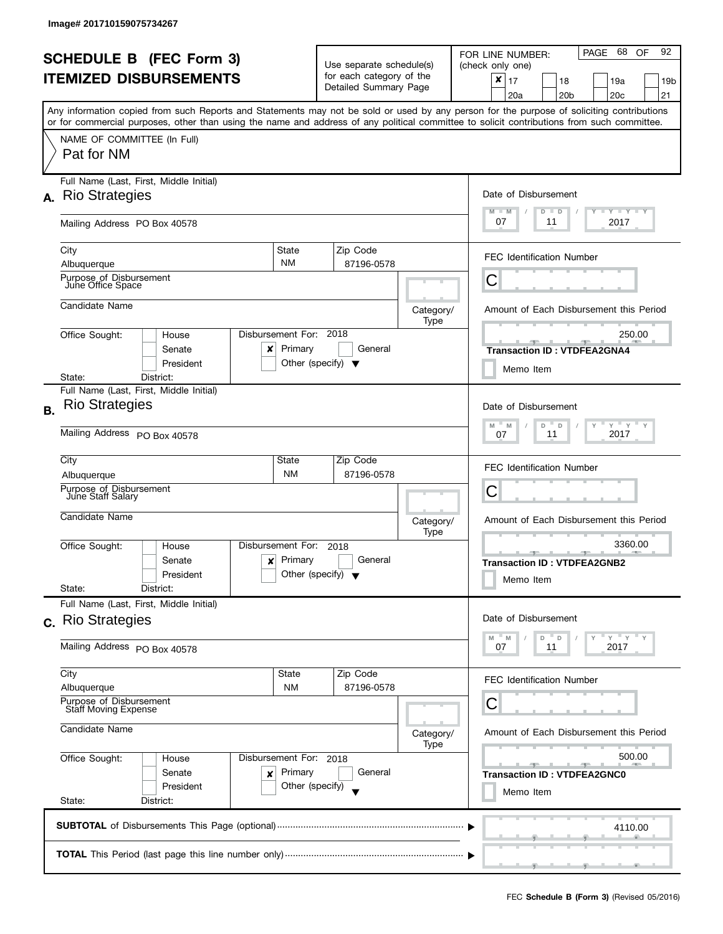l

|                                                                   |                                                                                                                                                                                                                                                                                         |                                                                           |                                                                               |                        |                   | PAGE 68<br>92<br>OF<br>FOR LINE NUMBER:                                                                                   |
|-------------------------------------------------------------------|-----------------------------------------------------------------------------------------------------------------------------------------------------------------------------------------------------------------------------------------------------------------------------------------|---------------------------------------------------------------------------|-------------------------------------------------------------------------------|------------------------|-------------------|---------------------------------------------------------------------------------------------------------------------------|
| <b>SCHEDULE B (FEC Form 3)</b>                                    |                                                                                                                                                                                                                                                                                         |                                                                           | Use separate schedule(s)<br>for each category of the<br>Detailed Summary Page |                        |                   | (check only one)                                                                                                          |
|                                                                   | <b>ITEMIZED DISBURSEMENTS</b>                                                                                                                                                                                                                                                           |                                                                           |                                                                               |                        |                   | $\boldsymbol{x}$<br>17<br>18<br>19a<br>19b<br>20 <sub>c</sub><br>20a<br>20 <sub>b</sub><br>21                             |
|                                                                   | Any information copied from such Reports and Statements may not be sold or used by any person for the purpose of soliciting contributions<br>or for commercial purposes, other than using the name and address of any political committee to solicit contributions from such committee. |                                                                           |                                                                               |                        |                   |                                                                                                                           |
|                                                                   | NAME OF COMMITTEE (In Full)<br>Pat for NM                                                                                                                                                                                                                                               |                                                                           |                                                                               |                        |                   |                                                                                                                           |
|                                                                   | Full Name (Last, First, Middle Initial)<br>A. Rio Strategies                                                                                                                                                                                                                            |                                                                           |                                                                               |                        |                   | Date of Disbursement                                                                                                      |
|                                                                   | Mailing Address PO Box 40578                                                                                                                                                                                                                                                            |                                                                           |                                                                               |                        |                   | $\mathbf{I}$ $\mathbf{Y}$ $\mathbf{I}$ $\mathbf{Y}$ $\mathbf{I}$ $\mathbf{Y}$<br>M<br>$D$ $D$<br>$-M$<br>07<br>2017<br>11 |
|                                                                   | City<br>Albuquerque                                                                                                                                                                                                                                                                     | State<br><b>NM</b>                                                        |                                                                               | Zip Code<br>87196-0578 |                   | <b>FEC Identification Number</b>                                                                                          |
|                                                                   | Purpose of Disbursement<br>June Office Space                                                                                                                                                                                                                                            |                                                                           |                                                                               |                        |                   | С                                                                                                                         |
|                                                                   | Candidate Name                                                                                                                                                                                                                                                                          |                                                                           |                                                                               |                        | Category/<br>Type | Amount of Each Disbursement this Period                                                                                   |
|                                                                   | Office Sought:<br>House<br>Senate<br>x<br>President                                                                                                                                                                                                                                     | Disbursement For: 2018<br>Primary<br>Other (specify) $\blacktriangledown$ |                                                                               | General                |                   | 250.00<br><b>Transaction ID: VTDFEA2GNA4</b><br>Memo Item                                                                 |
|                                                                   | District:<br>State:                                                                                                                                                                                                                                                                     |                                                                           |                                                                               |                        |                   |                                                                                                                           |
| <b>B.</b>                                                         | Full Name (Last, First, Middle Initial)<br><b>Rio Strategies</b>                                                                                                                                                                                                                        |                                                                           |                                                                               |                        |                   | Date of Disbursement<br>$Y$ $Y$ $Y$ $Y$<br>M<br>M<br>D<br>D                                                               |
|                                                                   | Mailing Address PO Box 40578                                                                                                                                                                                                                                                            | 2017<br>11<br>07                                                          |                                                                               |                        |                   |                                                                                                                           |
|                                                                   | City<br>State<br><b>NM</b>                                                                                                                                                                                                                                                              |                                                                           |                                                                               | Zip Code<br>87196-0578 |                   | <b>FEC Identification Number</b>                                                                                          |
|                                                                   | Albuquerque<br>Purpose of Disbursement<br>June Staff Salary                                                                                                                                                                                                                             | С                                                                         |                                                                               |                        |                   |                                                                                                                           |
|                                                                   | Candidate Name                                                                                                                                                                                                                                                                          |                                                                           | Category/<br>Type                                                             |                        |                   | Amount of Each Disbursement this Period                                                                                   |
|                                                                   | Office Sought:<br>House<br>Senate<br>$\boldsymbol{\mathsf{x}}$<br>President<br>State:<br>District:                                                                                                                                                                                      | Disbursement For:<br>Primary<br>Other (specify) $\blacktriangledown$      |                                                                               | 2018<br>General        |                   | 3360.00<br><b>AND A</b><br><b>Transaction ID: VTDFEA2GNB2</b><br>Memo Item                                                |
|                                                                   | Full Name (Last, First, Middle Initial)<br>c. Rio Strategies                                                                                                                                                                                                                            |                                                                           |                                                                               |                        |                   | Date of Disbursement                                                                                                      |
|                                                                   | Mailing Address PO Box 40578                                                                                                                                                                                                                                                            |                                                                           |                                                                               |                        |                   | $Y = Y$<br>D<br>D<br>M<br>M<br>2017<br>07<br>11                                                                           |
|                                                                   | City<br>Albuquerque                                                                                                                                                                                                                                                                     | State<br><b>NM</b>                                                        |                                                                               | Zip Code<br>87196-0578 |                   | <b>FEC Identification Number</b>                                                                                          |
| Purpose of Disbursement<br>Staff Moving Expense<br>Candidate Name |                                                                                                                                                                                                                                                                                         |                                                                           |                                                                               |                        |                   | С                                                                                                                         |
|                                                                   |                                                                                                                                                                                                                                                                                         |                                                                           |                                                                               |                        | Category/<br>Type | Amount of Each Disbursement this Period                                                                                   |
|                                                                   | Office Sought:<br>House<br>Senate<br>×<br>President                                                                                                                                                                                                                                     | Disbursement For: 2018<br>Primary<br>Other (specify)                      |                                                                               | General                |                   | 500.00<br><b>SPACE 1999</b><br><b>Transaction ID: VTDFEA2GNC0</b>                                                         |
|                                                                   | State:<br>District:                                                                                                                                                                                                                                                                     |                                                                           |                                                                               |                        |                   | Memo Item                                                                                                                 |
|                                                                   |                                                                                                                                                                                                                                                                                         |                                                                           |                                                                               |                        |                   | 4110.00                                                                                                                   |
|                                                                   |                                                                                                                                                                                                                                                                                         |                                                                           |                                                                               |                        |                   |                                                                                                                           |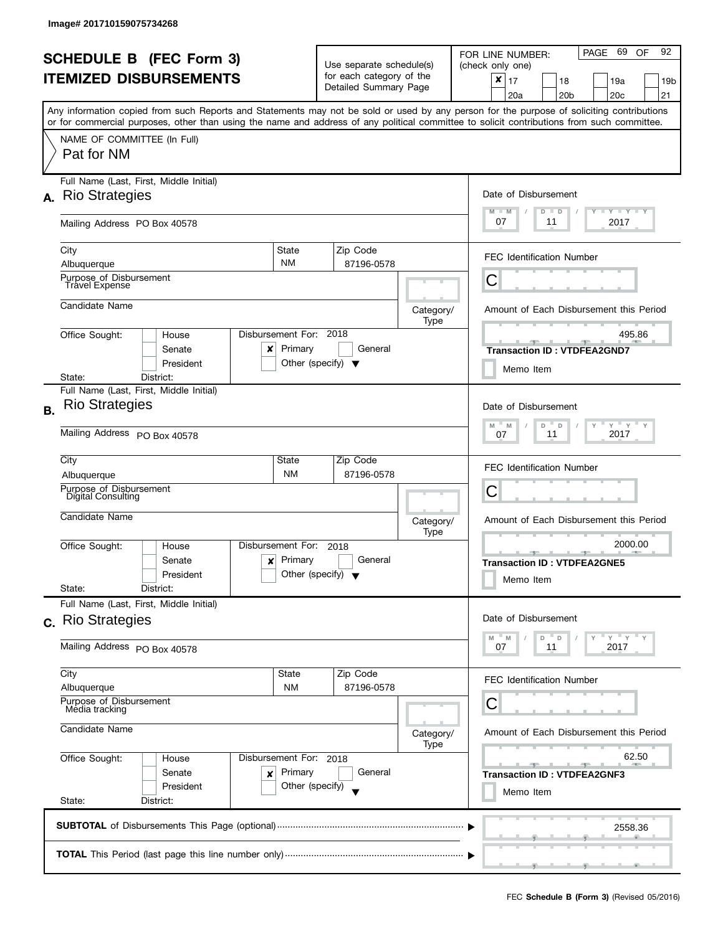| <b>SCHEDULE B (FEC Form 3)</b><br><b>ITEMIZED DISBURSEMENTS</b> |                                                                                                                                                                                                                                                                                                                                      |                                                      | Use separate schedule(s)<br>for each category of the<br>Detailed Summary Page         |                   | 92<br>PAGE 69<br><b>OF</b><br>FOR LINE NUMBER:<br>(check only one)<br>$\pmb{\times}$<br>17<br>18<br>19a<br>19b<br>20 <sub>c</sub><br>21<br>20a<br>20 <sub>b</sub> |
|-----------------------------------------------------------------|--------------------------------------------------------------------------------------------------------------------------------------------------------------------------------------------------------------------------------------------------------------------------------------------------------------------------------------|------------------------------------------------------|---------------------------------------------------------------------------------------|-------------------|-------------------------------------------------------------------------------------------------------------------------------------------------------------------|
|                                                                 | Any information copied from such Reports and Statements may not be sold or used by any person for the purpose of soliciting contributions<br>or for commercial purposes, other than using the name and address of any political committee to solicit contributions from such committee.<br>NAME OF COMMITTEE (In Full)<br>Pat for NM |                                                      |                                                                                       |                   |                                                                                                                                                                   |
| А.                                                              | Full Name (Last, First, Middle Initial)<br><b>Rio Strategies</b><br>Mailing Address PO Box 40578                                                                                                                                                                                                                                     |                                                      |                                                                                       |                   | Date of Disbursement<br>$\Box$ $\gamma$ $\Box$ $\gamma$ $\Box$ $\gamma$<br>$M - M$<br>$D$ $D$<br>07<br>2017<br>11                                                 |
|                                                                 | City<br>Albuquerque<br>Purpose of Disbursement<br><b>Travel Expense</b>                                                                                                                                                                                                                                                              | State<br><b>NM</b>                                   | Zip Code<br>87196-0578                                                                |                   | <b>FEC Identification Number</b><br>Ĉ                                                                                                                             |
|                                                                 | Candidate Name<br>Disbursement For:<br>Office Sought:<br>House<br>Senate<br>x<br>President<br>District:<br>State:                                                                                                                                                                                                                    | Primary<br>Other (specify) $\blacktriangledown$      | 2018<br>General                                                                       | Category/<br>Type | Amount of Each Disbursement this Period<br>495.86<br><b>Transaction ID: VTDFEA2GND7</b><br>Memo Item                                                              |
| <b>B.</b>                                                       | Full Name (Last, First, Middle Initial)<br><b>Rio Strategies</b><br>Mailing Address PO Box 40578                                                                                                                                                                                                                                     |                                                      | Date of Disbursement<br>$Y$ $Y$ $Y$<br>D<br>$\mathsf D$<br>M<br>M<br>2017<br>11<br>07 |                   |                                                                                                                                                                   |
|                                                                 | City<br>Albuquerque<br>Purpose of Disbursement<br>Digital Consulting<br>Candidate Name                                                                                                                                                                                                                                               | State<br><b>NM</b>                                   | Zip Code<br>87196-0578                                                                | Category/         | <b>FEC Identification Number</b><br>С<br>Amount of Each Disbursement this Period                                                                                  |
|                                                                 | Disbursement For:<br>Office Sought:<br>House<br>Senate<br>$\mathbf{x}$<br>President<br>State:<br>District:                                                                                                                                                                                                                           | Primary<br>Other (specify) $\blacktriangledown$      | 2018<br>General                                                                       | Type              | 2000.00<br>$-1$ $-1$ $-1$<br><b>Transaction ID: VTDFEA2GNE5</b><br>Memo Item                                                                                      |
|                                                                 | Full Name (Last, First, Middle Initial)<br>c. Rio Strategies<br>Mailing Address PO Box 40578                                                                                                                                                                                                                                         |                                                      |                                                                                       |                   | Date of Disbursement<br>$Y'$ $Y'$<br>M<br>M<br>D<br>$\mathsf{D}$<br>2017<br>07<br>11                                                                              |
|                                                                 | City<br>Albuquerque<br>Purpose of Disbursement<br>Media tracking                                                                                                                                                                                                                                                                     | State<br><b>NM</b>                                   | Zip Code<br>87196-0578                                                                |                   | <b>FEC Identification Number</b><br>С                                                                                                                             |
|                                                                 | Candidate Name<br>Office Sought:<br>House<br>Senate<br>×<br>President<br>State:<br>District:                                                                                                                                                                                                                                         | Disbursement For: 2018<br>Primary<br>Other (specify) | General                                                                               | Category/<br>Type | Amount of Each Disbursement this Period<br>62.50<br><u> 1950 - Jan Jan Jan</u><br><b>Transaction ID: VTDFEA2GNF3</b><br>Memo Item                                 |
|                                                                 |                                                                                                                                                                                                                                                                                                                                      |                                                      |                                                                                       |                   | 2558.36<br>$\overline{1}$ and $\overline{1}$ and $\overline{1}$ and $\overline{1}$                                                                                |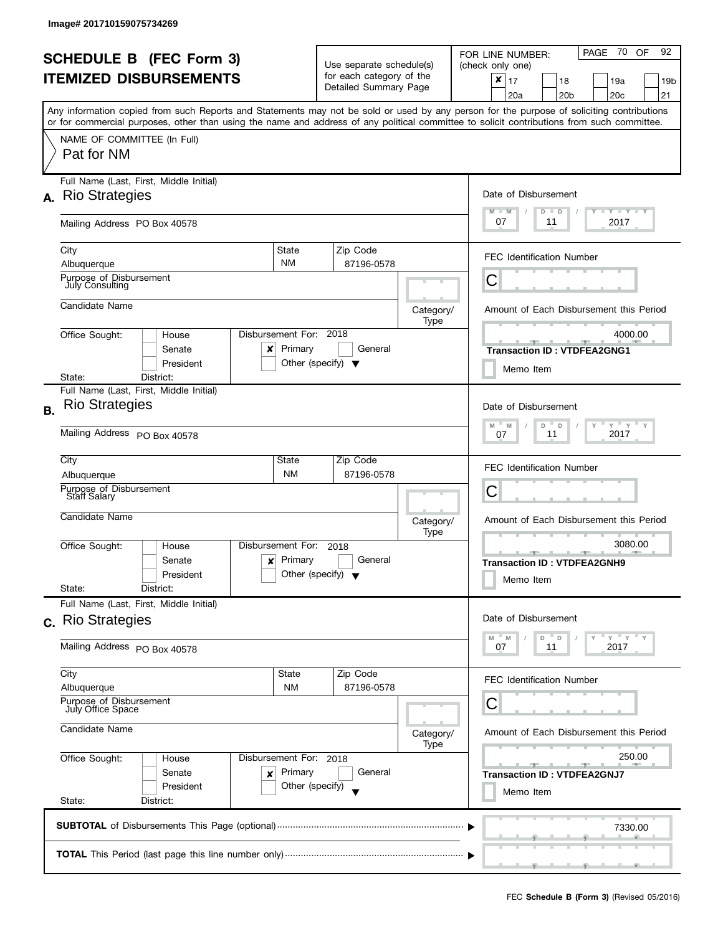|           | <b>SCHEDULE B (FEC Form 3)</b><br><b>ITEMIZED DISBURSEMENTS</b>                                                                                                                                                                                                                                                                      |                                                                      | Use separate schedule(s)<br>for each category of the<br>Detailed Summary Page               |                   | PAGE 70<br>92<br>OF<br>FOR LINE NUMBER:<br>(check only one)<br>$\pmb{\times}$<br>17<br>18<br>19a<br>19b<br>20 <sub>b</sub><br>20 <sub>c</sub><br>21<br>20a |
|-----------|--------------------------------------------------------------------------------------------------------------------------------------------------------------------------------------------------------------------------------------------------------------------------------------------------------------------------------------|----------------------------------------------------------------------|---------------------------------------------------------------------------------------------|-------------------|------------------------------------------------------------------------------------------------------------------------------------------------------------|
|           | Any information copied from such Reports and Statements may not be sold or used by any person for the purpose of soliciting contributions<br>or for commercial purposes, other than using the name and address of any political committee to solicit contributions from such committee.<br>NAME OF COMMITTEE (In Full)<br>Pat for NM |                                                                      |                                                                                             |                   |                                                                                                                                                            |
| А.        | Full Name (Last, First, Middle Initial)<br><b>Rio Strategies</b><br>Mailing Address PO Box 40578                                                                                                                                                                                                                                     |                                                                      |                                                                                             |                   | Date of Disbursement<br>$\mathbf{I}$ $\mathbf{Y}$ $\mathbf{I}$ $\mathbf{Y}$ $\mathbf{I}$ $\mathbf{Y}$<br>$M - M$<br>$D$ $D$<br>07<br>2017<br>11            |
|           | City<br>Albuquerque<br>Purpose of Disbursement<br><b>July Consulting</b>                                                                                                                                                                                                                                                             | State<br><b>NM</b>                                                   | Zip Code<br>87196-0578                                                                      |                   | <b>FEC Identification Number</b><br>Ĉ                                                                                                                      |
|           | Candidate Name<br>Office Sought:<br>House<br>Senate<br>x<br>President<br>District:<br>State:                                                                                                                                                                                                                                         | Disbursement For:<br>Primary<br>Other (specify) $\blacktriangledown$ | 2018<br>General                                                                             | Category/<br>Type | Amount of Each Disbursement this Period<br>4000.00<br><b>Transaction ID: VTDFEA2GNG1</b><br>Memo Item                                                      |
| <b>B.</b> | Full Name (Last, First, Middle Initial)<br><b>Rio Strategies</b><br>Mailing Address PO Box 40578                                                                                                                                                                                                                                     |                                                                      | Date of Disbursement<br>$Y$ $Y$ $Y$<br>$M$ $-$<br>D<br>$\mathsf D$<br>M<br>2017<br>11<br>07 |                   |                                                                                                                                                            |
|           | City<br>Albuquerque<br>Purpose of Disbursement<br>Staff Salary<br>Candidate Name                                                                                                                                                                                                                                                     | State<br><b>NM</b>                                                   | Zip Code<br>87196-0578                                                                      | Category/         | <b>FEC Identification Number</b><br>С<br>Amount of Each Disbursement this Period                                                                           |
|           | Disbursement For:<br>Office Sought:<br>House<br>Senate<br>$\mathbf{x}$<br>President<br>State:<br>District:                                                                                                                                                                                                                           | Primary<br>Other (specify) $\blacktriangledown$                      | 2018<br>General                                                                             | Type              | 3080.00<br><b>Transaction ID: VTDFEA2GNH9</b><br>Memo Item                                                                                                 |
|           | Full Name (Last, First, Middle Initial)<br>c. Rio Strategies<br>Mailing Address PO Box 40578                                                                                                                                                                                                                                         |                                                                      |                                                                                             |                   | Date of Disbursement<br>$Y'$ $Y'$<br>M<br>M<br>D<br>$\mathsf{D}$<br>2017<br>07<br>11                                                                       |
|           | City<br>Albuquerque<br>Purpose of Disbursement<br>July Office Space                                                                                                                                                                                                                                                                  | State<br><b>NM</b>                                                   | Zip Code<br>87196-0578                                                                      |                   | <b>FEC Identification Number</b><br>С                                                                                                                      |
|           | Candidate Name<br>Office Sought:<br>House<br>Senate<br>×<br>President<br>State:<br>District:                                                                                                                                                                                                                                         | Disbursement For: 2018<br>Primary<br>Other (specify)                 | General                                                                                     | Category/<br>Type | Amount of Each Disbursement this Period<br>250.00<br><u>and the state</u><br><b>Transaction ID: VTDFEA2GNJ7</b><br>Memo Item                               |
|           |                                                                                                                                                                                                                                                                                                                                      |                                                                      |                                                                                             |                   | 7330.00<br>$\overline{1}$ and $\overline{1}$ and $\overline{1}$ and $\overline{1}$                                                                         |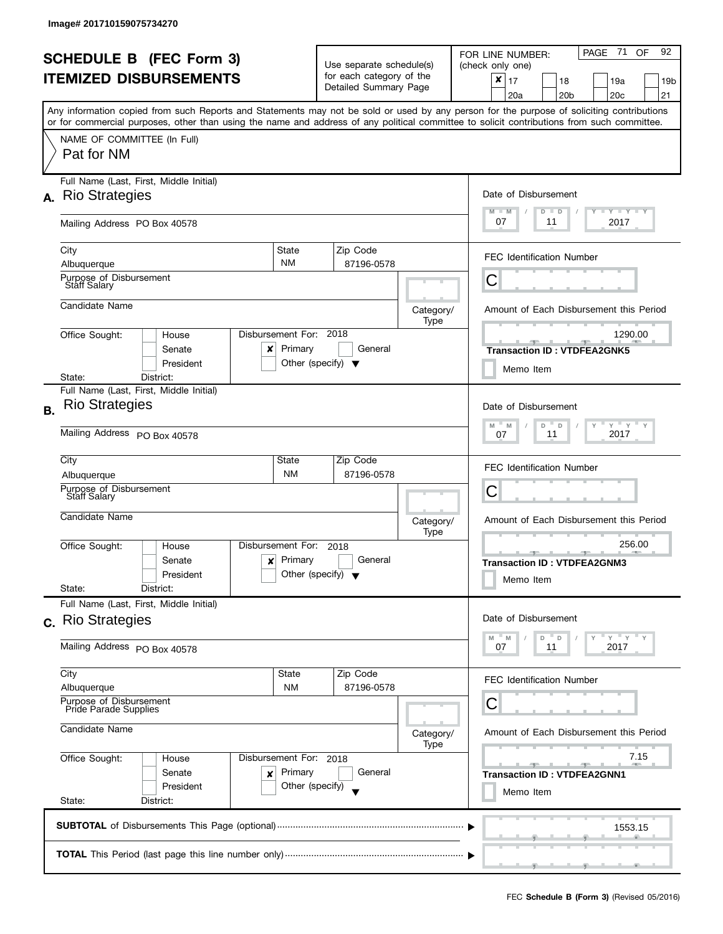|                                                                    |                                                                                                                                            |                                                                                      |                                                                               |                        |                   | PAGE 71<br>92<br><b>OF</b>                                                                                                                |
|--------------------------------------------------------------------|--------------------------------------------------------------------------------------------------------------------------------------------|--------------------------------------------------------------------------------------|-------------------------------------------------------------------------------|------------------------|-------------------|-------------------------------------------------------------------------------------------------------------------------------------------|
| <b>SCHEDULE B</b> (FEC Form 3)                                     |                                                                                                                                            |                                                                                      | Use separate schedule(s)<br>for each category of the<br>Detailed Summary Page |                        |                   | FOR LINE NUMBER:<br>(check only one)                                                                                                      |
|                                                                    | <b>ITEMIZED DISBURSEMENTS</b>                                                                                                              |                                                                                      |                                                                               |                        |                   | $\mathbf{x}$   17<br>18<br>19a<br>19b<br>20 <sub>c</sub><br>21<br>20a<br>20 <sub>b</sub>                                                  |
|                                                                    | or for commercial purposes, other than using the name and address of any political committee to solicit contributions from such committee. |                                                                                      |                                                                               |                        |                   | Any information copied from such Reports and Statements may not be sold or used by any person for the purpose of soliciting contributions |
|                                                                    | NAME OF COMMITTEE (In Full)<br>Pat for NM                                                                                                  |                                                                                      |                                                                               |                        |                   |                                                                                                                                           |
|                                                                    | Full Name (Last, First, Middle Initial)<br>A. Rio Strategies                                                                               |                                                                                      |                                                                               |                        |                   | Date of Disbursement                                                                                                                      |
|                                                                    | Mailing Address PO Box 40578                                                                                                               |                                                                                      |                                                                               |                        |                   | $T - Y$ $T - Y$<br>$M - M$<br>$D$ $D$<br>07<br>2017<br>11                                                                                 |
|                                                                    | City<br>Albuquerque                                                                                                                        | State<br><b>NM</b>                                                                   |                                                                               | Zip Code<br>87196-0578 |                   | <b>FEC Identification Number</b>                                                                                                          |
|                                                                    | Purpose of Disbursement<br><b>Staff Salary</b>                                                                                             |                                                                                      |                                                                               |                        |                   | С                                                                                                                                         |
|                                                                    | Candidate Name                                                                                                                             |                                                                                      |                                                                               |                        | Category/<br>Type | Amount of Each Disbursement this Period                                                                                                   |
|                                                                    | Office Sought:<br>House<br>Senate<br>x<br>President                                                                                        | Disbursement For: 2018<br>Primary<br>Other (specify) $\blacktriangledown$            |                                                                               | General                |                   | 1290.00<br><b>Transaction ID: VTDFEA2GNK5</b><br>Memo Item                                                                                |
|                                                                    | District:<br>State:                                                                                                                        |                                                                                      |                                                                               |                        |                   |                                                                                                                                           |
| <b>B.</b>                                                          | Full Name (Last, First, Middle Initial)<br><b>Rio Strategies</b>                                                                           |                                                                                      |                                                                               |                        |                   | Date of Disbursement<br>$Y + Y + Y$<br>M<br>M<br>D<br>D                                                                                   |
|                                                                    | Mailing Address PO Box 40578                                                                                                               | 2017<br>11<br>07                                                                     |                                                                               |                        |                   |                                                                                                                                           |
|                                                                    | City                                                                                                                                       | State<br><b>NM</b>                                                                   |                                                                               | Zip Code<br>87196-0578 |                   | <b>FEC Identification Number</b>                                                                                                          |
|                                                                    | Albuquerque<br>Purpose of Disbursement<br><b>Staff Salary</b>                                                                              | С                                                                                    |                                                                               |                        |                   |                                                                                                                                           |
|                                                                    | Candidate Name                                                                                                                             |                                                                                      | Category/<br>Type                                                             |                        |                   | Amount of Each Disbursement this Period                                                                                                   |
|                                                                    | Office Sought:<br>House<br>Senate<br>President<br>State:<br>District:                                                                      | Disbursement For:<br>Primary<br>$\mathsf{x}$<br>Other (specify) $\blacktriangledown$ | 2018                                                                          | General                |                   | 256.00<br><b>AND A</b><br><b>Transaction ID: VTDFEA2GNM3</b><br>Memo Item                                                                 |
|                                                                    | Full Name (Last, First, Middle Initial)<br>c. Rio Strategies                                                                               |                                                                                      |                                                                               |                        |                   | Date of Disbursement                                                                                                                      |
|                                                                    | Mailing Address PO Box 40578                                                                                                               |                                                                                      |                                                                               |                        |                   | $Y = Y$<br>D<br>D<br>M<br>M<br>2017<br>07<br>11                                                                                           |
|                                                                    | City<br>Albuquerque                                                                                                                        | State<br><b>NM</b>                                                                   |                                                                               | Zip Code<br>87196-0578 |                   | <b>FEC Identification Number</b>                                                                                                          |
| Purpose of Disbursement<br>Pride Parade Supplies<br>Candidate Name |                                                                                                                                            |                                                                                      |                                                                               |                        |                   | С                                                                                                                                         |
|                                                                    |                                                                                                                                            |                                                                                      |                                                                               |                        | Category/<br>Type | Amount of Each Disbursement this Period                                                                                                   |
|                                                                    | Office Sought:<br>House<br>Senate<br>×<br>President                                                                                        | Disbursement For: 2018<br>Primary<br>Other (specify)                                 |                                                                               | General                |                   | 7.15<br><u> 2005 - Jan Jan Jan</u><br><b>AND A</b><br><b>Transaction ID: VTDFEA2GNN1</b><br>Memo Item                                     |
|                                                                    | State:<br>District:                                                                                                                        |                                                                                      |                                                                               |                        |                   |                                                                                                                                           |
|                                                                    |                                                                                                                                            |                                                                                      |                                                                               |                        |                   | 1553.15                                                                                                                                   |
|                                                                    |                                                                                                                                            |                                                                                      |                                                                               |                        |                   |                                                                                                                                           |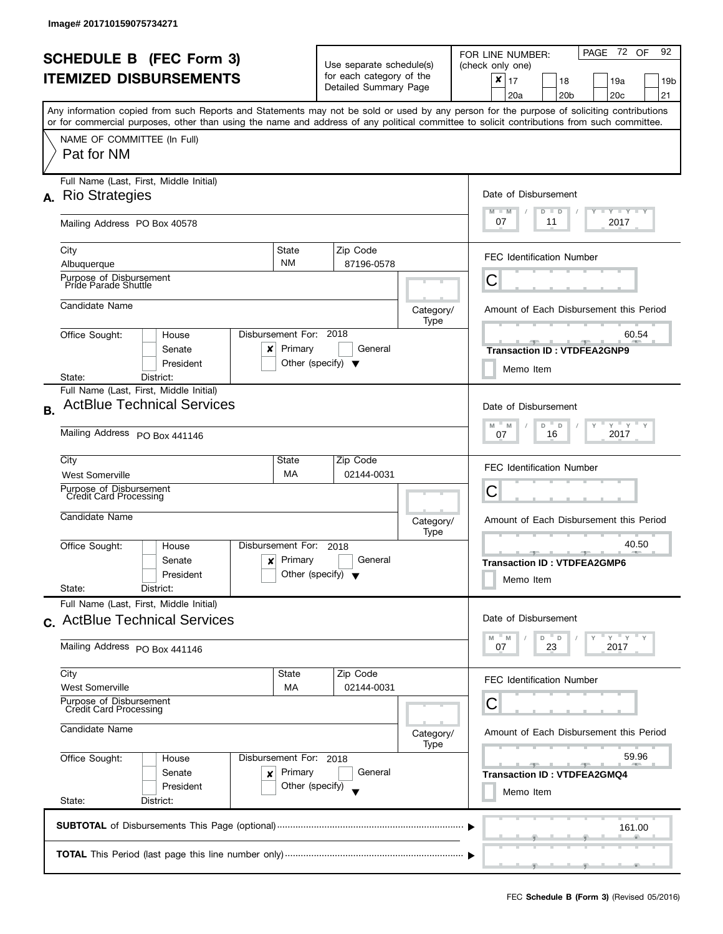l

|                                                                 |                                                                                                                                            |                                                          |                                                         |         |           | PAGE 72 OF<br>92<br>FOR LINE NUMBER:                                                                                                                                                         |  |  |
|-----------------------------------------------------------------|--------------------------------------------------------------------------------------------------------------------------------------------|----------------------------------------------------------|---------------------------------------------------------|---------|-----------|----------------------------------------------------------------------------------------------------------------------------------------------------------------------------------------------|--|--|
| <b>SCHEDULE B</b> (FEC Form 3)<br><b>ITEMIZED DISBURSEMENTS</b> |                                                                                                                                            |                                                          | Use separate schedule(s)<br>for each category of the    |         |           | (check only one)                                                                                                                                                                             |  |  |
|                                                                 |                                                                                                                                            |                                                          | Detailed Summary Page                                   |         |           | $\boldsymbol{x}$<br>l 17<br>18<br>19a<br>19b                                                                                                                                                 |  |  |
|                                                                 |                                                                                                                                            |                                                          |                                                         |         |           | 20 <sub>b</sub><br>20 <sub>c</sub><br>21<br>20a<br>Any information copied from such Reports and Statements may not be sold or used by any person for the purpose of soliciting contributions |  |  |
|                                                                 | or for commercial purposes, other than using the name and address of any political committee to solicit contributions from such committee. |                                                          |                                                         |         |           |                                                                                                                                                                                              |  |  |
|                                                                 | NAME OF COMMITTEE (In Full)                                                                                                                |                                                          |                                                         |         |           |                                                                                                                                                                                              |  |  |
|                                                                 | Pat for NM                                                                                                                                 |                                                          |                                                         |         |           |                                                                                                                                                                                              |  |  |
|                                                                 | Full Name (Last, First, Middle Initial)                                                                                                    |                                                          |                                                         |         |           |                                                                                                                                                                                              |  |  |
|                                                                 | A. Rio Strategies                                                                                                                          |                                                          |                                                         |         |           | Date of Disbursement                                                                                                                                                                         |  |  |
|                                                                 | Mailing Address PO Box 40578                                                                                                               |                                                          |                                                         |         |           | $\begin{array}{c c c c c} \hline \textbf{I} & \textbf{Y} & \textbf{I} & \textbf{Y} & \textbf{I} & \textbf{Y} \\\hline \end{array}$<br>M<br>$-M$<br>$D$ $D$<br>07<br>2017<br>11               |  |  |
|                                                                 | City                                                                                                                                       | State                                                    | Zip Code                                                |         |           | <b>FEC Identification Number</b>                                                                                                                                                             |  |  |
|                                                                 | Albuquerque                                                                                                                                | <b>NM</b>                                                | 87196-0578                                              |         |           |                                                                                                                                                                                              |  |  |
|                                                                 | Purpose of Disbursement<br>Pride Parade Shuttle                                                                                            |                                                          |                                                         |         |           | С                                                                                                                                                                                            |  |  |
|                                                                 | Candidate Name                                                                                                                             |                                                          |                                                         |         | Category/ | Amount of Each Disbursement this Period                                                                                                                                                      |  |  |
|                                                                 | Office Sought:<br>House                                                                                                                    | Disbursement For: 2018                                   |                                                         |         | Type      | 60.54                                                                                                                                                                                        |  |  |
|                                                                 | Senate<br>x                                                                                                                                | Primary                                                  |                                                         | General |           | 一<br>- 7 -<br><b>Transaction ID: VTDFEA2GNP9</b>                                                                                                                                             |  |  |
|                                                                 | President                                                                                                                                  |                                                          | Other (specify) $\blacktriangledown$                    |         |           | Memo Item                                                                                                                                                                                    |  |  |
|                                                                 | State:<br>District:<br>Full Name (Last, First, Middle Initial)                                                                             |                                                          |                                                         |         |           |                                                                                                                                                                                              |  |  |
|                                                                 | <b>ActBlue Technical Services</b>                                                                                                          |                                                          |                                                         |         |           | Date of Disbursement                                                                                                                                                                         |  |  |
| <b>B.</b>                                                       |                                                                                                                                            |                                                          |                                                         |         |           |                                                                                                                                                                                              |  |  |
|                                                                 | Mailing Address PO Box 441146                                                                                                              | $Y$ $Y$ $Y$<br>M<br>D<br>Y<br>M<br>D<br>2017<br>16<br>07 |                                                         |         |           |                                                                                                                                                                                              |  |  |
|                                                                 | City                                                                                                                                       | State                                                    | Zip Code                                                |         |           | <b>FEC Identification Number</b>                                                                                                                                                             |  |  |
|                                                                 | MA<br>02144-0031<br><b>West Somerville</b>                                                                                                 |                                                          |                                                         |         |           |                                                                                                                                                                                              |  |  |
|                                                                 | Purpose of Disbursement<br>Credit Card Processing                                                                                          |                                                          |                                                         |         |           | С                                                                                                                                                                                            |  |  |
|                                                                 | Candidate Name                                                                                                                             |                                                          | Category/                                               |         |           | Amount of Each Disbursement this Period                                                                                                                                                      |  |  |
|                                                                 |                                                                                                                                            |                                                          |                                                         |         | Type      |                                                                                                                                                                                              |  |  |
|                                                                 | Office Sought:<br>House                                                                                                                    | Disbursement For:                                        | 2018<br>General<br>Other (specify) $\blacktriangledown$ |         |           | 40.50<br><b>ARCHITECT</b><br>$-1$                                                                                                                                                            |  |  |
|                                                                 | Senate<br>$\boldsymbol{\mathsf{x}}$<br>President                                                                                           | Primary                                                  |                                                         |         |           | <b>Transaction ID: VTDFEA2GMP6</b>                                                                                                                                                           |  |  |
|                                                                 | State:<br>District:                                                                                                                        |                                                          |                                                         |         |           | Memo Item                                                                                                                                                                                    |  |  |
|                                                                 | Full Name (Last, First, Middle Initial)                                                                                                    |                                                          |                                                         |         |           |                                                                                                                                                                                              |  |  |
|                                                                 | c. ActBlue Technical Services                                                                                                              |                                                          |                                                         |         |           | Date of Disbursement                                                                                                                                                                         |  |  |
|                                                                 | Mailing Address PO Box 441146                                                                                                              |                                                          |                                                         |         |           | $Y = Y + Y$<br>D<br>D<br>M<br>M<br>23<br>2017<br>07                                                                                                                                          |  |  |
|                                                                 |                                                                                                                                            |                                                          |                                                         |         |           |                                                                                                                                                                                              |  |  |
|                                                                 | City<br><b>West Somerville</b>                                                                                                             | State<br>МA                                              | Zip Code<br>02144-0031                                  |         |           | <b>FEC Identification Number</b>                                                                                                                                                             |  |  |
|                                                                 | Purpose of Disbursement<br>Credit Card Processing                                                                                          |                                                          |                                                         |         |           | С                                                                                                                                                                                            |  |  |
|                                                                 |                                                                                                                                            |                                                          |                                                         |         |           |                                                                                                                                                                                              |  |  |
|                                                                 | Candidate Name                                                                                                                             |                                                          |                                                         |         | Category/ | Amount of Each Disbursement this Period                                                                                                                                                      |  |  |
|                                                                 | Office Sought:<br>House                                                                                                                    | Disbursement For: 2018                                   |                                                         |         | Type      | 59.96                                                                                                                                                                                        |  |  |
|                                                                 | Primary<br>Senate<br>x                                                                                                                     |                                                          |                                                         | General |           | <b>Transaction ID: VTDFEA2GMQ4</b>                                                                                                                                                           |  |  |
| Other (specify)<br>President                                    |                                                                                                                                            |                                                          |                                                         |         | Memo Item |                                                                                                                                                                                              |  |  |
|                                                                 | State:<br>District:                                                                                                                        |                                                          |                                                         |         |           |                                                                                                                                                                                              |  |  |
|                                                                 |                                                                                                                                            |                                                          |                                                         |         |           | 161.00                                                                                                                                                                                       |  |  |
|                                                                 |                                                                                                                                            |                                                          |                                                         |         |           |                                                                                                                                                                                              |  |  |
|                                                                 |                                                                                                                                            |                                                          |                                                         |         |           |                                                                                                                                                                                              |  |  |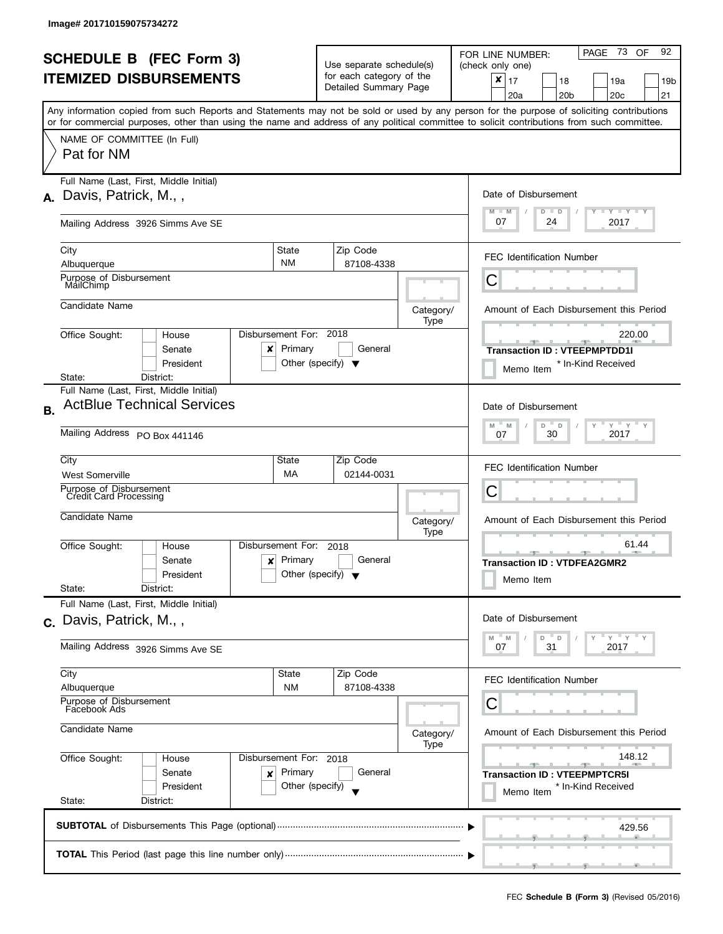|    | <b>SCHEDULE B</b> (FEC Form 3)<br><b>ITEMIZED DISBURSEMENTS</b><br>Any information copied from such Reports and Statements may not be sold or used by any person for the purpose of soliciting contributions<br>or for commercial purposes, other than using the name and address of any political committee to solicit contributions from such committee. |                                                      | Use separate schedule(s)<br>for each category of the<br>Detailed Summary Page |                   | PAGE 73 OF<br>92<br>FOR LINE NUMBER:<br>(check only one)<br>$\boldsymbol{x}$<br>17<br>18<br>19a<br>19 <sub>b</sub><br>20a<br>20 <sub>b</sub><br>20c<br>21 |
|----|------------------------------------------------------------------------------------------------------------------------------------------------------------------------------------------------------------------------------------------------------------------------------------------------------------------------------------------------------------|------------------------------------------------------|-------------------------------------------------------------------------------|-------------------|-----------------------------------------------------------------------------------------------------------------------------------------------------------|
|    | NAME OF COMMITTEE (In Full)<br>Pat for NM                                                                                                                                                                                                                                                                                                                  |                                                      |                                                                               |                   |                                                                                                                                                           |
| А. | Full Name (Last, First, Middle Initial)<br>Davis, Patrick, M.,,                                                                                                                                                                                                                                                                                            |                                                      |                                                                               |                   | Date of Disbursement<br>Y TY TY TY<br>$M - M$<br>$D$ $D$                                                                                                  |
|    | Mailing Address 3926 Simms Ave SE                                                                                                                                                                                                                                                                                                                          |                                                      |                                                                               |                   | 07<br>2017<br>24                                                                                                                                          |
|    | City<br>Albuquerque                                                                                                                                                                                                                                                                                                                                        | State<br><b>NM</b>                                   | Zip Code<br>87108-4338                                                        |                   | <b>FEC Identification Number</b>                                                                                                                          |
|    | Purpose of Disbursement<br>MailChimp                                                                                                                                                                                                                                                                                                                       |                                                      |                                                                               |                   | С                                                                                                                                                         |
|    | Candidate Name                                                                                                                                                                                                                                                                                                                                             |                                                      |                                                                               | Category/<br>Type | Amount of Each Disbursement this Period                                                                                                                   |
|    | Office Sought:<br>House<br>Senate<br>x<br>President<br>District:<br>State:                                                                                                                                                                                                                                                                                 | Disbursement For: 2018<br>Primary                    | General<br>Other (specify) $\blacktriangledown$                               |                   | 220.00<br><b>Transaction ID: VTEEPMPTDD1I</b><br>* In-Kind Received<br>Memo Item                                                                          |
| В. | Full Name (Last, First, Middle Initial)<br><b>ActBlue Technical Services</b><br>Mailing Address PO Box 441146                                                                                                                                                                                                                                              |                                                      |                                                                               |                   | Date of Disbursement<br>$Y$ $Y$ $Y$<br>M<br>D<br>$\mathsf D$<br>M<br>2017<br>30<br>07                                                                     |
|    | City<br><b>West Somerville</b><br>Purpose of Disbursement<br><b>Credit Card Processing</b>                                                                                                                                                                                                                                                                 | State<br>МA                                          | Zip Code<br>02144-0031                                                        |                   | <b>FEC Identification Number</b><br>Ü                                                                                                                     |
|    | Candidate Name                                                                                                                                                                                                                                                                                                                                             |                                                      |                                                                               | Category/<br>Type | Amount of Each Disbursement this Period                                                                                                                   |
|    | Office Sought:<br>House<br>Senate<br>$\boldsymbol{x}$<br>President<br>State:<br>District:                                                                                                                                                                                                                                                                  | Disbursement For:<br>Primary                         | 2018<br>General<br>Other (specify) $\blacktriangledown$                       |                   | 61.44<br><b>ARCHITECT</b><br>$-1$<br><b>Transaction ID: VTDFEA2GMR2</b><br>Memo Item                                                                      |
|    | Full Name (Last, First, Middle Initial)<br>c. Davis, Patrick, M.,,                                                                                                                                                                                                                                                                                         |                                                      |                                                                               |                   | Date of Disbursement                                                                                                                                      |
|    | Mailing Address 3926 Simms Ave SE                                                                                                                                                                                                                                                                                                                          |                                                      |                                                                               |                   | " γ " γ " γ<br>M<br>D<br>D<br>M<br>31<br>2017<br>07                                                                                                       |
|    | City<br>Albuquerque                                                                                                                                                                                                                                                                                                                                        | State<br><b>NM</b>                                   | Zip Code<br>87108-4338                                                        |                   | <b>FEC Identification Number</b>                                                                                                                          |
|    | Purpose of Disbursement<br>Facebook Ads<br>Candidate Name                                                                                                                                                                                                                                                                                                  |                                                      |                                                                               | Category/<br>Type | С<br>Amount of Each Disbursement this Period                                                                                                              |
|    | Office Sought:<br>House<br>Senate<br>×<br>President<br>State:<br>District:                                                                                                                                                                                                                                                                                 | Disbursement For: 2018<br>Primary<br>Other (specify) | General                                                                       |                   | 148.12<br><b>Transaction ID: VTEEPMPTCR5I</b><br>* In-Kind Received<br>Memo Item                                                                          |
|    |                                                                                                                                                                                                                                                                                                                                                            |                                                      |                                                                               |                   | 429.56                                                                                                                                                    |
|    |                                                                                                                                                                                                                                                                                                                                                            |                                                      |                                                                               |                   |                                                                                                                                                           |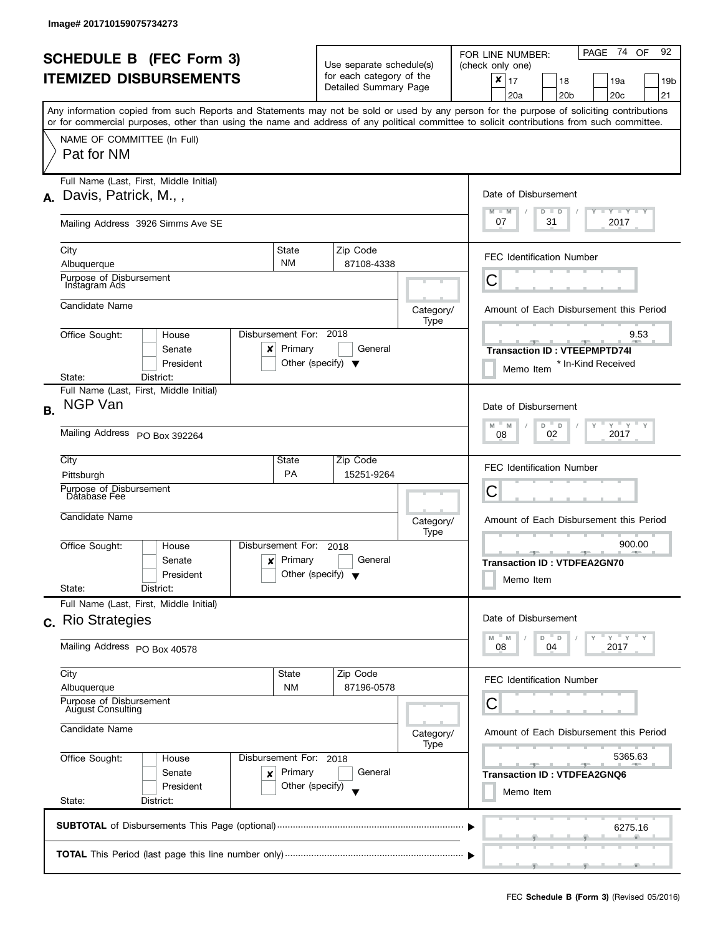|           | <b>SCHEDULE B (FEC Form 3)</b><br><b>ITEMIZED DISBURSEMENTS</b><br>Any information copied from such Reports and Statements may not be sold or used by any person for the purpose of soliciting contributions<br>or for commercial purposes, other than using the name and address of any political committee to solicit contributions from such committee. |                                                                  | Use separate schedule(s)<br>for each category of the<br>Detailed Summary Page |                   | PAGE 74 OF<br>92<br>FOR LINE NUMBER:<br>(check only one)<br>$\times$<br>17<br>18<br>19a<br>19 <sub>b</sub><br>20a<br>20 <sub>b</sub><br>20 <sub>c</sub><br>21 |
|-----------|------------------------------------------------------------------------------------------------------------------------------------------------------------------------------------------------------------------------------------------------------------------------------------------------------------------------------------------------------------|------------------------------------------------------------------|-------------------------------------------------------------------------------|-------------------|---------------------------------------------------------------------------------------------------------------------------------------------------------------|
|           | NAME OF COMMITTEE (In Full)<br>Pat for NM                                                                                                                                                                                                                                                                                                                  |                                                                  |                                                                               |                   |                                                                                                                                                               |
| А.        | Full Name (Last, First, Middle Initial)<br>Davis, Patrick, M.,,                                                                                                                                                                                                                                                                                            |                                                                  |                                                                               |                   | Date of Disbursement<br>$Y - Y - Y - Y - Y$<br>$M - M$<br>$D$ $D$                                                                                             |
|           | Mailing Address 3926 Simms Ave SE                                                                                                                                                                                                                                                                                                                          |                                                                  |                                                                               |                   | 07<br>31<br>2017                                                                                                                                              |
|           | City<br>Albuquerque                                                                                                                                                                                                                                                                                                                                        | <b>State</b><br><b>NM</b>                                        | Zip Code<br>87108-4338                                                        |                   | <b>FEC Identification Number</b>                                                                                                                              |
|           | Purpose of Disbursement<br>Instagram Ads                                                                                                                                                                                                                                                                                                                   |                                                                  |                                                                               |                   | С                                                                                                                                                             |
|           | Candidate Name                                                                                                                                                                                                                                                                                                                                             |                                                                  |                                                                               | Category/<br>Type | Amount of Each Disbursement this Period                                                                                                                       |
|           | Office Sought:<br>House<br>Senate<br>x<br>President                                                                                                                                                                                                                                                                                                        | Disbursement For: 2018<br>Primary                                | General<br>Other (specify) $\blacktriangledown$                               |                   | 9.53<br><b>Transaction ID: VTEEPMPTD74I</b><br>* In-Kind Received<br>Memo Item                                                                                |
| <b>B.</b> | District:<br>State:<br>Full Name (Last, First, Middle Initial)<br>NGP Van                                                                                                                                                                                                                                                                                  |                                                                  |                                                                               |                   | Date of Disbursement                                                                                                                                          |
|           | Mailing Address PO Box 392264                                                                                                                                                                                                                                                                                                                              | $Y$ $Y$ $Y$<br>M<br>$-M$<br>D<br>$\mathsf D$<br>2017<br>02<br>08 |                                                                               |                   |                                                                                                                                                               |
|           | City<br>Pittsburgh                                                                                                                                                                                                                                                                                                                                         | State<br><b>PA</b>                                               | Zip Code<br>15251-9264                                                        |                   | <b>FEC Identification Number</b>                                                                                                                              |
|           | Purpose of Disbursement<br>Database Fee<br>Candidate Name                                                                                                                                                                                                                                                                                                  |                                                                  |                                                                               | Category/<br>Type | Ĉ<br>Amount of Each Disbursement this Period                                                                                                                  |
|           | Office Sought:<br>House<br>Senate<br>President<br>State:<br>District:                                                                                                                                                                                                                                                                                      | Disbursement For:<br>$x$ Primary                                 | 2018<br>General<br>Other (specify) $\blacktriangledown$                       |                   | 900.00<br><b>ARCHITECT</b><br>$-1$<br><b>Transaction ID: VTDFEA2GN70</b><br>Memo Item                                                                         |
|           | Full Name (Last, First, Middle Initial)<br>c. Rio Strategies                                                                                                                                                                                                                                                                                               |                                                                  |                                                                               |                   | Date of Disbursement<br>" γ " γ " γ                                                                                                                           |
|           | Mailing Address PO Box 40578                                                                                                                                                                                                                                                                                                                               |                                                                  |                                                                               |                   | M<br>M<br>D<br>D<br>08<br>04<br>2017                                                                                                                          |
|           | City<br>Albuquerque                                                                                                                                                                                                                                                                                                                                        | State<br><b>NM</b>                                               | Zip Code<br>87196-0578                                                        |                   | <b>FEC Identification Number</b>                                                                                                                              |
|           | Purpose of Disbursement<br>August Consulting<br>Candidate Name                                                                                                                                                                                                                                                                                             |                                                                  |                                                                               | Category/         | С<br>Amount of Each Disbursement this Period                                                                                                                  |
|           | Office Sought:<br>House<br>Senate<br>×<br>President<br>State:<br>District:                                                                                                                                                                                                                                                                                 | Disbursement For: 2018<br>Primary<br>Other (specify)             | General                                                                       | Type              | 5365.63<br><b>Transaction ID: VTDFEA2GNQ6</b><br>Memo Item                                                                                                    |
|           |                                                                                                                                                                                                                                                                                                                                                            |                                                                  |                                                                               |                   | 6275.16                                                                                                                                                       |
|           |                                                                                                                                                                                                                                                                                                                                                            |                                                                  |                                                                               |                   |                                                                                                                                                               |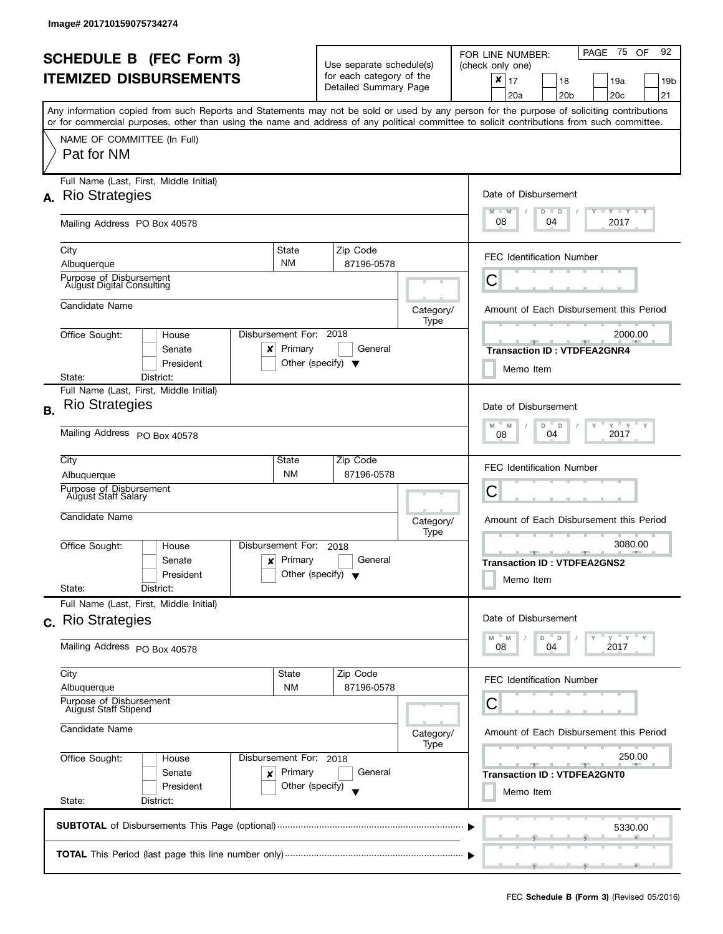l

|                                                        | <b>SCHEDULE B (FEC Form 3)</b>                                                                                                             |                                                                        |                                                                   |            |                   | PAGE 75 OF<br>92<br>FOR LINE NUMBER:                                                                                                      |
|--------------------------------------------------------|--------------------------------------------------------------------------------------------------------------------------------------------|------------------------------------------------------------------------|-------------------------------------------------------------------|------------|-------------------|-------------------------------------------------------------------------------------------------------------------------------------------|
| <b>ITEMIZED DISBURSEMENTS</b>                          |                                                                                                                                            |                                                                        | Use separate schedule(s)<br>for each category of the              |            |                   | (check only one)                                                                                                                          |
|                                                        |                                                                                                                                            |                                                                        | Detailed Summary Page                                             |            |                   | $x \mid 17$<br>18<br>19a<br>19b<br>20 <sub>b</sub><br>20 <sub>c</sub><br>21<br>20a                                                        |
|                                                        |                                                                                                                                            |                                                                        |                                                                   |            |                   | Any information copied from such Reports and Statements may not be sold or used by any person for the purpose of soliciting contributions |
|                                                        | or for commercial purposes, other than using the name and address of any political committee to solicit contributions from such committee. |                                                                        |                                                                   |            |                   |                                                                                                                                           |
|                                                        | NAME OF COMMITTEE (In Full)<br>Pat for NM                                                                                                  |                                                                        |                                                                   |            |                   |                                                                                                                                           |
| А.                                                     | Full Name (Last, First, Middle Initial)<br><b>Rio Strategies</b>                                                                           |                                                                        |                                                                   |            |                   | Date of Disbursement                                                                                                                      |
|                                                        | Mailing Address PO Box 40578                                                                                                               |                                                                        |                                                                   |            |                   | $T - Y$ $T - Y$<br>$M - M$<br>$D$ $D$<br>08<br>04<br>2017                                                                                 |
|                                                        | City<br>Albuquerque                                                                                                                        | State<br><b>NM</b>                                                     | Zip Code                                                          | 87196-0578 |                   | <b>FEC Identification Number</b>                                                                                                          |
|                                                        | Purpose of Disbursement<br><b>August Digital Consulting</b>                                                                                |                                                                        |                                                                   |            |                   | С                                                                                                                                         |
|                                                        | Candidate Name                                                                                                                             |                                                                        |                                                                   |            | Category/<br>Type | Amount of Each Disbursement this Period                                                                                                   |
|                                                        | Office Sought:<br>House<br>Senate<br>x<br>President                                                                                        | Disbursement For: 2018<br>Primary                                      | Other (specify) $\blacktriangledown$                              | General    |                   | 2000.00<br><b>Transaction ID: VTDFEA2GNR4</b><br>Memo Item                                                                                |
|                                                        | District:<br>State:                                                                                                                        |                                                                        |                                                                   |            |                   |                                                                                                                                           |
| <b>B.</b>                                              | Full Name (Last, First, Middle Initial)<br><b>Rio Strategies</b>                                                                           |                                                                        |                                                                   |            |                   | Date of Disbursement                                                                                                                      |
|                                                        | Mailing Address PO Box 40578                                                                                                               | $Y$ $Y$ $Y$ $Y$<br>M<br>D<br>$\mathsf D$<br>Y<br>M<br>2017<br>04<br>08 |                                                                   |            |                   |                                                                                                                                           |
|                                                        | City                                                                                                                                       | State<br><b>NM</b>                                                     | Zip Code                                                          | 87196-0578 |                   | <b>FEC Identification Number</b>                                                                                                          |
|                                                        | Albuquerque<br>Purpose of Disbursement                                                                                                     |                                                                        | С                                                                 |            |                   |                                                                                                                                           |
|                                                        | August Staff Salary                                                                                                                        |                                                                        | Category/<br>Type<br>2018<br>General<br>Other (specify) $\sqrt{}$ |            |                   |                                                                                                                                           |
|                                                        | Candidate Name                                                                                                                             |                                                                        |                                                                   |            |                   | Amount of Each Disbursement this Period                                                                                                   |
|                                                        | Office Sought:<br>House                                                                                                                    | Disbursement For:                                                      |                                                                   |            |                   | 3080.00                                                                                                                                   |
|                                                        | Senate<br>$\boldsymbol{x}$<br>President                                                                                                    | Primary                                                                |                                                                   |            |                   | <b>Transaction ID: VTDFEA2GNS2</b><br>Memo Item                                                                                           |
|                                                        | State:<br>District:<br>Full Name (Last, First, Middle Initial)                                                                             |                                                                        |                                                                   |            |                   |                                                                                                                                           |
|                                                        | c. Rio Strategies                                                                                                                          |                                                                        |                                                                   |            |                   | Date of Disbursement                                                                                                                      |
|                                                        | Mailing Address PO Box 40578                                                                                                               |                                                                        |                                                                   |            |                   | $Y = Y = Y$<br>D<br>D<br>M<br>M<br>2017<br>04<br>08                                                                                       |
|                                                        | City<br>Albuquerque                                                                                                                        | State<br><b>NM</b>                                                     | Zip Code                                                          | 87196-0578 |                   | <b>FEC Identification Number</b>                                                                                                          |
|                                                        | Purpose of Disbursement<br>August Staff Stipend<br>Candidate Name<br>Office Sought:<br>Disbursement For: 2018<br>House                     |                                                                        |                                                                   |            |                   | С                                                                                                                                         |
|                                                        |                                                                                                                                            |                                                                        |                                                                   |            | Category/<br>Type | Amount of Each Disbursement this Period                                                                                                   |
|                                                        |                                                                                                                                            |                                                                        |                                                                   |            |                   | 250.00                                                                                                                                    |
| Primary<br>Senate<br>×<br>Other (specify)<br>President |                                                                                                                                            |                                                                        |                                                                   | General    |                   | <b>Transaction ID: VTDFEA2GNT0</b>                                                                                                        |
|                                                        | State:<br>District:                                                                                                                        |                                                                        |                                                                   |            |                   | Memo Item                                                                                                                                 |
|                                                        |                                                                                                                                            |                                                                        |                                                                   |            |                   | 5330.00                                                                                                                                   |
|                                                        |                                                                                                                                            |                                                                        |                                                                   |            |                   |                                                                                                                                           |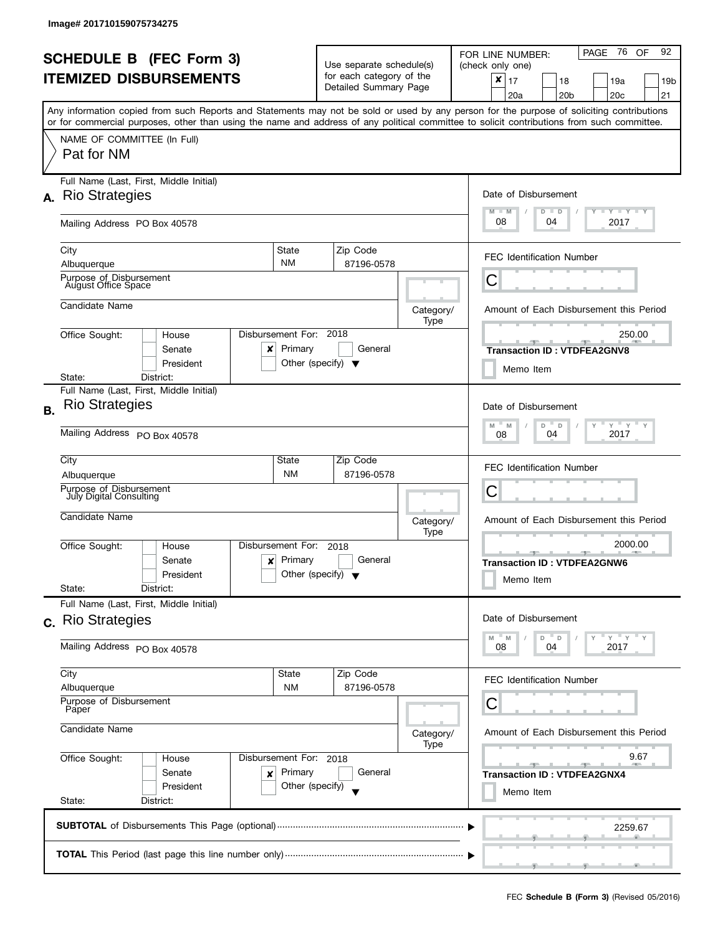|           |                                                                                                                                                                                                                                                                                         |                                                         |                                                   |                                         | PAGE 76<br>92<br>OF<br>FOR LINE NUMBER:                       |  |  |
|-----------|-----------------------------------------------------------------------------------------------------------------------------------------------------------------------------------------------------------------------------------------------------------------------------------------|---------------------------------------------------------|---------------------------------------------------|-----------------------------------------|---------------------------------------------------------------|--|--|
|           | <b>SCHEDULE B (FEC Form 3)</b>                                                                                                                                                                                                                                                          |                                                         | Use separate schedule(s)                          |                                         | (check only one)                                              |  |  |
|           | <b>ITEMIZED DISBURSEMENTS</b>                                                                                                                                                                                                                                                           |                                                         | for each category of the<br>Detailed Summary Page |                                         | $\pmb{\times}$<br>17<br>18<br>19a<br>19b                      |  |  |
|           |                                                                                                                                                                                                                                                                                         |                                                         |                                                   |                                         | 20 <sub>c</sub><br>20a<br>20 <sub>b</sub><br>21               |  |  |
|           | Any information copied from such Reports and Statements may not be sold or used by any person for the purpose of soliciting contributions<br>or for commercial purposes, other than using the name and address of any political committee to solicit contributions from such committee. |                                                         |                                                   |                                         |                                                               |  |  |
|           | NAME OF COMMITTEE (In Full)                                                                                                                                                                                                                                                             |                                                         |                                                   |                                         |                                                               |  |  |
|           | Pat for NM                                                                                                                                                                                                                                                                              |                                                         |                                                   |                                         |                                                               |  |  |
|           | Full Name (Last, First, Middle Initial)                                                                                                                                                                                                                                                 |                                                         |                                                   |                                         |                                                               |  |  |
| А.        | <b>Rio Strategies</b>                                                                                                                                                                                                                                                                   |                                                         |                                                   |                                         | Date of Disbursement<br>$T - Y = Y + Y$<br>$M - M$<br>$D$ $D$ |  |  |
|           | Mailing Address PO Box 40578                                                                                                                                                                                                                                                            |                                                         |                                                   |                                         | 08<br>04<br>2017                                              |  |  |
|           | City<br>Albuquerque                                                                                                                                                                                                                                                                     | State<br><b>NM</b>                                      | Zip Code<br>87196-0578                            |                                         | <b>FEC Identification Number</b>                              |  |  |
|           | Purpose of Disbursement                                                                                                                                                                                                                                                                 |                                                         |                                                   |                                         |                                                               |  |  |
|           | <b>August Office Space</b>                                                                                                                                                                                                                                                              |                                                         |                                                   |                                         | С                                                             |  |  |
|           | Candidate Name                                                                                                                                                                                                                                                                          |                                                         |                                                   | Category/<br>Type                       | Amount of Each Disbursement this Period                       |  |  |
|           | Office Sought:<br>House                                                                                                                                                                                                                                                                 | Disbursement For: 2018                                  |                                                   |                                         | 250.00                                                        |  |  |
|           | Senate<br>x                                                                                                                                                                                                                                                                             | Primary                                                 | General                                           |                                         | <b>Transaction ID: VTDFEA2GNV8</b>                            |  |  |
|           | President<br>State:<br>District:                                                                                                                                                                                                                                                        |                                                         | Other (specify) $\blacktriangledown$              |                                         | Memo Item                                                     |  |  |
|           | Full Name (Last, First, Middle Initial)                                                                                                                                                                                                                                                 |                                                         |                                                   |                                         |                                                               |  |  |
| <b>B.</b> | <b>Rio Strategies</b>                                                                                                                                                                                                                                                                   |                                                         |                                                   |                                         | Date of Disbursement                                          |  |  |
|           | Mailing Address PO Box 40578                                                                                                                                                                                                                                                            | $Y$ $Y$ $Y$ $Y$<br>M<br>M<br>D<br>D<br>2017<br>04<br>08 |                                                   |                                         |                                                               |  |  |
|           | City                                                                                                                                                                                                                                                                                    | State                                                   | Zip Code                                          |                                         | <b>FEC Identification Number</b>                              |  |  |
|           | Albuquerque                                                                                                                                                                                                                                                                             | <b>NM</b>                                               | 87196-0578                                        |                                         |                                                               |  |  |
|           | Purpose of Disbursement<br>July Digital Consulting                                                                                                                                                                                                                                      |                                                         |                                                   |                                         | С                                                             |  |  |
|           | Candidate Name                                                                                                                                                                                                                                                                          |                                                         |                                                   | Category/<br>Type                       | Amount of Each Disbursement this Period                       |  |  |
|           | Office Sought:<br>House                                                                                                                                                                                                                                                                 | Disbursement For:                                       | 2018                                              |                                         | 2000.00<br><b>AND A</b>                                       |  |  |
|           | Senate<br>$\boldsymbol{\mathsf{x}}$                                                                                                                                                                                                                                                     | Primary                                                 | General                                           |                                         | <b>Transaction ID: VTDFEA2GNW6</b>                            |  |  |
|           | President<br>State:<br>District:                                                                                                                                                                                                                                                        |                                                         | Other (specify) $\blacktriangledown$              |                                         | Memo Item                                                     |  |  |
|           | Full Name (Last, First, Middle Initial)                                                                                                                                                                                                                                                 |                                                         |                                                   |                                         |                                                               |  |  |
|           | c. Rio Strategies                                                                                                                                                                                                                                                                       |                                                         |                                                   |                                         | Date of Disbursement                                          |  |  |
|           | Mailing Address PO Box 40578                                                                                                                                                                                                                                                            |                                                         |                                                   |                                         | $Y = Y$<br>D<br>D<br>M<br>M<br>2017<br>08<br>04               |  |  |
|           | City                                                                                                                                                                                                                                                                                    | State                                                   | Zip Code                                          |                                         | <b>FEC Identification Number</b>                              |  |  |
|           | Albuquerque<br>Purpose of Disbursement                                                                                                                                                                                                                                                  | <b>NM</b>                                               | 87196-0578                                        |                                         | Ü                                                             |  |  |
|           | Paper                                                                                                                                                                                                                                                                                   |                                                         |                                                   |                                         |                                                               |  |  |
|           | Candidate Name                                                                                                                                                                                                                                                                          |                                                         | Category/<br>Type                                 | Amount of Each Disbursement this Period |                                                               |  |  |
|           | Office Sought:<br>House                                                                                                                                                                                                                                                                 | Disbursement For: 2018<br>Primary                       |                                                   |                                         | 9.67<br><u>and the state</u><br><b>AND A</b>                  |  |  |
|           | Senate<br>×                                                                                                                                                                                                                                                                             | General                                                 |                                                   | <b>Transaction ID: VTDFEA2GNX4</b>      |                                                               |  |  |
|           | President                                                                                                                                                                                                                                                                               | Other (specify)                                         |                                                   |                                         | Memo Item                                                     |  |  |
|           | State:<br>District:                                                                                                                                                                                                                                                                     |                                                         |                                                   |                                         |                                                               |  |  |
|           |                                                                                                                                                                                                                                                                                         |                                                         |                                                   |                                         | 2259.67                                                       |  |  |
|           |                                                                                                                                                                                                                                                                                         |                                                         |                                                   |                                         |                                                               |  |  |
|           |                                                                                                                                                                                                                                                                                         |                                                         |                                                   |                                         |                                                               |  |  |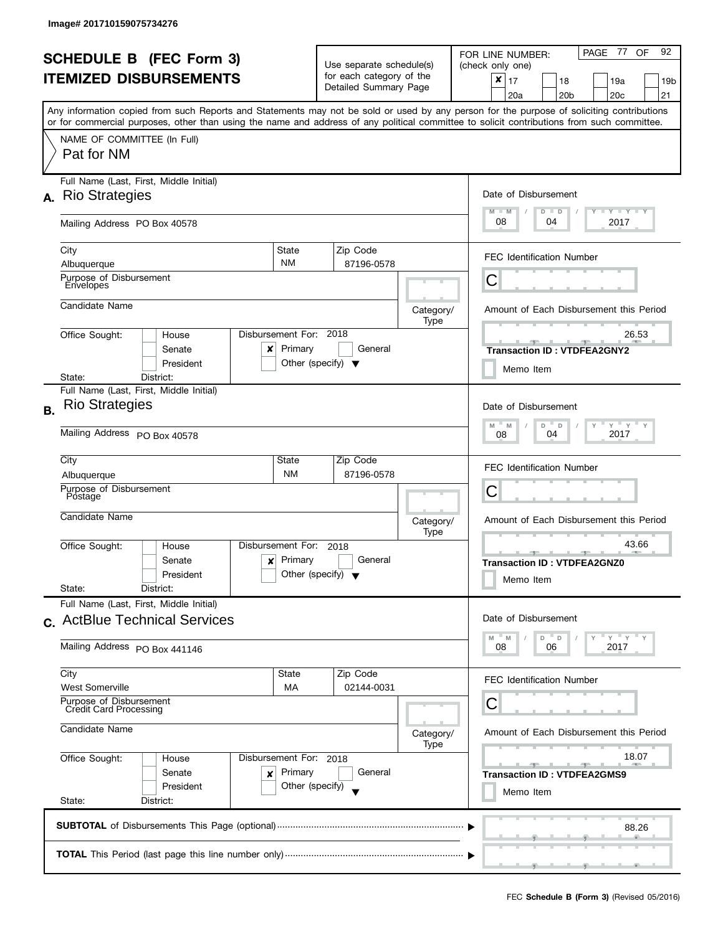J

|           | <b>SCHEDULE B (FEC Form 3)</b>                                             |                                                                                      | Use separate schedule(s) |                                                   |                   | 92<br>PAGE 77 OF<br>FOR LINE NUMBER:<br>(check only one)                                                                                                                                                                                                                                |
|-----------|----------------------------------------------------------------------------|--------------------------------------------------------------------------------------|--------------------------|---------------------------------------------------|-------------------|-----------------------------------------------------------------------------------------------------------------------------------------------------------------------------------------------------------------------------------------------------------------------------------------|
|           | <b>ITEMIZED DISBURSEMENTS</b>                                              |                                                                                      |                          | for each category of the<br>Detailed Summary Page |                   | $\pmb{\times}$<br>17<br>18<br>19a<br>19 <sub>b</sub><br>20 <sub>c</sub><br>21<br>20a<br>20 <sub>b</sub>                                                                                                                                                                                 |
|           |                                                                            |                                                                                      |                          |                                                   |                   | Any information copied from such Reports and Statements may not be sold or used by any person for the purpose of soliciting contributions<br>or for commercial purposes, other than using the name and address of any political committee to solicit contributions from such committee. |
|           | NAME OF COMMITTEE (In Full)<br>Pat for NM                                  |                                                                                      |                          |                                                   |                   |                                                                                                                                                                                                                                                                                         |
|           | Full Name (Last, First, Middle Initial)<br>A. Rio Strategies               |                                                                                      |                          |                                                   |                   | Date of Disbursement                                                                                                                                                                                                                                                                    |
|           | Mailing Address PO Box 40578                                               |                                                                                      |                          |                                                   |                   | $T$ $Y$ $T$ $Y$ $T$ $Y$<br>$M - M$<br>$D$ $D$<br>08<br>2017<br>04                                                                                                                                                                                                                       |
|           | City<br>Albuquerque                                                        | State<br><b>NM</b>                                                                   |                          | Zip Code<br>87196-0578                            |                   | <b>FEC Identification Number</b>                                                                                                                                                                                                                                                        |
|           | Purpose of Disbursement<br>Envelopes                                       |                                                                                      |                          |                                                   |                   | С                                                                                                                                                                                                                                                                                       |
|           | Candidate Name                                                             |                                                                                      |                          |                                                   | Category/<br>Type | Amount of Each Disbursement this Period                                                                                                                                                                                                                                                 |
|           | Office Sought:<br>House<br>Senate<br>President                             | Disbursement For: 2018<br>Primary<br>x<br>Other (specify) $\blacktriangledown$       |                          | General                                           |                   | 26.53<br><b>Transaction ID: VTDFEA2GNY2</b><br>Memo Item                                                                                                                                                                                                                                |
|           | District:<br>State:<br>Full Name (Last, First, Middle Initial)             |                                                                                      |                          |                                                   |                   |                                                                                                                                                                                                                                                                                         |
| <b>B.</b> | <b>Rio Strategies</b>                                                      |                                                                                      |                          |                                                   |                   | Date of Disbursement<br>$Y$ $Y$ $Y$<br>M<br>D<br>$\mathsf D$<br>M                                                                                                                                                                                                                       |
|           | Mailing Address PO Box 40578                                               | 2017<br>04<br>08                                                                     |                          |                                                   |                   |                                                                                                                                                                                                                                                                                         |
|           | City<br>Albuquerque                                                        | State<br><b>NM</b>                                                                   |                          | Zip Code<br>87196-0578                            |                   | <b>FEC Identification Number</b>                                                                                                                                                                                                                                                        |
|           | Purpose of Disbursement<br>Postage                                         |                                                                                      |                          |                                                   |                   | С                                                                                                                                                                                                                                                                                       |
|           | Candidate Name                                                             |                                                                                      |                          |                                                   | Category/<br>Type | Amount of Each Disbursement this Period                                                                                                                                                                                                                                                 |
|           | Office Sought:<br>House<br>Senate<br>President<br>State:<br>District:      | Disbursement For:<br>Primary<br>$\mathsf{x}$<br>Other (specify) $\blacktriangledown$ | 2018                     | General                                           |                   | 43.66<br><u>.</u><br><b>AND A</b><br><b>Transaction ID: VTDFEA2GNZ0</b><br>Memo Item                                                                                                                                                                                                    |
|           | Full Name (Last, First, Middle Initial)<br>c. ActBlue Technical Services   |                                                                                      |                          |                                                   |                   | Date of Disbursement                                                                                                                                                                                                                                                                    |
|           | Mailing Address PO Box 441146                                              |                                                                                      |                          |                                                   |                   | $Y = Y$<br>D<br>D<br>M<br>M<br>2017<br>08<br>06                                                                                                                                                                                                                                         |
|           | City<br>West Somerville                                                    | State<br>МA                                                                          |                          | Zip Code<br>02144-0031                            |                   | <b>FEC Identification Number</b>                                                                                                                                                                                                                                                        |
|           | Purpose of Disbursement<br><b>Credit Card Processing</b><br>Candidate Name |                                                                                      |                          |                                                   |                   | С                                                                                                                                                                                                                                                                                       |
|           |                                                                            |                                                                                      |                          |                                                   | Category/<br>Type | Amount of Each Disbursement this Period                                                                                                                                                                                                                                                 |
|           | Office Sought:<br>House<br>Senate<br>President                             | Disbursement For: 2018<br>Primary<br>×<br>Other (specify)                            |                          | General                                           |                   | 18.07<br>$-1$<br><b>Transaction ID: VTDFEA2GMS9</b><br>Memo Item                                                                                                                                                                                                                        |
|           | State:<br>District:                                                        |                                                                                      |                          |                                                   |                   |                                                                                                                                                                                                                                                                                         |
|           |                                                                            |                                                                                      |                          |                                                   |                   | 88.26                                                                                                                                                                                                                                                                                   |
|           |                                                                            |                                                                                      |                          |                                                   |                   |                                                                                                                                                                                                                                                                                         |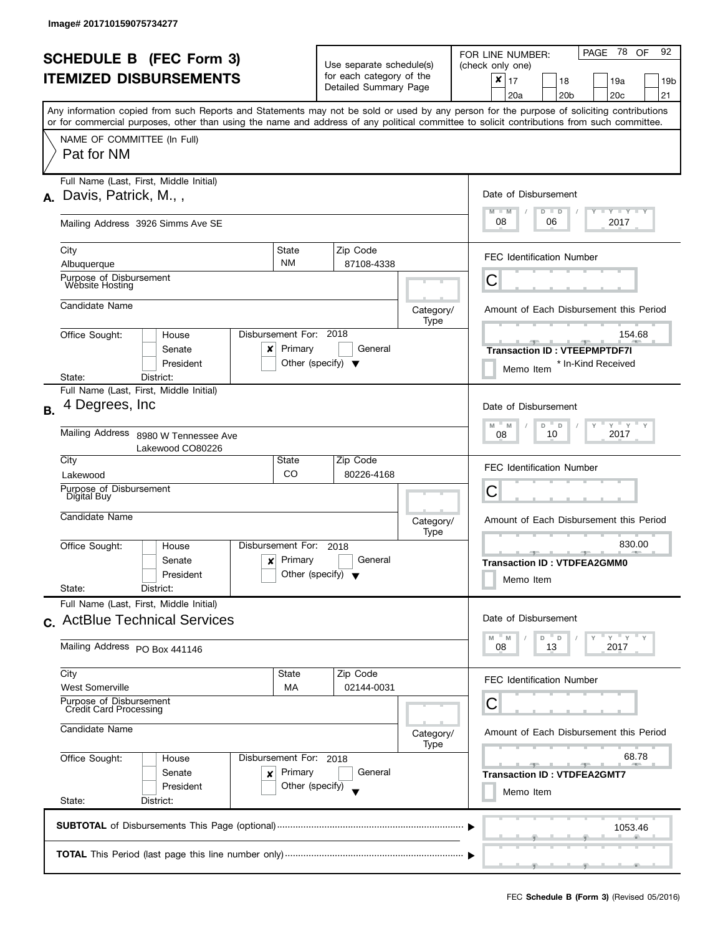|           | <b>SCHEDULE B</b> (FEC Form 3)                                                                                                             |                                   | Use separate schedule(s)                                |                   | PAGE 78 OF<br>92<br>FOR LINE NUMBER:<br>(check only one)                                                                                  |  |  |
|-----------|--------------------------------------------------------------------------------------------------------------------------------------------|-----------------------------------|---------------------------------------------------------|-------------------|-------------------------------------------------------------------------------------------------------------------------------------------|--|--|
|           | <b>ITEMIZED DISBURSEMENTS</b>                                                                                                              |                                   | for each category of the<br>Detailed Summary Page       |                   | $x \mid 17$<br>18<br>19a<br>19 <sub>b</sub><br>20 <sub>b</sub><br>20c<br>21<br>20a                                                        |  |  |
|           | or for commercial purposes, other than using the name and address of any political committee to solicit contributions from such committee. |                                   |                                                         |                   | Any information copied from such Reports and Statements may not be sold or used by any person for the purpose of soliciting contributions |  |  |
|           | NAME OF COMMITTEE (In Full)<br>Pat for NM                                                                                                  |                                   |                                                         |                   |                                                                                                                                           |  |  |
| А.        | Full Name (Last, First, Middle Initial)<br>Davis, Patrick, M.,,                                                                            |                                   |                                                         |                   | Date of Disbursement<br>Y TY TY TY<br>$M - M$<br>$D$ $D$                                                                                  |  |  |
|           | Mailing Address 3926 Simms Ave SE                                                                                                          |                                   |                                                         |                   | 08<br>06<br>2017                                                                                                                          |  |  |
|           | City<br>Albuquerque                                                                                                                        | State<br><b>NM</b>                | Zip Code<br>87108-4338                                  |                   | <b>FEC Identification Number</b>                                                                                                          |  |  |
|           | Purpose of Disbursement<br>Website Hosting                                                                                                 |                                   |                                                         |                   | С                                                                                                                                         |  |  |
|           | Candidate Name                                                                                                                             |                                   |                                                         | Category/<br>Type | Amount of Each Disbursement this Period                                                                                                   |  |  |
|           | Office Sought:<br>House<br>Senate<br>x<br>President                                                                                        | Disbursement For: 2018<br>Primary | General<br>Other (specify) $\blacktriangledown$         |                   | 154.68<br><b>Transaction ID: VTEEPMPTDF7I</b><br>* In-Kind Received<br>Memo Item                                                          |  |  |
|           | District:<br>State:<br>Full Name (Last, First, Middle Initial)                                                                             |                                   |                                                         |                   |                                                                                                                                           |  |  |
| <b>B.</b> | Degrees, Inc.                                                                                                                              |                                   |                                                         |                   | Date of Disbursement                                                                                                                      |  |  |
|           | <b>Mailing Address</b><br>8980 W Tennessee Ave<br>Lakewood CO80226                                                                         |                                   |                                                         |                   | $Y$ $Y$ $Y$ $Y$<br>M<br>$-M$<br>D<br>$\mathbb D$<br>Y<br>2017<br>10<br>08                                                                 |  |  |
|           | City<br>Lakewood                                                                                                                           | State<br>CO                       | Zip Code<br>80226-4168                                  |                   | <b>FEC Identification Number</b>                                                                                                          |  |  |
|           | Purpose of Disbursement<br>Digital Buy                                                                                                     |                                   |                                                         |                   | С                                                                                                                                         |  |  |
|           | Candidate Name                                                                                                                             |                                   |                                                         | Category/<br>Type | Amount of Each Disbursement this Period                                                                                                   |  |  |
|           | Office Sought:<br>House<br>Senate<br>$\mathbf{x}$<br>President                                                                             | Disbursement For:<br>Primary      | 2018<br>General<br>Other (specify) $\blacktriangledown$ |                   | 830.00<br><b>Transaction ID: VTDFEA2GMM0</b><br>Memo Item                                                                                 |  |  |
|           | State:<br>District:<br>Full Name (Last, First, Middle Initial)                                                                             |                                   |                                                         |                   |                                                                                                                                           |  |  |
|           | c. ActBlue Technical Services                                                                                                              |                                   |                                                         |                   | Date of Disbursement                                                                                                                      |  |  |
|           | Mailing Address PO Box 441146                                                                                                              |                                   |                                                         |                   | $Y = Y + Y$<br>D<br>D<br>M<br>M<br>2017<br>08<br>13                                                                                       |  |  |
|           | City<br><b>West Somerville</b>                                                                                                             | State<br>MA                       | Zip Code<br>02144-0031                                  |                   | <b>FEC Identification Number</b>                                                                                                          |  |  |
|           | Purpose of Disbursement<br>Credit Card Processing                                                                                          |                                   |                                                         |                   | C                                                                                                                                         |  |  |
|           | Candidate Name                                                                                                                             |                                   |                                                         | Category/<br>Type | Amount of Each Disbursement this Period                                                                                                   |  |  |
|           | Office Sought:<br>House<br>Senate<br>×                                                                                                     | Disbursement For: 2018<br>Primary | General                                                 |                   | 68.78<br><b>Transaction ID: VTDFEA2GMT7</b>                                                                                               |  |  |
|           | President<br>State:<br>District:                                                                                                           | Other (specify)                   |                                                         |                   | Memo Item                                                                                                                                 |  |  |
|           |                                                                                                                                            |                                   |                                                         |                   | 1053.46                                                                                                                                   |  |  |
|           |                                                                                                                                            |                                   |                                                         |                   |                                                                                                                                           |  |  |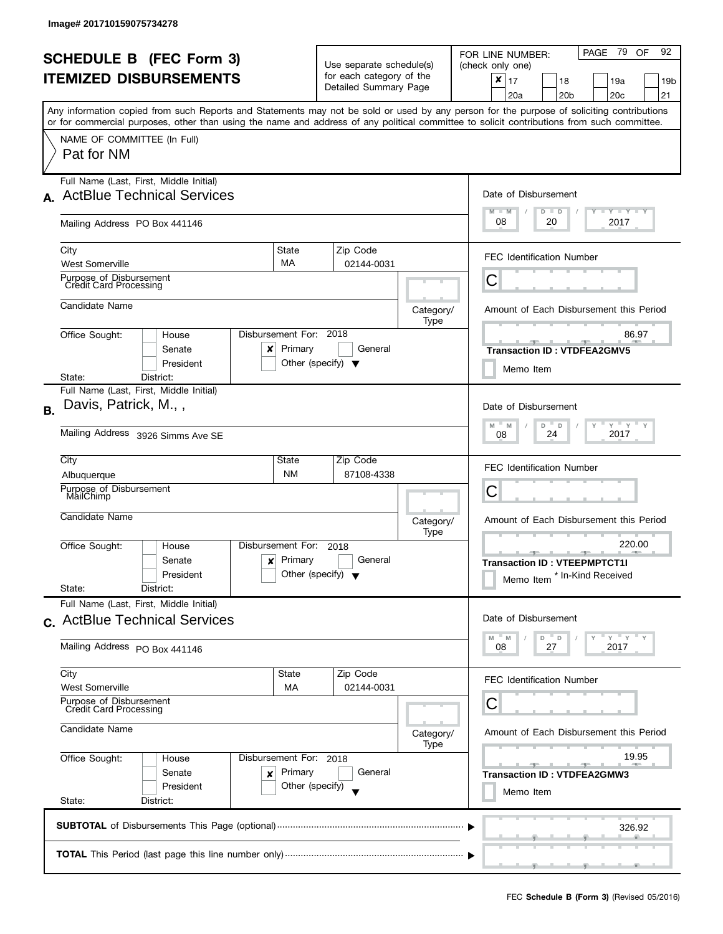|           | <b>SCHEDULE B (FEC Form 3)</b><br><b>ITEMIZED DISBURSEMENTS</b><br>Any information copied from such Reports and Statements may not be sold or used by any person for the purpose of soliciting contributions |                                                 | Use separate schedule(s)<br>for each category of the<br>Detailed Summary Page |                   | PAGE 79 OF<br>92<br>FOR LINE NUMBER:<br>(check only one)<br>×<br>17<br>19a<br>18<br>19b<br>20a<br>20 <sub>b</sub><br>20c<br>21 |
|-----------|--------------------------------------------------------------------------------------------------------------------------------------------------------------------------------------------------------------|-------------------------------------------------|-------------------------------------------------------------------------------|-------------------|--------------------------------------------------------------------------------------------------------------------------------|
|           | or for commercial purposes, other than using the name and address of any political committee to solicit contributions from such committee.<br>NAME OF COMMITTEE (In Full)<br>Pat for NM                      |                                                 |                                                                               |                   |                                                                                                                                |
| A.        | Full Name (Last, First, Middle Initial)<br><b>ActBlue Technical Services</b><br>Mailing Address PO Box 441146                                                                                                |                                                 |                                                                               |                   | Date of Disbursement<br>$M - M$<br>$T - Y = Y + Y$<br>$D$ $D$<br>08<br>20<br>2017                                              |
|           | City<br>MA<br><b>West Somerville</b><br>Purpose of Disbursement                                                                                                                                              | State                                           | Zip Code<br>02144-0031                                                        |                   | <b>FEC Identification Number</b><br>Ĉ                                                                                          |
|           | <b>Credit Card Processing</b><br>Candidate Name                                                                                                                                                              |                                                 |                                                                               | Category/<br>Type | Amount of Each Disbursement this Period                                                                                        |
|           | Disbursement For: 2018<br>Office Sought:<br>House<br>Senate<br>x<br>President<br>District:<br>State:                                                                                                         | Primary<br>Other (specify) $\blacktriangledown$ | General                                                                       |                   | 86.97<br><b>Transaction ID: VTDFEA2GMV5</b><br>Memo Item                                                                       |
| <b>B.</b> | Full Name (Last, First, Middle Initial)<br>Davis, Patrick, M.,,<br>Mailing Address 3926 Simms Ave SE                                                                                                         |                                                 |                                                                               |                   | Date of Disbursement<br>$Y$ $Y$ $Y$<br>$-M$<br>M<br>D<br>$\mathsf D$<br>$\mathsf{Y}$<br>2017<br>24<br>08                       |
|           | City<br>Albuquerque<br>Purpose of Disbursement<br>MailChimp                                                                                                                                                  | State<br><b>NM</b>                              | Zip Code<br>87108-4338                                                        |                   | <b>FEC Identification Number</b><br>С                                                                                          |
|           | Candidate Name<br>Disbursement For:<br>Office Sought:<br>House<br>Senate<br>x                                                                                                                                | Primary                                         | 2018<br>General                                                               | Category/<br>Type | Amount of Each Disbursement this Period<br>220.00<br><b>Transaction ID: VTEEPMPTCT1I</b>                                       |
|           | President<br>State:<br>District:<br>Full Name (Last, First, Middle Initial)                                                                                                                                  | Other (specify) $\blacktriangledown$            |                                                                               |                   | * In-Kind Received<br>Memo Item                                                                                                |
|           | c. ActBlue Technical Services<br>Mailing Address PO Box 441146                                                                                                                                               |                                                 |                                                                               |                   | Date of Disbursement<br>" ү " ү "<br>M<br>D<br>D<br>M<br>27<br>2017<br>08                                                      |
|           | City<br><b>West Somerville</b><br>Purpose of Disbursement<br>Credit Card Processing<br>Candidate Name                                                                                                        | State<br>МA                                     | Zip Code<br>02144-0031                                                        |                   | <b>FEC Identification Number</b><br>С<br>Amount of Each Disbursement this Period                                               |
|           | Office Sought:<br>Disbursement For: 2018<br>House<br>Senate<br>×<br>President<br>State:<br>District:                                                                                                         | Primary<br>Other (specify)                      | General                                                                       | Category/<br>Type | 19.95<br>$-1$<br><b>Transaction ID: VTDFEA2GMW3</b><br>Memo Item                                                               |
|           |                                                                                                                                                                                                              |                                                 |                                                                               |                   | 326.92                                                                                                                         |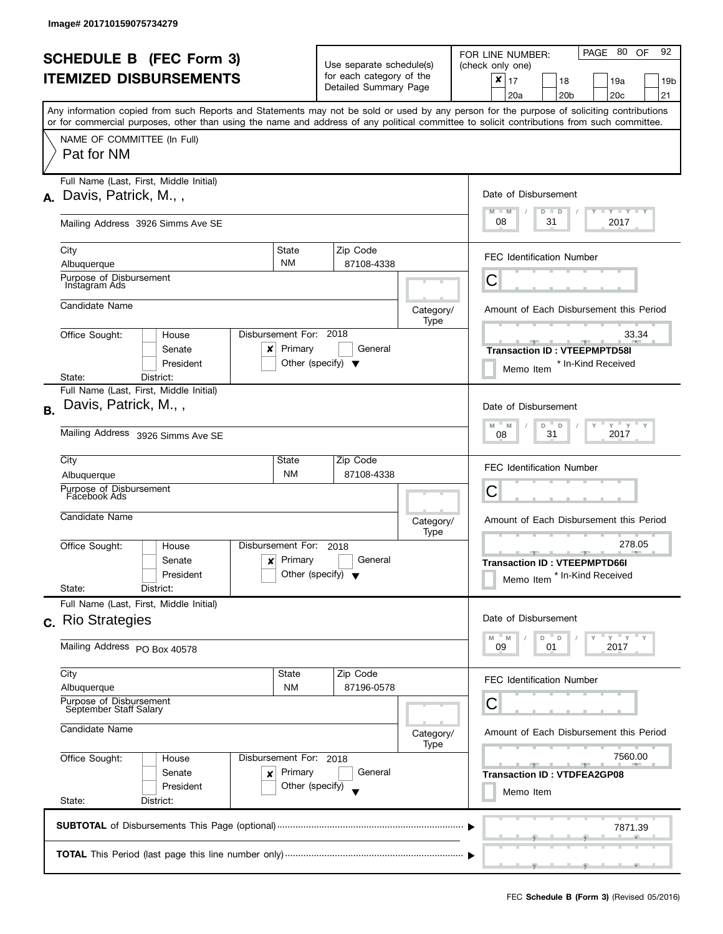| <b>SCHEDULE B</b> (FEC Form 3)<br><b>ITEMIZED DISBURSEMENTS</b> |                                                                                                                                                                                         |                                                      | Use separate schedule(s)<br>for each category of the<br>Detailed Summary Page |                   | PAGE 80 OF<br>92<br>FOR LINE NUMBER:<br>(check only one)<br>$\pmb{\times}$<br>17<br>18<br>19a<br>19 <sub>b</sub><br>20 <sub>b</sub><br>20c<br>21<br>20a<br>Any information copied from such Reports and Statements may not be sold or used by any person for the purpose of soliciting contributions |
|-----------------------------------------------------------------|-----------------------------------------------------------------------------------------------------------------------------------------------------------------------------------------|------------------------------------------------------|-------------------------------------------------------------------------------|-------------------|------------------------------------------------------------------------------------------------------------------------------------------------------------------------------------------------------------------------------------------------------------------------------------------------------|
|                                                                 | or for commercial purposes, other than using the name and address of any political committee to solicit contributions from such committee.<br>NAME OF COMMITTEE (In Full)<br>Pat for NM |                                                      |                                                                               |                   |                                                                                                                                                                                                                                                                                                      |
| А.                                                              | Full Name (Last, First, Middle Initial)<br>Davis, Patrick, M.,,                                                                                                                         |                                                      |                                                                               |                   | Date of Disbursement<br>$T$ $Y$ $T$ $Y$ $T$ $Y$<br>$M - M$<br>$D$ $D$                                                                                                                                                                                                                                |
|                                                                 | Mailing Address 3926 Simms Ave SE<br>City                                                                                                                                               | State                                                | Zip Code                                                                      |                   | 08<br>31<br>2017                                                                                                                                                                                                                                                                                     |
|                                                                 | Albuquerque<br>Purpose of Disbursement                                                                                                                                                  | <b>NM</b>                                            | 87108-4338                                                                    |                   | <b>FEC Identification Number</b><br>С                                                                                                                                                                                                                                                                |
|                                                                 | Instagram Ads<br>Candidate Name                                                                                                                                                         |                                                      |                                                                               |                   | Amount of Each Disbursement this Period                                                                                                                                                                                                                                                              |
|                                                                 | Office Sought:<br>House<br>Senate<br>x<br>President<br>District:<br>State:                                                                                                              | Disbursement For: 2018<br>Primary                    | General<br>Other (specify) $\blacktriangledown$                               | Category/<br>Type | 33.34<br><b>Transaction ID: VTEEPMPTD58I</b><br>* In-Kind Received<br>Memo Item                                                                                                                                                                                                                      |
| <b>B.</b>                                                       | Full Name (Last, First, Middle Initial)<br>Davis, Patrick, M.,,<br>Mailing Address 3926 Simms Ave SE                                                                                    |                                                      |                                                                               |                   | Date of Disbursement<br>$Y$ $Y$ $Y$ $Y$<br>M<br>D<br>$\mathsf D$<br>M<br>2017<br>31<br>08                                                                                                                                                                                                            |
|                                                                 | City<br>Albuquerque<br>Purpose of Disbursement<br>Facebook Ads                                                                                                                          | State<br><b>NM</b>                                   | Zip Code<br>87108-4338                                                        |                   | <b>FEC Identification Number</b><br>С                                                                                                                                                                                                                                                                |
|                                                                 | Candidate Name<br>Office Sought:<br>House<br>Senate<br>President<br>State:<br>District:                                                                                                 | Disbursement For:<br>$x$ Primary                     | 2018<br>General<br>Other (specify) $\blacktriangledown$                       | Category/<br>Type | Amount of Each Disbursement this Period<br>278.05<br>$-1$<br><b>Transaction ID: VTEEPMPTD66I</b><br>* In-Kind Received<br>Memo Item                                                                                                                                                                  |
|                                                                 | Full Name (Last, First, Middle Initial)<br>c. Rio Strategies<br>Mailing Address PO Box 40578                                                                                            |                                                      |                                                                               |                   | Date of Disbursement<br>$Y = Y + Y$<br>M<br>D<br>D<br>M<br>09<br>01<br>2017                                                                                                                                                                                                                          |
|                                                                 | City<br>Albuquerque<br>Purpose of Disbursement<br>September Staff Salary                                                                                                                | State<br><b>NM</b>                                   | Zip Code<br>87196-0578                                                        |                   | <b>FEC Identification Number</b><br>С                                                                                                                                                                                                                                                                |
|                                                                 | Candidate Name                                                                                                                                                                          |                                                      |                                                                               | Category/<br>Type | Amount of Each Disbursement this Period                                                                                                                                                                                                                                                              |
|                                                                 | Office Sought:<br>House<br>Senate<br>×<br>President<br>State:<br>District:                                                                                                              | Disbursement For: 2018<br>Primary<br>Other (specify) | General                                                                       |                   | 7560.00<br><b>Transaction ID: VTDFEA2GP08</b><br>Memo Item                                                                                                                                                                                                                                           |
|                                                                 |                                                                                                                                                                                         |                                                      |                                                                               |                   | 7871.39                                                                                                                                                                                                                                                                                              |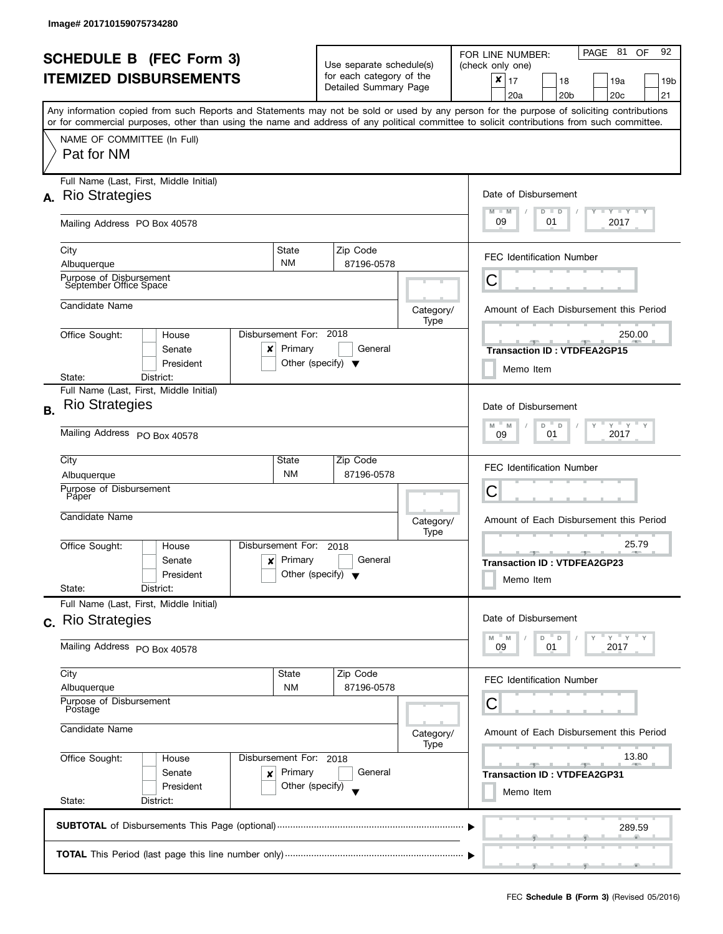| <b>SCHEDULE B (FEC Form 3)</b>                                                                              |                                                                                                                                            |                              |                                                                               |                                         | PAGE 81<br>92<br>OF<br>FOR LINE NUMBER:                                                                                                   |  |  |  |
|-------------------------------------------------------------------------------------------------------------|--------------------------------------------------------------------------------------------------------------------------------------------|------------------------------|-------------------------------------------------------------------------------|-----------------------------------------|-------------------------------------------------------------------------------------------------------------------------------------------|--|--|--|
|                                                                                                             | <b>ITEMIZED DISBURSEMENTS</b>                                                                                                              |                              | Use separate schedule(s)<br>for each category of the<br>Detailed Summary Page |                                         | (check only one)<br>×<br>17<br>18<br>19a<br>19b<br>20 <sub>b</sub><br>21<br>20a<br>20c                                                    |  |  |  |
|                                                                                                             | or for commercial purposes, other than using the name and address of any political committee to solicit contributions from such committee. |                              |                                                                               |                                         | Any information copied from such Reports and Statements may not be sold or used by any person for the purpose of soliciting contributions |  |  |  |
|                                                                                                             | NAME OF COMMITTEE (In Full)<br>Pat for NM                                                                                                  |                              |                                                                               |                                         |                                                                                                                                           |  |  |  |
|                                                                                                             | Full Name (Last, First, Middle Initial)<br>A. Rio Strategies                                                                               |                              |                                                                               |                                         | Date of Disbursement<br>$T - Y$ $T - Y$ $T - Y$<br>$M - M$<br>$D$ $D$                                                                     |  |  |  |
|                                                                                                             | Mailing Address PO Box 40578                                                                                                               |                              |                                                                               |                                         | 09<br>2017<br>01                                                                                                                          |  |  |  |
|                                                                                                             | City<br>Albuquerque                                                                                                                        | State<br><b>NM</b>           | Zip Code<br>87196-0578                                                        |                                         | <b>FEC Identification Number</b>                                                                                                          |  |  |  |
|                                                                                                             | Purpose of Disbursement<br>September Office Space                                                                                          |                              |                                                                               |                                         | Ĉ                                                                                                                                         |  |  |  |
|                                                                                                             | Candidate Name                                                                                                                             |                              |                                                                               | Category/<br>Type                       | Amount of Each Disbursement this Period                                                                                                   |  |  |  |
|                                                                                                             | Office Sought:<br>House<br>Senate<br>x<br>President                                                                                        | Disbursement For:<br>Primary | 2018<br>General<br>Other (specify) $\blacktriangledown$                       |                                         | 250.00<br><b>Transaction ID: VTDFEA2GP15</b><br>Memo Item                                                                                 |  |  |  |
|                                                                                                             | District:<br>State:<br>Full Name (Last, First, Middle Initial)                                                                             |                              |                                                                               |                                         |                                                                                                                                           |  |  |  |
| <b>B.</b>                                                                                                   | <b>Rio Strategies</b>                                                                                                                      |                              |                                                                               |                                         | Date of Disbursement<br>$Y$ $Y$ $Y$<br>D<br>Y<br>M<br>M<br>D                                                                              |  |  |  |
|                                                                                                             | Mailing Address PO Box 40578                                                                                                               | 2017<br>01<br>09             |                                                                               |                                         |                                                                                                                                           |  |  |  |
|                                                                                                             | City<br>Albuquerque                                                                                                                        | State<br><b>NM</b>           | Zip Code<br>87196-0578                                                        |                                         | <b>FEC Identification Number</b>                                                                                                          |  |  |  |
|                                                                                                             | Purpose of Disbursement<br>Páper                                                                                                           |                              |                                                                               |                                         | С                                                                                                                                         |  |  |  |
|                                                                                                             | Candidate Name                                                                                                                             |                              |                                                                               | Category/<br>Type                       | Amount of Each Disbursement this Period                                                                                                   |  |  |  |
|                                                                                                             | Office Sought:<br>House<br>Senate<br>$\boldsymbol{x}$<br>President<br>State:<br>District:                                                  | Disbursement For:<br>Primary | 2018<br>General<br>Other (specify) $\blacktriangledown$                       |                                         | 25.79<br><b>COLL</b><br>______________<br><b>Transaction ID: VTDFEA2GP23</b><br>Memo Item                                                 |  |  |  |
|                                                                                                             | Full Name (Last, First, Middle Initial)<br>c. Rio Strategies                                                                               |                              |                                                                               |                                         | Date of Disbursement                                                                                                                      |  |  |  |
|                                                                                                             | Mailing Address PO Box 40578                                                                                                               |                              |                                                                               |                                         | $Y$ $Y$ $Y$<br>$^{\circ}$ D<br>D<br>M<br>M<br>2017<br>09<br>01                                                                            |  |  |  |
|                                                                                                             | City<br>Albuquerque                                                                                                                        | State<br><b>NM</b>           | Zip Code<br>87196-0578                                                        |                                         | <b>FEC Identification Number</b>                                                                                                          |  |  |  |
|                                                                                                             | Purpose of Disbursement<br>Postage                                                                                                         |                              |                                                                               |                                         | С                                                                                                                                         |  |  |  |
|                                                                                                             | Candidate Name                                                                                                                             |                              | Category/<br>Type                                                             | Amount of Each Disbursement this Period |                                                                                                                                           |  |  |  |
| Office Sought:<br>Disbursement For: 2018<br>House<br>Primary<br>Senate<br>×<br>Other (specify)<br>President |                                                                                                                                            |                              | General                                                                       |                                         | 13.80<br><u>20 1 1 20</u><br><b>AND I</b><br><b>Transaction ID: VTDFEA2GP31</b><br>Memo Item                                              |  |  |  |
|                                                                                                             | State:<br>District:                                                                                                                        |                              |                                                                               |                                         |                                                                                                                                           |  |  |  |
|                                                                                                             |                                                                                                                                            |                              |                                                                               |                                         | 289.59                                                                                                                                    |  |  |  |
|                                                                                                             |                                                                                                                                            |                              |                                                                               |                                         | __                                                                                                                                        |  |  |  |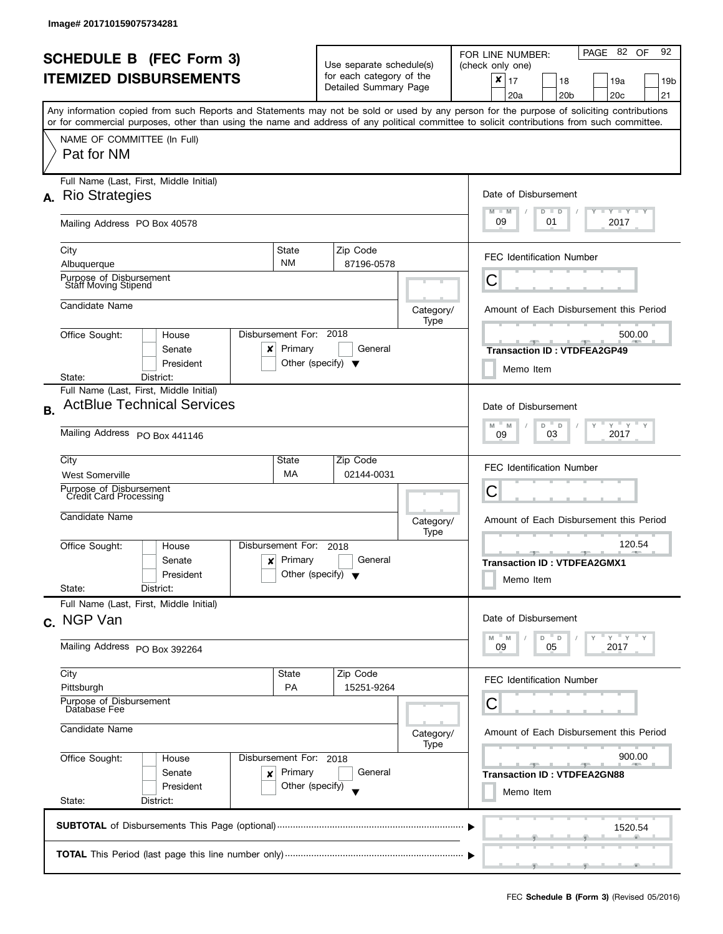l

|                                |                                                                                                                                            |                                      |                                                                   |                                                   |           | PAGE 82 OF<br>92<br>FOR LINE NUMBER:                                                                                                      |  |  |  |
|--------------------------------|--------------------------------------------------------------------------------------------------------------------------------------------|--------------------------------------|-------------------------------------------------------------------|---------------------------------------------------|-----------|-------------------------------------------------------------------------------------------------------------------------------------------|--|--|--|
| <b>SCHEDULE B (FEC Form 3)</b> |                                                                                                                                            |                                      | Use separate schedule(s)                                          |                                                   |           | (check only one)                                                                                                                          |  |  |  |
|                                | <b>ITEMIZED DISBURSEMENTS</b>                                                                                                              |                                      |                                                                   | for each category of the<br>Detailed Summary Page |           | ×<br>17<br>18<br>19a<br>19b                                                                                                               |  |  |  |
|                                |                                                                                                                                            |                                      |                                                                   |                                                   |           | 20a<br>20c<br>21<br>20 <sub>b</sub>                                                                                                       |  |  |  |
|                                | or for commercial purposes, other than using the name and address of any political committee to solicit contributions from such committee. |                                      |                                                                   |                                                   |           | Any information copied from such Reports and Statements may not be sold or used by any person for the purpose of soliciting contributions |  |  |  |
|                                | NAME OF COMMITTEE (In Full)                                                                                                                |                                      |                                                                   |                                                   |           |                                                                                                                                           |  |  |  |
|                                | Pat for NM                                                                                                                                 |                                      |                                                                   |                                                   |           |                                                                                                                                           |  |  |  |
|                                | Full Name (Last, First, Middle Initial)                                                                                                    |                                      |                                                                   |                                                   |           |                                                                                                                                           |  |  |  |
| А.                             | <b>Rio Strategies</b>                                                                                                                      |                                      |                                                                   |                                                   |           | Date of Disbursement                                                                                                                      |  |  |  |
|                                | Mailing Address PO Box 40578                                                                                                               |                                      |                                                                   |                                                   |           | Y TY TY TY<br>$M - M$<br>$D$ $D$<br>09<br>2017<br>01                                                                                      |  |  |  |
|                                | City                                                                                                                                       | State                                |                                                                   | Zip Code                                          |           | <b>FEC Identification Number</b>                                                                                                          |  |  |  |
|                                | Albuquerque                                                                                                                                | <b>NM</b>                            |                                                                   | 87196-0578                                        |           |                                                                                                                                           |  |  |  |
|                                | Purpose of Disbursement<br>Staff Moving Stipend                                                                                            |                                      |                                                                   |                                                   |           | С                                                                                                                                         |  |  |  |
|                                | Candidate Name                                                                                                                             |                                      |                                                                   |                                                   | Category/ | Amount of Each Disbursement this Period                                                                                                   |  |  |  |
|                                | Office Sought:<br>House                                                                                                                    | Disbursement For: 2018               |                                                                   |                                                   | Type      | 500.00                                                                                                                                    |  |  |  |
|                                | Senate<br>x                                                                                                                                | Primary                              |                                                                   | General                                           |           | <b>Transaction ID: VTDFEA2GP49</b>                                                                                                        |  |  |  |
|                                | President                                                                                                                                  | Other (specify) $\blacktriangledown$ |                                                                   |                                                   |           | Memo Item                                                                                                                                 |  |  |  |
|                                | District:<br>State:<br>Full Name (Last, First, Middle Initial)                                                                             |                                      |                                                                   |                                                   |           |                                                                                                                                           |  |  |  |
|                                | <b>ActBlue Technical Services</b>                                                                                                          |                                      |                                                                   |                                                   |           | Date of Disbursement                                                                                                                      |  |  |  |
| <b>B.</b>                      |                                                                                                                                            |                                      |                                                                   |                                                   |           | $Y = Y - Y$<br>Y                                                                                                                          |  |  |  |
|                                | Mailing Address PO Box 441146                                                                                                              | D<br>M<br>D<br>M<br>2017<br>03<br>09 |                                                                   |                                                   |           |                                                                                                                                           |  |  |  |
|                                | City                                                                                                                                       | State                                |                                                                   | Zip Code                                          |           | <b>FEC Identification Number</b>                                                                                                          |  |  |  |
|                                | MA<br>02144-0031<br><b>West Somerville</b>                                                                                                 |                                      |                                                                   |                                                   |           |                                                                                                                                           |  |  |  |
|                                | Purpose of Disbursement<br>Credit Card Processing                                                                                          |                                      | Category/<br>Type<br>2018<br>General<br>Other (specify) $\sqrt{}$ |                                                   |           | С                                                                                                                                         |  |  |  |
|                                | Candidate Name                                                                                                                             |                                      |                                                                   |                                                   |           | Amount of Each Disbursement this Period                                                                                                   |  |  |  |
|                                |                                                                                                                                            |                                      |                                                                   |                                                   |           |                                                                                                                                           |  |  |  |
|                                | Office Sought:<br>House                                                                                                                    | Disbursement For:                    |                                                                   |                                                   |           | 120.54                                                                                                                                    |  |  |  |
|                                | Senate<br>$\mathbf{x}$                                                                                                                     | Primary                              |                                                                   |                                                   |           | <b>Transaction ID: VTDFEA2GMX1</b>                                                                                                        |  |  |  |
|                                | President<br>State:<br>District:                                                                                                           |                                      |                                                                   |                                                   |           | Memo Item                                                                                                                                 |  |  |  |
|                                | Full Name (Last, First, Middle Initial)                                                                                                    |                                      |                                                                   |                                                   |           |                                                                                                                                           |  |  |  |
|                                | c. NGP Van                                                                                                                                 |                                      |                                                                   |                                                   |           | Date of Disbursement                                                                                                                      |  |  |  |
|                                |                                                                                                                                            |                                      |                                                                   |                                                   |           | $Y$ $Y$<br>D<br>D<br>M                                                                                                                    |  |  |  |
|                                | Mailing Address PO Box 392264                                                                                                              |                                      |                                                                   |                                                   |           | 2017<br>05<br>09                                                                                                                          |  |  |  |
|                                | City                                                                                                                                       | State                                |                                                                   | Zip Code                                          |           | <b>FEC Identification Number</b>                                                                                                          |  |  |  |
|                                | Pittsburgh<br>Purpose of Disbursement<br>Database Fee                                                                                      | <b>PA</b>                            |                                                                   | 15251-9264                                        |           | C                                                                                                                                         |  |  |  |
|                                |                                                                                                                                            |                                      |                                                                   |                                                   |           |                                                                                                                                           |  |  |  |
|                                | Candidate Name                                                                                                                             |                                      |                                                                   |                                                   | Category/ | Amount of Each Disbursement this Period                                                                                                   |  |  |  |
|                                | Office Sought:<br>House                                                                                                                    | Disbursement For: 2018               |                                                                   |                                                   | Type      | 900.00                                                                                                                                    |  |  |  |
|                                | Senate<br>×                                                                                                                                | Primary                              |                                                                   | General                                           |           | <b>Transaction ID: VTDFEA2GN88</b>                                                                                                        |  |  |  |
|                                | President                                                                                                                                  | Other (specify)                      |                                                                   |                                                   |           | Memo Item                                                                                                                                 |  |  |  |
|                                | State:<br>District:                                                                                                                        |                                      |                                                                   |                                                   |           |                                                                                                                                           |  |  |  |
|                                |                                                                                                                                            |                                      |                                                                   |                                                   |           | 1520.54                                                                                                                                   |  |  |  |
|                                |                                                                                                                                            |                                      |                                                                   |                                                   |           |                                                                                                                                           |  |  |  |
|                                |                                                                                                                                            |                                      |                                                                   |                                                   |           |                                                                                                                                           |  |  |  |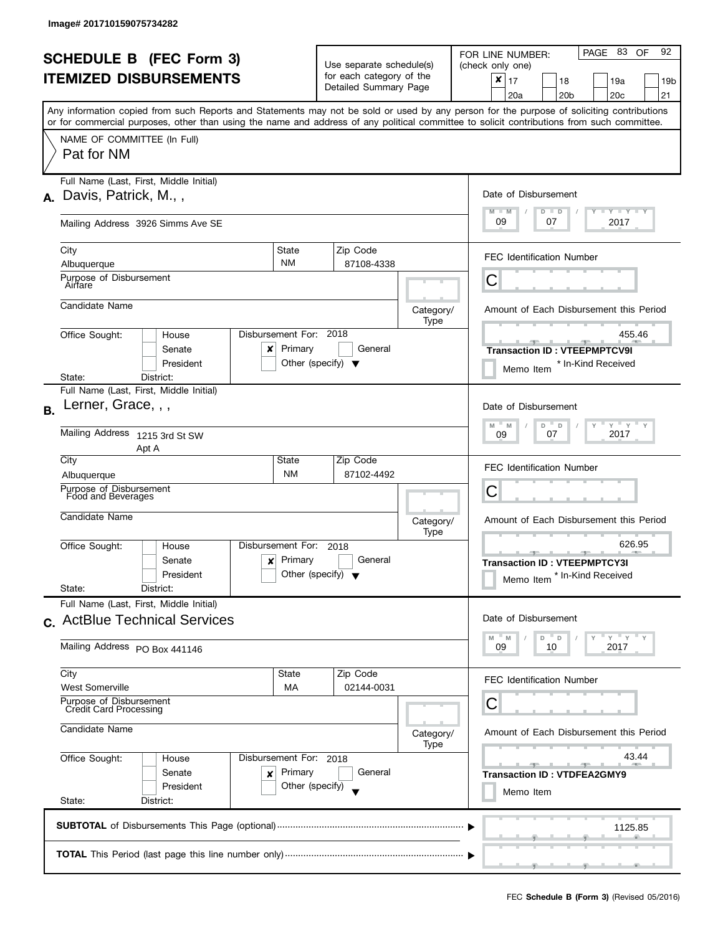|           | <b>SCHEDULE B (FEC Form 3)</b>                                                                                                             |                                                                |                                                      |                   | PAGE 83 OF<br>92<br>FOR LINE NUMBER:                                                                                                      |  |  |
|-----------|--------------------------------------------------------------------------------------------------------------------------------------------|----------------------------------------------------------------|------------------------------------------------------|-------------------|-------------------------------------------------------------------------------------------------------------------------------------------|--|--|
|           | <b>ITEMIZED DISBURSEMENTS</b>                                                                                                              |                                                                | Use separate schedule(s)<br>for each category of the |                   | (check only one)<br>$\pmb{\times}$<br>17<br>18<br>19a<br>19 <sub>b</sub>                                                                  |  |  |
|           |                                                                                                                                            |                                                                | Detailed Summary Page                                |                   | 20 <sub>c</sub><br>21<br>20a<br>20 <sub>b</sub>                                                                                           |  |  |
|           |                                                                                                                                            |                                                                |                                                      |                   | Any information copied from such Reports and Statements may not be sold or used by any person for the purpose of soliciting contributions |  |  |
|           | or for commercial purposes, other than using the name and address of any political committee to solicit contributions from such committee. |                                                                |                                                      |                   |                                                                                                                                           |  |  |
|           | NAME OF COMMITTEE (In Full)<br>Pat for NM                                                                                                  |                                                                |                                                      |                   |                                                                                                                                           |  |  |
|           | Full Name (Last, First, Middle Initial)                                                                                                    |                                                                |                                                      |                   | Date of Disbursement                                                                                                                      |  |  |
| А.        | Davis, Patrick, M.,,                                                                                                                       |                                                                |                                                      |                   | $T$ $Y$ $T$ $Y$ $T$ $Y$<br>$M - M$<br>$D$ $D$                                                                                             |  |  |
|           | Mailing Address 3926 Simms Ave SE                                                                                                          |                                                                |                                                      |                   | 09<br>2017<br>07                                                                                                                          |  |  |
|           | City                                                                                                                                       | State                                                          | Zip Code                                             |                   | <b>FEC Identification Number</b>                                                                                                          |  |  |
|           | Albuquerque                                                                                                                                | <b>NM</b>                                                      | 87108-4338                                           |                   |                                                                                                                                           |  |  |
|           | Purpose of Disbursement<br>Airrare                                                                                                         |                                                                |                                                      |                   | С                                                                                                                                         |  |  |
|           | Candidate Name                                                                                                                             |                                                                |                                                      | Category/         | Amount of Each Disbursement this Period                                                                                                   |  |  |
|           | Office Sought:<br>House                                                                                                                    | Disbursement For: 2018                                         |                                                      | Type              | 455.46                                                                                                                                    |  |  |
|           | Senate<br>x                                                                                                                                | Primary                                                        | General                                              |                   | <b>Transaction ID: VTEEPMPTCV9I</b>                                                                                                       |  |  |
|           | President                                                                                                                                  |                                                                | Other (specify) $\blacktriangledown$                 |                   | * In-Kind Received<br>Memo Item                                                                                                           |  |  |
|           | State:<br>District:<br>Full Name (Last, First, Middle Initial)                                                                             |                                                                |                                                      |                   |                                                                                                                                           |  |  |
| <b>B.</b> | Lerner, Grace, , ,                                                                                                                         |                                                                |                                                      |                   | Date of Disbursement                                                                                                                      |  |  |
|           | Mailing Address 1215 3rd St SW<br>Apt A                                                                                                    | $Y$ $Y$ $Y$<br>D<br>M<br>$\mathsf D$<br>M<br>2017<br>07<br>09  |                                                      |                   |                                                                                                                                           |  |  |
|           | City                                                                                                                                       | State                                                          | Zip Code                                             |                   | <b>FEC Identification Number</b>                                                                                                          |  |  |
|           | Albuquerque<br>Purpose of Disbursement                                                                                                     | <b>NM</b>                                                      | 87102-4492                                           |                   | С                                                                                                                                         |  |  |
|           | Food and Beverages                                                                                                                         |                                                                |                                                      |                   |                                                                                                                                           |  |  |
|           | Candidate Name                                                                                                                             |                                                                |                                                      | Category/<br>Type | Amount of Each Disbursement this Period                                                                                                   |  |  |
|           | Office Sought:<br>House                                                                                                                    | Disbursement For:                                              | 2018                                                 |                   | 626.95                                                                                                                                    |  |  |
|           | Senate<br>President                                                                                                                        | $x$ Primary<br>General<br>Other (specify) $\blacktriangledown$ |                                                      |                   | <b>Transaction ID: VTEEPMPTCY3I</b><br>Memo Item * In-Kind Received                                                                       |  |  |
|           | State:<br>District:                                                                                                                        |                                                                |                                                      |                   |                                                                                                                                           |  |  |
|           | Full Name (Last, First, Middle Initial)                                                                                                    |                                                                |                                                      |                   |                                                                                                                                           |  |  |
|           | c. ActBlue Technical Services                                                                                                              |                                                                |                                                      |                   | Date of Disbursement                                                                                                                      |  |  |
|           | Mailing Address PO Box 441146                                                                                                              |                                                                |                                                      |                   | $Y = Y$<br>D<br>D<br>M<br>M<br>2017<br>09<br>10                                                                                           |  |  |
|           | City                                                                                                                                       | State                                                          | Zip Code                                             |                   | <b>FEC Identification Number</b>                                                                                                          |  |  |
|           | <b>West Somerville</b><br>Purpose of Disbursement                                                                                          | MA                                                             | 02144-0031                                           |                   | С                                                                                                                                         |  |  |
|           | <b>Credit Card Processing</b>                                                                                                              |                                                                |                                                      |                   |                                                                                                                                           |  |  |
|           | Candidate Name                                                                                                                             |                                                                |                                                      | Category/<br>Type | Amount of Each Disbursement this Period                                                                                                   |  |  |
|           | Office Sought:<br>House                                                                                                                    | Disbursement For: 2018                                         |                                                      |                   | 43.44                                                                                                                                     |  |  |
|           | Senate<br>x                                                                                                                                | Primary                                                        | General                                              |                   | <b>Transaction ID: VTDFEA2GMY9</b>                                                                                                        |  |  |
|           | Other (specify)<br>President<br>State:<br>District:                                                                                        |                                                                |                                                      |                   | Memo Item                                                                                                                                 |  |  |
|           |                                                                                                                                            |                                                                |                                                      |                   | 1125.85                                                                                                                                   |  |  |
|           |                                                                                                                                            |                                                                |                                                      |                   |                                                                                                                                           |  |  |
|           |                                                                                                                                            |                                                                |                                                      |                   |                                                                                                                                           |  |  |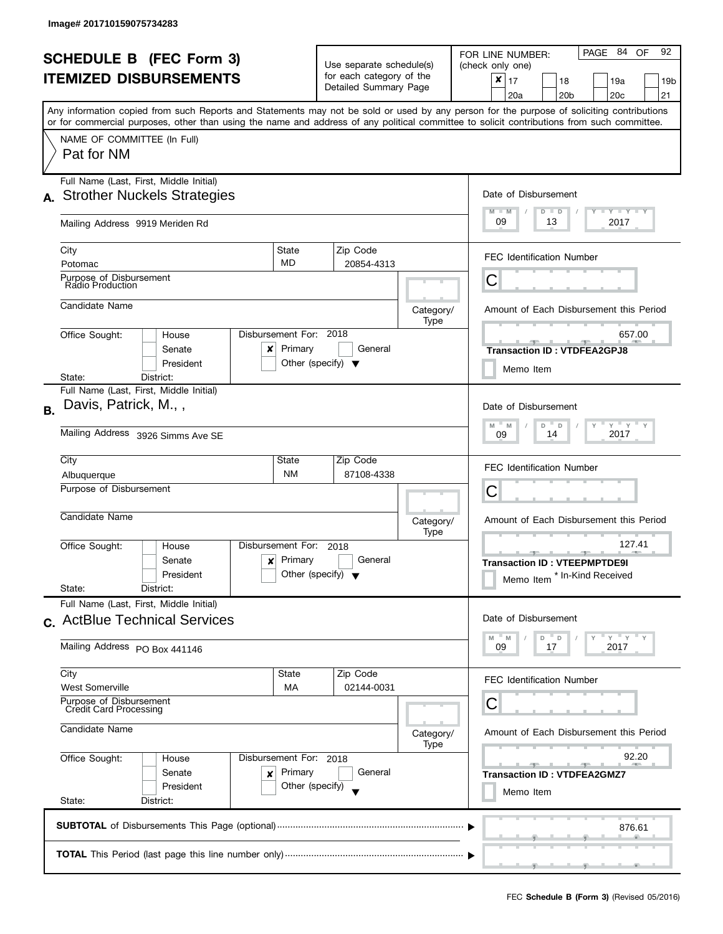| <b>SCHEDULE B (FEC Form 3)</b><br><b>ITEMIZED DISBURSEMENTS</b>        |                                                                                                                                                                                         |                                                                      | Use separate schedule(s)<br>for each category of the<br>Detailed Summary Page |                                         | PAGE 84<br>92<br>OF<br>FOR LINE NUMBER:<br>(check only one)<br>$\pmb{\times}$<br>17<br>18<br>19a<br>19 <sub>b</sub> |
|------------------------------------------------------------------------|-----------------------------------------------------------------------------------------------------------------------------------------------------------------------------------------|----------------------------------------------------------------------|-------------------------------------------------------------------------------|-----------------------------------------|---------------------------------------------------------------------------------------------------------------------|
|                                                                        | Any information copied from such Reports and Statements may not be sold or used by any person for the purpose of soliciting contributions                                               |                                                                      |                                                                               |                                         | 20 <sub>b</sub><br>20c<br>21<br>20a                                                                                 |
|                                                                        | or for commercial purposes, other than using the name and address of any political committee to solicit contributions from such committee.<br>NAME OF COMMITTEE (In Full)<br>Pat for NM |                                                                      |                                                                               |                                         |                                                                                                                     |
|                                                                        | Full Name (Last, First, Middle Initial)<br>A. Strother Nuckels Strategies                                                                                                               |                                                                      |                                                                               |                                         | Date of Disbursement<br>$T - Y = Y + Y$<br>$M - M$<br>$D$ $D$                                                       |
|                                                                        | Mailing Address 9919 Meriden Rd                                                                                                                                                         |                                                                      |                                                                               |                                         | 09<br>13<br>2017                                                                                                    |
|                                                                        | City<br>Potomac                                                                                                                                                                         | State<br><b>MD</b>                                                   | Zip Code<br>20854-4313                                                        |                                         | <b>FEC Identification Number</b>                                                                                    |
|                                                                        | Purpose of Disbursement<br>Radio Production                                                                                                                                             |                                                                      |                                                                               |                                         | С                                                                                                                   |
|                                                                        | Candidate Name                                                                                                                                                                          |                                                                      |                                                                               | Category/<br>Type                       | Amount of Each Disbursement this Period                                                                             |
|                                                                        | Office Sought:<br>House<br>Senate<br>x<br>President                                                                                                                                     | Disbursement For: 2018<br>Primary                                    | General<br>Other (specify) $\blacktriangledown$                               |                                         | 657.00<br><b>Transaction ID: VTDFEA2GPJ8</b><br>Memo Item                                                           |
|                                                                        | District:<br>State:<br>Full Name (Last, First, Middle Initial)                                                                                                                          |                                                                      |                                                                               |                                         |                                                                                                                     |
| <b>B.</b>                                                              | Davis, Patrick, M.,,                                                                                                                                                                    |                                                                      |                                                                               |                                         | Date of Disbursement<br>$Y$ $Y$ $Y$<br>$\overline{a}$<br>M<br>D<br>M                                                |
|                                                                        | Mailing Address 3926 Simms Ave SE                                                                                                                                                       | 2017<br>14<br>09                                                     |                                                                               |                                         |                                                                                                                     |
|                                                                        | City<br>Albuquerque                                                                                                                                                                     | State<br><b>NM</b>                                                   | Zip Code<br>87108-4338                                                        |                                         | <b>FEC Identification Number</b>                                                                                    |
|                                                                        | Purpose of Disbursement                                                                                                                                                                 |                                                                      |                                                                               |                                         | C                                                                                                                   |
|                                                                        | Candidate Name                                                                                                                                                                          |                                                                      |                                                                               | Category/<br>Type                       | Amount of Each Disbursement this Period                                                                             |
|                                                                        | Office Sought:<br>House<br>Senate<br>x<br>President<br>State:<br>District:                                                                                                              | Disbursement For:<br>Primary<br>Other (specify) $\blacktriangledown$ | 2018<br>General                                                               |                                         | 127.41<br>$-1$ $-1$<br><b>Transaction ID: VTEEPMPTDE9I</b><br>* In-Kind Received<br>Memo Item                       |
|                                                                        | Full Name (Last, First, Middle Initial)<br>c. ActBlue Technical Services                                                                                                                |                                                                      |                                                                               |                                         | Date of Disbursement                                                                                                |
|                                                                        | Mailing Address PO Box 441146                                                                                                                                                           |                                                                      |                                                                               |                                         | $Y'$ $Y'$<br>M<br>D<br>$\mathsf D$<br>M<br>09<br>17<br>2017                                                         |
|                                                                        | City<br><b>West Somerville</b>                                                                                                                                                          | State<br>MA                                                          | Zip Code<br>02144-0031                                                        |                                         | <b>FEC Identification Number</b>                                                                                    |
|                                                                        | Purpose of Disbursement<br><b>Credit Card Processing</b>                                                                                                                                |                                                                      |                                                                               |                                         | С                                                                                                                   |
|                                                                        | Candidate Name                                                                                                                                                                          |                                                                      | Category/<br>Type                                                             | Amount of Each Disbursement this Period |                                                                                                                     |
| Office Sought:<br>Disbursement For: 2018<br>House<br>Primary<br>Senate |                                                                                                                                                                                         |                                                                      | General                                                                       |                                         | 92.20<br><b>Allen</b><br>$-1$                                                                                       |
|                                                                        | ×<br>President<br>State:<br>District:                                                                                                                                                   | Other (specify)                                                      |                                                                               |                                         | <b>Transaction ID: VTDFEA2GMZ7</b><br>Memo Item                                                                     |
|                                                                        |                                                                                                                                                                                         |                                                                      |                                                                               |                                         | 876.61                                                                                                              |
|                                                                        |                                                                                                                                                                                         |                                                                      |                                                                               |                                         |                                                                                                                     |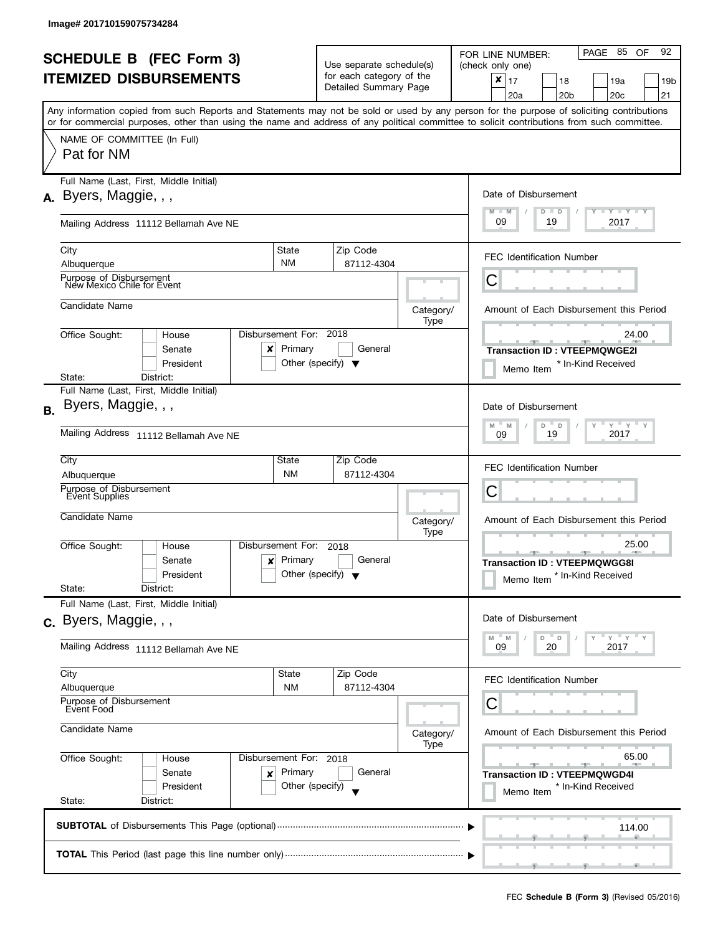| <b>SCHEDULE B (FEC Form 3)</b> |                                                                                                                                            |                                                            | Use separate schedule(s)                     |                                                   |                   | PAGE 85 OF<br>92<br>FOR LINE NUMBER:<br>(check only one)                                                                                  |  |  |
|--------------------------------|--------------------------------------------------------------------------------------------------------------------------------------------|------------------------------------------------------------|----------------------------------------------|---------------------------------------------------|-------------------|-------------------------------------------------------------------------------------------------------------------------------------------|--|--|
|                                | <b>ITEMIZED DISBURSEMENTS</b>                                                                                                              |                                                            |                                              | for each category of the<br>Detailed Summary Page |                   | $\boldsymbol{x}$<br>17<br>18<br>19a<br>19b                                                                                                |  |  |
|                                |                                                                                                                                            |                                                            |                                              |                                                   |                   | 21<br>20a<br>20b<br>20c                                                                                                                   |  |  |
|                                | or for commercial purposes, other than using the name and address of any political committee to solicit contributions from such committee. |                                                            |                                              |                                                   |                   | Any information copied from such Reports and Statements may not be sold or used by any person for the purpose of soliciting contributions |  |  |
|                                | NAME OF COMMITTEE (In Full)                                                                                                                |                                                            |                                              |                                                   |                   |                                                                                                                                           |  |  |
|                                | Pat for NM                                                                                                                                 |                                                            |                                              |                                                   |                   |                                                                                                                                           |  |  |
|                                | Full Name (Last, First, Middle Initial)                                                                                                    |                                                            |                                              |                                                   |                   |                                                                                                                                           |  |  |
|                                | $A.$ Byers, Maggie, , ,                                                                                                                    | Date of Disbursement                                       |                                              |                                                   |                   |                                                                                                                                           |  |  |
|                                | Mailing Address 11112 Bellamah Ave NE                                                                                                      | <b>TEY LY LY</b><br>$M - M$<br>$D$ $D$<br>09<br>2017<br>19 |                                              |                                                   |                   |                                                                                                                                           |  |  |
|                                | City                                                                                                                                       | State                                                      |                                              | Zip Code                                          |                   |                                                                                                                                           |  |  |
|                                | Albuquerque                                                                                                                                | <b>NM</b>                                                  |                                              | 87112-4304                                        |                   | <b>FEC Identification Number</b>                                                                                                          |  |  |
|                                | Purpose of Disbursement<br>New Mexico Chile for Event                                                                                      |                                                            |                                              |                                                   |                   | С                                                                                                                                         |  |  |
|                                | Candidate Name                                                                                                                             |                                                            |                                              |                                                   | Category/<br>Type | Amount of Each Disbursement this Period                                                                                                   |  |  |
|                                | Office Sought:<br>House                                                                                                                    | Disbursement For: 2018                                     |                                              |                                                   |                   | 24.00                                                                                                                                     |  |  |
|                                | Senate<br>x                                                                                                                                | Primary                                                    |                                              | General                                           |                   | --<br><b>Transaction ID: VTEEPMQWGE2I</b>                                                                                                 |  |  |
|                                | President                                                                                                                                  | Other (specify) $\blacktriangledown$                       |                                              |                                                   |                   | * In-Kind Received<br>Memo Item                                                                                                           |  |  |
|                                | State:<br>District:<br>Full Name (Last, First, Middle Initial)                                                                             |                                                            |                                              |                                                   |                   |                                                                                                                                           |  |  |
|                                | Byers, Maggie, , ,                                                                                                                         |                                                            |                                              |                                                   |                   | Date of Disbursement                                                                                                                      |  |  |
| <b>B.</b>                      |                                                                                                                                            | $Y$ $Y$ $Y$<br>M<br>D<br>D                                 |                                              |                                                   |                   |                                                                                                                                           |  |  |
|                                | Mailing Address 11112 Bellamah Ave NE                                                                                                      | M<br>2017<br>19<br>09                                      |                                              |                                                   |                   |                                                                                                                                           |  |  |
|                                | City                                                                                                                                       | State                                                      |                                              | Zip Code                                          |                   | <b>FEC Identification Number</b>                                                                                                          |  |  |
|                                | Albuquerque                                                                                                                                | <b>NM</b>                                                  |                                              | 87112-4304                                        |                   |                                                                                                                                           |  |  |
|                                | Purpose of Disbursement<br>Event Supplies                                                                                                  |                                                            |                                              |                                                   |                   | Ċ                                                                                                                                         |  |  |
|                                | Candidate Name                                                                                                                             |                                                            |                                              |                                                   | Category/         | Amount of Each Disbursement this Period                                                                                                   |  |  |
|                                |                                                                                                                                            |                                                            | Type                                         |                                                   |                   |                                                                                                                                           |  |  |
|                                | Office Sought:<br>House                                                                                                                    | Disbursement For:                                          | 2018<br>General<br>Other (specify) $\bullet$ |                                                   |                   | 25.00                                                                                                                                     |  |  |
|                                | Senate<br>$\mathbf{x}$                                                                                                                     | Primary                                                    |                                              |                                                   |                   | <b>Transaction ID: VTEEPMQWGG8I</b>                                                                                                       |  |  |
|                                | President<br>State:<br>District:                                                                                                           |                                                            |                                              |                                                   |                   | * In-Kind Received<br>Memo Item                                                                                                           |  |  |
|                                | Full Name (Last, First, Middle Initial)                                                                                                    |                                                            |                                              |                                                   |                   |                                                                                                                                           |  |  |
|                                | c. Byers, Maggie, , ,                                                                                                                      |                                                            |                                              |                                                   |                   | Date of Disbursement                                                                                                                      |  |  |
|                                |                                                                                                                                            |                                                            |                                              |                                                   |                   | D<br>$\mathsf D$<br>M<br>M                                                                                                                |  |  |
|                                | Mailing Address 11112 Bellamah Ave NE                                                                                                      | 2017<br>09<br>20                                           |                                              |                                                   |                   |                                                                                                                                           |  |  |
|                                | City                                                                                                                                       | State                                                      |                                              | Zip Code                                          |                   | <b>FEC Identification Number</b>                                                                                                          |  |  |
|                                | Albuquerque                                                                                                                                | <b>NM</b>                                                  |                                              | 87112-4304                                        |                   |                                                                                                                                           |  |  |
|                                | Purpose of Disbursement<br>Event Food                                                                                                      |                                                            |                                              |                                                   |                   | Ĉ                                                                                                                                         |  |  |
|                                | Candidate Name                                                                                                                             |                                                            |                                              |                                                   | Category/         | Amount of Each Disbursement this Period                                                                                                   |  |  |
|                                |                                                                                                                                            |                                                            |                                              |                                                   |                   |                                                                                                                                           |  |  |
|                                | Office Sought:<br>House                                                                                                                    | Disbursement For: 2018                                     |                                              |                                                   |                   | 65.00                                                                                                                                     |  |  |
|                                | Senate<br>x                                                                                                                                | Primary                                                    |                                              | General                                           |                   | <b>Transaction ID: VTEEPMQWGD4I</b>                                                                                                       |  |  |
|                                | President<br>State:<br>District:                                                                                                           | Other (specify)                                            |                                              |                                                   |                   | * In-Kind Received<br>Memo Item                                                                                                           |  |  |
|                                |                                                                                                                                            |                                                            |                                              |                                                   |                   |                                                                                                                                           |  |  |
|                                |                                                                                                                                            |                                                            |                                              |                                                   |                   | 114.00                                                                                                                                    |  |  |
|                                |                                                                                                                                            |                                                            |                                              |                                                   |                   |                                                                                                                                           |  |  |
|                                |                                                                                                                                            |                                                            |                                              |                                                   |                   |                                                                                                                                           |  |  |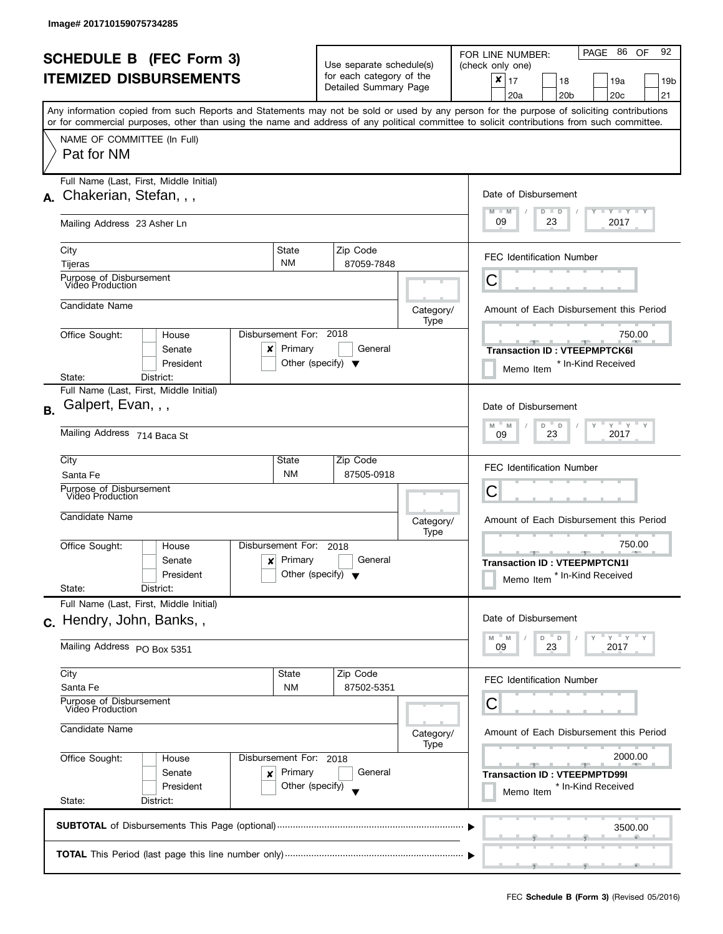| <b>SCHEDULE B</b> (FEC Form 3)<br><b>ITEMIZED DISBURSEMENTS</b> |                                                                                                                                            |                                                                           | Use separate schedule(s)<br>for each category of the<br>Detailed Summary Page |                                         | PAGE 86 OF<br>92<br>FOR LINE NUMBER:<br>(check only one)<br>×<br>17<br>18<br>19a<br>19 <sub>b</sub>                                                                                          |
|-----------------------------------------------------------------|--------------------------------------------------------------------------------------------------------------------------------------------|---------------------------------------------------------------------------|-------------------------------------------------------------------------------|-----------------------------------------|----------------------------------------------------------------------------------------------------------------------------------------------------------------------------------------------|
|                                                                 | or for commercial purposes, other than using the name and address of any political committee to solicit contributions from such committee. |                                                                           |                                                                               |                                         | 20 <sub>c</sub><br>21<br>20a<br>20 <sub>b</sub><br>Any information copied from such Reports and Statements may not be sold or used by any person for the purpose of soliciting contributions |
|                                                                 | NAME OF COMMITTEE (In Full)<br>Pat for NM                                                                                                  |                                                                           |                                                                               |                                         |                                                                                                                                                                                              |
| А.                                                              | Full Name (Last, First, Middle Initial)<br>Chakerian, Stefan, , ,                                                                          | Date of Disbursement<br>$T - Y$ $T - Y$<br>$M - M$<br>$D$ $D$             |                                                                               |                                         |                                                                                                                                                                                              |
|                                                                 | Mailing Address 23 Asher Ln                                                                                                                |                                                                           |                                                                               |                                         | 09<br>23<br>2017                                                                                                                                                                             |
|                                                                 | City<br>Tijeras                                                                                                                            | State<br><b>NM</b>                                                        | Zip Code<br>87059-7848                                                        |                                         | <b>FEC Identification Number</b>                                                                                                                                                             |
|                                                                 | Purpose of Disbursement<br>Video Production                                                                                                |                                                                           |                                                                               |                                         | С                                                                                                                                                                                            |
|                                                                 | Candidate Name                                                                                                                             |                                                                           |                                                                               | Category/<br>Type                       | Amount of Each Disbursement this Period                                                                                                                                                      |
|                                                                 | Office Sought:<br>House<br>Senate<br>x<br>President                                                                                        | Disbursement For: 2018<br>Primary<br>Other (specify) $\blacktriangledown$ | General                                                                       |                                         | 750.00<br><b>Transaction ID: VTEEPMPTCK6I</b><br>* In-Kind Received<br>Memo Item                                                                                                             |
| <b>B.</b>                                                       | State:<br>District:<br>Full Name (Last, First, Middle Initial)<br>Galpert, Evan, , ,                                                       |                                                                           |                                                                               |                                         | Date of Disbursement                                                                                                                                                                         |
|                                                                 | Mailing Address 714 Baca St                                                                                                                | $Y$ $Y$ $Y$ $Y$<br>M<br>M<br>D<br>D<br>2017<br>23<br>09                   |                                                                               |                                         |                                                                                                                                                                                              |
|                                                                 | City<br>Santa Fe                                                                                                                           | State<br><b>NM</b>                                                        | Zip Code<br>87505-0918                                                        |                                         | <b>FEC Identification Number</b>                                                                                                                                                             |
|                                                                 | Purpose of Disbursement<br>Video Production                                                                                                |                                                                           |                                                                               |                                         | С                                                                                                                                                                                            |
|                                                                 | Candidate Name                                                                                                                             |                                                                           |                                                                               | Category/<br>Type                       | Amount of Each Disbursement this Period                                                                                                                                                      |
|                                                                 | Office Sought:<br>House<br>Senate<br>$\boldsymbol{\mathsf{x}}$<br>President<br>State:<br>District:                                         | Disbursement For:<br>Primary<br>Other (specify) $\blacktriangledown$      | 2018<br>General                                                               |                                         | 750.00<br><b>Transaction ID: VTEEPMPTCN1I</b><br>Memo Item <sup>*</sup> In-Kind Received                                                                                                     |
|                                                                 | Full Name (Last, First, Middle Initial)<br>c. Hendry, John, Banks,,                                                                        |                                                                           |                                                                               |                                         | Date of Disbursement                                                                                                                                                                         |
|                                                                 | Mailing Address PO Box 5351                                                                                                                |                                                                           |                                                                               |                                         | $Y = Y$<br>D<br>$\mathsf{D}$<br>M<br>M<br>2017<br>09<br>23                                                                                                                                   |
|                                                                 | City<br>Santa Fe                                                                                                                           | State<br>ΝM                                                               | Zip Code<br>87502-5351                                                        |                                         | <b>FEC Identification Number</b>                                                                                                                                                             |
|                                                                 | Purpose of Disbursement<br>Video Production                                                                                                |                                                                           |                                                                               |                                         | С                                                                                                                                                                                            |
|                                                                 | Candidate Name                                                                                                                             |                                                                           | Category/<br>Type                                                             | Amount of Each Disbursement this Period |                                                                                                                                                                                              |
|                                                                 | Office Sought:<br>House<br>Senate<br>×<br>President<br>State:<br>District:                                                                 | Disbursement For: 2018<br>Primary<br>Other (specify)                      | General                                                                       |                                         | 2000.00<br><b>Transaction ID: VTEEPMPTD99I</b><br>* In-Kind Received<br>Memo Item                                                                                                            |
|                                                                 |                                                                                                                                            |                                                                           |                                                                               |                                         | 3500.00                                                                                                                                                                                      |
|                                                                 |                                                                                                                                            |                                                                           |                                                                               |                                         |                                                                                                                                                                                              |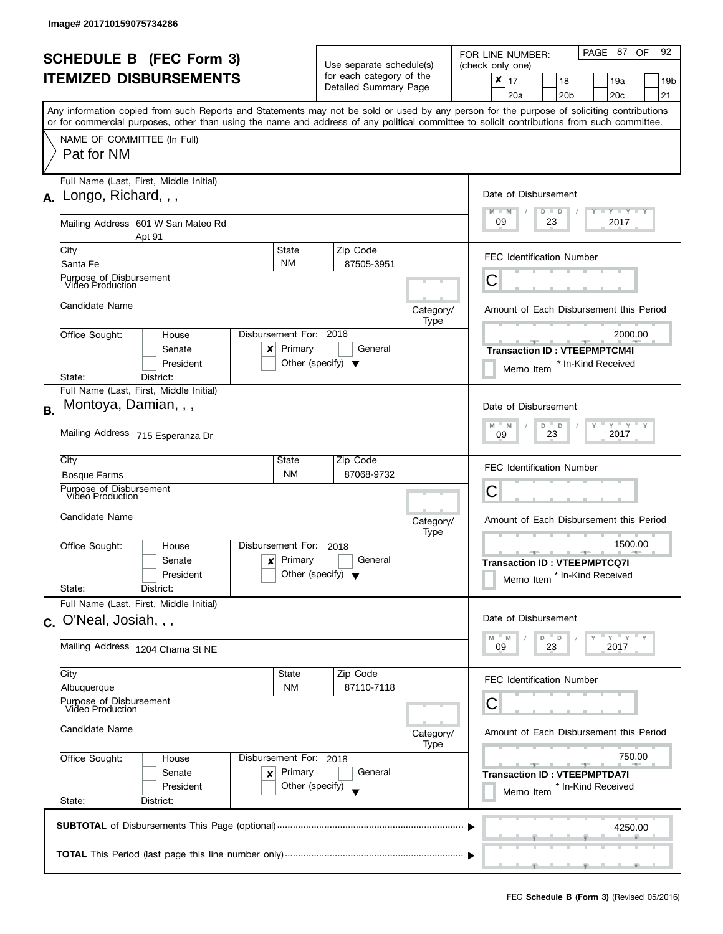| <b>SCHEDULE B (FEC Form 3)</b> |                                                                                                                                                                                                                                                                                         |                                                               | Use separate schedule(s)                                |                   | PAGE 87<br>92<br>OF.<br>FOR LINE NUMBER:<br>(check only one)                               |  |
|--------------------------------|-----------------------------------------------------------------------------------------------------------------------------------------------------------------------------------------------------------------------------------------------------------------------------------------|---------------------------------------------------------------|---------------------------------------------------------|-------------------|--------------------------------------------------------------------------------------------|--|
|                                | <b>ITEMIZED DISBURSEMENTS</b>                                                                                                                                                                                                                                                           |                                                               | for each category of the<br>Detailed Summary Page       |                   | ×<br>17<br>18<br>19a<br>19 <sub>b</sub><br>20 <sub>c</sub><br>20a<br>20 <sub>b</sub><br>21 |  |
|                                | Any information copied from such Reports and Statements may not be sold or used by any person for the purpose of soliciting contributions<br>or for commercial purposes, other than using the name and address of any political committee to solicit contributions from such committee. |                                                               |                                                         |                   |                                                                                            |  |
|                                | NAME OF COMMITTEE (In Full)<br>Pat for NM                                                                                                                                                                                                                                               |                                                               |                                                         |                   |                                                                                            |  |
|                                | Full Name (Last, First, Middle Initial)<br>$A.$ Longo, Richard, , ,                                                                                                                                                                                                                     | Date of Disbursement<br>$T - Y = T - Y$<br>$M - M$<br>$D$ $D$ |                                                         |                   |                                                                                            |  |
|                                | Mailing Address 601 W San Mateo Rd<br>Apt 91                                                                                                                                                                                                                                            |                                                               |                                                         |                   | 09<br>23<br>2017                                                                           |  |
|                                | City<br>Santa Fe                                                                                                                                                                                                                                                                        | <b>State</b><br><b>NM</b>                                     | Zip Code<br>87505-3951                                  |                   | <b>FEC Identification Number</b>                                                           |  |
|                                | Purpose of Disbursement<br>Video Production                                                                                                                                                                                                                                             |                                                               |                                                         |                   | С                                                                                          |  |
|                                | Candidate Name                                                                                                                                                                                                                                                                          |                                                               |                                                         | Category/<br>Type | Amount of Each Disbursement this Period                                                    |  |
|                                | Office Sought:<br>House<br>Senate<br>x<br>President                                                                                                                                                                                                                                     | Disbursement For: 2018<br>Primary                             | General<br>Other (specify) $\blacktriangledown$         |                   | 2000.00<br><b>Transaction ID: VTEEPMPTCM4I</b><br>* In-Kind Received<br>Memo Item          |  |
| <b>B.</b>                      | State:<br>District:<br>Full Name (Last, First, Middle Initial)<br>Montoya, Damian, , ,<br>Mailing Address 715 Esperanza Dr                                                                                                                                                              |                                                               |                                                         |                   | Date of Disbursement<br>$Y = Y - Y$<br>D<br>M<br>$\mathsf D$<br>M<br>2017<br>23<br>09      |  |
|                                | City<br><b>Bosque Farms</b><br>Purpose of Disbursement                                                                                                                                                                                                                                  | State<br><b>NM</b>                                            | Zip Code<br>87068-9732                                  |                   | FEC Identification Number<br>С                                                             |  |
|                                | Video Production<br>Candidate Name                                                                                                                                                                                                                                                      |                                                               |                                                         | Category/<br>Type | Amount of Each Disbursement this Period                                                    |  |
|                                | Office Sought:<br>House<br>Senate<br>$\boldsymbol{\mathsf{x}}$<br>President<br>State:<br>District:                                                                                                                                                                                      | Disbursement For:<br>Primary                                  | 2018<br>General<br>Other (specify) $\blacktriangledown$ |                   | 1500.00<br><b>Transaction ID: VTEEPMPTCQ7I</b><br>Memo Item * In-Kind Received             |  |
|                                | Full Name (Last, First, Middle Initial)<br>c. O'Neal, Josiah, , ,                                                                                                                                                                                                                       |                                                               |                                                         |                   | Date of Disbursement<br>$Y = Y$<br>D<br>D<br>M<br>M                                        |  |
|                                | Mailing Address 1204 Chama St NE                                                                                                                                                                                                                                                        |                                                               |                                                         |                   | 2017<br>09<br>23                                                                           |  |
|                                | City<br>Albuquerque                                                                                                                                                                                                                                                                     | State<br><b>NM</b>                                            | Zip Code<br>87110-7118                                  |                   | <b>FEC Identification Number</b>                                                           |  |
|                                | Purpose of Disbursement<br>Video Production<br>Candidate Name                                                                                                                                                                                                                           |                                                               |                                                         | Category/<br>Type | С<br>Amount of Each Disbursement this Period                                               |  |
|                                | Office Sought:<br>House<br>Senate<br>x<br>President<br>State:<br>District:                                                                                                                                                                                                              | Disbursement For: 2018<br>Primary<br>Other (specify)          | General                                                 |                   | 750.00<br><b>Transaction ID: VTEEPMPTDA7I</b><br>* In-Kind Received<br>Memo Item           |  |
|                                |                                                                                                                                                                                                                                                                                         |                                                               |                                                         |                   | 4250.00                                                                                    |  |
|                                |                                                                                                                                                                                                                                                                                         |                                                               |                                                         |                   |                                                                                            |  |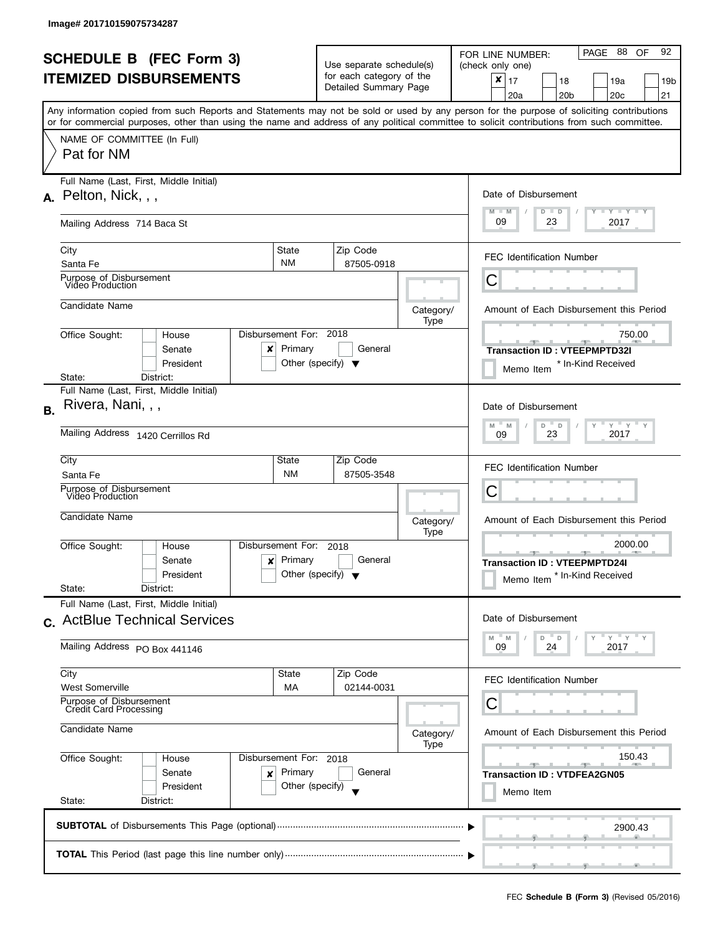| <b>SCHEDULE B</b> (FEC Form 3)<br><b>ITEMIZED DISBURSEMENTS</b> |                                                                                                                                                                           |                                                                    | Use separate schedule(s)<br>for each category of the |                                         | PAGE 88 OF<br>92<br>FOR LINE NUMBER:<br>(check only one)                       |
|-----------------------------------------------------------------|---------------------------------------------------------------------------------------------------------------------------------------------------------------------------|--------------------------------------------------------------------|------------------------------------------------------|-----------------------------------------|--------------------------------------------------------------------------------|
|                                                                 |                                                                                                                                                                           |                                                                    | Detailed Summary Page                                |                                         | x<br>17<br>18<br>19a<br>19b<br>20 <sub>b</sub><br>20 <sub>c</sub><br>21<br>20a |
|                                                                 | Any information copied from such Reports and Statements may not be sold or used by any person for the purpose of soliciting contributions                                 |                                                                    |                                                      |                                         |                                                                                |
|                                                                 | or for commercial purposes, other than using the name and address of any political committee to solicit contributions from such committee.<br>NAME OF COMMITTEE (In Full) |                                                                    |                                                      |                                         |                                                                                |
|                                                                 | Pat for NM                                                                                                                                                                |                                                                    |                                                      |                                         |                                                                                |
| А.                                                              | Full Name (Last, First, Middle Initial)<br>Pelton, Nick, , ,                                                                                                              |                                                                    | Date of Disbursement                                 |                                         |                                                                                |
|                                                                 | Mailing Address 714 Baca St                                                                                                                                               | $T - Y$ $T - Y$<br>$M - M$<br>$D$ $D$<br>09<br>2017<br>23          |                                                      |                                         |                                                                                |
|                                                                 | City<br>Santa Fe                                                                                                                                                          | State<br><b>NM</b>                                                 | Zip Code<br>87505-0918                               |                                         | <b>FEC Identification Number</b>                                               |
|                                                                 | Purpose of Disbursement<br>Video Production                                                                                                                               |                                                                    |                                                      |                                         | С                                                                              |
|                                                                 | Candidate Name                                                                                                                                                            |                                                                    |                                                      | Category/<br>Type                       | Amount of Each Disbursement this Period                                        |
|                                                                 | Office Sought:<br>House                                                                                                                                                   | Disbursement For: 2018                                             |                                                      |                                         | 750.00<br>$-9-$                                                                |
|                                                                 | Senate<br>x<br>President                                                                                                                                                  | Primary                                                            | General<br>Other (specify) $\blacktriangledown$      |                                         | <b>Transaction ID: VTEEPMPTD32I</b><br>* In-Kind Received<br>Memo Item         |
|                                                                 | District:<br>State:                                                                                                                                                       |                                                                    |                                                      |                                         |                                                                                |
| <b>B.</b>                                                       | Full Name (Last, First, Middle Initial)<br>Rivera, Nani, , ,                                                                                                              |                                                                    |                                                      |                                         | Date of Disbursement                                                           |
|                                                                 | Mailing Address 1420 Cerrillos Rd                                                                                                                                         | $Y + Y + Y$<br>M<br>D<br>$\mathsf D$<br>Y<br>M<br>2017<br>23<br>09 |                                                      |                                         |                                                                                |
|                                                                 | City<br>Santa Fe                                                                                                                                                          | State<br><b>NM</b>                                                 | Zip Code<br>87505-3548                               |                                         | <b>FEC Identification Number</b>                                               |
|                                                                 | Purpose of Disbursement<br>Video Production                                                                                                                               |                                                                    |                                                      |                                         | Ĉ                                                                              |
|                                                                 | Candidate Name                                                                                                                                                            |                                                                    |                                                      | Category/<br>Type                       | Amount of Each Disbursement this Period                                        |
|                                                                 | Office Sought:<br>House                                                                                                                                                   | Disbursement For:                                                  | 2018                                                 |                                         | 2000.00<br>$-1$                                                                |
|                                                                 | Senate<br>$\boldsymbol{\mathsf{x}}$<br>President                                                                                                                          | Primary                                                            | General<br>Other (specify) $\blacktriangledown$      |                                         | <b>Transaction ID: VTEEPMPTD24I</b><br>Memo Item <sup>*</sup> In-Kind Received |
|                                                                 | State:<br>District:<br>Full Name (Last, First, Middle Initial)                                                                                                            |                                                                    |                                                      |                                         |                                                                                |
|                                                                 | c. ActBlue Technical Services                                                                                                                                             |                                                                    |                                                      |                                         | Date of Disbursement                                                           |
|                                                                 | Mailing Address PO Box 441146                                                                                                                                             |                                                                    |                                                      |                                         | $Y = Y = Y$<br>M<br>D<br>$\Box$<br>M<br>09<br>24<br>2017                       |
|                                                                 | City<br><b>West Somerville</b>                                                                                                                                            | State<br>МA                                                        | Zip Code<br>02144-0031                               |                                         | <b>FEC Identification Number</b>                                               |
|                                                                 | Purpose of Disbursement<br>Credit Card Processing                                                                                                                         |                                                                    |                                                      | С                                       |                                                                                |
|                                                                 | Candidate Name                                                                                                                                                            |                                                                    | Category/<br>Type                                    | Amount of Each Disbursement this Period |                                                                                |
|                                                                 | Office Sought:<br>House                                                                                                                                                   | Disbursement For: 2018                                             |                                                      |                                         | 150.43                                                                         |
|                                                                 | Senate<br>x<br>President                                                                                                                                                  | Primary<br>Other (specify)                                         | General                                              |                                         | <b>Transaction ID: VTDFEA2GN05</b><br>Memo Item                                |
|                                                                 | State:<br>District:                                                                                                                                                       |                                                                    |                                                      |                                         |                                                                                |
|                                                                 |                                                                                                                                                                           |                                                                    |                                                      |                                         | 2900.43                                                                        |
|                                                                 |                                                                                                                                                                           |                                                                    |                                                      |                                         |                                                                                |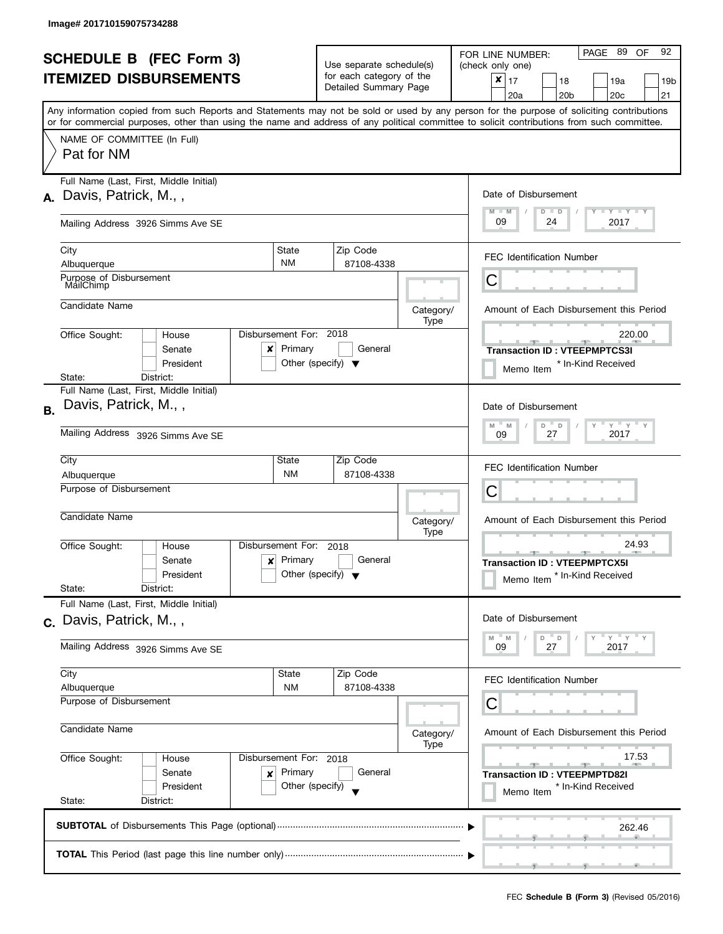|           | <b>SCHEDULE B (FEC Form 3)</b><br><b>ITEMIZED DISBURSEMENTS</b>                                                                            |                                                               | Use separate schedule(s)<br>for each category of the<br>Detailed Summary Page |                   | PAGE 89 OF<br>92<br>FOR LINE NUMBER:<br>(check only one)<br>$\mathbf{x}$   17<br>18<br>19a<br>19 <sub>b</sub><br>20a<br>20 <sub>b</sub><br>20 <sub>c</sub><br>21 |
|-----------|--------------------------------------------------------------------------------------------------------------------------------------------|---------------------------------------------------------------|-------------------------------------------------------------------------------|-------------------|------------------------------------------------------------------------------------------------------------------------------------------------------------------|
|           | or for commercial purposes, other than using the name and address of any political committee to solicit contributions from such committee. |                                                               |                                                                               |                   | Any information copied from such Reports and Statements may not be sold or used by any person for the purpose of soliciting contributions                        |
|           | NAME OF COMMITTEE (In Full)<br>Pat for NM                                                                                                  |                                                               |                                                                               |                   |                                                                                                                                                                  |
| А.        | Full Name (Last, First, Middle Initial)<br>Davis, Patrick, M.,,                                                                            |                                                               |                                                                               |                   | Date of Disbursement<br>$T$ $Y$ $T$ $Y$ $T$ $Y$<br>$M - M$<br>$D$ $D$                                                                                            |
|           | Mailing Address 3926 Simms Ave SE                                                                                                          | 09<br>2017<br>24                                              |                                                                               |                   |                                                                                                                                                                  |
|           | City<br>Albuquerque                                                                                                                        | State<br><b>NM</b>                                            | Zip Code<br>87108-4338                                                        |                   | <b>FEC Identification Number</b>                                                                                                                                 |
|           | Purpose of Disbursement<br>MailChimp                                                                                                       |                                                               |                                                                               |                   | С                                                                                                                                                                |
|           | Candidate Name                                                                                                                             |                                                               |                                                                               | Category/<br>Type | Amount of Each Disbursement this Period                                                                                                                          |
|           | Office Sought:<br>House<br>Senate<br>x<br>President                                                                                        | Disbursement For: 2018<br>Primary                             | General<br>Other (specify) $\blacktriangledown$                               |                   | 220.00<br><b>Transaction ID: VTEEPMPTCS3I</b><br>* In-Kind Received<br>Memo Item                                                                                 |
| <b>B.</b> | District:<br>State:<br>Full Name (Last, First, Middle Initial)<br>Davis, Patrick, M.,,                                                     |                                                               |                                                                               |                   | Date of Disbursement                                                                                                                                             |
|           | Mailing Address 3926 Simms Ave SE                                                                                                          | $Y$ $Y$ $Y$<br>M<br>D<br>$\mathbb D$<br>M<br>2017<br>27<br>09 |                                                                               |                   |                                                                                                                                                                  |
|           | City<br>Albuquerque                                                                                                                        | State<br><b>NM</b>                                            | Zip Code<br>87108-4338                                                        |                   | <b>FEC Identification Number</b>                                                                                                                                 |
|           | Purpose of Disbursement<br>Candidate Name                                                                                                  |                                                               |                                                                               | Category/<br>Type | С<br>Amount of Each Disbursement this Period                                                                                                                     |
|           | Office Sought:<br>House<br>Senate<br>$\mathbf{x}$<br>President<br>State:<br>District:                                                      | Disbursement For:<br>Primary                                  | 2018<br>General<br>Other (specify) $\sqrt{}$                                  |                   | 24.93<br>$-9$<br><b>Transaction ID: VTEEPMPTCX5I</b><br>Memo Item <sup>*</sup> In-Kind Received                                                                  |
|           | Full Name (Last, First, Middle Initial)<br>c. Davis, Patrick, M.,,                                                                         |                                                               |                                                                               |                   | Date of Disbursement                                                                                                                                             |
|           | Mailing Address 3926 Simms Ave SE                                                                                                          | $Y = Y + Y$<br>M<br>M<br>D<br>D<br>09<br>2017<br>27           |                                                                               |                   |                                                                                                                                                                  |
|           | City<br>Albuquerque                                                                                                                        | State<br>ΝM                                                   | Zip Code<br>87108-4338                                                        |                   | <b>FEC Identification Number</b>                                                                                                                                 |
|           | Purpose of Disbursement<br>Candidate Name                                                                                                  | С<br>Amount of Each Disbursement this Period<br>Category/     |                                                                               |                   |                                                                                                                                                                  |
|           | Office Sought:<br>House<br>Senate<br>x<br>President<br>State:<br>District:                                                                 | Disbursement For: 2018<br>Primary<br>Other (specify)          | General                                                                       | Type              | 17.53<br><b>Transaction ID: VTEEPMPTD82I</b><br>* In-Kind Received<br>Memo Item                                                                                  |
|           |                                                                                                                                            |                                                               |                                                                               |                   | 262.46                                                                                                                                                           |
|           |                                                                                                                                            |                                                               |                                                                               |                   |                                                                                                                                                                  |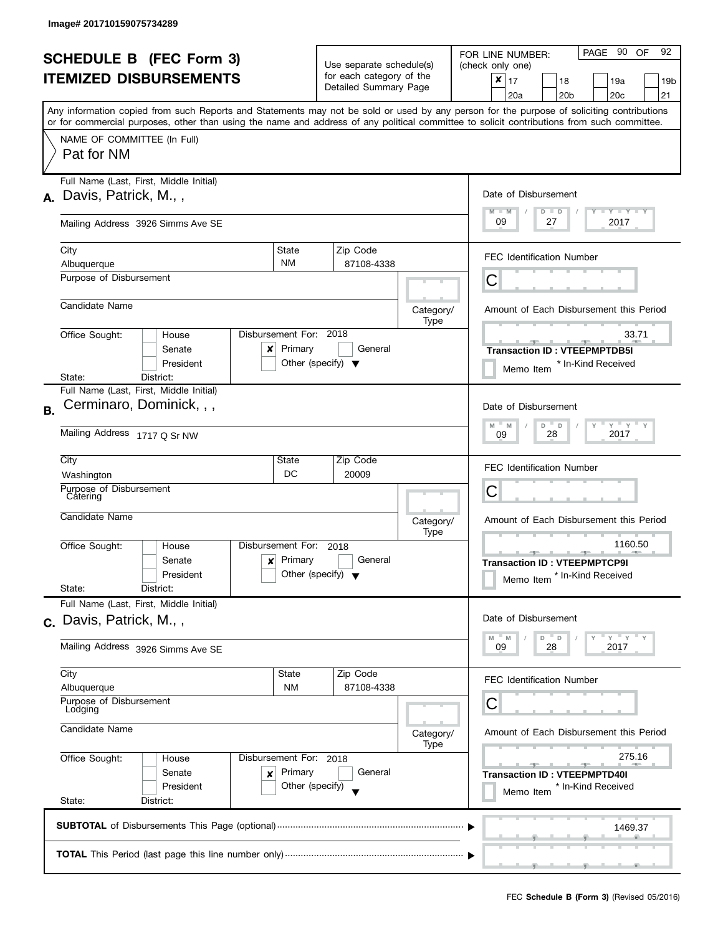|           | <b>SCHEDULE B</b> (FEC Form 3)<br><b>ITEMIZED DISBURSEMENTS</b>                                                                                                                         |                                                               | Use separate schedule(s)<br>for each category of the<br>Detailed Summary Page |                   | PAGE 90 OF<br>92<br>FOR LINE NUMBER:<br>(check only one)<br>$\mathbf{x}$   17<br>18<br>19a<br>19 <sub>b</sub>                                                                                |
|-----------|-----------------------------------------------------------------------------------------------------------------------------------------------------------------------------------------|---------------------------------------------------------------|-------------------------------------------------------------------------------|-------------------|----------------------------------------------------------------------------------------------------------------------------------------------------------------------------------------------|
|           |                                                                                                                                                                                         |                                                               |                                                                               |                   | 20a<br>20 <sub>b</sub><br>20 <sub>c</sub><br>21<br>Any information copied from such Reports and Statements may not be sold or used by any person for the purpose of soliciting contributions |
|           | or for commercial purposes, other than using the name and address of any political committee to solicit contributions from such committee.<br>NAME OF COMMITTEE (In Full)<br>Pat for NM |                                                               |                                                                               |                   |                                                                                                                                                                                              |
| А.        | Full Name (Last, First, Middle Initial)<br>Davis, Patrick, M.,,                                                                                                                         |                                                               |                                                                               |                   | Date of Disbursement                                                                                                                                                                         |
|           | Mailing Address 3926 Simms Ave SE                                                                                                                                                       | Y TY TY TY<br>$M - M$<br>$D$ $D$<br>09<br>27<br>2017          |                                                                               |                   |                                                                                                                                                                                              |
|           | City<br>Albuquerque                                                                                                                                                                     | State<br><b>NM</b>                                            | Zip Code<br>87108-4338                                                        |                   | <b>FEC Identification Number</b>                                                                                                                                                             |
|           | Purpose of Disbursement                                                                                                                                                                 |                                                               |                                                                               |                   | С                                                                                                                                                                                            |
|           | Candidate Name                                                                                                                                                                          |                                                               |                                                                               | Category/<br>Type | Amount of Each Disbursement this Period                                                                                                                                                      |
|           | Office Sought:<br>House<br>Senate<br>x<br>President                                                                                                                                     | Disbursement For: 2018<br>Primary                             | General<br>Other (specify) $\blacktriangledown$                               |                   | 33.71<br>$-1$<br><b>Transaction ID: VTEEPMPTDB5I</b><br>* In-Kind Received<br>Memo Item                                                                                                      |
| <b>B.</b> | District:<br>State:<br>Full Name (Last, First, Middle Initial)<br>Cerminaro, Dominick, , ,                                                                                              |                                                               |                                                                               |                   | Date of Disbursement                                                                                                                                                                         |
|           | Mailing Address 1717 Q Sr NW                                                                                                                                                            | $Y$ $Y$ $Y$<br>M<br>D<br>$\mathsf D$<br>M<br>2017<br>28<br>09 |                                                                               |                   |                                                                                                                                                                                              |
|           | City<br>Washington                                                                                                                                                                      | State<br>DC                                                   | Zip Code<br>20009                                                             |                   | <b>FEC Identification Number</b>                                                                                                                                                             |
|           | Purpose of Disbursement<br>Catering                                                                                                                                                     |                                                               |                                                                               |                   | C                                                                                                                                                                                            |
|           | Candidate Name                                                                                                                                                                          |                                                               |                                                                               | Category/<br>Type | Amount of Each Disbursement this Period                                                                                                                                                      |
|           | Office Sought:<br>House<br>Senate<br>$\mathbf{x}$<br>President<br>State:<br>District:                                                                                                   | Disbursement For:<br>Primary                                  | 2018<br>General<br>Other (specify) $\blacktriangledown$                       |                   | 1160.50<br>$-1$<br><b>Transaction ID: VTEEPMPTCP9I</b><br>Memo Item <sup>*</sup> In-Kind Received                                                                                            |
|           | Full Name (Last, First, Middle Initial)<br>c. Davis, Patrick, M.,,                                                                                                                      |                                                               |                                                                               |                   | Date of Disbursement                                                                                                                                                                         |
|           | Mailing Address 3926 Simms Ave SE                                                                                                                                                       | $Y = Y + Y$<br>M<br>M<br>D<br>D<br>09<br>28<br>2017           |                                                                               |                   |                                                                                                                                                                                              |
|           | City<br>Albuquerque                                                                                                                                                                     | <b>State</b><br>ΝM                                            | Zip Code<br>87108-4338                                                        |                   | <b>FEC Identification Number</b>                                                                                                                                                             |
|           | Purpose of Disbursement<br>Lodging<br>Candidate Name                                                                                                                                    | С<br>Amount of Each Disbursement this Period<br>Category/     |                                                                               |                   |                                                                                                                                                                                              |
|           | Office Sought:<br>Disbursement For: 2018<br>House                                                                                                                                       | 275.16                                                        |                                                                               |                   |                                                                                                                                                                                              |
|           | Senate<br>x<br>President<br>State:<br>District:                                                                                                                                         | Primary<br>Other (specify)                                    | General                                                                       |                   | <b>Transaction ID: VTEEPMPTD40I</b><br>* In-Kind Received<br>Memo Item                                                                                                                       |
|           |                                                                                                                                                                                         |                                                               |                                                                               |                   | 1469.37                                                                                                                                                                                      |
|           |                                                                                                                                                                                         |                                                               |                                                                               |                   |                                                                                                                                                                                              |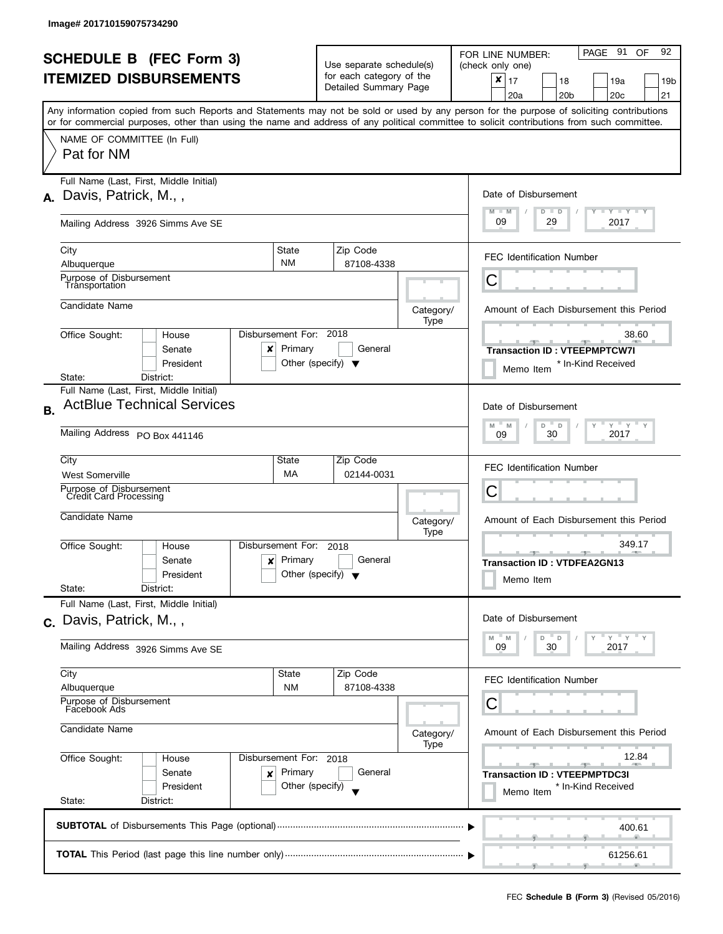|           | <b>SCHEDULE B (FEC Form 3)</b><br><b>ITEMIZED DISBURSEMENTS</b>                                                                                                                         |                                                                                   | Use separate schedule(s)<br>for each category of the<br>Detailed Summary Page |                   | PAGE 91 OF<br>92<br>FOR LINE NUMBER:<br>(check only one)<br>$\pmb{\times}$<br>17<br>18<br>19a<br>19 <sub>b</sub><br>20 <sub>c</sub><br>21<br>20a<br>20 <sub>b</sub> |
|-----------|-----------------------------------------------------------------------------------------------------------------------------------------------------------------------------------------|-----------------------------------------------------------------------------------|-------------------------------------------------------------------------------|-------------------|---------------------------------------------------------------------------------------------------------------------------------------------------------------------|
|           | or for commercial purposes, other than using the name and address of any political committee to solicit contributions from such committee.<br>NAME OF COMMITTEE (In Full)<br>Pat for NM |                                                                                   |                                                                               |                   | Any information copied from such Reports and Statements may not be sold or used by any person for the purpose of soliciting contributions                           |
| А.        | Full Name (Last, First, Middle Initial)<br>Davis, Patrick, M.,,                                                                                                                         | Date of Disbursement<br>$T - Y = T - Y$<br>$M - M$<br>$D$ $D$<br>09<br>2017<br>29 |                                                                               |                   |                                                                                                                                                                     |
|           | Mailing Address 3926 Simms Ave SE<br>City<br>Albuquerque                                                                                                                                | State<br><b>NM</b>                                                                | Zip Code<br>87108-4338                                                        |                   | <b>FEC Identification Number</b>                                                                                                                                    |
|           | Purpose of Disbursement<br>Tránsportation                                                                                                                                               |                                                                                   |                                                                               |                   | C                                                                                                                                                                   |
|           | Candidate Name                                                                                                                                                                          |                                                                                   |                                                                               | Category/<br>Type | Amount of Each Disbursement this Period                                                                                                                             |
|           | Office Sought:<br>House<br>Senate<br>x<br>President<br>State:<br>District:                                                                                                              | Disbursement For: 2018<br>Primary                                                 | General<br>Other (specify) $\blacktriangledown$                               |                   | 38.60<br><b>Transaction ID: VTEEPMPTCW7I</b><br>* In-Kind Received<br>Memo Item                                                                                     |
| <b>B.</b> | Full Name (Last, First, Middle Initial)<br><b>ActBlue Technical Services</b><br>Mailing Address PO Box 441146                                                                           |                                                                                   |                                                                               |                   | Date of Disbursement<br>$Y$ $Y$ $Y$<br>M<br>D<br>$\mathsf D$<br>M<br>30<br>2017<br>09                                                                               |
|           | City<br><b>West Somerville</b><br>Purpose of Disbursement<br><b>Credit Card Processing</b>                                                                                              | State<br>МA                                                                       | Zip Code<br>02144-0031                                                        |                   | <b>FEC Identification Number</b><br>С                                                                                                                               |
|           | Candidate Name                                                                                                                                                                          |                                                                                   |                                                                               | Category/<br>Type | Amount of Each Disbursement this Period                                                                                                                             |
|           | Office Sought:<br>House<br>Senate<br>$\boldsymbol{x}$<br>President<br>State:<br>District:                                                                                               | Disbursement For:<br>Primary                                                      | 2018<br>General<br>Other (specify) $\blacktriangledown$                       |                   | 349.17<br><b>Allen</b><br>در ا<br><b>Transaction ID: VTDFEA2GN13</b><br>Memo Item                                                                                   |
|           | Full Name (Last, First, Middle Initial)<br>c. Davis, Patrick, M.,,                                                                                                                      |                                                                                   |                                                                               |                   | Date of Disbursement<br>$Y = Y$<br>D<br>D<br>M<br>M                                                                                                                 |
|           | Mailing Address 3926 Simms Ave SE                                                                                                                                                       |                                                                                   |                                                                               |                   | 30<br>2017<br>09                                                                                                                                                    |
|           | City<br>Albuquerque<br>Purpose of Disbursement                                                                                                                                          | State<br><b>NM</b>                                                                | Zip Code<br>87108-4338                                                        |                   | FEC Identification Number<br>С                                                                                                                                      |
|           | Facebook Ads<br>Candidate Name                                                                                                                                                          |                                                                                   |                                                                               | Category/<br>Type | Amount of Each Disbursement this Period                                                                                                                             |
|           | Office Sought:<br>House<br>Senate<br>×<br>President<br>State:<br>District:                                                                                                              | Disbursement For: 2018<br>Primary<br>Other (specify)                              | General                                                                       |                   | 12.84<br><b>Transaction ID: VTEEPMPTDC3I</b><br>* In-Kind Received<br>Memo Item                                                                                     |
|           |                                                                                                                                                                                         |                                                                                   |                                                                               |                   | 400.61                                                                                                                                                              |
|           |                                                                                                                                                                                         |                                                                                   |                                                                               |                   | 61256.61                                                                                                                                                            |